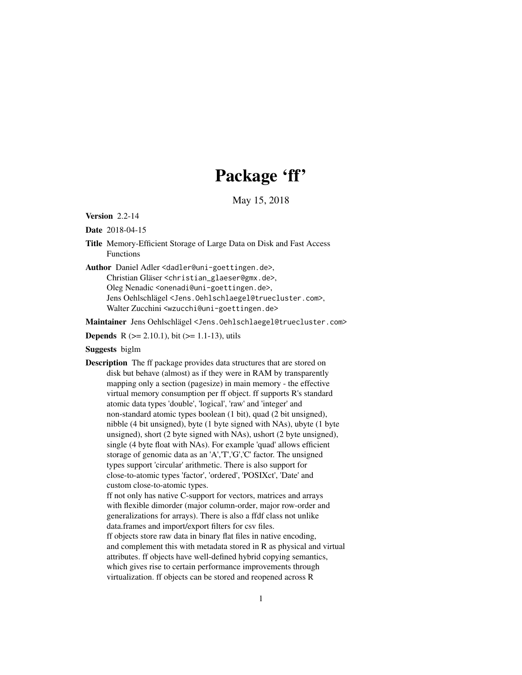# Package 'ff'

May 15, 2018

<span id="page-0-0"></span>Version 2.2-14

Date 2018-04-15

Title Memory-Efficient Storage of Large Data on Disk and Fast Access Functions

Author Daniel Adler <dadler@uni-goettingen.de>,

Christian Gläser <christian\_glaeser@gmx.de>, Oleg Nenadic <onenadi@uni-goettingen.de>, Jens Oehlschlägel <Jens.Oehlschlaegel@truecluster.com>, Walter Zucchini <wzucchi@uni-goettingen.de>

Maintainer Jens Oehlschlägel <Jens.Oehlschlaegel@truecluster.com>

**Depends** R ( $>= 2.10.1$ ), bit ( $>= 1.1-13$ ), utils

## Suggests biglm

Description The ff package provides data structures that are stored on disk but behave (almost) as if they were in RAM by transparently mapping only a section (pagesize) in main memory - the effective virtual memory consumption per ff object. ff supports R's standard atomic data types 'double', 'logical', 'raw' and 'integer' and non-standard atomic types boolean (1 bit), quad (2 bit unsigned), nibble (4 bit unsigned), byte (1 byte signed with NAs), ubyte (1 byte unsigned), short (2 byte signed with NAs), ushort (2 byte unsigned), single (4 byte float with NAs). For example 'quad' allows efficient storage of genomic data as an 'A','T','G','C' factor. The unsigned types support 'circular' arithmetic. There is also support for close-to-atomic types 'factor', 'ordered', 'POSIXct', 'Date' and custom close-to-atomic types.

ff not only has native C-support for vectors, matrices and arrays with flexible dimorder (major column-order, major row-order and generalizations for arrays). There is also a ffdf class not unlike data.frames and import/export filters for csv files. ff objects store raw data in binary flat files in native encoding, and complement this with metadata stored in R as physical and virtual attributes. ff objects have well-defined hybrid copying semantics, which gives rise to certain performance improvements through virtualization. ff objects can be stored and reopened across R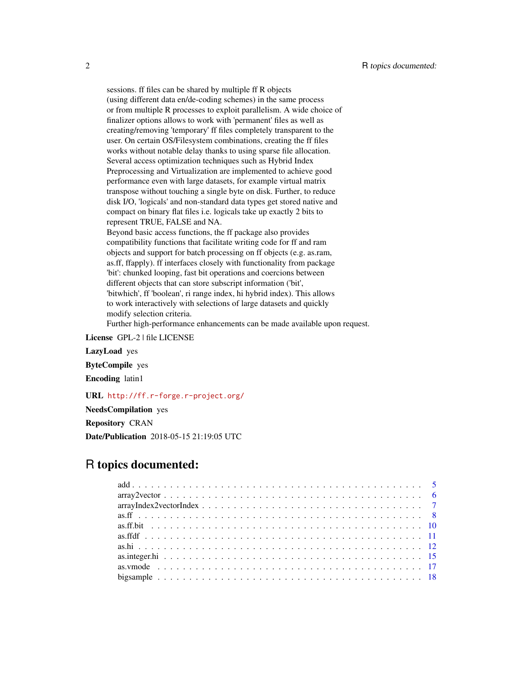sessions. ff files can be shared by multiple ff R objects (using different data en/de-coding schemes) in the same process or from multiple R processes to exploit parallelism. A wide choice of finalizer options allows to work with 'permanent' files as well as creating/removing 'temporary' ff files completely transparent to the user. On certain OS/Filesystem combinations, creating the ff files works without notable delay thanks to using sparse file allocation. Several access optimization techniques such as Hybrid Index Preprocessing and Virtualization are implemented to achieve good performance even with large datasets, for example virtual matrix transpose without touching a single byte on disk. Further, to reduce disk I/O, 'logicals' and non-standard data types get stored native and compact on binary flat files i.e. logicals take up exactly 2 bits to represent TRUE, FALSE and NA. Beyond basic access functions, the ff package also provides compatibility functions that facilitate writing code for ff and ram objects and support for batch processing on ff objects (e.g. as.ram, as.ff, ffapply). ff interfaces closely with functionality from package

'bit': chunked looping, fast bit operations and coercions between different objects that can store subscript information ('bit', 'bitwhich', ff 'boolean', ri range index, hi hybrid index). This allows to work interactively with selections of large datasets and quickly modify selection criteria.

Further high-performance enhancements can be made available upon request.

License GPL-2 | file LICENSE

LazyLoad yes

ByteCompile yes

Encoding latin1

URL <http://ff.r-forge.r-project.org/>

NeedsCompilation yes

Repository CRAN

Date/Publication 2018-05-15 21:19:05 UTC

## R topics documented: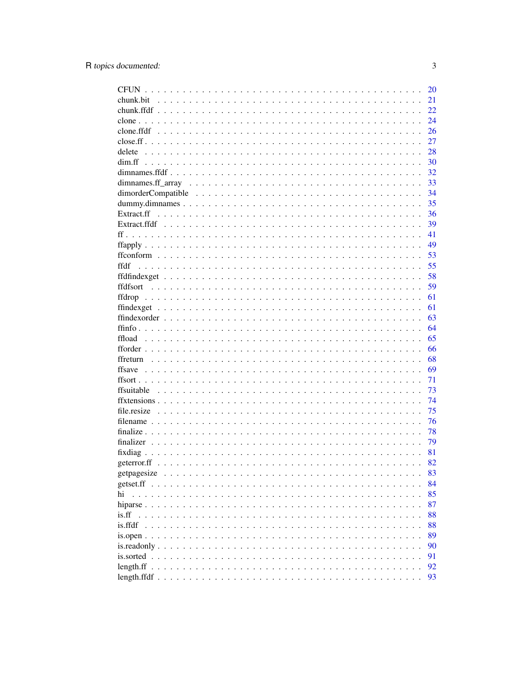|                                      | 20 |
|--------------------------------------|----|
|                                      | 21 |
|                                      | 22 |
|                                      | 24 |
|                                      | 26 |
|                                      | 27 |
| delete                               | 28 |
|                                      | 30 |
|                                      | 32 |
|                                      | 33 |
|                                      | 34 |
|                                      | 35 |
|                                      | 36 |
|                                      | 39 |
|                                      | 41 |
|                                      | 49 |
|                                      | 53 |
| ffdf                                 | 55 |
|                                      | 58 |
|                                      | 59 |
|                                      | 61 |
|                                      | 61 |
|                                      | 63 |
|                                      | 64 |
| ffload                               | 65 |
|                                      | 66 |
|                                      |    |
|                                      | 68 |
|                                      | 69 |
|                                      | 71 |
|                                      | 73 |
|                                      | 74 |
|                                      | 75 |
|                                      | 76 |
|                                      | 78 |
|                                      | 79 |
|                                      | 81 |
|                                      | 82 |
| getpagesize                          | 83 |
| getset.ff                            | 84 |
| hi                                   | 85 |
| hiparse.                             | 87 |
| is.ff                                | 88 |
| is.ffdf                              | 88 |
| $is.open \dots$                      | 89 |
| is.readonly.<br>$\ddot{\phantom{a}}$ | 90 |
| is sorted                            | 91 |
| length.ff $\ldots$                   | 92 |
|                                      | 93 |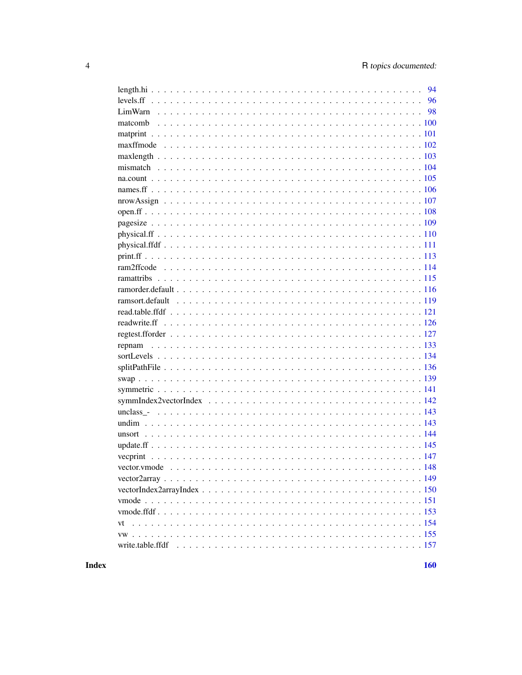| 96 |
|----|
|    |
|    |
|    |
|    |
|    |
|    |
|    |
|    |
|    |
|    |
|    |
|    |
|    |
|    |
|    |
|    |
|    |
|    |
|    |
|    |
|    |
|    |
|    |
|    |
|    |
|    |
|    |
|    |
|    |
|    |
|    |
|    |
|    |
|    |
|    |
|    |
|    |
|    |
|    |
|    |
|    |

**Index**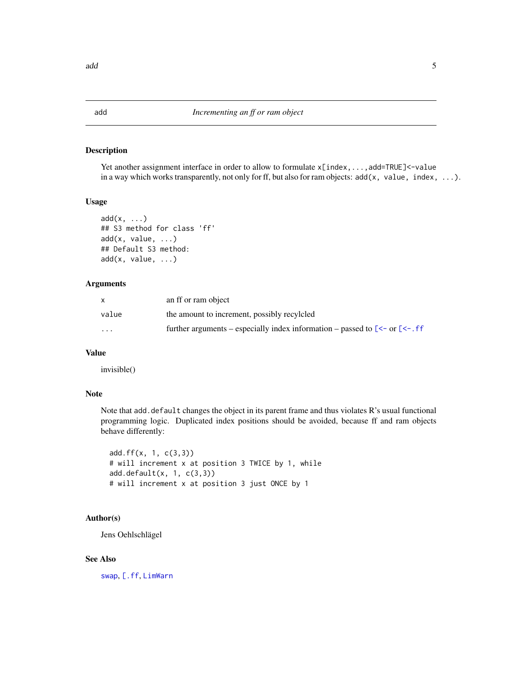## Description

Yet another assignment interface in order to allow to formulate  $x[index, ..., add=True] < -value$ in a way which works transparently, not only for ff, but also for ram objects:  $add(x, value, index, ...).$ 

#### Usage

```
add(x, \ldots)## S3 method for class 'ff'
add(x, value, ...)
## Default S3 method:
add(x, value, ...)
```
#### Arguments

| $\mathsf{x}$ | an ff or ram object                                                                                              |
|--------------|------------------------------------------------------------------------------------------------------------------|
| value        | the amount to increment, possibly recylcled                                                                      |
| $\cdots$     | further arguments – especially index information – passed to $\lceil \leq -\text{ or } \lceil \leq -\text{ if }$ |

#### Value

invisible()

## Note

Note that add.default changes the object in its parent frame and thus violates  $R$ 's usual functional programming logic. Duplicated index positions should be avoided, because ff and ram objects behave differently:

add.ff(x, 1, c(3,3)) # will increment x at position 3 TWICE by 1, while add.default(x, 1, c(3,3)) # will increment x at position 3 just ONCE by 1

#### Author(s)

Jens Oehlschlägel

## See Also

[swap](#page-138-1), [\[.ff](#page-35-1), [LimWarn](#page-97-1)

<span id="page-4-0"></span>add 5 and 5 and 5 and 5 and 5 and 5 and 5 and 5 and 5 and 5 and 5 and 5 and 5 and 5 and 5 and 5 and 5 and 5 and 5 and 5 and 5 and 5 and 5 and 5 and 5 and 5 and 5 and 5 and 5 and 5 and 5 and 5 and 5 and 5 and 5 and 5 and 5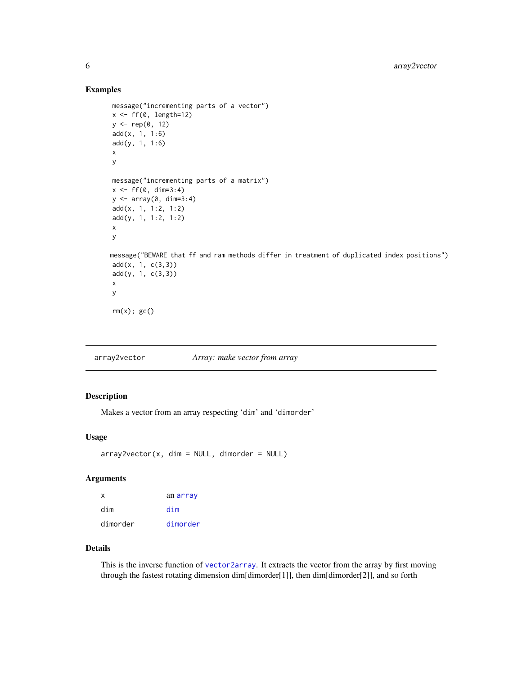## Examples

```
message("incrementing parts of a vector")
x \leftarrow ff(0, length=12)y <- rep(0, 12)
add(x, 1, 1:6)
add(y, 1, 1:6)
x
y
message("incrementing parts of a matrix")
x \leq-ff(\emptyset, dim=3:4)y <- array(0, dim=3:4)
add(x, 1, 1:2, 1:2)
add(y, 1, 1:2, 1:2)
x
y
message("BEWARE that ff and ram methods differ in treatment of duplicated index positions")
add(x, 1, c(3,3))
add(y, 1, c(3,3))
x
y
rm(x); gc()
```
<span id="page-5-1"></span>array2vector *Array: make vector from array*

#### Description

Makes a vector from an array respecting 'dim' and 'dimorder'

## Usage

```
array2vector(x, dim = NULL, dimorder = NULL)
```
## Arguments

| x        | an array |
|----------|----------|
| dim      | dim      |
| dimorder | dimorder |

## Details

This is the inverse function of [vector2array](#page-148-1). It extracts the vector from the array by first moving through the fastest rotating dimension dim[dimorder[1]], then dim[dimorder[2]], and so forth

<span id="page-5-0"></span>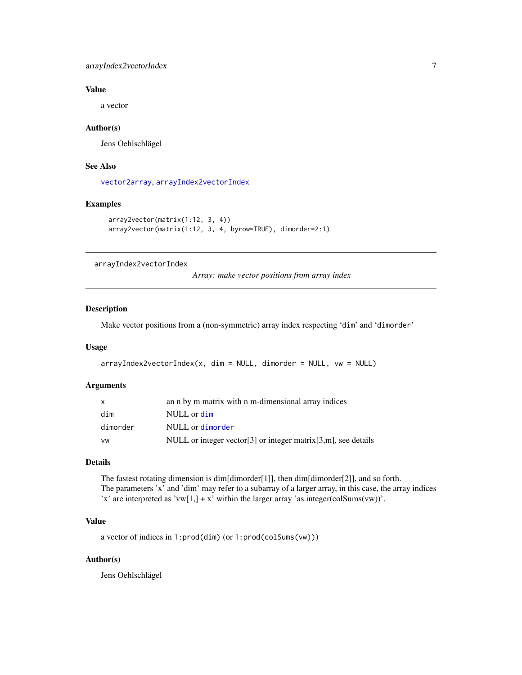## <span id="page-6-0"></span>arrayIndex2vectorIndex 7

## Value

a vector

#### Author(s)

Jens Oehlschlägel

## See Also

[vector2array](#page-148-1), [arrayIndex2vectorIndex](#page-6-1)

#### Examples

```
array2vector(matrix(1:12, 3, 4))
array2vector(matrix(1:12, 3, 4, byrow=TRUE), dimorder=2:1)
```
<span id="page-6-1"></span>arrayIndex2vectorIndex

*Array: make vector positions from array index*

## Description

Make vector positions from a (non-symmetric) array index respecting 'dim' and 'dimorder'

## Usage

```
arrayIndex2vectorIndex(x, dim = NULL, dimorder = NULL, vu = NULL)
```
## Arguments

| x        | an n by m matrix with n m-dimensional array indices                |
|----------|--------------------------------------------------------------------|
| dim      | NULL or dim                                                        |
| dimorder | NULL or dimorder                                                   |
| VW       | NULL or integer vector [3] or integer matrix $[3,m]$ , see details |

#### Details

The fastest rotating dimension is dim[dimorder[1]], then dim[dimorder[2]], and so forth. The parameters 'x' and 'dim' may refer to a subarray of a larger array, in this case, the array indices 'x' are interpreted as 'vw[1,] + x' within the larger array 'as.integer(colSums(vw))'.

## Value

a vector of indices in 1:prod(dim) (or 1:prod(colSums(vw)))

## Author(s)

Jens Oehlschlägel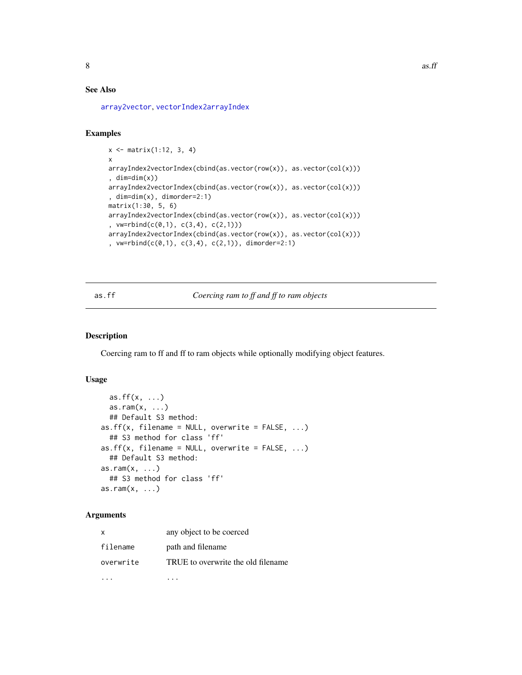## <span id="page-7-0"></span>See Also

[array2vector](#page-5-1), [vectorIndex2arrayIndex](#page-149-1)

## Examples

```
x <- matrix(1:12, 3, 4)
x
arrayIndex2vectorIndex(cbind(as.vector(row(x)), as.vector(col(x)))
, dim=dim(x))
arrayIndex2vectorIndex(cbind(as.vector(row(x)), as.vector(col(x)))
, dim=dim(x), dimorder=2:1)
matrix(1:30, 5, 6)
arrayIndex2vectorIndex(cbind(as.vector(row(x)), as.vector(col(x)))
, vw=rbind(c(0,1), c(3,4), c(2,1)))
arrayIndex2vectorIndex(cbind(as.vector(row(x)), as.vector(col(x)))
, vw=rbind(c(0,1), c(3,4), c(2,1)), dimorder=2:1)
```
## <span id="page-7-1"></span>as.ff *Coercing ram to ff and ff to ram objects*

#### <span id="page-7-2"></span>Description

Coercing ram to ff and ff to ram objects while optionally modifying object features.

## Usage

```
as.ff(x, \ldots)as.ram(x, \ldots)## Default S3 method:
as.ff(x, filename = NULL, overwrite = FALSE, ...)
  ## S3 method for class 'ff'
as.ff(x, filename = NULL, overwrite = FALSE, ...)## Default S3 method:
as.ram(x, \ldots)## S3 method for class 'ff'
as.ram(x, \ldots)
```

| $\mathsf{X}$ | any object to be coerced           |
|--------------|------------------------------------|
| filename     | path and filename                  |
| overwrite    | TRUE to overwrite the old filename |
|              |                                    |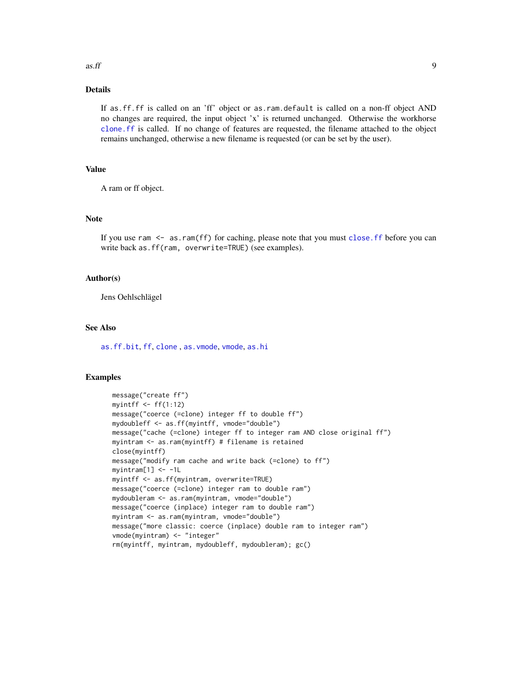#### $\frac{1}{2}$  as. ff 9

## Details

If as.ff.ff is called on an 'ff' object or as.ram.default is called on a non-ff object AND no changes are required, the input object 'x' is returned unchanged. Otherwise the workhorse [clone.ff](#page-23-1) is called. If no change of features are requested, the filename attached to the object remains unchanged, otherwise a new filename is requested (or can be set by the user).

## Value

A ram or ff object.

#### Note

If you use ram <- as.ram(ff) for caching, please note that you must [close.ff](#page-26-1) before you can write back as.ff(ram, overwrite=TRUE) (see examples).

#### Author(s)

Jens Oehlschlägel

## See Also

[as.ff.bit](#page-9-1), [ff](#page-40-1), [clone](#page-23-2) , [as.vmode](#page-16-1), [vmode](#page-150-1), [as.hi](#page-11-1)

#### Examples

```
message("create ff")
myintff \leq ff(1:12)
message("coerce (=clone) integer ff to double ff")
mydoubleff <- as.ff(myintff, vmode="double")
message("cache (=clone) integer ff to integer ram AND close original ff")
myintram <- as.ram(myintff) # filename is retained
close(myintff)
message("modify ram cache and write back (=clone) to ff")
myintram[1] < -1Lmyintff <- as.ff(myintram, overwrite=TRUE)
message("coerce (=clone) integer ram to double ram")
mydoubleram <- as.ram(myintram, vmode="double")
message("coerce (inplace) integer ram to double ram")
myintram <- as.ram(myintram, vmode="double")
message("more classic: coerce (inplace) double ram to integer ram")
vmode(myintram) <- "integer"
rm(myintff, myintram, mydoubleff, mydoubleram); gc()
```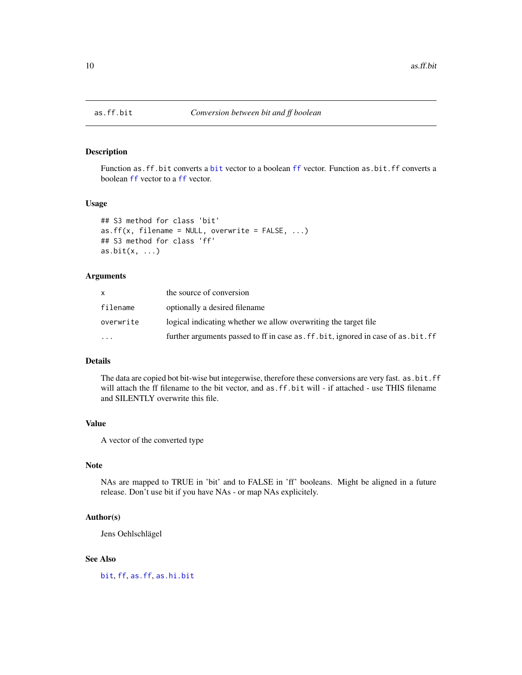<span id="page-9-1"></span><span id="page-9-0"></span>

#### Description

Function as.ff.bit converts a [bit](#page-0-0) vector to a boolean [ff](#page-40-1) vector. Function as.bit.ff converts a boolean [ff](#page-40-1) vector to a [ff](#page-40-1) vector.

## Usage

```
## S3 method for class 'bit'
as.ff(x, filename = NULL, overwrite = FALSE, ...)
## S3 method for class 'ff'
as. bit(x, ...)
```
## Arguments

| X.                      | the source of conversion                                                              |
|-------------------------|---------------------------------------------------------------------------------------|
| filename                | optionally a desired filename                                                         |
| overwrite               | logical indicating whether we allow overwriting the target file                       |
| $\cdot$ $\cdot$ $\cdot$ | further arguments passed to ff in case as . ff . bit, ignored in case of as . bit. ff |

## Details

The data are copied bot bit-wise but integerwise, therefore these conversions are very fast. as.bit.ff will attach the ff filename to the bit vector, and as. ff. bit will - if attached - use THIS filename and SILENTLY overwrite this file.

## Value

A vector of the converted type

## Note

NAs are mapped to TRUE in 'bit' and to FALSE in 'ff' booleans. Might be aligned in a future release. Don't use bit if you have NAs - or map NAs explicitely.

## Author(s)

Jens Oehlschlägel

## See Also

[bit](#page-0-0), [ff](#page-40-1), [as.ff](#page-7-1), [as.hi.bit](#page-11-2)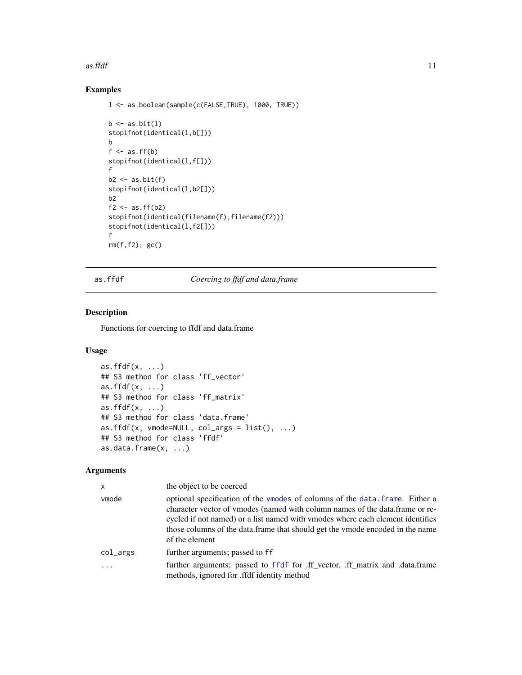#### <span id="page-10-0"></span> $\frac{11}{11}$

## Examples

```
l <- as.boolean(sample(c(FALSE,TRUE), 1000, TRUE))
b \leftarrow as.bit(1)stopifnot(identical(l,b[]))
b
f \leftarrow as.ff(b)stopifnot(identical(l,f[]))
f
b2 \leftarrow as.bit(f)stopifnot(identical(l,b2[]))
b2
f2 \leftarrow as.ff(b2)stopifnot(identical(filename(f),filename(f2)))
stopifnot(identical(l,f2[]))
f
rm(f,f2); gc()
```
as.ffdf *Coercing to ffdf and data.frame*

## Description

Functions for coercing to ffdf and data.frame

## Usage

```
as.ffdf(x, \ldots)## S3 method for class 'ff_vector'
as.ffdf(x, \ldots)## S3 method for class 'ff_matrix'
as.ffdf(x, \ldots)## S3 method for class 'data.frame'
as.ffdf(x, vmode=NULL, col_{args} = list(), ...)
## S3 method for class 'ffdf'
as.data.frame(x, ...)
```

| $\mathsf{x}$ | the object to be coerced                                                                                                                                                                                                                                                                                                                           |
|--------------|----------------------------------------------------------------------------------------------------------------------------------------------------------------------------------------------------------------------------------------------------------------------------------------------------------------------------------------------------|
| vmode        | optional specification of the vmodes of columns of the data, frame. Either a<br>character vector of vmodes (named with column names of the data.frame or re-<br>cycled if not named) or a list named with vmodes where each element identifies<br>those columns of the data. frame that should get the vmode encoded in the name<br>of the element |
| $col_{2args$ | further arguments; passed to ff                                                                                                                                                                                                                                                                                                                    |
|              | further arguments; passed to ffdf for ff vector, ff matrix and data frame<br>methods, ignored for .ffdf identity method                                                                                                                                                                                                                            |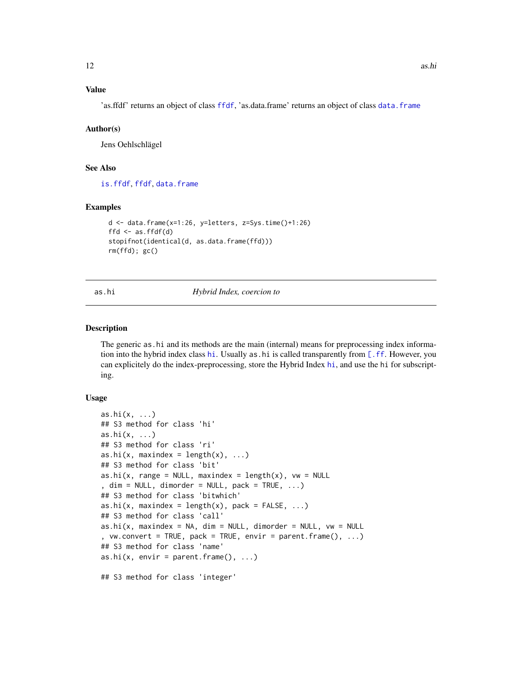## <span id="page-11-0"></span>Value

'as.ffdf' returns an object of class [ffdf](#page-54-1), 'as.data.frame' returns an object of class [data.frame](#page-0-0)

#### Author(s)

Jens Oehlschlägel

## See Also

[is.ffdf](#page-87-1), [ffdf](#page-54-1), [data.frame](#page-0-0)

#### Examples

```
d <- data.frame(x=1:26, y=letters, z=Sys.time()+1:26)
ffd \leq as. ffdf(d)stopifnot(identical(d, as.data.frame(ffd)))
rm(ffd); gc()
```
<span id="page-11-1"></span>

#### as.hi *Hybrid Index, coercion to*

#### <span id="page-11-2"></span>Description

The generic as.hi and its methods are the main (internal) means for preprocessing index information into the hybrid index class [hi](#page-84-1). Usually as hi is called transparently from  $[$ . ff. However, you can explicitely do the index-preprocessing, store the Hybrid Index [hi](#page-84-1), and use the hi for subscripting.

```
as.hi(x, \ldots)## S3 method for class 'hi'
as.hi(x, \ldots)## S3 method for class 'ri'
as.hi(x, maxindex = length(x), \dots)
## S3 method for class 'bit'
as.hi(x, range = NULL, maxindex = length(x), vw = NULL
, dim = NULL, dimorder = NULL, pack = TRUE, ...)
## S3 method for class 'bitwhich'
as.hi(x, maxindex = length(x), pack = FALSE, \ldots)
## S3 method for class 'call'
as.hi(x, maxindex = NA, dim = NULL, dimorder = NULL, vw = NULL, vw.convert = TRUE, pack = TRUE, envir = parent.frame(), \dots)
## S3 method for class 'name'
as.hi(x, envir = parent.frame(), \dots)
## S3 method for class 'integer'
```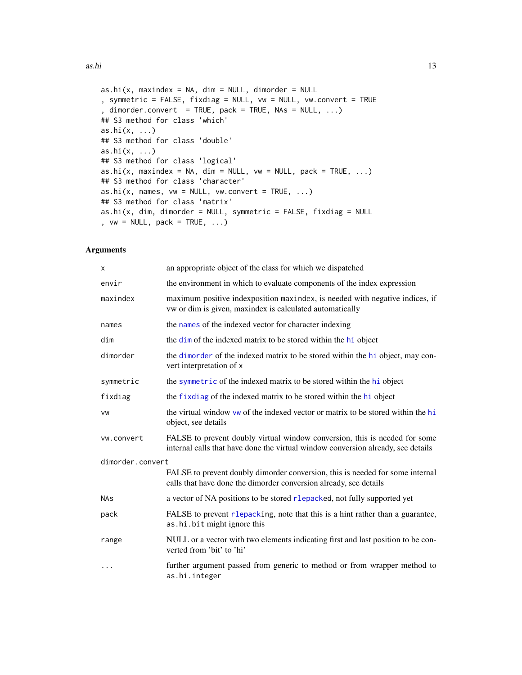```
as.hi(x, maxindex = NA, dim = NULL, dimorder = NULL
, symmetric = FALSE, fixdiag = NULL, vw = NULL, vw.convert = TRUE
, dimorder.convert = TRUE, pack = TRUE, NAs = NULL, \ldots)
## S3 method for class 'which'
as.hi(x, ...)
## S3 method for class 'double'
as.hi(x, \ldots)## S3 method for class 'logical'
as.hi(x, maxindex = NA, dim = NULL, vw = NULL, pack = TRUE, \dots)
## S3 method for class 'character'
as.hi(x, names, vw = NULL, vw.convert = TRUE, ...)
## S3 method for class 'matrix'
as.hi(x, dim, dimorder = NULL, symmetric = FALSE, fixdiag = NULL, vw = NULL, pack = TRUE, ...)
```

| X                | an appropriate object of the class for which we dispatched                                                                                                     |
|------------------|----------------------------------------------------------------------------------------------------------------------------------------------------------------|
| envir            | the environment in which to evaluate components of the index expression                                                                                        |
| maxindex         | maximum positive indexposition maxindex, is needed with negative indices, if<br>vw or dim is given, maxindex is calculated automatically                       |
| names            | the names of the indexed vector for character indexing                                                                                                         |
| dim              | the dim of the indexed matrix to be stored within the hi object                                                                                                |
| dimorder         | the dimorder of the indexed matrix to be stored within the hi object, may con-<br>vert interpretation of x                                                     |
| symmetric        | the symmetric of the indexed matrix to be stored within the hi object                                                                                          |
| fixdiag          | the fixdiag of the indexed matrix to be stored within the hi object                                                                                            |
| VW               | the virtual window vw of the indexed vector or matrix to be stored within the hi<br>object, see details                                                        |
| vw.convert       | FALSE to prevent doubly virtual window conversion, this is needed for some<br>internal calls that have done the virtual window conversion already, see details |
| dimorder.convert |                                                                                                                                                                |
|                  | FALSE to prevent doubly dimorder conversion, this is needed for some internal<br>calls that have done the dimorder conversion already, see details             |
| NAs              | a vector of NA positions to be stored rlepacked, not fully supported yet                                                                                       |
| pack             | FALSE to prevent rlepacking, note that this is a hint rather than a guarantee,<br>as.hi.bit might ignore this                                                  |
| range            | NULL or a vector with two elements indicating first and last position to be con-<br>verted from 'bit' to 'hi'                                                  |
| .                | further argument passed from generic to method or from wrapper method to<br>as.hi.integer                                                                      |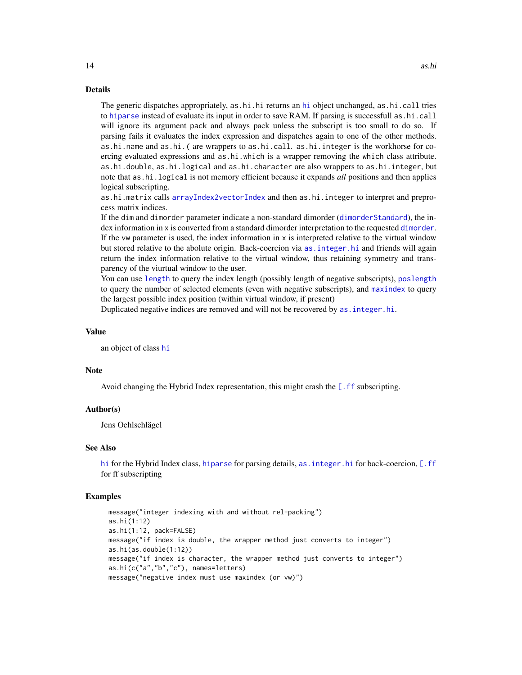#### Details

The generic dispatches appropriately, as.[hi](#page-84-1).hi returns an hi object unchanged, as.hi.call tries to [hiparse](#page-86-1) instead of evaluate its input in order to save RAM. If parsing is successfull as.hi.call will ignore its argument pack and always pack unless the subscript is too small to do so. If parsing fails it evaluates the index expression and dispatches again to one of the other methods. as.hi.name and as.hi.( are wrappers to as.hi.call. as.hi.integer is the workhorse for coercing evaluated expressions and as.hi.which is a wrapper removing the which class attribute. as.hi.double, as.hi.logical and as.hi.character are also wrappers to as.hi.integer, but note that as.hi.logical is not memory efficient because it expands *all* positions and then applies logical subscripting.

as.hi.matrix calls [arrayIndex2vectorIndex](#page-6-1) and then as.hi.integer to interpret and preprocess matrix indices.

If the dim and dimorder parameter indicate a non-standard dimorder ([dimorderStandard](#page-33-1)), the index information in x is converted from a standard dimorder interpretation to the requested [dimorder](#page-29-1). If the vw parameter is used, the index information in x is interpreted relative to the virtual window but stored relative to the abolute origin. Back-coercion via [as.integer.hi](#page-14-1) and friends will again return the index information relative to the virtual window, thus retaining symmetry and transparency of the viurtual window to the user.

You can use [length](#page-0-0) to query the index length (possibly length of negative subscripts), [poslength](#page-93-1) to query the number of selected elements (even with negative subscripts), and [maxindex](#page-93-1) to query the largest possible index position (within virtual window, if present)

Duplicated negative indices are removed and will not be recovered by [as.integer.hi](#page-14-1).

## Value

an object of class [hi](#page-84-1)

#### Note

Avoid changing the Hybrid Index representation, this might crash the  $[$ . ff subscripting.

#### Author(s)

Jens Oehlschlägel

#### See Also

[hi](#page-84-1) for the Hybrid Index class, [hiparse](#page-86-1) for parsing details, as . integer. hi for back-coercion, [\[.ff](#page-35-1) for ff subscripting

#### Examples

```
message("integer indexing with and without rel-packing")
as.hi(1:12)
as.hi(1:12, pack=FALSE)
message("if index is double, the wrapper method just converts to integer")
as.hi(as.double(1:12))
message("if index is character, the wrapper method just converts to integer")
as.hi(c("a","b","c"), names=letters)
message("negative index must use maxindex (or vw)")
```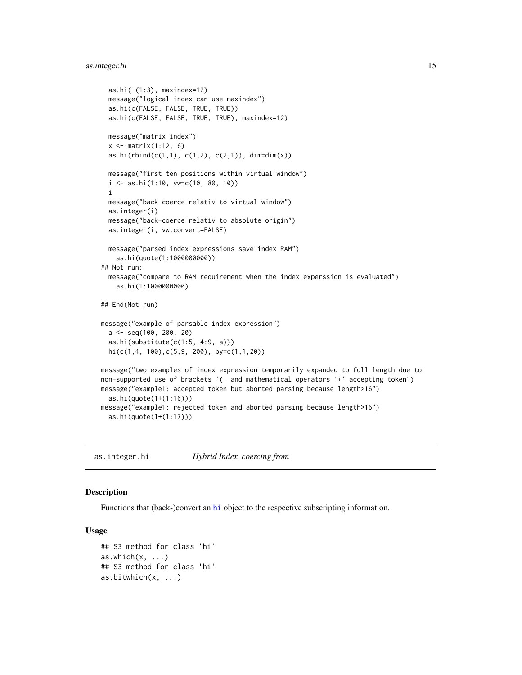## <span id="page-14-0"></span>as.integer.hi 15

```
as.hi(-(1:3), maxindex=12)
 message("logical index can use maxindex")
 as.hi(c(FALSE, FALSE, TRUE, TRUE))
 as.hi(c(FALSE, FALSE, TRUE, TRUE), maxindex=12)
 message("matrix index")
 x \leftarrow \text{matrix}(1:12, 6)as.hi(rbind(c(1,1), c(1,2), c(2,1)), dim=dim(x))message("first ten positions within virtual window")
 i \leq -as.hi(1:10, vw=c(10, 80, 10))i
 message("back-coerce relativ to virtual window")
 as.integer(i)
 message("back-coerce relativ to absolute origin")
 as.integer(i, vw.convert=FALSE)
 message("parsed index expressions save index RAM")
   as.hi(quote(1:1000000000))
## Not run:
 message("compare to RAM requirement when the index experssion is evaluated")
   as.hi(1:1000000000)
## End(Not run)
message("example of parsable index expression")
 a <- seq(100, 200, 20)
 as.hi(substitute(c(1:5, 4:9, a)))
 hi(c(1,4, 100),c(5,9, 200), by=c(1,1,20))
message("two examples of index expression temporarily expanded to full length due to
non-supported use of brackets '(' and mathematical operators '+' accepting token")
message("example1: accepted token but aborted parsing because length>16")
 as.hi(quote(1+(1:16)))
message("example1: rejected token and aborted parsing because length>16")
 as.hi(quote(1+(1:17)))
```
<span id="page-14-1"></span>as.integer.hi *Hybrid Index, coercing from*

## Description

Functions that (back-)convert an [hi](#page-84-1) object to the respective subscripting information.

```
## S3 method for class 'hi'
as.which(x, \ldots)## S3 method for class 'hi'
as.bitwhich(x, ...)
```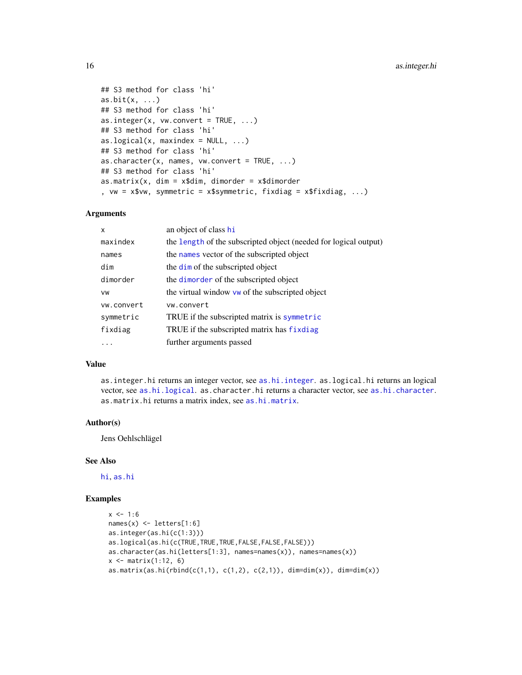```
## S3 method for class 'hi'
as. bit(x, ...)## S3 method for class 'hi'
as.integer(x, vw.convert = TRUE, \dots)
## S3 method for class 'hi'
as.logical(x, maxindex = NULL, ...)## S3 method for class 'hi'
as. character(x, names, vw. convert = TRUE, ...)## S3 method for class 'hi'
as.matrix(x, dim = x$dim, dimorder = x$dimorder, vw = x$vw, symmetric = x$symmetric, fixdiag = x$fixdiag, ...)
```
## Arguments

| x          | an object of class hi                                            |
|------------|------------------------------------------------------------------|
| maxindex   | the length of the subscripted object (needed for logical output) |
| names      | the names vector of the subscripted object                       |
| dim        | the dim of the subscripted object                                |
| dimorder   | the dimorder of the subscripted object                           |
| VW         | the virtual window vw of the subscripted object                  |
| vw.convert | vw.convert                                                       |
| symmetric  | TRUE if the subscripted matrix is symmetric                      |
| fixdiag    | TRUE if the subscripted matrix has fixdiag                       |
|            | further arguments passed                                         |

#### Value

as.integer.hi returns an integer vector, see [as.hi.integer](#page-11-2). as.logical.hi returns an logical vector, see [as.hi.logical](#page-11-2). as.character.hi returns a character vector, see [as.hi.character](#page-11-2). as.matrix.hi returns a matrix index, see [as.hi.matrix](#page-11-2).

#### Author(s)

Jens Oehlschlägel

#### See Also

[hi](#page-84-1), [as.hi](#page-11-1)

#### Examples

```
x < -1:6names(x) <- letters[1:6]
as.integer(as.hi(c(1:3)))
as.logical(as.hi(c(TRUE,TRUE,TRUE,FALSE,FALSE,FALSE)))
as.character(as.hi(letters[1:3], names=names(x)), names=names(x))
x \leftarrow \text{matrix}(1:12, 6)as.matrix(as.hi(rbind(c(1,1), c(1,2), c(2,1)), dim=dim(x)), dim=dim(x))
```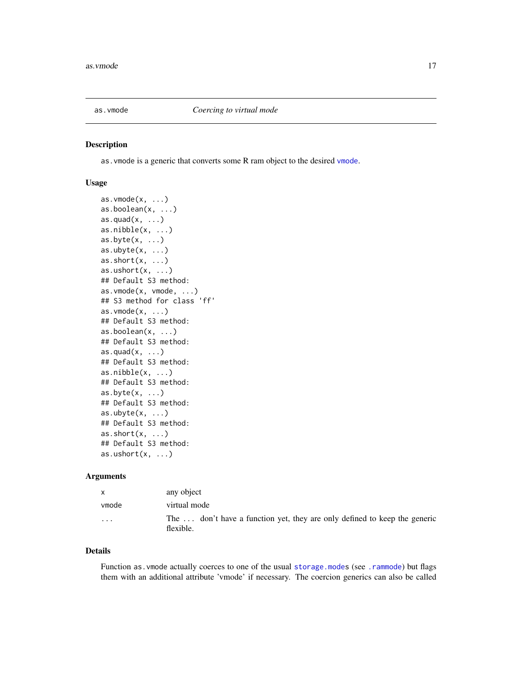<span id="page-16-1"></span><span id="page-16-0"></span>

## Description

as.vmode is a generic that converts some R ram object to the desired [vmode](#page-150-1).

#### Usage

```
as.vmode(x, \ldots)as.boolean(x, ...)
as.quad(x, \ldots)as.nibble(x, ...)as.byte(x, ...)as.ubyte(x, \ldots)as.short(x, \ldots)as.ushort(x, \ldots)## Default S3 method:
as.vmode(x, vmode, ...)
## S3 method for class 'ff'
as.vmode(x, \ldots)## Default S3 method:
as.boolean(x, ...)
## Default S3 method:
as.quad(x, \ldots)## Default S3 method:
as.nibble(x, ...)## Default S3 method:
as.byte(x, ...)## Default S3 method:
as.ubyte(x, ...)## Default S3 method:
as.short(x, \ldots)## Default S3 method:
as.ushort(x, \ldots)
```
#### Arguments

| $\mathsf{x}$ | any object                                                                             |
|--------------|----------------------------------------------------------------------------------------|
| ymode        | virtual mode                                                                           |
| $\cdot$      | The  don't have a function yet, they are only defined to keep the generic<br>flexible. |

#### Details

Function as. vmode actually coerces to one of the usual storage. modes (see . rammode) but flags them with an additional attribute 'vmode' if necessary. The coercion generics can also be called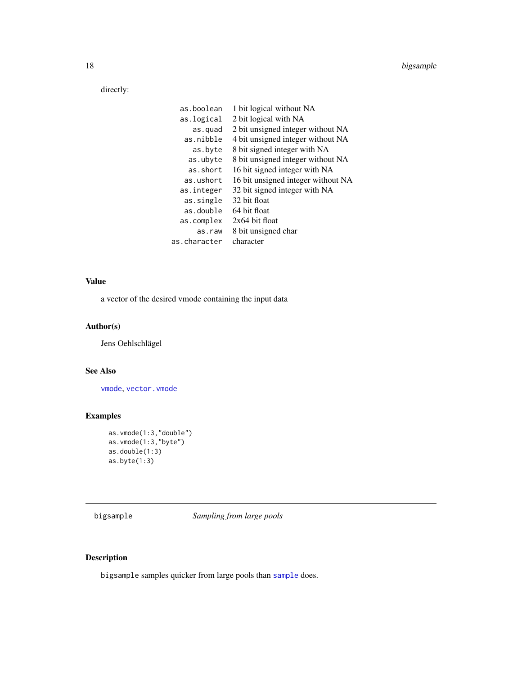<span id="page-17-0"></span>directly:

| as.boolean   | 1 bit logical without NA           |
|--------------|------------------------------------|
| as.logical   | 2 bit logical with NA              |
| as.quad      | 2 bit unsigned integer without NA  |
| as.nibble    | 4 bit unsigned integer without NA  |
| as.byte      | 8 bit signed integer with NA       |
| as.ubyte     | 8 bit unsigned integer without NA  |
| as.short     | 16 bit signed integer with NA      |
| as.ushort    | 16 bit unsigned integer without NA |
| as.integer   | 32 bit signed integer with NA      |
| as.single    | 32 bit float                       |
| as double    | 64 bit float                       |
| as.complex   | $2x64$ bit float                   |
| as.raw       | 8 bit unsigned char                |
| as.character | character                          |
|              |                                    |

## Value

a vector of the desired vmode containing the input data

## Author(s)

Jens Oehlschlägel

## See Also

[vmode](#page-150-1), [vector.vmode](#page-147-1)

## Examples

```
as.vmode(1:3,"double")
as.vmode(1:3,"byte")
as.double(1:3)
as.byte(1:3)
```
bigsample *Sampling from large pools*

## Description

bigsample samples quicker from large pools than [sample](#page-0-0) does.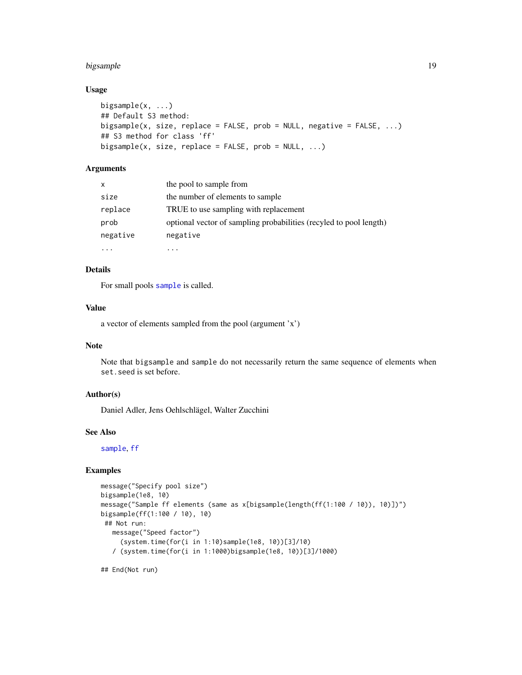## bigsample 19

## Usage

```
bigsample(x, ...)
## Default S3 method:
bigsample(x, size, replace = FALSE, prob = NULL, negative = FALSE, ...)
## S3 method for class 'ff'
bigsample(x, size, replace = FALSE, prob = NULL, \ldots)
```
## Arguments

| $\mathsf{x}$ | the pool to sample from                                            |
|--------------|--------------------------------------------------------------------|
| size         | the number of elements to sample                                   |
| replace      | TRUE to use sampling with replacement                              |
| prob         | optional vector of sampling probabilities (recyled to pool length) |
| negative     | negative                                                           |
|              |                                                                    |

## Details

For small pools [sample](#page-0-0) is called.

#### Value

a vector of elements sampled from the pool (argument 'x')

## Note

Note that bigsample and sample do not necessarily return the same sequence of elements when set.seed is set before.

## Author(s)

Daniel Adler, Jens Oehlschlägel, Walter Zucchini

## See Also

[sample](#page-0-0), [ff](#page-40-1)

#### Examples

```
message("Specify pool size")
bigsample(1e8, 10)
message("Sample ff elements (same as x[bigsample(length(ff(1:100 / 10)), 10)])")
bigsample(ff(1:100 / 10), 10)
## Not run:
  message("Speed factor")
     (system.time(for(i in 1:10)sample(1e8, 10))[3]/10)
   / (system.time(for(i in 1:1000)bigsample(1e8, 10))[3]/1000)
```
## End(Not run)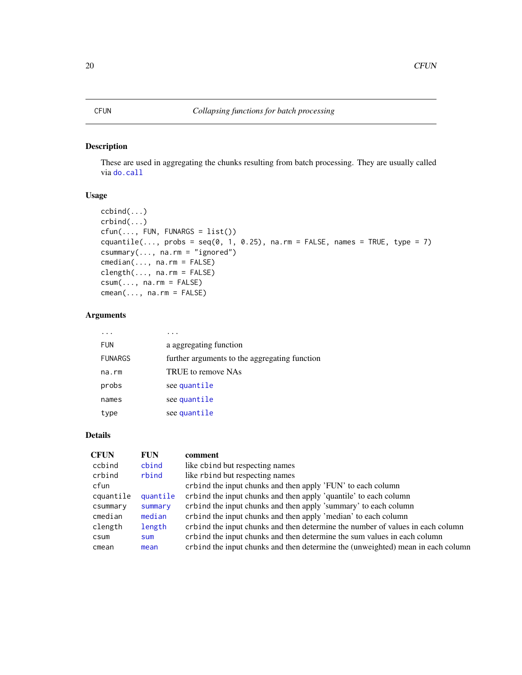## <span id="page-19-0"></span>Description

These are used in aggregating the chunks resulting from batch processing. They are usually called via [do.call](#page-0-0)

### Usage

```
ccbind(...)
crbind(...)
cfun(..., FUN, FUNARGS = list())
cquantile(..., probs = seq(0, 1, 0.25), na.rm = FALSE, names = TRUE, type = 7)
csummary(..., na.rm = "ignored")
cmedian(..., na.rm = FALSE)
clength(..., na.rm = FALSE)
csum(..., na.rm = FALSE)cmean(..., na.rm = FALSE)
```
## Arguments

| <b>FUN</b>     | a aggregating function                        |
|----------------|-----------------------------------------------|
| <b>FUNARGS</b> | further arguments to the aggregating function |
| na.rm          | TRUE to remove NAs                            |
| probs          | see quantile                                  |
| names          | see quantile                                  |
| type           | see quantile                                  |

## Details

| <b>CFUN</b> | <b>FUN</b> | comment                                                                         |
|-------------|------------|---------------------------------------------------------------------------------|
| ccbind      | cbind      | like cbind but respecting names                                                 |
| crbind      | rbind      | like rbind but respecting names                                                 |
| cfun        |            | crbind the input chunks and then apply 'FUN' to each column                     |
| cquantile   | quantile   | crbind the input chunks and then apply 'quantile' to each column                |
| csummary    | summary    | crbind the input chunks and then apply 'summary' to each column                 |
| cmedian     | median     | crbind the input chunks and then apply 'median' to each column                  |
| clength     | length     | crbind the input chunks and then determine the number of values in each column  |
| csum        | <b>Sum</b> | crbind the input chunks and then determine the sum values in each column        |
| cmean       | mean       | crbind the input chunks and then determine the (unweighted) mean in each column |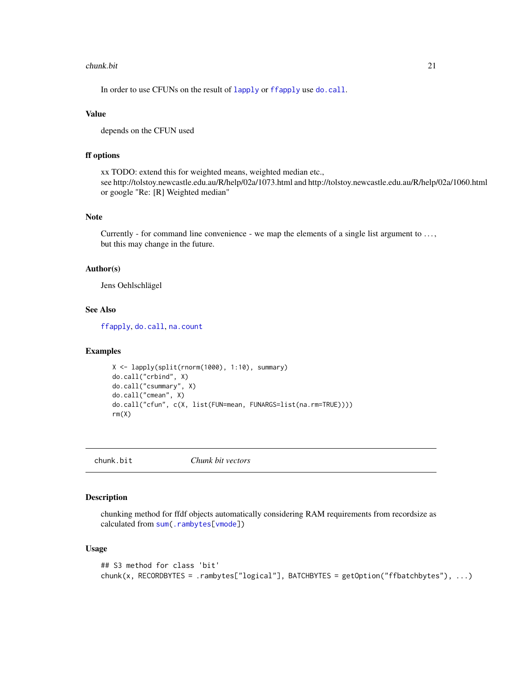#### <span id="page-20-0"></span>chunk.bit 21

In order to use CFUNs on the result of [lapply](#page-0-0) or [ffapply](#page-48-1) use [do.call](#page-0-0).

#### Value

depends on the CFUN used

## ff options

xx TODO: extend this for weighted means, weighted median etc., see http://tolstoy.newcastle.edu.au/R/help/02a/1073.html and http://tolstoy.newcastle.edu.au/R/help/02a/1060.html or google "Re: [R] Weighted median"

## Note

Currently - for command line convenience - we map the elements of a single list argument to . . . , but this may change in the future.

#### Author(s)

Jens Oehlschlägel

## See Also

[ffapply](#page-48-1), [do.call](#page-0-0), [na.count](#page-104-1)

## Examples

```
X <- lapply(split(rnorm(1000), 1:10), summary)
do.call("crbind", X)
do.call("csummary", X)
do.call("cmean", X)
do.call("cfun", c(X, list(FUN=mean, FUNARGS=list(na.rm=TRUE))))
rm(X)
```
chunk.bit *Chunk bit vectors*

#### Description

chunking method for ffdf objects automatically considering RAM requirements from recordsize as calculated from [sum](#page-0-0)[\(.rambytes\[](#page-150-2)[vmode\]](#page-152-1))

```
## S3 method for class 'bit'
chunk(x, RECORDBYTES = .rambytes["logical"], BATCHBYTES = getOption("ffbatchbytes"), ...)
```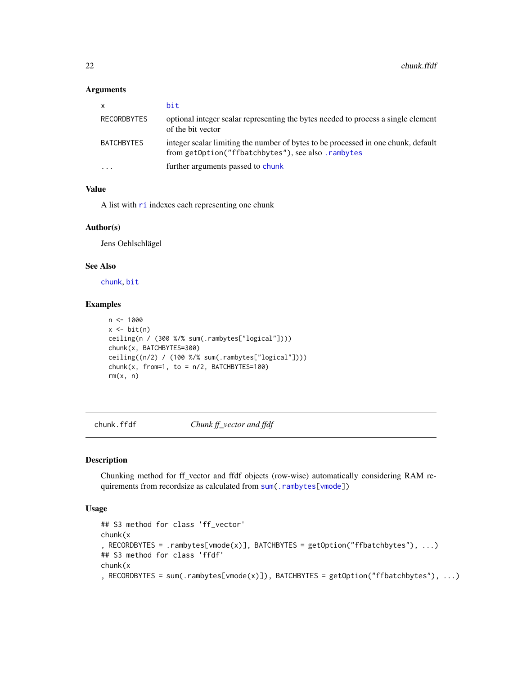#### <span id="page-21-0"></span>Arguments

| $\mathsf{x}$            | bit                                                                                                                                     |
|-------------------------|-----------------------------------------------------------------------------------------------------------------------------------------|
| <b>RECORDBYTES</b>      | optional integer scalar representing the bytes needed to process a single element<br>of the bit vector                                  |
| <b>BATCHBYTES</b>       | integer scalar limiting the number of bytes to be processed in one chunk, default<br>from getOption("ffbatchbytes"), see also .rambytes |
| $\cdot$ $\cdot$ $\cdot$ | further arguments passed to chunk                                                                                                       |

## Value

A list with [ri](#page-0-0) indexes each representing one chunk

#### Author(s)

Jens Oehlschlägel

#### See Also

[chunk](#page-0-0), [bit](#page-0-0)

## Examples

```
n <- 1000
x \leftarrow \text{bit}(n)ceiling(n / (300 %/% sum(.rambytes["logical"])))
chunk(x, BATCHBYTES=300)
ceiling((n/2) / (100 %/% sum(.rambytes["logical"])))
chunk(x, from=1, to = n/2, BATCHBYTES=100)rm(x, n)
```
chunk.ffdf *Chunk ff\_vector and ffdf*

## Description

Chunking method for ff\_vector and ffdf objects (row-wise) automatically considering RAM requirements from recordsize as calculated from [sum\(](#page-0-0)[.rambytes\[](#page-150-2)[vmode\]](#page-150-1))

```
## S3 method for class 'ff_vector'
chunk(x
, RECORDBYTES = .rambytes[vmode(x)], BATCHBYTES = getOption("ffbatchbytes"), ...)
## S3 method for class 'ffdf'
chunk(x
, RECORDBYTES = sum(.rambytes[vmode(x)]), BATCHBYTES = getOption("ffbatchbytes"), ...)
```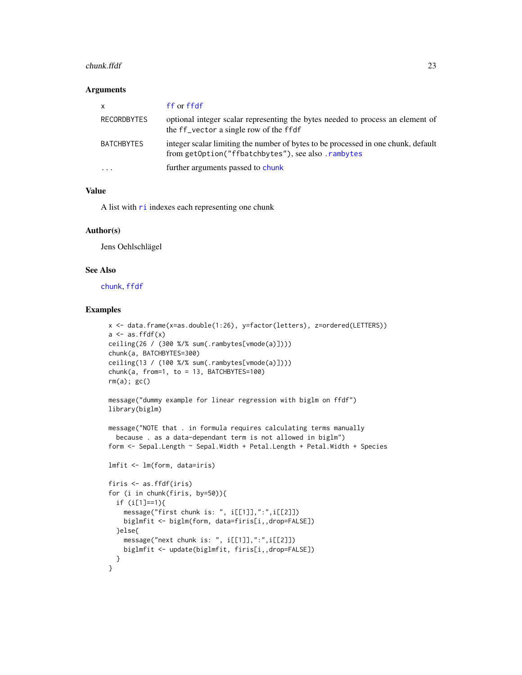#### chunk.ffdf 23

#### Arguments

| $\mathsf{x}$            | ff or ffdf                                                                                                                              |
|-------------------------|-----------------------------------------------------------------------------------------------------------------------------------------|
| RECORDBYTES             | optional integer scalar representing the bytes needed to process an element of<br>the ff_vector a single row of the ffdf                |
| <b>BATCHBYTES</b>       | integer scalar limiting the number of bytes to be processed in one chunk, default<br>from getOption("ffbatchbytes"), see also .rambytes |
| $\cdot$ $\cdot$ $\cdot$ | further arguments passed to chunk                                                                                                       |

#### Value

A list with  $ri$  indexes each representing one chunk

## Author(s)

Jens Oehlschlägel

#### See Also

[chunk](#page-0-0), [ffdf](#page-54-1)

#### Examples

```
x <- data.frame(x=as.double(1:26), y=factor(letters), z=ordered(LETTERS))
a \leftarrow as.ffdf(x)ceiling(26 / (300 %/% sum(.rambytes[vmode(a)])))
chunk(a, BATCHBYTES=300)
ceiling(13 / (100 %/% sum(.rambytes[vmode(a)])))
chunk(a, from=1, to = 13, BATCHBYTES=100)
rm(a); gc()
message("dummy example for linear regression with biglm on ffdf")
library(biglm)
message("NOTE that . in formula requires calculating terms manually
 because . as a data-dependant term is not allowed in biglm")
form <- Sepal.Length ~ Sepal.Width + Petal.Length + Petal.Width + Species
lmfit <- lm(form, data=iris)
firis <- as.ffdf(iris)
for (i in chunk(firis, by=50)){
  if (i[1]==1){
   message("first chunk is: ", i[[1]],":",i[[2]])
    biglmfit <- biglm(form, data=firis[i,,drop=FALSE])
  }else{
   message("next chunk is: ", i[[1]],":",i[[2]])
    biglmfit <- update(biglmfit, firis[i,,drop=FALSE])
 }
}
```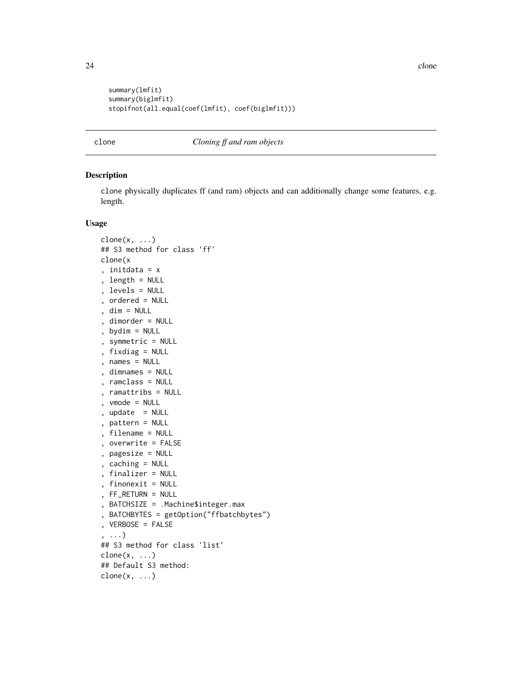```
summary(lmfit)
summary(biglmfit)
stopifnot(all.equal(coef(lmfit), coef(biglmfit)))
```
<span id="page-23-2"></span>clone *Cloning ff and ram objects*

#### <span id="page-23-1"></span>Description

clone physically duplicates ff (and ram) objects and can additionally change some features, e.g. length.

```
clone(x, \ldots)## S3 method for class 'ff'
clone(x
, initdata = x
, length = NULL
, levels = NULL
, ordered = NULL
, dim = NULL
, dimorder = NULL
, bydim = NULL
, symmetric = NULL
, fixdiag = NULL
, names = NULL
, dimnames = NULL
, ramclass = NULL
, ramattribs = NULL
, vmode = NULL
, update = NULL
, pattern = NULL
, filename = NULL
, overwrite = FALSE
, pagesize = NULL
, caching = NULL
, finalizer = NULL
, finonexit = NULL
, FF_RETURN = NULL
, BATCHSIZE = .Machine$integer.max
, BATCHBYTES = getOption("ffbatchbytes")
, VERBOSE = FALSE
, ...)
## S3 method for class 'list'
clone(x, \ldots)## Default S3 method:
clone(x, \ldots)
```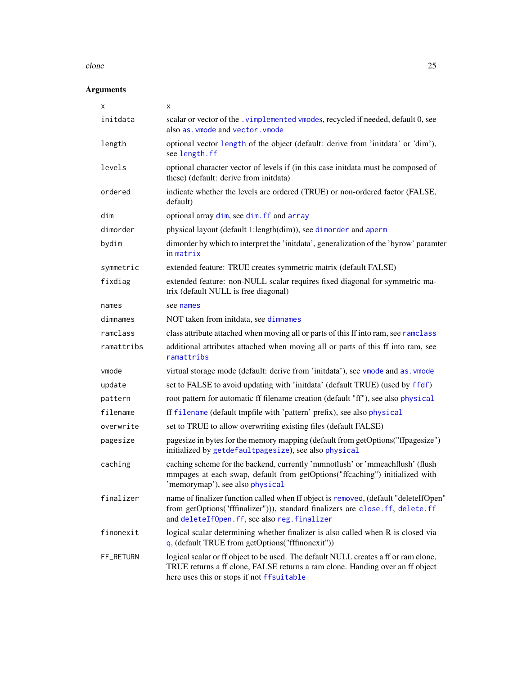#### clone 25

| X          | x                                                                                                                                                                                                                    |
|------------|----------------------------------------------------------------------------------------------------------------------------------------------------------------------------------------------------------------------|
| initdata   | scalar or vector of the .vimplemented vmodes, recycled if needed, default 0, see<br>also as. vmode and vector. vmode                                                                                                 |
| length     | optional vector length of the object (default: derive from 'initdata' or 'dim'),<br>see length.ff                                                                                                                    |
| levels     | optional character vector of levels if (in this case initdata must be composed of<br>these) (default: derive from initdata)                                                                                          |
| ordered    | indicate whether the levels are ordered (TRUE) or non-ordered factor (FALSE,<br>default)                                                                                                                             |
| dim        | optional array dim, see dim. ff and array                                                                                                                                                                            |
| dimorder   | physical layout (default 1:length(dim)), see dimorder and aperm                                                                                                                                                      |
| bydim      | dimorder by which to interpret the 'initdata', generalization of the 'byrow' paramter<br>in matrix                                                                                                                   |
| symmetric  | extended feature: TRUE creates symmetric matrix (default FALSE)                                                                                                                                                      |
| fixdiag    | extended feature: non-NULL scalar requires fixed diagonal for symmetric ma-<br>trix (default NULL is free diagonal)                                                                                                  |
| names      | see names                                                                                                                                                                                                            |
| dimnames   | NOT taken from initdata, see dimnames                                                                                                                                                                                |
| ramclass   | class attribute attached when moving all or parts of this ff into ram, see ramclass                                                                                                                                  |
| ramattribs | additional attributes attached when moving all or parts of this ff into ram, see<br>ramattribs                                                                                                                       |
| vmode      | virtual storage mode (default: derive from 'initdata'), see vmode and as . vmode                                                                                                                                     |
| update     | set to FALSE to avoid updating with 'initdata' (default TRUE) (used by ffdf)                                                                                                                                         |
| pattern    | root pattern for automatic ff filename creation (default "ff"), see also physical                                                                                                                                    |
| filename   | ff filename (default tmpfile with 'pattern' prefix), see also physical                                                                                                                                               |
| overwrite  | set to TRUE to allow overwriting existing files (default FALSE)                                                                                                                                                      |
| pagesize   | pagesize in bytes for the memory mapping (default from getOptions("ffpagesize")<br>initialized by getdefaultpagesize), see also physical                                                                             |
| caching    | caching scheme for the backend, currently 'mmnoflush' or 'mmeachflush' (flush<br>mmpages at each swap, default from getOptions("ffcaching") initialized with<br>'memorymap'), see also physical                      |
| finalizer  | name of finalizer function called when ff object is removed, (default "deleteIfOpen"<br>from getOptions("fffinalizer"))), standard finalizers are close.ff, delete.ff<br>and deleteIfOpen.ff, see also reg.finalizer |
| finonexit  | logical scalar determining whether finalizer is also called when R is closed via<br>$q$ , (default TRUE from getOptions("fffinonexit"))                                                                              |
| FF_RETURN  | logical scalar or ff object to be used. The default NULL creates a ff or ram clone,<br>TRUE returns a ff clone, FALSE returns a ram clone. Handing over an ff object<br>here uses this or stops if not ffsuitable    |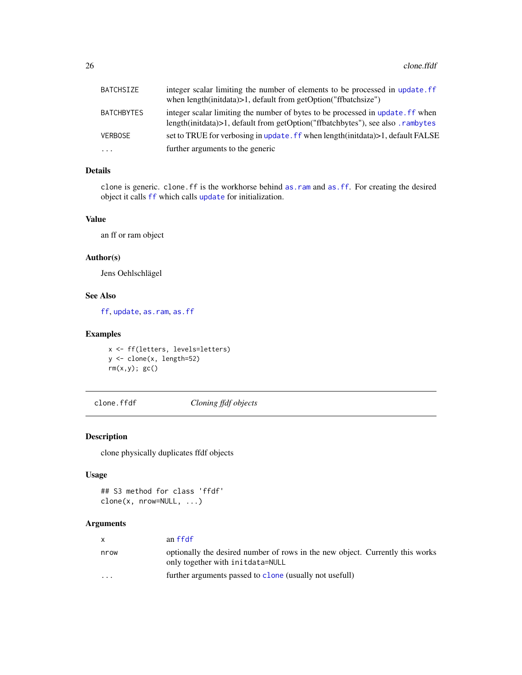<span id="page-25-0"></span>

| BATCHSIZE         | integer scalar limiting the number of elements to be processed in update. ff     |
|-------------------|----------------------------------------------------------------------------------|
|                   | when $length(intdata) > 1$ , default from getOption("ffbatchsize")               |
| <b>BATCHBYTES</b> | integer scalar limiting the number of bytes to be processed in update. If when   |
|                   | length(initidata)>1, default from getOption("ffbatchbytes"), see also . rambytes |
| <b>VERBOSE</b>    | set to TRUE for verbosing in update. ff when length(initdata)>1, default FALSE   |
| $\cdots$          | further arguments to the generic                                                 |

## Details

clone is generic. clone.ff is the workhorse behind [as.ram](#page-7-2) and [as.ff](#page-7-1). For creating the desired object it calls [ff](#page-40-1) which calls [update](#page-0-0) for initialization.

#### Value

an ff or ram object

## Author(s)

Jens Oehlschlägel

## See Also

[ff](#page-40-1), [update](#page-0-0), [as.ram](#page-7-2), [as.ff](#page-7-1)

#### Examples

```
x <- ff(letters, levels=letters)
y <- clone(x, length=52)
rm(x,y); gcc()
```
clone.ffdf *Cloning ffdf objects*

## Description

clone physically duplicates ffdf objects

### Usage

```
## S3 method for class 'ffdf'
clone(x, nrow=NULL, ...)
```

|                         | an ffdf                                                                                                           |
|-------------------------|-------------------------------------------------------------------------------------------------------------------|
| nrow                    | optionally the desired number of rows in the new object. Currently this works<br>only together with initdata=NULL |
| $\cdot$ $\cdot$ $\cdot$ | further arguments passed to clone (usually not usefull)                                                           |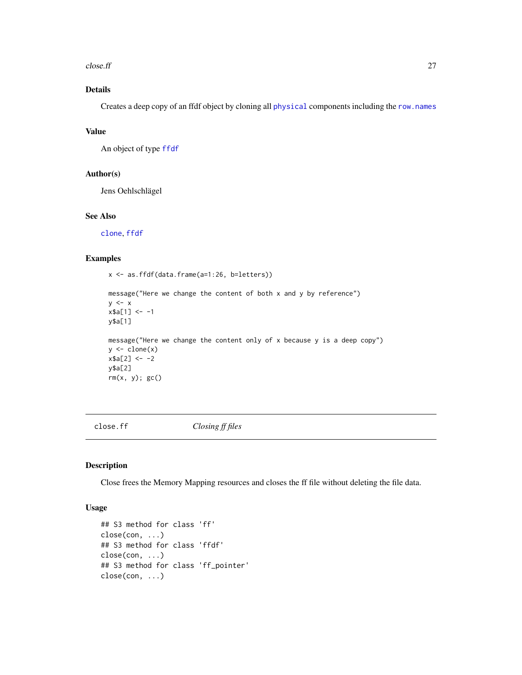#### <span id="page-26-0"></span> $\epsilon$ lose.ff  $\epsilon$  27

## Details

Creates a deep copy of an ffdf object by cloning all [physical](#page-110-1) components including the [row.names](#page-31-1)

## Value

An object of type [ffdf](#page-54-1)

## Author(s)

Jens Oehlschlägel

## See Also

[clone](#page-23-2), [ffdf](#page-54-1)

## Examples

x <- as.ffdf(data.frame(a=1:26, b=letters))

```
message("Here we change the content of both x and y by reference")
y \leq -xx$a[1] <- -1
y$a[1]
message("Here we change the content only of x because y is a deep copy")
y \leftarrow \text{clone}(x)x$a[2] <- -2
y$a[2]
rm(x, y); gc()
```
<span id="page-26-1"></span>close.ff *Closing ff files*

#### Description

Close frees the Memory Mapping resources and closes the ff file without deleting the file data.

```
## S3 method for class 'ff'
close(con, ...)
## S3 method for class 'ffdf'
close(con, ...)
## S3 method for class 'ff_pointer'
close(con, ...)
```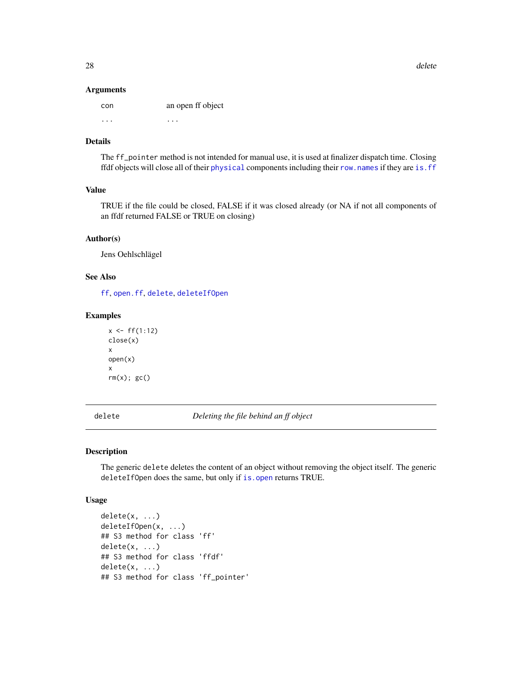#### Arguments

| con | an open ff object |
|-----|-------------------|
| .   | .                 |

## Details

The ff\_pointer method is not intended for manual use, it is used at finalizer dispatch time. Closing ffdf objects will close all of their [physical](#page-110-1) components including their [row.names](#page-31-2) if they are [is.ff](#page-87-2)

## Value

TRUE if the file could be closed, FALSE if it was closed already (or NA if not all components of an ffdf returned FALSE or TRUE on closing)

## Author(s)

Jens Oehlschlägel

## See Also

[ff](#page-40-1), [open.ff](#page-107-1), [delete](#page-27-2), [deleteIfOpen](#page-27-1)

## Examples

```
x \leftarrow ff(1:12)close(x)
x
open(x)
x
rm(x); gc()
```
<span id="page-27-2"></span>delete *Deleting the file behind an ff object*

## <span id="page-27-1"></span>Description

The generic delete deletes the content of an object without removing the object itself. The generic deleteIfOpen does the same, but only if [is.open](#page-88-1) returns TRUE.

```
delete(x, ...)
deleteIfOpen(x, ...)
## S3 method for class 'ff'
delete(x, ...)
## S3 method for class 'ffdf'
delete(x, ...)
## S3 method for class 'ff_pointer'
```
<span id="page-27-0"></span>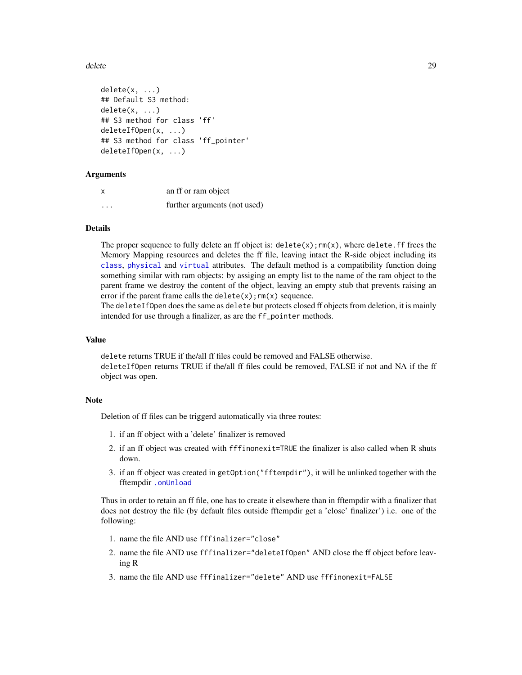#### delete 29

```
delete(x, \ldots)## Default S3 method:
delete(x, ...)
## S3 method for class 'ff'
deleteIfOpen(x, ...)
## S3 method for class 'ff_pointer'
deleteIfOpen(x, ...)
```
#### Arguments

|                   | an ff or ram object          |
|-------------------|------------------------------|
| $\cdot\cdot\cdot$ | further arguments (not used) |

#### Details

The proper sequence to fully delete an ff object is:  $\text{delete}(x)$ ;  $\text{rm}(x)$ , where delete. ff frees the Memory Mapping resources and deletes the ff file, leaving intact the R-side object including its [class](#page-0-0), [physical](#page-109-1) and [virtual](#page-109-1) attributes. The default method is a compatibility function doing something similar with ram objects: by assiging an empty list to the name of the ram object to the parent frame we destroy the content of the object, leaving an empty stub that prevents raising an error if the parent frame calls the delete $(x)$ ;  $rm(x)$  sequence.

The deleteIfOpen does the same as delete but protects closed ff objects from deletion, it is mainly intended for use through a finalizer, as are the ff\_pointer methods.

#### Value

delete returns TRUE if the/all ff files could be removed and FALSE otherwise. deleteIfOpen returns TRUE if the/all ff files could be removed, FALSE if not and NA if the ff object was open.

#### Note

Deletion of ff files can be triggerd automatically via three routes:

- 1. if an ff object with a 'delete' finalizer is removed
- 2. if an ff object was created with fffinonexit=TRUE the finalizer is also called when R shuts down.
- 3. if an ff object was created in getOption("fftempdir"), it will be unlinked together with the fftempdir [.onUnload](#page-0-0)

Thus in order to retain an ff file, one has to create it elsewhere than in fftempdir with a finalizer that does not destroy the file (by default files outside fftempdir get a 'close' finalizer') i.e. one of the following:

- 1. name the file AND use fffinalizer="close"
- 2. name the file AND use fffinalizer="deleteIfOpen" AND close the ff object before leaving R
- 3. name the file AND use fffinalizer="delete" AND use fffinonexit=FALSE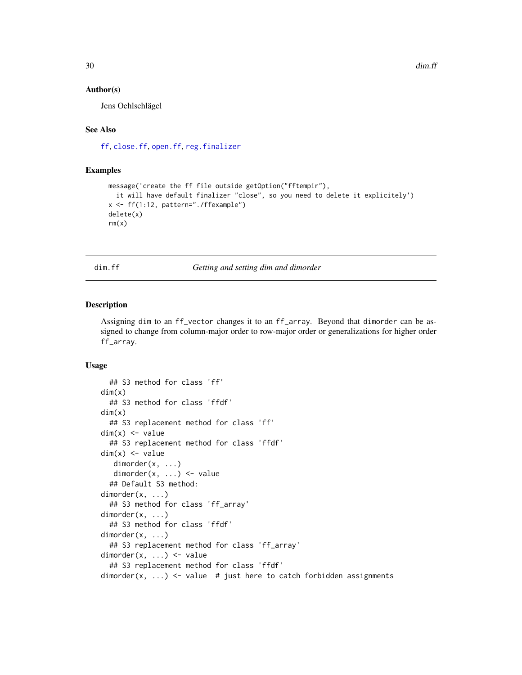#### <span id="page-29-0"></span>Author(s)

Jens Oehlschlägel

## See Also

[ff](#page-40-1), [close.ff](#page-26-1), [open.ff](#page-107-1), [reg.finalizer](#page-0-0)

#### Examples

```
message('create the ff file outside getOption("fftempir"),
  it will have default finalizer "close", so you need to delete it explicitely')
x <- ff(1:12, pattern="./ffexample")
delete(x)
rm(x)
```
<span id="page-29-2"></span>

dim.ff *Getting and setting dim and dimorder*

#### <span id="page-29-1"></span>Description

Assigning dim to an ff\_vector changes it to an ff\_array. Beyond that dimorder can be assigned to change from column-major order to row-major order or generalizations for higher order ff\_array.

```
## S3 method for class 'ff'
dim(x)
  ## S3 method for class 'ffdf'
dim(x)
  ## S3 replacement method for class 'ff'
dim(x) \le - value
  ## S3 replacement method for class 'ffdf'
dim(x) <- value
  dimorder(x, ...)
  dimorder(x, ...) <- value
  ## Default S3 method:
dimorder(x, ...)
  ## S3 method for class 'ff_array'
dimorder(x, ...)
  ## S3 method for class 'ffdf'
dimorder(x, ...)
  ## S3 replacement method for class 'ff_array'
dimorder(x, ...) <- value
  ## S3 replacement method for class 'ffdf'
dimorder(x, ...) \le value # just here to catch forbidden assignments
```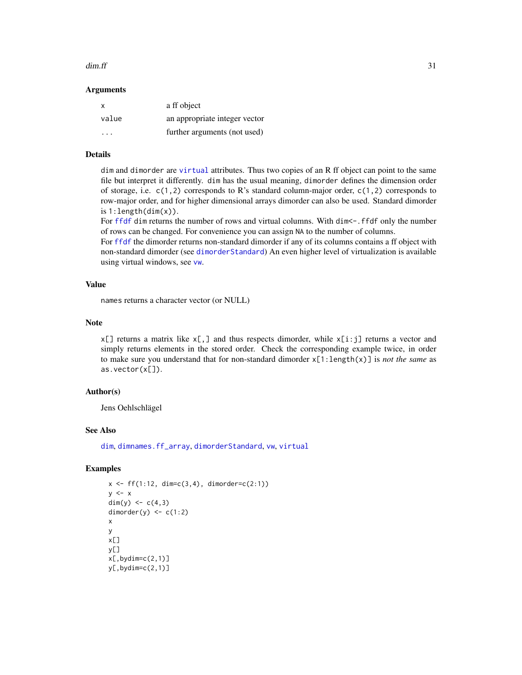#### $dim.ff$  31

#### Arguments

| x     | a ff object                   |
|-------|-------------------------------|
| value | an appropriate integer vector |
| .     | further arguments (not used)  |

## Details

dim and dimorder are [virtual](#page-109-1) attributes. Thus two copies of an R ff object can point to the same file but interpret it differently. dim has the usual meaning, dimorder defines the dimension order of storage, i.e.  $c(1,2)$  corresponds to R's standard column-major order,  $c(1,2)$  corresponds to row-major order, and for higher dimensional arrays dimorder can also be used. Standard dimorder is  $1:length(dim(x))$ .

For [ffdf](#page-54-1) dim returns the number of rows and virtual columns. With dim <-. ffdf only the number of rows can be changed. For convenience you can assign NA to the number of columns.

For [ffdf](#page-54-1) the dimorder returns non-standard dimorder if any of its columns contains a ff object with non-standard dimorder (see [dimorderStandard](#page-33-1)) An even higher level of virtualization is available using virtual windows, see [vw](#page-154-1).

## Value

names returns a character vector (or NULL)

## Note

 $x[\ ]$  returns a matrix like  $x[\ ]$  and thus respects dimorder, while  $x[i:j]$  returns a vector and simply returns elements in the stored order. Check the corresponding example twice, in order to make sure you understand that for non-standard dimorder x[1:length(x)] is *not the same* as as.vector(x[]).

## Author(s)

Jens Oehlschlägel

#### See Also

[dim](#page-0-0), [dimnames.ff\\_array](#page-32-1), [dimorderStandard](#page-33-1), [vw](#page-154-1), [virtual](#page-109-1)

## Examples

```
x \leq-ff(1:12, \dim=c(3,4), \dim c)y \leq -xdim(y) <- c(4,3)dimorder(y) \leq c(1:2)
x
y
x[]
y[]
x[,bydim=c(2,1)]y[, bydim=c(2,1)]
```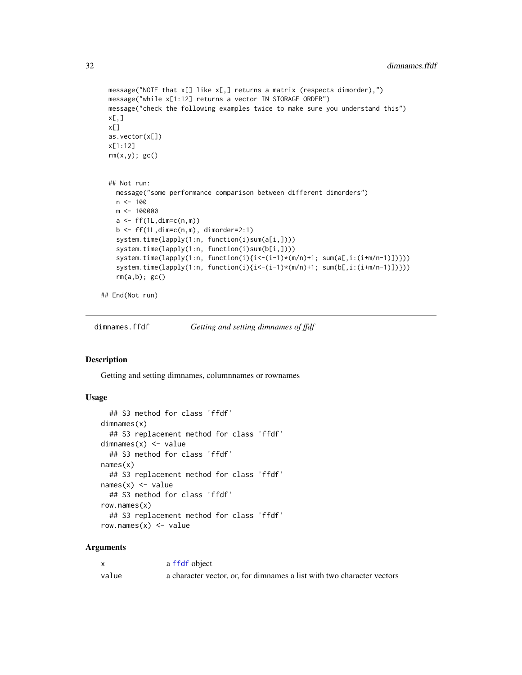```
message("NOTE that x[] like x[,] returns a matrix (respects dimorder),")
message("while x[1:12] returns a vector IN STORAGE ORDER")
message("check the following examples twice to make sure you understand this")
x[,]x[]
as.vector(x[])
x[1:12]
rm(x,y); gc()## Not run:
  message("some performance comparison between different dimorders")
 n < - 100m <- 100000
  a \leftarrow ff(1L, \text{dim=}c(n,m))b \leftarrow ff(1L,dim=c(n,m), dimorder=2:1)system.time(lapply(1:n, function(i)sum(a[i,])))
  system.time(lapply(1:n, function(i)sum(b[i,])))
  system.time(lapply(1:n, function(i){i<-(i-1)*(m/n)+1; sum(a[,i:(i+m/n-1)])}))
  system.time(lapply(1:n, function(i){i<-(i-1)*(m/n)+1; sum(b[,i:(i+m/n-1)])}))
  rm(a,b); gc()
```
## End(Not run)

<span id="page-31-1"></span>dimnames.ffdf *Getting and setting dimnames of ffdf*

#### <span id="page-31-2"></span>Description

Getting and setting dimnames, columnnames or rownames

#### Usage

```
## S3 method for class 'ffdf'
dimnames(x)
  ## S3 replacement method for class 'ffdf'
dimnames(x) <- value
  ## S3 method for class 'ffdf'
names(x)
  ## S3 replacement method for class 'ffdf'
names(x) <- value
  ## S3 method for class 'ffdf'
row.names(x)
  ## S3 replacement method for class 'ffdf'
row.names(x) <- value
```

|       | a ffdf object                                                          |
|-------|------------------------------------------------------------------------|
| value | a character vector, or, for dimnames a list with two character vectors |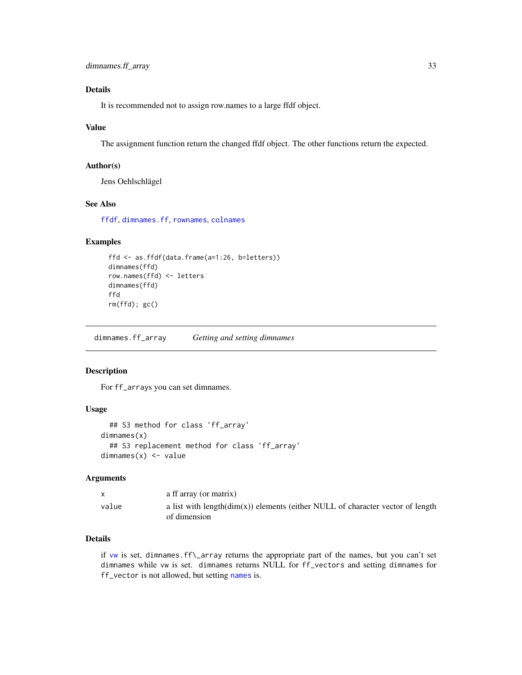## <span id="page-32-0"></span>Details

It is recommended not to assign row.names to a large ffdf object.

#### Value

The assignment function return the changed ffdf object. The other functions return the expected.

## Author(s)

Jens Oehlschlägel

## See Also

[ffdf](#page-54-1), [dimnames.ff](#page-32-2), [rownames](#page-0-0), [colnames](#page-0-0)

## Examples

```
ffd <- as.ffdf(data.frame(a=1:26, b=letters))
dimnames(ffd)
row.names(ffd) <- letters
dimnames(ffd)
ffd
rm(ffd); gc()
```
<span id="page-32-1"></span>dimnames.ff\_array *Getting and setting dimnames*

#### <span id="page-32-2"></span>Description

For ff\_arrays you can set dimnames.

#### Usage

```
## S3 method for class 'ff_array'
dimnames(x)
  ## S3 replacement method for class 'ff_array'
dimnames(x) <- value
```
## Arguments

|       | a ff array (or matrix)                                                                             |
|-------|----------------------------------------------------------------------------------------------------|
| value | a list with length $(\dim(x))$ elements (either NULL of character vector of length<br>of dimension |

## Details

if [vw](#page-154-1) is set, dimnames.ff\\_array returns the appropriate part of the names, but you can't set dimnames while vw is set. dimnames returns NULL for ff\_vectors and setting dimnames for ff\_vector is not allowed, but setting [names](#page-0-0) is.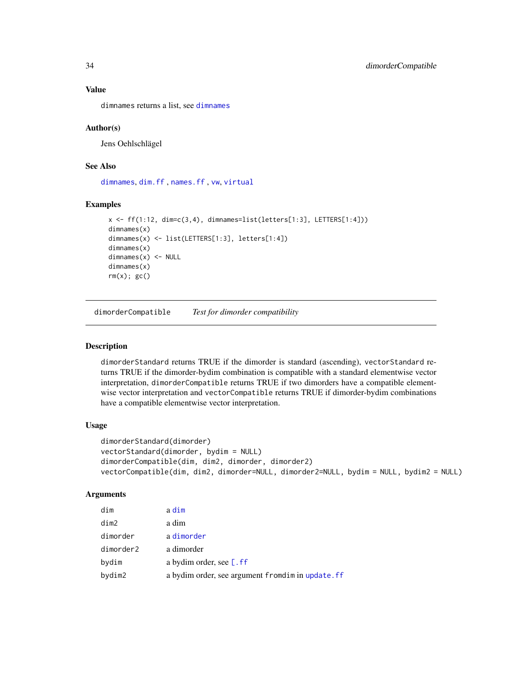## Value

dimnames returns a list, see [dimnames](#page-0-0)

#### Author(s)

Jens Oehlschlägel

#### See Also

[dimnames](#page-0-0), [dim.ff](#page-29-2) , [names.ff](#page-105-1) , [vw](#page-154-1), [virtual](#page-109-1)

#### Examples

```
x \leftarrow ff(1:12, \text{dim=c}(3,4), \text{dimrames=list}(letters[1:3], LETTERS[1:4]))dimnames(x)
dimnames(x) <- list(LETTERS[1:3], letters[1:4])
dimnames(x)
dimnames(x) <- NULL
dimnames(x)
rm(x); gc()
```
dimorderCompatible *Test for dimorder compatibility*

## <span id="page-33-1"></span>**Description**

dimorderStandard returns TRUE if the dimorder is standard (ascending), vectorStandard returns TRUE if the dimorder-bydim combination is compatible with a standard elementwise vector interpretation, dimorderCompatible returns TRUE if two dimorders have a compatible elementwise vector interpretation and vectorCompatible returns TRUE if dimorder-bydim combinations have a compatible elementwise vector interpretation.

#### Usage

```
dimorderStandard(dimorder)
vectorStandard(dimorder, bydim = NULL)
dimorderCompatible(dim, dim2, dimorder, dimorder2)
vectorCompatible(dim, dim2, dimorder=NULL, dimorder2=NULL, bydim = NULL, bydim2 = NULL)
```

| dim       | a dim                                             |
|-----------|---------------------------------------------------|
| dim2      | a dim                                             |
| dimorder  | a dimorder                                        |
| dimorder2 | a dimorder                                        |
| bydim     | a bydim order, see [.ff]                          |
| bydim2    | a bydim order, see argument fromdim in update. ff |

<span id="page-33-0"></span>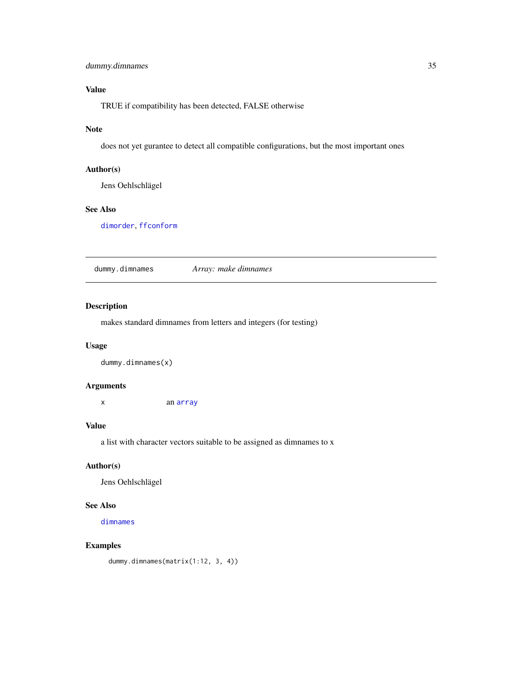## <span id="page-34-0"></span>dummy.dimnames 35

## Value

TRUE if compatibility has been detected, FALSE otherwise

## Note

does not yet gurantee to detect all compatible configurations, but the most important ones

## Author(s)

Jens Oehlschlägel

#### See Also

[dimorder](#page-29-1), [ffconform](#page-52-1)

dummy.dimnames *Array: make dimnames*

## Description

makes standard dimnames from letters and integers (for testing)

## Usage

dummy.dimnames(x)

#### Arguments

x an [array](#page-0-0)

#### Value

a list with character vectors suitable to be assigned as dimnames to x

## Author(s)

Jens Oehlschlägel

#### See Also

[dimnames](#page-0-0)

#### Examples

dummy.dimnames(matrix(1:12, 3, 4))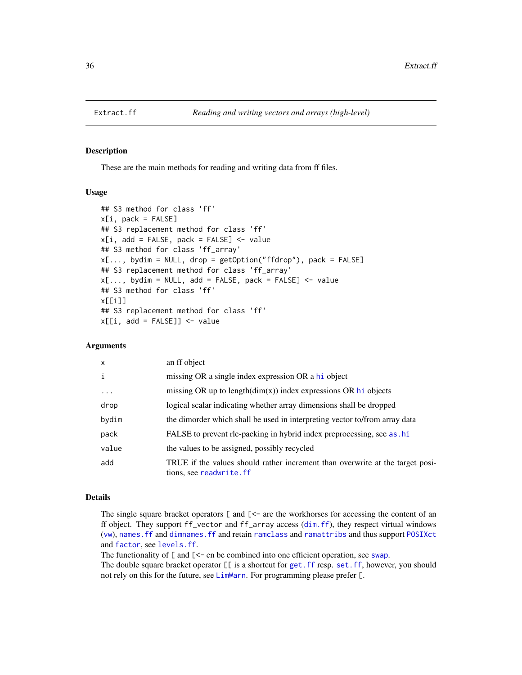<span id="page-35-0"></span>

#### <span id="page-35-1"></span>Description

These are the main methods for reading and writing data from ff files.

## Usage

```
## S3 method for class 'ff'
x[i, pack = FALSE]## S3 replacement method for class 'ff'
x[i, add = FALSE, pack = FALSE] <- value
## S3 method for class 'ff_array'
x[..., bydim = NULL, drop = getOption("ffdrop"), pack = FALSE]
## S3 replacement method for class 'ff_array'
x[..., bydim = NULL, add = FALSE, pack = FALSE] <- value
## S3 method for class 'ff'
x[[i]]
## S3 replacement method for class 'ff'
x[[i, add = FALSE]] <- value
```
## Arguments

| $\boldsymbol{\mathsf{x}}$ | an ff object                                                                                              |
|---------------------------|-----------------------------------------------------------------------------------------------------------|
| i                         | missing OR a single index expression OR a hi object                                                       |
| $\cdots$                  | missing OR up to $length(dim(x))$ index expressions OR hi objects                                         |
| drop                      | logical scalar indicating whether array dimensions shall be dropped                                       |
| bydim                     | the dimorder which shall be used in interpreting vector to/from array data                                |
| pack                      | FALSE to prevent rle-packing in hybrid index preprocessing, see as . hi                                   |
| value                     | the values to be assigned, possibly recycled                                                              |
| add                       | TRUE if the values should rather increment than overwrite at the target posi-<br>tions, see readwrite. ff |

## Details

The single square bracket operators [ and [<- are the workhorses for accessing the content of an ff object. They support ff\_vector and ff\_array access ([dim.ff](#page-29-2)), they respect virtual windows ([vw](#page-154-1)), [names.ff](#page-105-1) and [dimnames.ff](#page-32-2) and retain [ramclass](#page-114-1) and [ramattribs](#page-114-2) and thus support [POSIXct](#page-0-0) and [factor](#page-0-0), see [levels.ff](#page-95-1).

The functionality of  $\lceil$  and  $\lceil$  < - cn be combined into one efficient operation, see [swap](#page-138-1).

The double square bracket operator  $[\ ]$  is a shortcut for get. ff resp. set. ff, however, you should not rely on this for the future, see [LimWarn](#page-97-1). For programming please prefer [.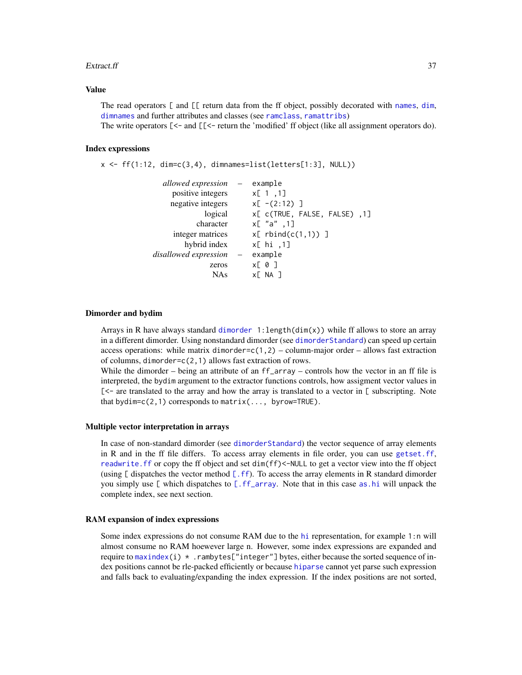#### Extract.ff 37

#### Value

The read operators [ and [[ return data from the ff object, possibly decorated with [names](#page-0-0), [dim](#page-0-0), [dimnames](#page-0-0) and further attributes and classes (see [ramclass](#page-114-0), [ramattribs](#page-114-1))

The write operators  $\ll$  = and  $\llbracket \ll$  - return the 'modified' ff object (like all assignment operators do).

## Index expressions

```
x \leftarrow ff(1:12, \text{dim} = c(3, 4), \text{dim} = s = list(lefters[1:3], NULL))
```

| allowed expression –        | example                              |
|-----------------------------|--------------------------------------|
|                             | x[1,1]                               |
|                             | $x[-(2:12)]$                         |
| logical                     | x[ c(TRUE, FALSE, FALSE), 1]         |
|                             | $x$ [ "a",1]                         |
|                             | $x[$ rbind $(c(1,1))$ ]              |
|                             | x[ hi ,1]                            |
| $\alpha \rightarrow \alpha$ | example                              |
|                             | $x[\begin{array}{cc} 0 \end{array}]$ |
|                             | XE NA 1                              |
|                             |                                      |

#### Dimorder and bydim

Arrays in R have always standard [dimorder](#page-29-0)  $1:length(dim(x))$  while ff allows to store an array in a different dimorder. Using nonstandard dimorder (see [dimorderStandard](#page-33-0)) can speed up certain access operations: while matrix dimorder= $c(1,2)$  – column-major order – allows fast extraction of columns, dimorder=c(2,1) allows fast extraction of rows.

While the dimorder – being an attribute of an ff\_array – controls how the vector in an ff file is interpreted, the bydim argument to the extractor functions controls, how assigment vector values in  $\lceil$ <- are translated to the array and how the array is translated to a vector in  $\lceil$  subscripting. Note that bydim= $c(2,1)$  corresponds to matrix(..., byrow=TRUE).

## Multiple vector interpretation in arrays

In case of non-standard dimorder (see [dimorderStandard](#page-33-0)) the vector sequence of array elements in R and in the ff file differs. To access array elements in file order, you can use [getset.ff](#page-83-0), [readwrite.ff](#page-125-0) or copy the ff object and set dim(ff)<-NULL to get a vector view into the ff object (using  $\lbrack$  dispatches the vector method  $\lbrack$ . ff). To access the array elements in R standard dimorder you simply use [ which dispatches to [\[.ff\\_array](#page-35-0). Note that in this case [as.hi](#page-11-0) will unpack the complete index, see next section.

#### RAM expansion of index expressions

Some index expressions do not consume RAM due to the [hi](#page-84-0) representation, for example 1:n will almost consume no RAM hoewever large n. However, some index expressions are expanded and require to [maxindex\(](#page-93-0)i)  $\star$  . rambytes["integer"] bytes, either because the sorted sequence of index positions cannot be rle-packed efficiently or because [hiparse](#page-86-0) cannot yet parse such expression and falls back to evaluating/expanding the index expression. If the index positions are not sorted,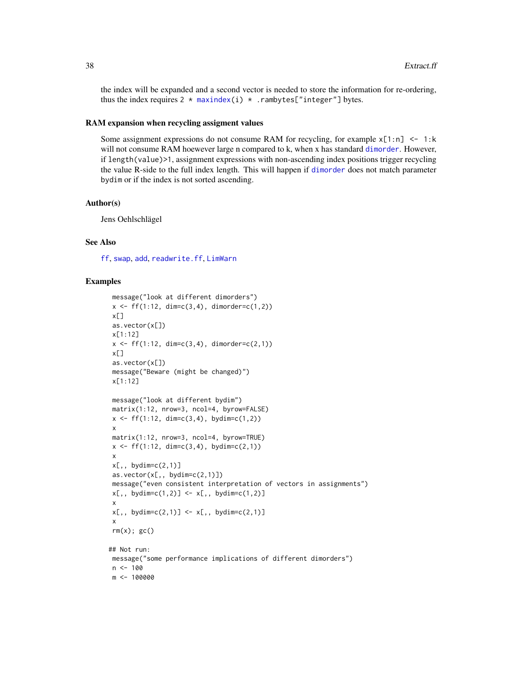the index will be expanded and a second vector is needed to store the information for re-ordering, thus the index requires  $2 * \text{maxindex}(i) * \text{rank}{\text{maxindex}}$  "integer"] bytes.

#### RAM expansion when recycling assigment values

Some assignment expressions do not consume RAM for recycling, for example  $x[1:n] \le -1:k$ will not consume RAM hoewever large n compared to k, when x has standard [dimorder](#page-29-0). However, if length(value)>1, assignment expressions with non-ascending index positions trigger recycling the value R-side to the full index length. This will happen if [dimorder](#page-29-0) does not match parameter bydim or if the index is not sorted ascending.

#### Author(s)

Jens Oehlschlägel

## See Also

[ff](#page-40-0), [swap](#page-138-0), [add](#page-4-0), [readwrite.ff](#page-125-0), [LimWarn](#page-97-0)

```
message("look at different dimorders")
x \leq-ff(1:12, \dim=c(3,4), \dim c)x[]
as.vector(x[])
x[1:12]
x \leq-ff(1:12, \dim=c(3,4), \dim order=c(2,1))x[]as.vector(x[])
message("Beware (might be changed)")
x[1:12]
message("look at different bydim")
matrix(1:12, nrow=3, ncol=4, byrow=FALSE)
x \leftarrow ff(1:12, \dim=c(3,4), \text{ bydim}=c(1,2))x
matrix(1:12, nrow=3, ncol=4, byrow=TRUE)
x \leq-ff(1:12, \dim=c(3,4), \text{ bydim}=c(2,1))x
x[,, bydim=c(2,1)]
as.vector(x[,, bydim=c(2,1)]message("even consistent interpretation of vectors in assignments")
x[,, bydim=c(1,2)] <- x[,, bydim=c(1,2)]
 x
x[,, bydim=c(2,1)] <- x[,, bydim=c(2,1)]
 x
rm(x); gc()## Not run:
message("some performance implications of different dimorders")
n < - 100m <- 100000
```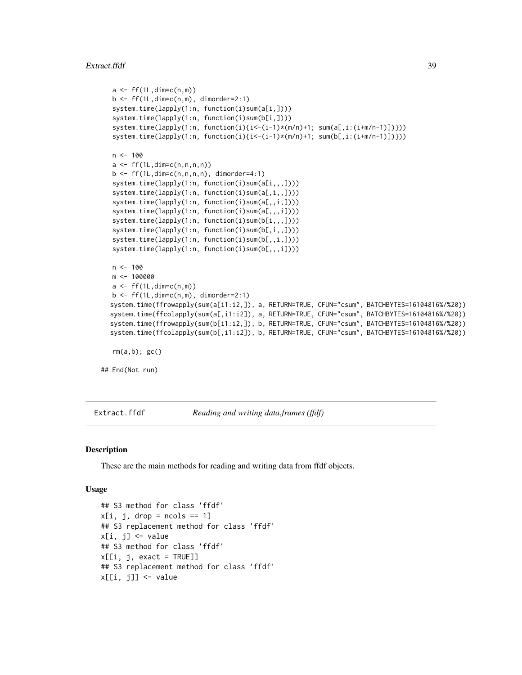#### Extract.ffdf 39

```
a \leftarrow ff(1L, \text{dim=}c(n,m))b \leftarrow ff(1L,dim=c(n,m), dimorder=2:1)system.time(lapply(1:n, function(i)sum(a[i,])))
   system.time(lapply(1:n, function(i)sum(b[i,])))
   system.time(lapply(1:n, function(i){i<-(i-1)*(m/n)+1; sum(a[,i:(i+m/n-1)])}))
   system.time(lapply(1:n, function(i){i<-(i-1)*(m/n)+1; sum(b[,i:(i+m/n-1)])}))
  n <- 100
  a \leftarrow ff(1L,dim=c(n,n,n,n))b \leftarrow ff(1L, dim=c(n,n,n,n), dimorder=4:1)system.time(lapply(1:n, function(i)sum(a[i,,,])))
   system.time(lapply(1:n, function(i)sum(a[,i,,])))
   system.time(lapply(1:n, function(i)sum(a[,,i,])))
   system.time(lapply(1:n, function(i)sum(a[,,,i])))
   system.time(lapply(1:n, function(i)sum(b[i,,,])))
   system.time(lapply(1:n, function(i)sum(b[,i,,])))
   system.time(lapply(1:n, function(i)sum(b[,,i,])))
   system.time(lapply(1:n, function(i)sum(b[,,,i])))
  n < -100m <- 100000
  a \leftarrow ff(1L, \text{dim=}c(n,m))b \leftarrow ff(1L,dim=c(n,m), dimorder=2:1)system.time(ffrowapply(sum(a[i1:i2,]), a, RETURN=TRUE, CFUN="csum", BATCHBYTES=16104816%/%20))
  system.time(ffcolapply(sum(a[,i1:i2]), a, RETURN=TRUE, CFUN="csum", BATCHBYTES=16104816%/%20))
  system.time(ffrowapply(sum(b[i1:i2,]), b, RETURN=TRUE, CFUN="csum", BATCHBYTES=16104816%/%20))
  system.time(ffcolapply(sum(b[,i1:i2]), b, RETURN=TRUE, CFUN="csum", BATCHBYTES=16104816%/%20))
  rm(a,b); gc()## End(Not run)
```
Extract.ffdf *Reading and writing data.frames (ffdf)*

## <span id="page-38-0"></span>Description

These are the main methods for reading and writing data from ffdf objects.

#### Usage

```
## S3 method for class 'ffdf'
x[i, j, drop = ncols == 1]## S3 replacement method for class 'ffdf'
x[i, j] <- value
## S3 method for class 'ffdf'
x[[i, j, exact = TRUE]]## S3 replacement method for class 'ffdf'
x[[i, j]] <- value
```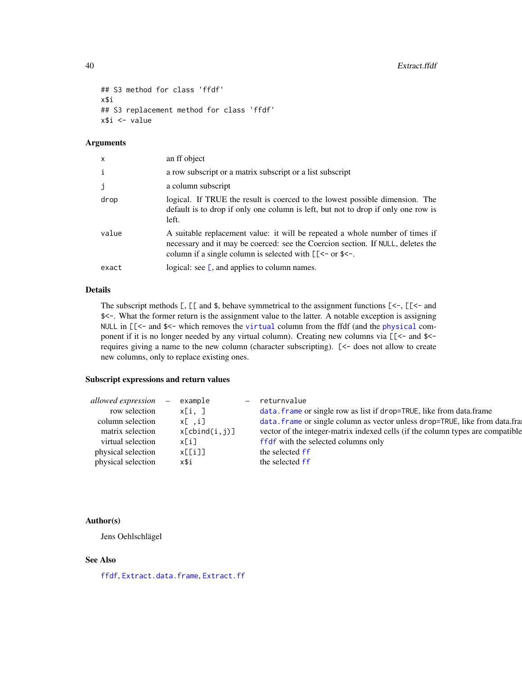```
## S3 method for class 'ffdf'
x$i
## S3 replacement method for class 'ffdf'
x$i <- value
```
# Arguments

| $\mathsf{x}$ | an ff object                                                                                                                                                                                                                      |
|--------------|-----------------------------------------------------------------------------------------------------------------------------------------------------------------------------------------------------------------------------------|
| $\mathbf{i}$ | a row subscript or a matrix subscript or a list subscript                                                                                                                                                                         |
| j            | a column subscript                                                                                                                                                                                                                |
| drop         | logical. If TRUE the result is coerced to the lowest possible dimension. The<br>default is to drop if only one column is left, but not to drop if only one row is<br>left.                                                        |
| value        | A suitable replacement value: it will be repeated a whole number of times if<br>necessary and it may be coerced: see the Coercion section. If NULL, deletes the<br>column if a single column is selected with $[\zeta$ - or \$<-. |
| exact        | logical: see $\mathsf{[}$ , and applies to column names.                                                                                                                                                                          |

# Details

The subscript methods  $\lbrack , \lbrack \lbrack \right.$  and  $\$$ , behave symmetrical to the assignment functions  $\lbrack \left. \langle -, \lbrack \lbrack \lbrack \langle -, \rbrack \rbrack \right. \rangle$ \$<-. What the former return is the assignment value to the latter. A notable exception is assigning NULL in [[<- and \$<- which removes the [virtual](#page-0-0) column from the ffdf (and the [physical](#page-0-0) component if it is no longer needed by any virtual column). Creating new columns via [[<- and \$< requires giving a name to the new column (character subscripting). [<- does not allow to create new columns, only to replace existing ones.

# Subscript expressions and return values

| allowed expression –<br>row selection<br>column selection<br>matrix selection<br>virtual selection<br>physical selection | example<br>x[i, ]<br>x[ .i]<br>x[cbind(i, j)]<br>x[i]<br>x[[i]] | returnvalue<br>data. frame or single row as list if drop=TRUE, like from data.frame<br>data. frame or single column as vector unless drop=TRUE, like from data.fra:<br>vector of the integer-matrix indexed cells (if the column types are compatible<br>ffdf with the selected columns only<br>the selected ff |
|--------------------------------------------------------------------------------------------------------------------------|-----------------------------------------------------------------|-----------------------------------------------------------------------------------------------------------------------------------------------------------------------------------------------------------------------------------------------------------------------------------------------------------------|
|                                                                                                                          |                                                                 |                                                                                                                                                                                                                                                                                                                 |
| physical selection                                                                                                       | x\$i                                                            | the selected ff                                                                                                                                                                                                                                                                                                 |

# Author(s)

Jens Oehlschlägel

#### See Also

[ffdf](#page-54-0), [Extract.data.frame](#page-0-0), [Extract.ff](#page-35-1)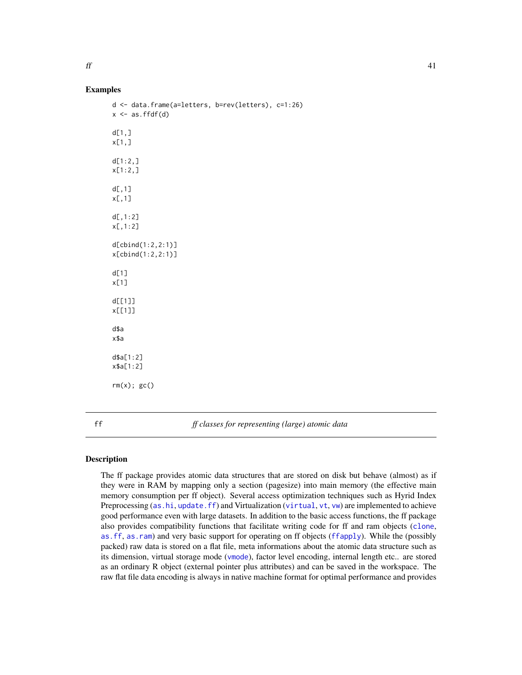## Examples

```
d <- data.frame(a=letters, b=rev(letters), c=1:26)
x \leftarrow as.ffdf(d)d[1,1]x[1,]
d[1:2,]x[1:2,]
d[.1]x[,1]
d[, 1: 2]x[,1:2]
d[cbind(1:2,2:1)]
x[cbind(1:2,2:1)]
d[1]
x[1]
d[[1]]
x[[1]]
d$a
x$a
d$a[1:2]
x$a[1:2]
rm(x); gc()
```
<span id="page-40-0"></span>ff *ff classes for representing (large) atomic data*

# **Description**

The ff package provides atomic data structures that are stored on disk but behave (almost) as if they were in RAM by mapping only a section (pagesize) into main memory (the effective main memory consumption per ff object). Several access optimization techniques such as Hyrid Index Preprocessing ([as.hi](#page-11-0), [update.ff](#page-144-0)) and Virtualization ([virtual](#page-109-0), [vt](#page-153-0), [vw](#page-154-0)) are implemented to achieve good performance even with large datasets. In addition to the basic access functions, the ff package also provides compatibility functions that facilitate writing code for ff and ram objects ([clone](#page-23-0), [as.ff](#page-7-0), [as.ram](#page-7-1)) and very basic support for operating on ff objects ([ffapply](#page-48-0)). While the (possibly packed) raw data is stored on a flat file, meta informations about the atomic data structure such as its dimension, virtual storage mode ([vmode](#page-150-0)), factor level encoding, internal length etc.. are stored as an ordinary R object (external pointer plus attributes) and can be saved in the workspace. The raw flat file data encoding is always in native machine format for optimal performance and provides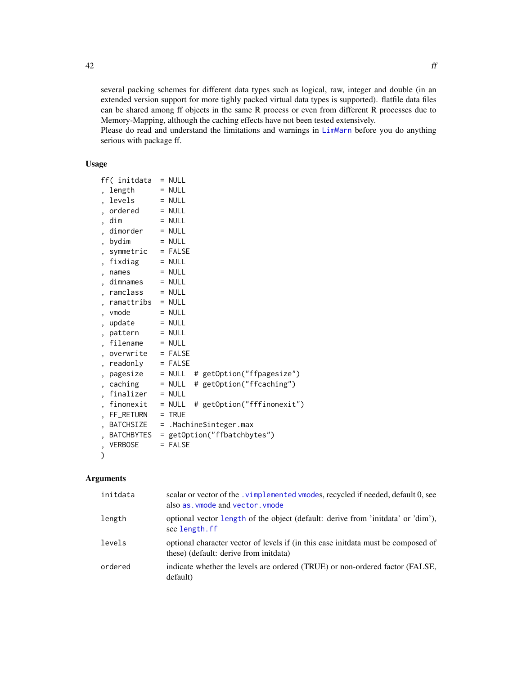several packing schemes for different data types such as logical, raw, integer and double (in an extended version support for more tighly packed virtual data types is supported). flatfile data files can be shared among ff objects in the same R process or even from different R processes due to Memory-Mapping, although the caching effects have not been tested extensively.

Please do read and understand the limitations and warnings in [LimWarn](#page-97-0) before you do anything serious with package ff.

# Usage

|   | ff( initdata      |     | $=$ NULL     |   |                             |
|---|-------------------|-----|--------------|---|-----------------------------|
|   | length            |     | $=$ NULL     |   |                             |
|   | levels            |     | $=$ NULL     |   |                             |
|   | ordered           |     | $=$ NULL     |   |                             |
|   | dim               |     | $=$ NULL     |   |                             |
|   | dimorder          |     | $=$ NULL     |   |                             |
|   | bydim             |     | $=$ NULL     |   |                             |
|   | symmetric         |     | $=$ FALSE    |   |                             |
|   | fixdiag           |     | $=$ NULL     |   |                             |
|   | names             |     | $=$ NULL     |   |                             |
|   | dimnames          |     | $=$ NULL     |   |                             |
|   | ramclass          |     | $=$ NULL     |   |                             |
|   | ramattribs        |     | $=$ NULL     |   |                             |
|   | vmode             |     | $=$ NULL     |   |                             |
|   | update            |     | $=$ NULL     |   |                             |
|   | pattern           |     | $=$ NULL     |   |                             |
|   | filename          |     | $=$ NULL     |   |                             |
|   | overwrite         |     | $=$ FALSE    |   |                             |
|   | readonly          |     | $=$ FALSE    |   |                             |
|   | pagesize          |     | $=$ NULL     |   | # getOption("ffpagesize")   |
|   | caching           |     | $= NULL$     | # | getOption("ffcaching")      |
|   | finalizer         |     | $=$ NULL     |   |                             |
|   | finonexit         |     | $=$ NULL     |   | # getOption("fffinonexit")  |
|   | FF_RETURN         |     | $=$ TRUE     |   |                             |
|   | <b>BATCHSIZE</b>  | =   |              |   | .Machine\$integer.max       |
|   | <b>BATCHBYTES</b> |     |              |   | = getOption("ffbatchbytes") |
| , | <b>VERBOSE</b>    | $=$ | <b>FALSE</b> |   |                             |
| ⟩ |                   |     |              |   |                             |

# Arguments

| scalar or vector of the vimplemented vmodes, recycled if needed, default 0, see<br>also as vmode and vector, ymode           |
|------------------------------------------------------------------------------------------------------------------------------|
| optional vector length of the object (default: derive from 'initidata' or 'dim'),<br>see length.ff                           |
| optional character vector of levels if (in this case initiata must be composed of<br>these) (default: derive from initidata) |
| indicate whether the levels are ordered (TRUE) or non-ordered factor (FALSE,<br>default)                                     |
|                                                                                                                              |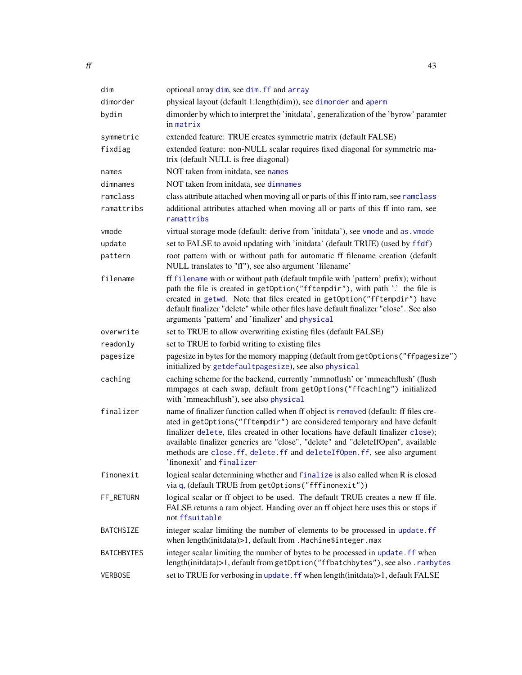| dim               | optional array dim, see dim. ff and array                                                                                                                                                                                                                                                                                                                                                                                                           |
|-------------------|-----------------------------------------------------------------------------------------------------------------------------------------------------------------------------------------------------------------------------------------------------------------------------------------------------------------------------------------------------------------------------------------------------------------------------------------------------|
| dimorder          | physical layout (default 1:length(dim)), see dimorder and aperm                                                                                                                                                                                                                                                                                                                                                                                     |
| bydim             | dimorder by which to interpret the 'initdata', generalization of the 'byrow' paramter<br>in matrix                                                                                                                                                                                                                                                                                                                                                  |
| symmetric         | extended feature: TRUE creates symmetric matrix (default FALSE)                                                                                                                                                                                                                                                                                                                                                                                     |
| fixdiag           | extended feature: non-NULL scalar requires fixed diagonal for symmetric ma-<br>trix (default NULL is free diagonal)                                                                                                                                                                                                                                                                                                                                 |
| names             | NOT taken from initdata, see names                                                                                                                                                                                                                                                                                                                                                                                                                  |
| dimnames          | NOT taken from initdata, see dimnames                                                                                                                                                                                                                                                                                                                                                                                                               |
| ramclass          | class attribute attached when moving all or parts of this ff into ram, see ramclass                                                                                                                                                                                                                                                                                                                                                                 |
| ramattribs        | additional attributes attached when moving all or parts of this ff into ram, see<br>ramattribs                                                                                                                                                                                                                                                                                                                                                      |
| vmode             | virtual storage mode (default: derive from 'initdata'), see vmode and as . vmode                                                                                                                                                                                                                                                                                                                                                                    |
| update            | set to FALSE to avoid updating with 'initdata' (default TRUE) (used by ffdf)                                                                                                                                                                                                                                                                                                                                                                        |
| pattern           | root pattern with or without path for automatic ff filename creation (default<br>NULL translates to "ff"), see also argument 'filename'                                                                                                                                                                                                                                                                                                             |
| filename          | ff filename with or without path (default tmpfile with 'pattern' prefix); without<br>path the file is created in getOption("fftempdir"), with path '.' the file is<br>created in getwd. Note that files created in getOption("fftempdir") have<br>default finalizer "delete" while other files have default finalizer "close". See also<br>arguments 'pattern' and 'finalizer' and physical                                                         |
| overwrite         | set to TRUE to allow overwriting existing files (default FALSE)                                                                                                                                                                                                                                                                                                                                                                                     |
| readonly          | set to TRUE to forbid writing to existing files                                                                                                                                                                                                                                                                                                                                                                                                     |
| pagesize          | pagesize in bytes for the memory mapping (default from getOptions("ffpagesize")<br>initialized by getdefaultpagesize), see also physical                                                                                                                                                                                                                                                                                                            |
| caching           | caching scheme for the backend, currently 'mmnoflush' or 'mmeachflush' (flush<br>mmpages at each swap, default from getOptions("ffcaching") initialized<br>with 'mmeachflush'), see also physical                                                                                                                                                                                                                                                   |
| finalizer         | name of finalizer function called when ff object is removed (default: ff files cre-<br>ated in getOptions("fftempdir") are considered temporary and have default<br>finalizer delete, files created in other locations have default finalizer close);<br>available finalizer generics are "close", "delete" and "deleteIfOpen", available<br>methods are close. ff, delete. ff and deleteIfOpen. ff, see also argument<br>'finonexit' and finalizer |
| finonexit         | logical scalar determining whether and finalize is also called when R is closed<br>via q, (default TRUE from getOptions("fffinonexit"))                                                                                                                                                                                                                                                                                                             |
| FF_RETURN         | logical scalar or ff object to be used. The default TRUE creates a new ff file.<br>FALSE returns a ram object. Handing over an ff object here uses this or stops if<br>not ffsuitable                                                                                                                                                                                                                                                               |
| BATCHSIZE         | integer scalar limiting the number of elements to be processed in update. ff<br>when length(initdata)>1, default from .Machine\$integer.max                                                                                                                                                                                                                                                                                                         |
| <b>BATCHBYTES</b> | integer scalar limiting the number of bytes to be processed in update. ff when<br>length(initdata)>1, default from getOption("ffbatchbytes"), see also.rambytes                                                                                                                                                                                                                                                                                     |
| VERBOSE           | set to TRUE for verbosing in update. ff when length(initdata)>1, default FALSE                                                                                                                                                                                                                                                                                                                                                                      |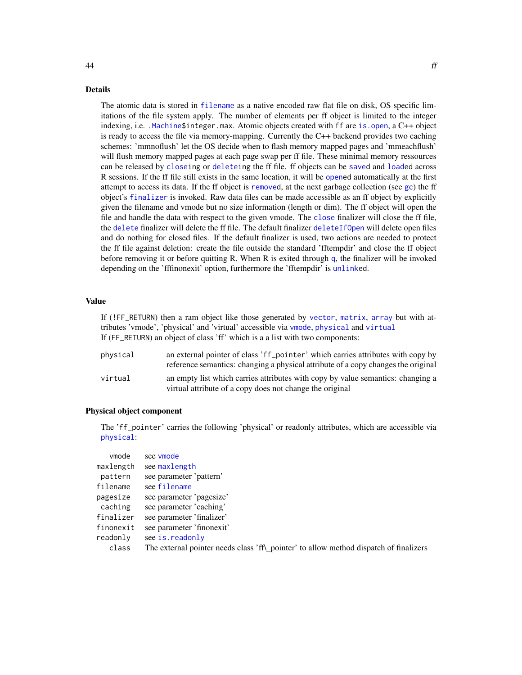#### Details

The atomic data is stored in [filename](#page-75-0) as a native encoded raw flat file on disk, OS specific limitations of the file system apply. The number of elements per ff object is limited to the integer indexing, i.e. [.Machine\\$](#page-0-0)integer.max. Atomic objects created with ff are [is.open](#page-88-0), a C++ object is ready to access the file via memory-mapping. Currently the C++ backend provides two caching schemes: 'mmnoflush' let the OS decide when to flash memory mapped pages and 'mmeachflush' will flush memory mapped pages at each page swap per ff file. These minimal memory ressources can be released by [closei](#page-0-0)ng or [deletei](#page-27-0)ng the ff file. ff objects can be [saved](#page-0-0) and [loade](#page-0-0)d across R sessions. If the ff file still exists in the same location, it will be [opene](#page-0-0)d automatically at the first attempt to access its data. If the ff object is [removed](#page-0-0), at the next garbage collection (see [gc](#page-0-0)) the ff object's [finalizer](#page-78-0) is invoked. Raw data files can be made accessible as an ff object by explicitly given the filename and vmode but no size information (length or dim). The ff object will open the file and handle the data with respect to the given vmode. The [close](#page-0-0) finalizer will close the ff file, the [delete](#page-27-0) finalizer will delete the ff file. The default finalizer [deleteIfOpen](#page-27-1) will delete open files and do nothing for closed files. If the default finalizer is used, two actions are needed to protect the ff file against deletion: create the file outside the standard 'fftempdir' and close the ff object before removing it or before quitting R. When R is exited through [q](#page-0-0), the finalizer will be invoked depending on the 'fffinonexit' option, furthermore the 'fftempdir' is [unlinke](#page-0-0)d.

#### Value

If (!FF\_RETURN) then a ram object like those generated by [vector](#page-0-0), [matrix](#page-0-0), [array](#page-0-0) but with attributes 'vmode', 'physical' and 'virtual' accessible via [vmode](#page-150-0), [physical](#page-109-0) and [virtual](#page-109-0) If (FF\_RETURN) an object of class 'ff' which is a a list with two components:

| physical | an external pointer of class 'ff_pointer' which carries attributes with copy by<br>reference semantics: changing a physical attribute of a copy changes the original |
|----------|----------------------------------------------------------------------------------------------------------------------------------------------------------------------|
| virtual  | an empty list which carries attributes with copy by value semantics: changing a<br>virtual attribute of a copy does not change the original                          |

#### Physical object component

The 'ff\_pointer' carries the following 'physical' or readonly attributes, which are accessible via [physical](#page-109-0):

| vmode     | see vmode                                                                             |
|-----------|---------------------------------------------------------------------------------------|
| maxlength | see maxlength                                                                         |
| pattern   | see parameter 'pattern'                                                               |
| filename  | see filename                                                                          |
| pagesize  | see parameter 'pagesize'                                                              |
| caching   | see parameter 'caching'                                                               |
| finalizer | see parameter 'finalizer'                                                             |
| finonexit | see parameter 'finonexit'                                                             |
| readonly  | see is.readonly                                                                       |
| class     | The external pointer needs class 'ff\_pointer' to allow method dispatch of finalizers |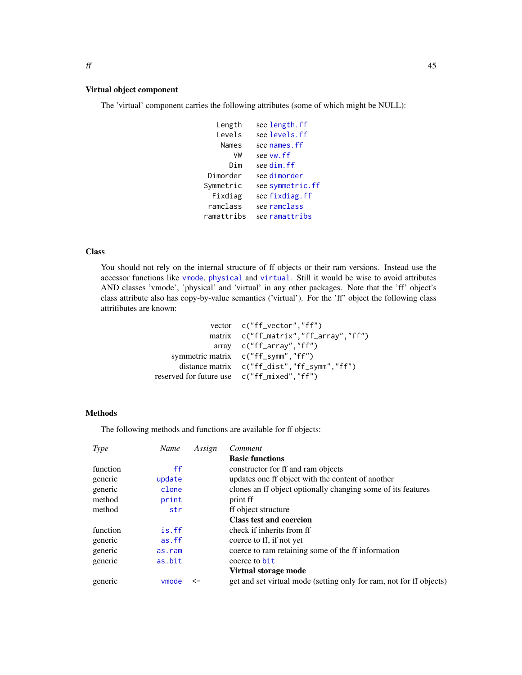#### Virtual object component

The 'virtual' component carries the following attributes (some of which might be NULL):

```
Length see length.ff
  Levels see levels.ff
   names.ff
     VW see vw.ff
    Dim see dim.ff
Dimorder see dimorder
symmetric.ff
 Fixdiag see fixdiag.ff
ramclass see ramclass
ramattribs see ramattribs
```
#### **Class**

You should not rely on the internal structure of ff objects or their ram versions. Instead use the accessor functions like [vmode](#page-150-0), [physical](#page-109-0) and [virtual](#page-109-0). Still it would be wise to avoid attributes AND classes 'vmode', 'physical' and 'virtual' in any other packages. Note that the 'ff' object's class attribute also has copy-by-value semantics ('virtual'). For the 'ff' object the following class attritibutes are known:

```
vector c("ff_vector","ff")
             matrix c("ff_matrix","ff_array","ff")
              array c("ff_array","ff")
   symmetric matrix c("ff_symm","ff")
     distance matrix c("ff_dist","ff_symm","ff")
reserved for future use c("ff_mixed","ff")
```
# Methods

The following methods and functions are available for ff objects:

| Type     | Name   | Assign | Comment                                                             |
|----------|--------|--------|---------------------------------------------------------------------|
|          |        |        | <b>Basic functions</b>                                              |
| function | ff     |        | constructor for ff and ram objects                                  |
| generic  | update |        | updates one ff object with the content of another                   |
| generic  | clone  |        | clones an ff object optionally changing some of its features        |
| method   | print  |        | print ff                                                            |
| method   | str    |        | ff object structure                                                 |
|          |        |        | <b>Class test and coercion</b>                                      |
| function | is.ff  |        | check if inherits from ff                                           |
| generic  | as.ff  |        | coerce to ff, if not yet                                            |
| generic  | as.ram |        | coerce to ram retaining some of the ff information                  |
| generic  | as.bit |        | coerce to bit                                                       |
|          |        |        | Virtual storage mode                                                |
| generic  | ymode  | <-     | get and set virtual mode (setting only for ram, not for ff objects) |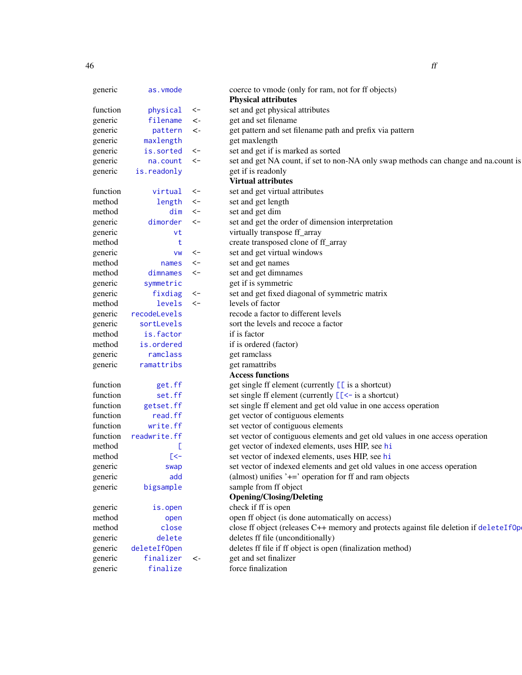| generic  | as. vmode            |                 | coerce to vmode (only for ram, not for ff objects)                                    |
|----------|----------------------|-----------------|---------------------------------------------------------------------------------------|
| function |                      | <-              | <b>Physical attributes</b><br>set and get physical attributes                         |
| generic  | physical<br>filename | $\mathrel{<}$ - | get and set filename                                                                  |
| generic  | pattern              | $\leftarrow$    | get pattern and set filename path and prefix via pattern                              |
| generic  | maxlength            |                 | get maxlength                                                                         |
| generic  | is.sorted            | <−              | set and get if is marked as sorted                                                    |
| generic  | na.count             | $\prec$ -       | set and get NA count, if set to non-NA only swap methods can change and na.count is   |
| generic  | is.readonly          |                 | get if is readonly                                                                    |
|          |                      |                 | <b>Virtual attributes</b>                                                             |
| function | virtual              | <-              | set and get virtual attributes                                                        |
| method   | length               | <-              | set and get length                                                                    |
| method   | dim                  | $\prec$ -       | set and get dim                                                                       |
| generic  | dimorder             | $\prec$ -       | set and get the order of dimension interpretation                                     |
| generic  | vt                   |                 | virtually transpose ff_array                                                          |
| method   | t                    |                 | create transposed clone of ff_array                                                   |
| generic  | VW                   | <-              | set and get virtual windows                                                           |
| method   | names                | $\prec$ -       | set and get names                                                                     |
| method   | dimnames             | $\prec$ -       | set and get dimnames                                                                  |
| generic  | symmetric            |                 | get if is symmetric                                                                   |
| generic  | fixdiag              | <-              | set and get fixed diagonal of symmetric matrix                                        |
| method   | levels               | $\prec$ -       | levels of factor                                                                      |
| generic  | recodeLevels         |                 | recode a factor to different levels                                                   |
| generic  | sortLevels           |                 | sort the levels and recoce a factor                                                   |
| method   | is.factor            |                 | if is factor                                                                          |
| method   | is.ordered           |                 | if is ordered (factor)                                                                |
| generic  | ramclass             |                 | get ramclass                                                                          |
| generic  | ramattribs           |                 | get ramattribs                                                                        |
|          |                      |                 | <b>Access functions</b>                                                               |
| function | get.ff               |                 | get single ff element (currently $\boxed{[}$ is a shortcut)                           |
| function | set.ff               |                 | set single ff element (currently $\lfloor \cdot \rfloor$ = is a shortcut)             |
| function | getset.ff            |                 | set single ff element and get old value in one access operation                       |
| function | read.ff              |                 | get vector of contiguous elements                                                     |
| function | write.ff             |                 | set vector of contiguous elements                                                     |
| function | readwrite.ff         |                 | set vector of contiguous elements and get old values in one access operation          |
| method   |                      |                 | get vector of indexed elements, uses HIP, see hi                                      |
| method   | $\mathsf{K}$         |                 | set vector of indexed elements, uses HIP, see hi                                      |
| generic  | swap                 |                 | set vector of indexed elements and get old values in one access operation             |
| generic  | add                  |                 | (almost) unifies $\prime + \prime$ operation for ff and ram objects                   |
| generic  | bigsample            |                 | sample from ff object                                                                 |
|          |                      |                 | <b>Opening/Closing/Deleting</b>                                                       |
| generic  | is.open              |                 | check if ff is open                                                                   |
| method   | open                 |                 | open ff object (is done automatically on access)                                      |
| method   | close                |                 | close ff object (releases C++ memory and protects against file deletion if deleteIfOp |
| generic  | delete               |                 | deletes ff file (unconditionally)                                                     |
| generic  | deleteIfOpen         |                 | deletes ff file if ff object is open (finalization method)                            |
| generic  | finalizer            | $\mathrel{<}$   | get and set finalizer                                                                 |
| generic  | finalize             |                 | force finalization                                                                    |
|          |                      |                 |                                                                                       |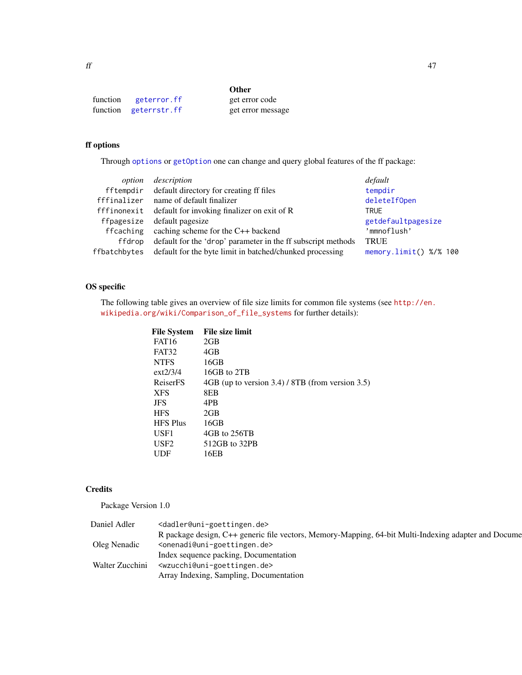| function | geterror.ff           | get error code    |
|----------|-----------------------|-------------------|
|          | function geterrstr.ff | get error message |

# ff options

Through [options](#page-0-0) or [getOption](#page-0-0) one can change and query global features of the ff package:

| option       | description                                                  | default                |
|--------------|--------------------------------------------------------------|------------------------|
|              | fftempdir default directory for creating ff files            | tempdir                |
|              | fffinalizer name of default finalizer                        | deleteIfOpen           |
|              | fffinonexit default for invoking finalizer on exit of R      | <b>TRUE</b>            |
| ffpagesize   | default pagesize                                             | getdefaultpagesize     |
| ffcaching    | caching scheme for the C++ backend                           | 'mmnoflush'            |
| ffdrop       | default for the 'drop' parameter in the ff subscript methods | <b>TRUE</b>            |
| ffbatchbytes | default for the byte limit in batched/chunked processing     | memory.limit() %/% 100 |
|              |                                                              |                        |

# OS specific

The following table gives an overview of file size limits for common file systems (see [http://en.](http://en.wikipedia.org/wiki/Comparison_of_file_systems) [wikipedia.org/wiki/Comparison\\_of\\_file\\_systems](http://en.wikipedia.org/wiki/Comparison_of_file_systems) for further details):

| <b>File System</b> | File size limit                                  |
|--------------------|--------------------------------------------------|
| <b>FAT16</b>       | 2GB                                              |
| FAT32              | 4GB                                              |
| <b>NTFS</b>        | 16GB                                             |
| $ext{2/3/4}$       | 16GB to 2TB                                      |
| ReiserFS           | 4GB (up to version 3.4) / 8TB (from version 3.5) |
| <b>XFS</b>         | 8EB                                              |
| <b>JFS</b>         | 4PB                                              |
| <b>HFS</b>         | 2GB                                              |
| <b>HFS Plus</b>    | 16GB                                             |
| USF1               | 4GB to 256TB                                     |
| US <sub>F2</sub>   | 512GB to 32PB                                    |
| UDF                | 16EB                                             |
|                    |                                                  |

# **Credits**

Package Version 1.0

| Daniel Adler    | <dadler@uni-goettingen.de></dadler@uni-goettingen.de>                                                |
|-----------------|------------------------------------------------------------------------------------------------------|
|                 | R package design, C++ generic file vectors, Memory-Mapping, 64-bit Multi-Indexing adapter and Docume |
| Oleg Nenadic    | <onenadi@uni-goettingen.de></onenadi@uni-goettingen.de>                                              |
|                 | Index sequence packing, Documentation                                                                |
| Walter Zucchini | <wzucchi@uni-goettingen.de></wzucchi@uni-goettingen.de>                                              |
|                 | Array Indexing, Sampling, Documentation                                                              |
|                 |                                                                                                      |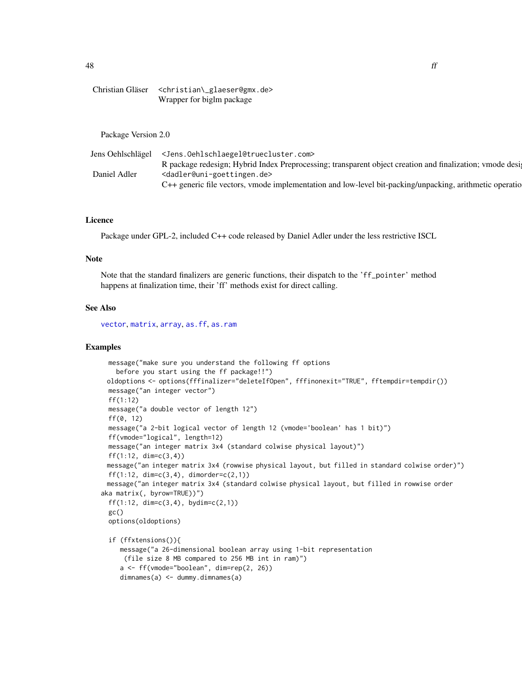48 ff

```
Christian Gläser <christian\_glaeser@gmx.de>
                Wrapper for biglm package
```
Package Version 2.0

|              | Jens Oehlschlägel <jens. oehlschlaegel@truecluster.com=""></jens.>                                              |  |
|--------------|-----------------------------------------------------------------------------------------------------------------|--|
|              | R package redesign; Hybrid Index Preprocessing; transparent object creation and finalization; vmode designation |  |
| Daniel Adler | <dadler@uni-goettingen.de></dadler@uni-goettingen.de>                                                           |  |
|              | C++ generic file vectors, vmode implementation and low-level bit-packing/unpacking, arithmetic operatio         |  |

#### Licence

Package under GPL-2, included C++ code released by Daniel Adler under the less restrictive ISCL

## Note

Note that the standard finalizers are generic functions, their dispatch to the 'ff\_pointer' method happens at finalization time, their 'ff' methods exist for direct calling.

#### See Also

[vector](#page-0-0), [matrix](#page-0-0), [array](#page-0-0), [as.ff](#page-7-0), [as.ram](#page-7-1)

```
message("make sure you understand the following ff options
   before you start using the ff package!!")
 oldoptions <- options(fffinalizer="deleteIfOpen", fffinonexit="TRUE", fftempdir=tempdir())
 message("an integer vector")
 ff(1:12)
 message("a double vector of length 12")
 ff(0, 12)
 message("a 2-bit logical vector of length 12 (vmode='boolean' has 1 bit)")
 ff(vmode="logical", length=12)
 message("an integer matrix 3x4 (standard colwise physical layout)")
 ff(1:12, dim=c(3,4))message("an integer matrix 3x4 (rowwise physical layout, but filled in standard colwise order)")
 ff(1:12, dim=c(3,4), dimorder=c(2,1))
 message("an integer matrix 3x4 (standard colwise physical layout, but filled in rowwise order
aka matrix(, byrow=TRUE))")
 ff(1:12, dim=c(3,4), bydim=c(2,1))
 gc()options(oldoptions)
 if (ffxtensions()){
    message("a 26-dimensional boolean array using 1-bit representation
     (file size 8 MB compared to 256 MB int in ram)")
    a <- ff(vmode="boolean", dim=rep(2, 26))
    dimnames(a) <- dummy.dimnames(a)
```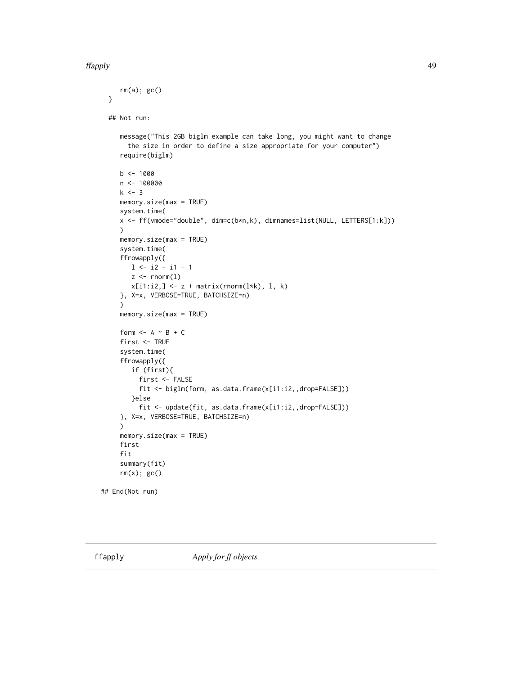#### ffapply 49

```
rm(a); gc()}
 ## Not run:
     message("This 2GB biglm example can take long, you might want to change
       the size in order to define a size appropriate for your computer")
     require(biglm)
    b \le -1000n <- 100000
    k \le -3memory.size(max = TRUE)
     system.time(
     x <- ff(vmode="double", dim=c(b*n,k), dimnames=list(NULL, LETTERS[1:k]))
     )
    memory.size(max = TRUE)
     system.time(
     ffrowapply({
       1 \leftarrow i2 - i1 + 1z \le rnorm(1)
       x[i1:i2, ] \leftarrow z + matrix(rnorm(1*k), 1, k)}, X=x, VERBOSE=TRUE, BATCHSIZE=n)
     )
     memory.size(max = TRUE)
     form <- A - B + Cfirst <- TRUE
     system.time(
     ffrowapply({
        if (first){
          first <- FALSE
          fit <- biglm(form, as.data.frame(x[i1:i2,,drop=FALSE]))
        }else
          fit <- update(fit, as.data.frame(x[i1:i2,,drop=FALSE]))
     }, X=x, VERBOSE=TRUE, BATCHSIZE=n)
     \lambdamemory.size(max = TRUE)
     first
     fit
     summary(fit)
     rm(x); gc()
## End(Not run)
```
<span id="page-48-0"></span>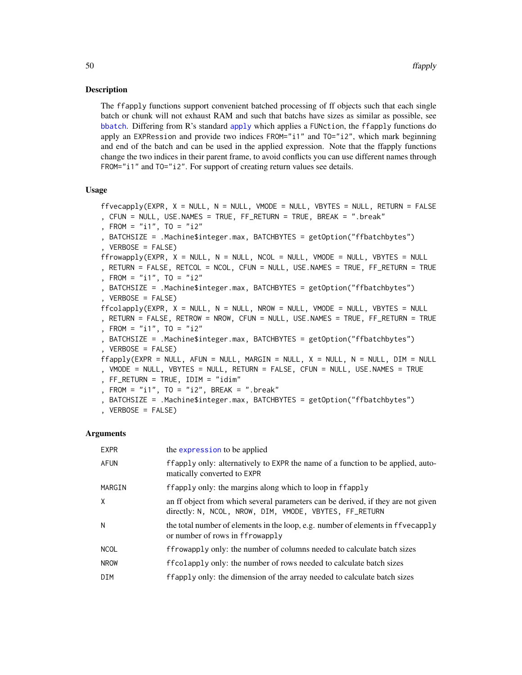#### Description

The ffapply functions support convenient batched processing of ff objects such that each single batch or chunk will not exhaust RAM and such that batchs have sizes as similar as possible, see [bbatch](#page-0-0). Differing from R's standard [apply](#page-0-0) which applies a FUNction, the ffapply functions do apply an EXPRession and provide two indices FROM="i1" and TO="i2", which mark beginning and end of the batch and can be used in the applied expression. Note that the ffapply functions change the two indices in their parent frame, to avoid conflicts you can use different names through FROM="i1" and TO="i2". For support of creating return values see details.

## Usage

ffvecapply(EXPR, X = NULL, N = NULL, VMODE = NULL, VBYTES = NULL, RETURN = FALSE , CFUN = NULL, USE.NAMES = TRUE, FF\_RETURN = TRUE, BREAK = ".break" , FROM = "i1", TO = "i2" , BATCHSIZE = .Machine\$integer.max, BATCHBYTES = getOption("ffbatchbytes") , VERBOSE = FALSE) ffrowapply(EXPR, X = NULL, N = NULL, NCOL = NULL, VMODE = NULL, VBYTES = NULL , RETURN = FALSE, RETCOL = NCOL, CFUN = NULL, USE.NAMES = TRUE, FF\_RETURN = TRUE , FROM = "i1", TO = "i2" , BATCHSIZE = .Machine\$integer.max, BATCHBYTES = getOption("ffbatchbytes") , VERBOSE = FALSE) ffcolapply(EXPR, X = NULL, N = NULL, NROW = NULL, VMODE = NULL, VBYTES = NULL , RETURN = FALSE, RETROW = NROW, CFUN = NULL, USE.NAMES = TRUE, FF\_RETURN = TRUE , FROM = "i1", TO = "i2" , BATCHSIZE = .Machine\$integer.max, BATCHBYTES = getOption("ffbatchbytes") , VERBOSE = FALSE)  $ffapply(EXPR = NULL, AFUN = NULL, MARGIN = NULL, X = NULL, N = NULL, DIM = NULL$ , VMODE = NULL, VBYTES = NULL, RETURN = FALSE, CFUN = NULL, USE.NAMES = TRUE , FF\_RETURN = TRUE, IDIM = "idim" , FROM = "i1", TO = "i2", BREAK = ".break" , BATCHSIZE = .Machine\$integer.max, BATCHBYTES = getOption("ffbatchbytes") , VERBOSE = FALSE)

#### Arguments

| <b>EXPR</b> | the expression to be applied                                                                                                               |
|-------------|--------------------------------------------------------------------------------------------------------------------------------------------|
| AFUN        | ffapply only: alternatively to EXPR the name of a function to be applied, auto-<br>matically converted to EXPR                             |
| MARGIN      | ffapply only: the margins along which to loop in ffapply                                                                                   |
| X           | an ff object from which several parameters can be derived, if they are not given<br>directly: N, NCOL, NROW, DIM, VMODE, VBYTES, FF_RETURN |
| N           | the total number of elements in the loop, e.g. number of elements in ffvecapply<br>or number of rows in ffrowapply                         |
| <b>NCOL</b> | ffrowapply only: the number of columns needed to calculate batch sizes                                                                     |
| <b>NROW</b> | ffcolapply only: the number of rows needed to calculate batch sizes                                                                        |
| DIM         | ffapply only: the dimension of the array needed to calculate batch sizes                                                                   |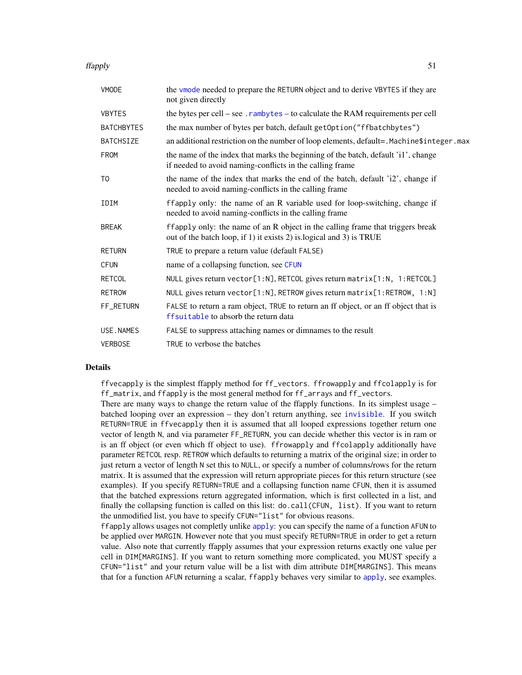#### ffapply 51

| <b>VMODE</b>      | the vmode needed to prepare the RETURN object and to derive VBYTES if they are<br>not given directly                                                  |
|-------------------|-------------------------------------------------------------------------------------------------------------------------------------------------------|
| <b>VBYTES</b>     | the bytes per cell – see . $r$ ambytes – to calculate the RAM requirements per cell                                                                   |
| <b>BATCHBYTES</b> | the max number of bytes per batch, default getOption("ffbatchbytes")                                                                                  |
| <b>BATCHSIZE</b>  | an additional restriction on the number of loop elements, default=. Machine\$integer.max                                                              |
| <b>FROM</b>       | the name of the index that marks the beginning of the batch, default 'i1', change<br>if needed to avoid naming-conflicts in the calling frame         |
| T <sub>0</sub>    | the name of the index that marks the end of the batch, default 'i2', change if<br>needed to avoid naming-conflicts in the calling frame               |
| IDIM              | ffapply only: the name of an R variable used for loop-switching, change if<br>needed to avoid naming-conflicts in the calling frame                   |
| <b>BREAK</b>      | ffapply only: the name of an R object in the calling frame that triggers break<br>out of the batch loop, if 1) it exists 2) is logical and 3) is TRUE |
| <b>RETURN</b>     | TRUE to prepare a return value (default FALSE)                                                                                                        |
| <b>CFUN</b>       | name of a collapsing function, see CFUN                                                                                                               |
| <b>RETCOL</b>     | NULL gives return vector[1:N], RETCOL gives return matrix[1:N, 1:RETCOL]                                                                              |
| <b>RETROW</b>     | NULL gives return vector[1:N], RETROW gives return matrix[1:RETROW, 1:N]                                                                              |
| FF_RETURN         | FALSE to return a ram object, TRUE to return an ff object, or an ff object that is<br>ffsuitable to absorb the return data                            |
| USE.NAMES         | FALSE to suppress attaching names or dimnames to the result                                                                                           |
| <b>VERBOSE</b>    | TRUE to verbose the batches                                                                                                                           |

# Details

ffvecapply is the simplest ffapply method for ff\_vectors. ffrowapply and ffcolapply is for ff\_matrix, and ffapply is the most general method for ff\_arrays and ff\_vectors.

There are many ways to change the return value of the ffapply functions. In its simplest usage – batched looping over an expression – they don't return anything, see [invisible](#page-0-0). If you switch RETURN=TRUE in ffvecapply then it is assumed that all looped expressions together return one vector of length N, and via parameter FF\_RETURN, you can decide whether this vector is in ram or is an ff object (or even which ff object to use). ffrowapply and ffcolapply additionally have parameter RETCOL resp. RETROW which defaults to returning a matrix of the original size; in order to just return a vector of length N set this to NULL, or specify a number of columns/rows for the return matrix. It is assumed that the expression will return appropriate pieces for this return structure (see examples). If you specify RETURN=TRUE and a collapsing function name CFUN, then it is assumed that the batched expressions return aggregated information, which is first collected in a list, and finally the collapsing function is called on this list: do.call(CFUN, list). If you want to return the unmodified list, you have to specify CFUN="list" for obvious reasons.

ff[apply](#page-0-0) allows usages not completly unlike apply: you can specify the name of a function AFUN to be applied over MARGIN. However note that you must specify RETURN=TRUE in order to get a return value. Also note that currently ffapply assumes that your expression returns exactly one value per cell in DIM[MARGINS]. If you want to return something more complicated, you MUST specify a CFUN="list" and your return value will be a list with dim attribute DIM[MARGINS]. This means that for a function AFUN returning a scalar, ffapply behaves very similar to [apply](#page-0-0), see examples.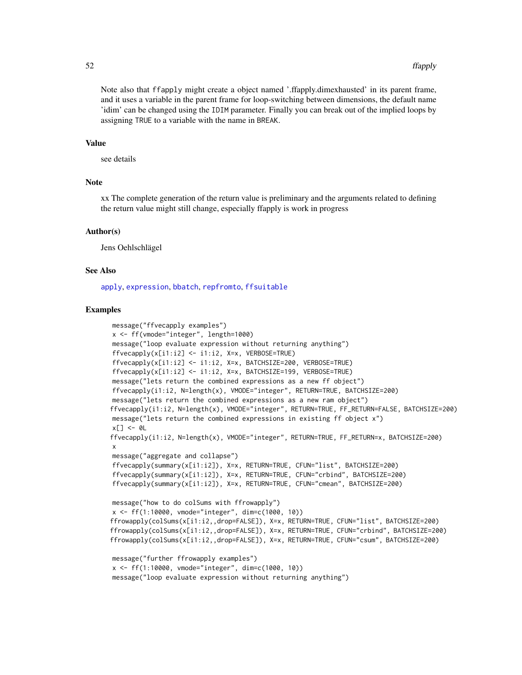Note also that ffapply might create a object named '.ffapply.dimexhausted' in its parent frame, and it uses a variable in the parent frame for loop-switching between dimensions, the default name 'idim' can be changed using the IDIM parameter. Finally you can break out of the implied loops by assigning TRUE to a variable with the name in BREAK.

#### Value

see details

#### **Note**

xx The complete generation of the return value is preliminary and the arguments related to defining the return value might still change, especially ffapply is work in progress

#### Author(s)

Jens Oehlschlägel

## See Also

[apply](#page-0-0), [expression](#page-0-0), [bbatch](#page-0-0), [repfromto](#page-0-0), [ffsuitable](#page-72-0)

```
message("ffvecapply examples")
x <- ff(vmode="integer", length=1000)
message("loop evaluate expression without returning anything")
ffvecapply(x[i1:i2] < -i1:i2, X=x, VERBOSE=Trueffvecapply(x[i1:i2] <- i1:i2, X=x, BATCHSIZE=200, VERBOSE=TRUE)
ffvecapply(x[i1:i2] <- i1:i2, X=x, BATCHSIZE=199, VERBOSE=TRUE)
message("lets return the combined expressions as a new ff object")
ffvecapply(i1:i2, N=length(x), VMODE="integer", RETURN=TRUE, BATCHSIZE=200)
message("lets return the combined expressions as a new ram object")
ffvecapply(i1:i2, N=length(x), VMODE="integer", RETURN=TRUE, FF_RETURN=FALSE, BATCHSIZE=200)
message("lets return the combined expressions in existing ff object x")
x[] \leftarrow \emptysetL
ffvecapply(i1:i2, N=length(x), VMODE="integer", RETURN=TRUE, FF_RETURN=x, BATCHSIZE=200)
x
message("aggregate and collapse")
ffvecapply(summary(x[i1:i2]), X=x, RETURN=TRUE, CFUN="list", BATCHSIZE=200)
ffvecapply(summary(x[i1:i2]), X=x, RETURN=TRUE, CFUN="crbind", BATCHSIZE=200)
ffvecapply(summary(x[i1:i2]), X=x, RETURN=TRUE, CFUN="cmean", BATCHSIZE=200)
message("how to do colSums with ffrowapply")
x <- ff(1:10000, vmode="integer", dim=c(1000, 10))
ffrowapply(colSums(x[i1:i2,,drop=FALSE]), X=x, RETURN=TRUE, CFUN="list", BATCHSIZE=200)
ffrowapply(colSums(x[i1:i2,,drop=FALSE]), X=x, RETURN=TRUE, CFUN="crbind", BATCHSIZE=200)
ffrowapply(colSums(x[i1:i2,,drop=FALSE]), X=x, RETURN=TRUE, CFUN="csum", BATCHSIZE=200)
message("further ffrowapply examples")
x <- ff(1:10000, vmode="integer", dim=c(1000, 10))
message("loop evaluate expression without returning anything")
```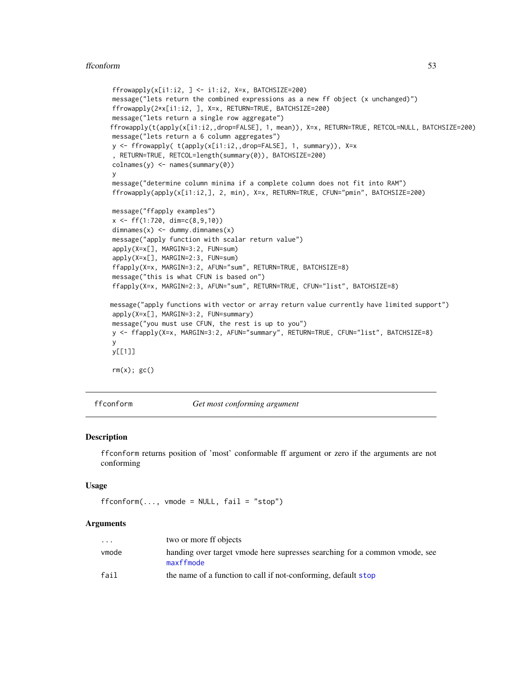#### ffconform 53

```
ffrowapply(x[i1:i2, ] \leftarrow ii1:i2, X=x, BATCHSIZE=200)message("lets return the combined expressions as a new ff object (x unchanged)")
ffrowapply(2*x[i1:i2, ], X=x, RETURN=TRUE, BATCHSIZE=200)
message("lets return a single row aggregate")
ffrowapply(t(apply(x[i1:i2,,drop=FALSE], 1, mean)), X=x, RETURN=TRUE, RETCOL=NULL, BATCHSIZE=200)
message("lets return a 6 column aggregates")
y <- ffrowapply( t(apply(x[i1:i2,,drop=FALSE], 1, summary)), X=x
, RETURN=TRUE, RETCOL=length(summary(0)), BATCHSIZE=200)
\text{colnames}(y) \leq \text{names}(\text{summary}(0))y
message("determine column minima if a complete column does not fit into RAM")
ffrowapply(apply(x[i1:i2,], 2, min), X=x, RETURN=TRUE, CFUN="pmin", BATCHSIZE=200)
message("ffapply examples")
x <- ff(1:720, dim=c(8,9,10))
dimnames(x) <- dummy.dimnames(x)
message("apply function with scalar return value")
apply(X=x[], MARGIN=3:2, FUN=sum)
apply(X=x[], MARGIN=2:3, FUN=sum)
ffapply(X=x, MARGIN=3:2, AFUN="sum", RETURN=TRUE, BATCHSIZE=8)
message("this is what CFUN is based on")
ffapply(X=x, MARGIN=2:3, AFUN="sum", RETURN=TRUE, CFUN="list", BATCHSIZE=8)
message("apply functions with vector or array return value currently have limited support")
apply(X=x[], MARGIN=3:2, FUN=summary)
message("you must use CFUN, the rest is up to you")
y <- ffapply(X=x, MARGIN=3:2, AFUN="summary", RETURN=TRUE, CFUN="list", BATCHSIZE=8)
y
y[[1]]
rm(x); gc()
```
ffconform *Get most conforming argument*

## **Description**

ffconform returns position of 'most' conformable ff argument or zero if the arguments are not conforming

#### Usage

```
fform(..., vmode = NULL, fail = "stop")
```
# Arguments

| $\cdots$ | two or more ff objects                                                                  |
|----------|-----------------------------------------------------------------------------------------|
| vmode    | handing over target ymode here supresses searching for a common ymode, see<br>maxffmode |
| fail     | the name of a function to call if not-conforming, default stop                          |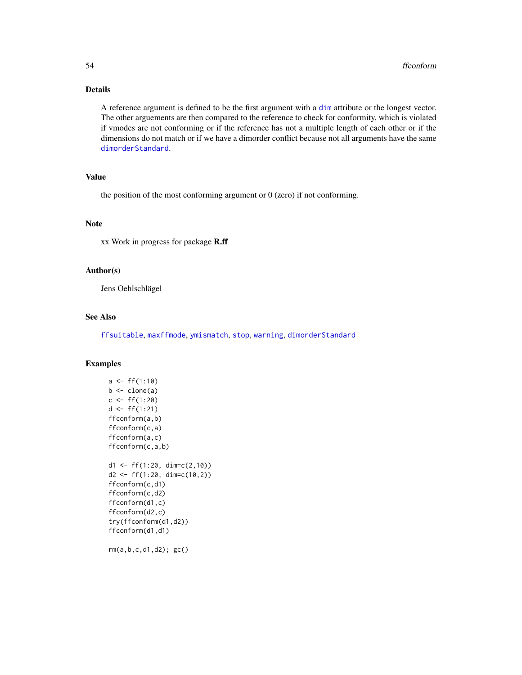# Details

A reference argument is defined to be the first argument with a [dim](#page-0-0) attribute or the longest vector. The other arguements are then compared to the reference to check for conformity, which is violated if vmodes are not conforming or if the reference has not a multiple length of each other or if the dimensions do not match or if we have a dimorder conflict because not all arguments have the same [dimorderStandard](#page-33-0).

# Value

the position of the most conforming argument or  $0$  (zero) if not conforming.

# Note

xx Work in progress for package R.ff

## Author(s)

Jens Oehlschlägel

#### See Also

[ffsuitable](#page-72-0), [maxffmode](#page-101-0), [ymismatch](#page-103-0), [stop](#page-0-0), [warning](#page-0-0), [dimorderStandard](#page-33-0)

```
a \leftarrow ff(1:10)b \leftarrow clone(a)
c < -f f(1:20)d \leftarrow ff(1:21)ffconform(a,b)
ffconform(c,a)
ffconform(a,c)
ffconform(c,a,b)
d1 <- ff(1:20, \dim=c(2,10))d2 \leq-ff(1:20, \dim=c(10,2))ffconform(c,d1)
ffconform(c,d2)
ffconform(d1,c)
ffconform(d2,c)
try(ffconform(d1,d2))
ffconform(d1,d1)
rm(a,b,c,d1,d2); gc()
```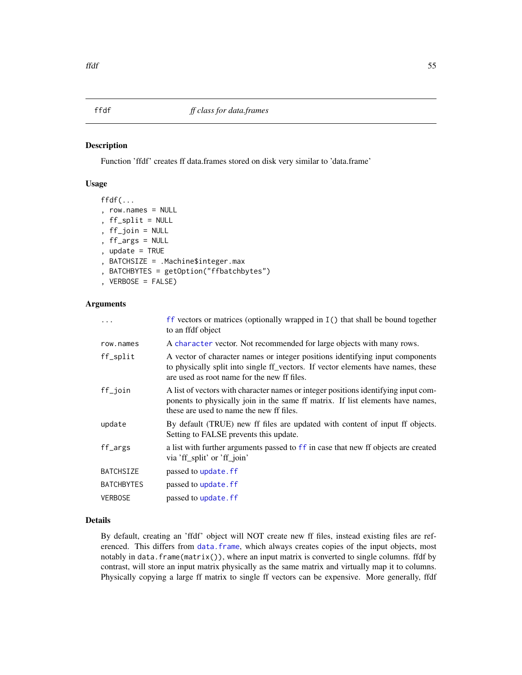#### <span id="page-54-0"></span>Description

Function 'ffdf' creates ff data.frames stored on disk very similar to 'data.frame'

## Usage

```
ffdf(...
, row.names = NULL
, ff_split = NULL
, ff_join = NULL
, ff_args = NULL
, update = TRUE
, BATCHSIZE = .Machine$integer.max
, BATCHBYTES = getOption("ffbatchbytes")
, VERBOSE = FALSE)
```
# Arguments

|                   | $\mathsf{f}\mathsf{f}$ vectors or matrices (optionally wrapped in $\mathsf{I}(\mathsf{f})$ ) that shall be bound together<br>to an ffdf object                                                                   |
|-------------------|------------------------------------------------------------------------------------------------------------------------------------------------------------------------------------------------------------------|
| row.names         | A character vector. Not recommended for large objects with many rows.                                                                                                                                            |
| ff_split          | A vector of character names or integer positions identifying input components<br>to physically split into single ff vectors. If vector elements have names, these<br>are used as root name for the new ff files. |
| ff_join           | A list of vectors with character names or integer positions identifying input com-<br>ponents to physically join in the same ff matrix. If list elements have names,<br>these are used to name the new ff files. |
| update            | By default (TRUE) new ff files are updated with content of input ff objects.<br>Setting to FALSE prevents this update.                                                                                           |
| ff_args           | a list with further arguments passed to ff in case that new ff objects are created<br>via 'ff_split' or 'ff_join'                                                                                                |
| <b>BATCHSIZE</b>  | passed to update. ff                                                                                                                                                                                             |
| <b>BATCHBYTES</b> | passed to update. ff                                                                                                                                                                                             |
| <b>VERBOSE</b>    | passed to update. ff                                                                                                                                                                                             |

# Details

By default, creating an 'ffdf' object will NOT create new ff files, instead existing files are referenced. This differs from [data.frame](#page-0-0), which always creates copies of the input objects, most notably in data.frame(matrix()), where an input matrix is converted to single columns. ffdf by contrast, will store an input matrix physically as the same matrix and virtually map it to columns. Physically copying a large ff matrix to single ff vectors can be expensive. More generally, ffdf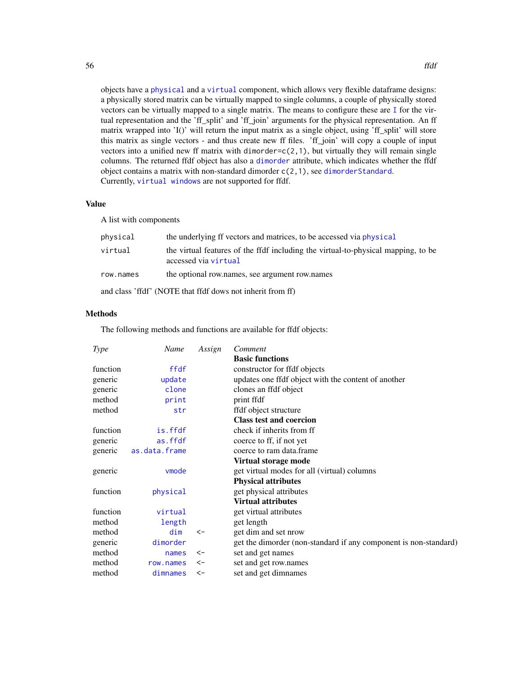objects have a [physical](#page-110-0) and a [virtual](#page-110-1) component, which allows very flexible dataframe designs: a physically stored matrix can be virtually mapped to single columns, a couple of physically stored vectors can be virtually mapped to a single matrix. The means to configure these are [I](#page-0-0) for the virtual representation and the 'ff\_split' and 'ff\_join' arguments for the physical representation. An ff matrix wrapped into 'I()' will return the input matrix as a single object, using 'ff\_split' will store this matrix as single vectors - and thus create new ff files. 'ff\_join' will copy a couple of input vectors into a unified new ff matrix with dimorder= $c(2,1)$ , but virtually they will remain single columns. The returned ffdf object has also a [dimorder](#page-29-0) attribute, which indicates whether the ffdf object contains a matrix with non-standard dimorder c(2,1), see [dimorderStandard](#page-33-0). Currently, [virtual windows](#page-154-0) are not supported for ffdf.

## Value

A list with components

| physical  | the underlying ff vectors and matrices, to be accessed via physical                                       |
|-----------|-----------------------------------------------------------------------------------------------------------|
| virtual   | the virtual features of the ffdf including the virtual-to-physical mapping, to be<br>accessed via virtual |
| row.names | the optional row, names, see argument row, names                                                          |
|           | and class 'ffdf' (NOTE that ffdf dows not inherit from ff)                                                |

# Methods

The following methods and functions are available for ffdf objects:

| <b>Type</b> | Name          | Assign       | Comment                                                          |
|-------------|---------------|--------------|------------------------------------------------------------------|
|             |               |              | <b>Basic functions</b>                                           |
| function    | ffdf          |              | constructor for ffdf objects                                     |
| generic     | update        |              | updates one ffdf object with the content of another              |
| generic     | clone         |              | clones an ffdf object                                            |
| method      | print         |              | print ffdf                                                       |
| method      | str           |              | ffdf object structure                                            |
|             |               |              | <b>Class test and coercion</b>                                   |
| function    | is.ffdf       |              | check if inherits from ff                                        |
| generic     | as.ffdf       |              | coerce to ff, if not yet                                         |
| generic     | as.data.frame |              | coerce to ram data.frame                                         |
|             |               |              | Virtual storage mode                                             |
| generic     | vmode         |              | get virtual modes for all (virtual) columns                      |
|             |               |              | <b>Physical attributes</b>                                       |
| function    | physical      |              | get physical attributes                                          |
|             |               |              | <b>Virtual attributes</b>                                        |
| function    | virtual       |              | get virtual attributes                                           |
| method      | length        |              | get length                                                       |
| method      | dim           | $\leftarrow$ | get dim and set nrow                                             |
| generic     | dimorder      |              | get the dimorder (non-standard if any component is non-standard) |
| method      | names         | <-           | set and get names                                                |
| method      | row.names     | <-           | set and get row.names                                            |
| method      | dimnames      | $\leftarrow$ | set and get dimnames                                             |
|             |               |              |                                                                  |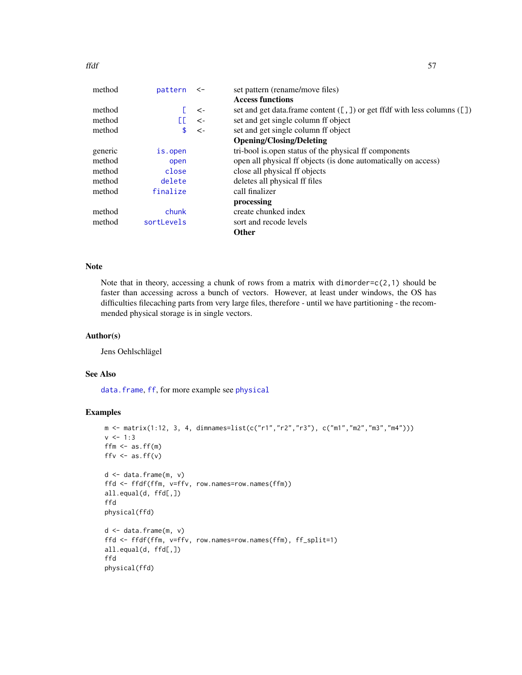#### ffdf 57

| pattern    | $\leftarrow$ | set pattern (rename/move files)                                                    |
|------------|--------------|------------------------------------------------------------------------------------|
|            |              | <b>Access functions</b>                                                            |
|            | $\leftarrow$ | set and get data.frame content $( [ , ] )$ or get ffdf with less columns $( [ ] )$ |
| FГ.        | $\leftarrow$ | set and get single column ff object                                                |
| \$         | $\leftarrow$ | set and get single column ff object                                                |
|            |              | <b>Opening/Closing/Deleting</b>                                                    |
| is.open    |              | tri-bool is open status of the physical ff components                              |
| open       |              | open all physical ff objects (is done automatically on access)                     |
| close      |              | close all physical ff objects                                                      |
| delete     |              | deletes all physical ff files                                                      |
| finalize   |              | call finalizer                                                                     |
|            |              | processing                                                                         |
| chunk      |              | create chunked index                                                               |
| sortLevels |              | sort and recode levels                                                             |
|            |              | <b>Other</b>                                                                       |
|            |              |                                                                                    |

# Note

Note that in theory, accessing a chunk of rows from a matrix with dimorder= $c(2,1)$  should be faster than accessing across a bunch of vectors. However, at least under windows, the OS has difficulties filecaching parts from very large files, therefore - until we have partitioning - the recommended physical storage is in single vectors.

## Author(s)

Jens Oehlschlägel

# See Also

[data.frame](#page-0-0), [ff](#page-40-0), for more example see [physical](#page-110-0)

```
m \leq - matrix(1:12, 3, 4, dimnames=list(c("r1","r2","r3"), c("m1","m2","m3","m4")))
v < -1:3ffm \leftarrow as.ff(m)
ffv \leftarrow as.ff(v)
d <- data.frame(m, v)
ffd <- ffdf(ffm, v=ffv, row.names=row.names(ffm))
all.equal(d, ffd[,])
ffd
physical(ffd)
d <- data.frame(m, v)
ffd <- ffdf(ffm, v=ffv, row.names=row.names(ffm), ff_split=1)
all.equal(d, ffd[,])
ffd
physical(ffd)
```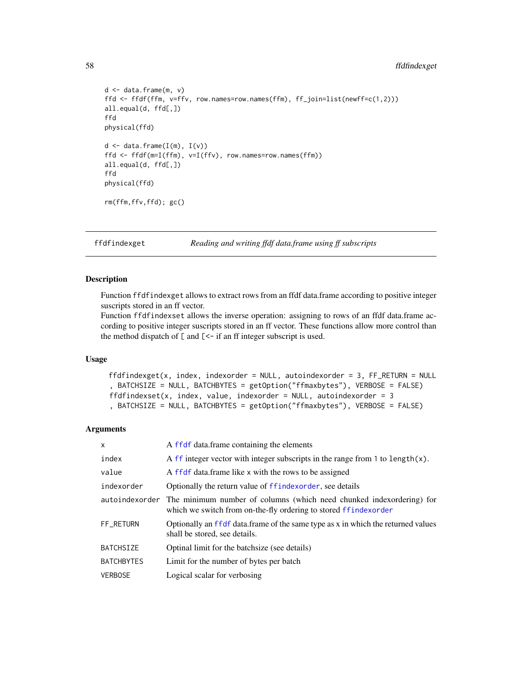# 58 ffdfindexget

```
d <- data.frame(m, v)
ffd <- ffdf(ffm, v=ffv, row.names=row.names(ffm), ff_join=list(newff=c(1,2)))
all.equal(d, ffd[,])
ffd
physical(ffd)
d \leftarrow data . frame(I(m), I(v))ffd <- ffdf(m=I(ffm), v=I(ffv), row.names=row.names(ffm))
all.equal(d, ffd[,])
ffd
physical(ffd)
rm(ffm,ffv,ffd); gc()
```
<span id="page-57-0"></span>ffdfindexget *Reading and writing ffdf data.frame using ff subscripts*

## Description

Function ffdfindexget allows to extract rows from an ffdf data.frame according to positive integer suscripts stored in an ff vector.

Function ffdfindexset allows the inverse operation: assigning to rows of an ffdf data.frame according to positive integer suscripts stored in an ff vector. These functions allow more control than the method dispatch of  $\lceil$  and  $\lceil$  < - if an ff integer subscript is used.

#### Usage

```
ffdfindexget(x, index, indexorder = NULL, autoindexorder = 3, FF_RETURN = NULL
, BATCHSIZE = NULL, BATCHBYTES = getOption("ffmaxbytes"), VERBOSE = FALSE)
ffdfindexset(x, index, value, indexorder = NULL, autoindexorder = 3, BATCHSIZE = NULL, BATCHBYTES = getOption("ffmaxbytes"), VERBOSE = FALSE)
```
## Arguments

| X                 | A ffdf data.frame containing the elements                                                                                                              |
|-------------------|--------------------------------------------------------------------------------------------------------------------------------------------------------|
| index             | A ff integer vector with integer subscripts in the range from $1$ to length $(x)$ .                                                                    |
| value             | A ffdf data.frame like x with the rows to be assigned                                                                                                  |
| indexorder        | Optionally the return value of ffindexorder, see details                                                                                               |
|                   | autoindexorder The minimum number of columns (which need chunked indexordering) for<br>which we switch from on-the-fly ordering to stored ffindexorder |
| FF RETURN         | Optionally an ffdf data.frame of the same type as x in which the returned values<br>shall be stored, see details.                                      |
| <b>BATCHSIZE</b>  | Optinal limit for the batchsize (see details)                                                                                                          |
| <b>BATCHBYTES</b> | Limit for the number of bytes per batch                                                                                                                |
| <b>VERBOSE</b>    | Logical scalar for verbosing                                                                                                                           |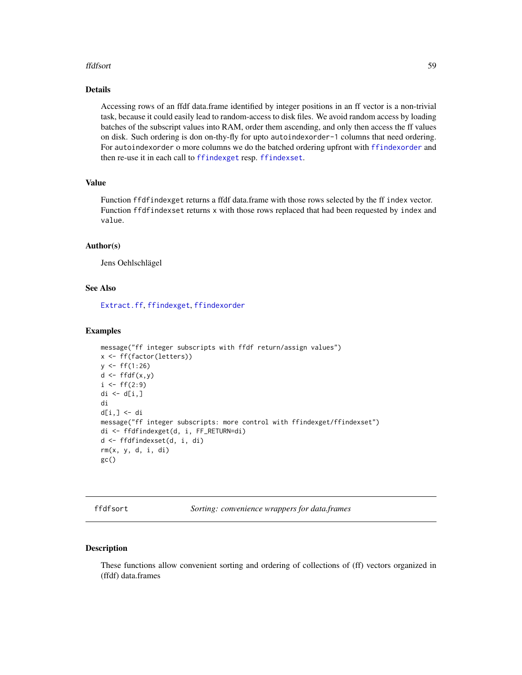#### ffdfsort 59

## Details

Accessing rows of an ffdf data.frame identified by integer positions in an ff vector is a non-trivial task, because it could easily lead to random-access to disk files. We avoid random access by loading batches of the subscript values into RAM, order them ascending, and only then access the ff values on disk. Such ordering is don on-thy-fly for upto autoindexorder-1 columns that need ordering. For autoindexorder o more columns we do the batched ordering upfront with [ffindexorder](#page-62-0) and then re-use it in each call to [ffindexget](#page-60-0) resp. [ffindexset](#page-60-1).

# Value

Function ffdfindexget returns a ffdf data.frame with those rows selected by the ff index vector. Function ffdfindexset returns x with those rows replaced that had been requested by index and value.

#### Author(s)

Jens Oehlschlägel

#### See Also

[Extract.ff](#page-35-1), [ffindexget](#page-60-0), [ffindexorder](#page-62-0)

#### Examples

```
message("ff integer subscripts with ffdf return/assign values")
x <- ff(factor(letters))
y \leftarrow ff(1:26)d \leftarrow \text{ffdf}(x, y)i \leftarrow ff(2:9)di \leftarrow d[i, ]di
d[i,] <- di
message("ff integer subscripts: more control with ffindexget/ffindexset")
di <- ffdfindexget(d, i, FF_RETURN=di)
d <- ffdfindexset(d, i, di)
rm(x, y, d, i, di)
gc()
```
<span id="page-58-1"></span>ffdfsort *Sorting: convenience wrappers for data.frames*

#### <span id="page-58-0"></span>Description

These functions allow convenient sorting and ordering of collections of (ff) vectors organized in (ffdf) data.frames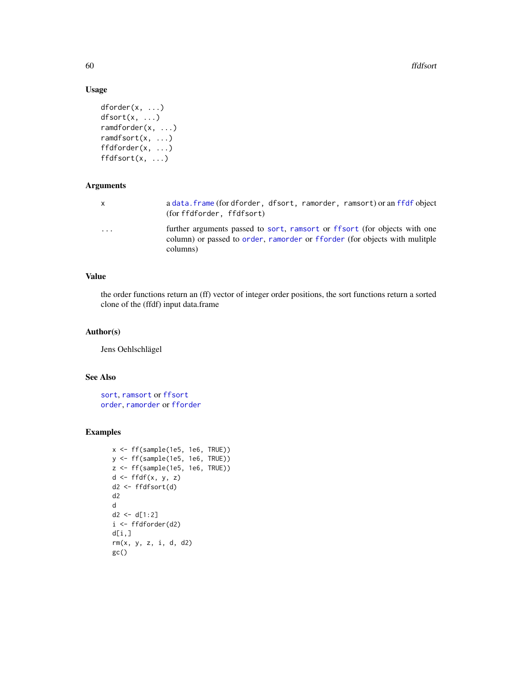60 ffdfsort

# Usage

```
dforder(x, ...)
dfsort(x, ...)
ramdforder(x, ...)
ramdfsort(x, ...)
ffdforder(x, ...)
ffdfsort(x, ...)
```
# Arguments

| x         | a data. frame (for dforder, dfsort, ramorder, ramsort) or an ffdf object<br>(for ffdforder, ffdfsort)                                                               |
|-----------|---------------------------------------------------------------------------------------------------------------------------------------------------------------------|
| $\ddotsc$ | further arguments passed to sort, ramsort or ffsort (for objects with one<br>column) or passed to order, ramorder or fforder (for objects with mulitple<br>columns) |

# Value

the order functions return an (ff) vector of integer order positions, the sort functions return a sorted clone of the (ffdf) input data.frame

# Author(s)

Jens Oehlschlägel

# See Also

[sort](#page-0-0), [ramsort](#page-0-0) or [ffsort](#page-70-0) [order](#page-0-0), [ramorder](#page-0-0) or [fforder](#page-65-0)

```
x <- ff(sample(1e5, 1e6, TRUE))
y <- ff(sample(1e5, 1e6, TRUE))
z <- ff(sample(1e5, 1e6, TRUE))
d <- ffdf(x, y, z)
d2 <- ffdfsort(d)
d2
d
d2 < -d[1:2]i <- ffdforder(d2)
d[i,]rm(x, y, z, i, d, d2)
gc()
```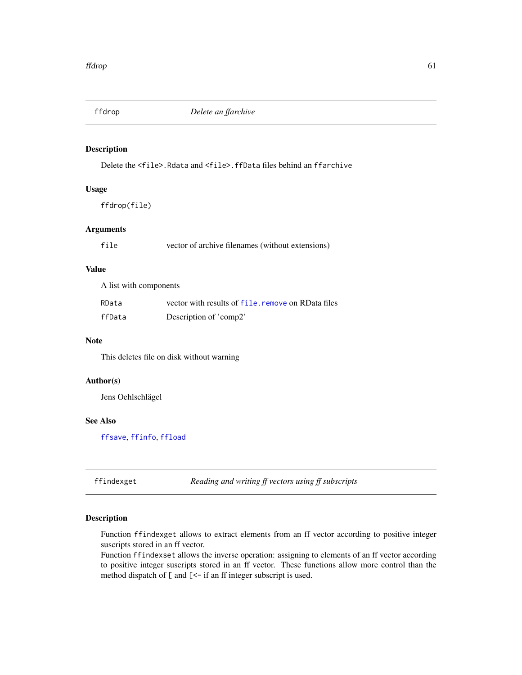<span id="page-60-2"></span>

## Description

Delete the <file>.Rdata and <file>.ffData files behind an ffarchive

# Usage

ffdrop(file)

# Arguments

| file | vector of archive filenames (without extensions) |  |
|------|--------------------------------------------------|--|
|      |                                                  |  |

# Value

A list with components

| RData  | vector with results of file, remove on RData files |
|--------|----------------------------------------------------|
| ffData | Description of 'comp2'                             |

# Note

This deletes file on disk without warning

# Author(s)

Jens Oehlschlägel

# See Also

[ffsave](#page-68-0), [ffinfo](#page-63-0), [ffload](#page-64-0)

<span id="page-60-0"></span>ffindexget *Reading and writing ff vectors using ff subscripts*

# <span id="page-60-1"></span>Description

Function ffindexget allows to extract elements from an ff vector according to positive integer suscripts stored in an ff vector.

Function ffindexset allows the inverse operation: assigning to elements of an ff vector according to positive integer suscripts stored in an ff vector. These functions allow more control than the method dispatch of [ and [<- if an ff integer subscript is used.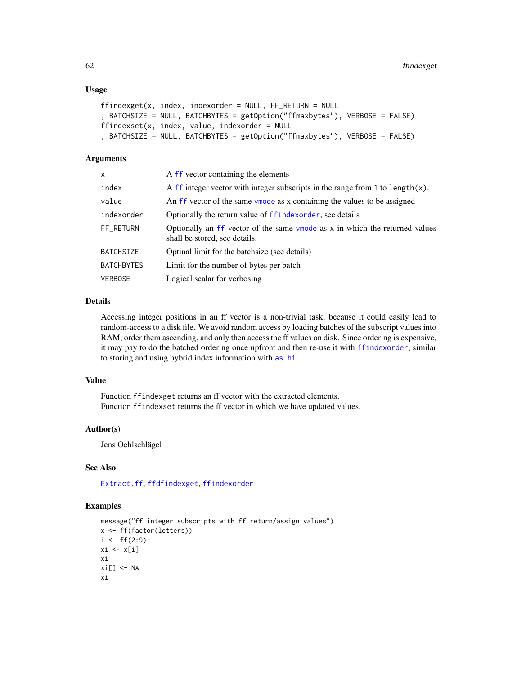## Usage

```
ffindexget(x, index, index, index) = NULL, FF\_RETURN = NULL, BATCHSIZE = NULL, BATCHBYTES = getOption("ffmaxbytes"), VERBOSE = FALSE)
ffindexset(x, index, value, indexorder = NULL
, BATCHSIZE = NULL, BATCHBYTES = getOption("ffmaxbytes"), VERBOSE = FALSE)
```
## **Arguments**

| x          | A ff vector containing the elements                                                                          |
|------------|--------------------------------------------------------------------------------------------------------------|
| index      | A ff integer vector with integer subscripts in the range from 1 to length $(x)$ .                            |
| value      | An ff vector of the same vmode as x containing the values to be assigned                                     |
| indexorder | Optionally the return value of ffindexorder, see details                                                     |
| FF_RETURN  | Optionally an ff vector of the same vmode as x in which the returned values<br>shall be stored, see details. |
| BATCHSIZE  | Optinal limit for the batchsize (see details)                                                                |
| BATCHBYTES | Limit for the number of bytes per batch                                                                      |
| VERBOSE    | Logical scalar for verbosing                                                                                 |

#### Details

Accessing integer positions in an ff vector is a non-trivial task, because it could easily lead to random-access to a disk file. We avoid random access by loading batches of the subscript values into RAM, order them ascending, and only then access the ff values on disk. Since ordering is expensive, it may pay to do the batched ordering once upfront and then re-use it with [ffindexorder](#page-62-0), similar to storing and using hybrid index information with [as.hi](#page-11-0).

#### Value

Function ffindexget returns an ff vector with the extracted elements. Function ffindexset returns the ff vector in which we have updated values.

#### Author(s)

Jens Oehlschlägel

## See Also

[Extract.ff](#page-35-1), [ffdfindexget](#page-57-0), [ffindexorder](#page-62-0)

```
message("ff integer subscripts with ff return/assign values")
x <- ff(factor(letters))
i \leftarrow ff(2:9)xi \leftarrow x[i]xi
xi[] < -NAxi
```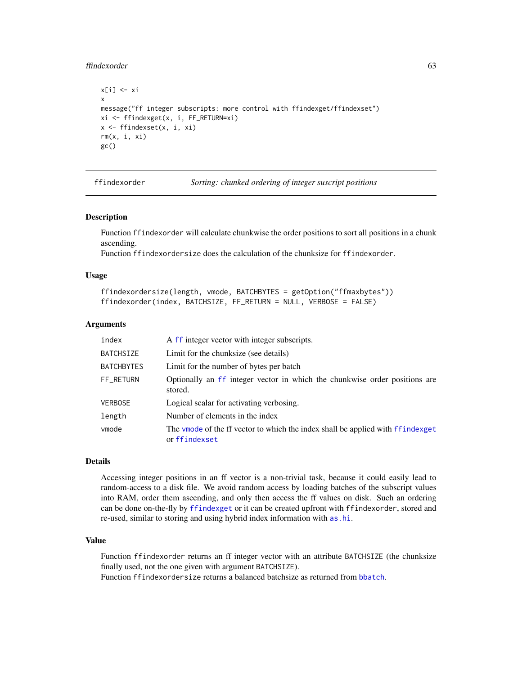#### ffindexorder 63

```
x[i] <- xi
x
message("ff integer subscripts: more control with ffindexget/ffindexset")
xi <- ffindexget(x, i, FF_RETURN=xi)
x <- ffindexset(x, i, xi)
rm(x, i, xi)
gc()
```
<span id="page-62-0"></span>

| ffindexorder | Sortin |
|--------------|--------|
|              |        |

ffindexorder *Sorting: chunked ordering of integer suscript positions*

#### Description

Function ffindexorder will calculate chunkwise the order positions to sort all positions in a chunk ascending.

Function ffindexordersize does the calculation of the chunksize for ffindexorder.

## Usage

```
ffindexordersize(length, vmode, BATCHBYTES = getOption("ffmaxbytes"))
ffindexorder(index, BATCHSIZE, FF_RETURN = NULL, VERBOSE = FALSE)
```
#### Arguments

| index             | A ff integer vector with integer subscripts.                                                    |
|-------------------|-------------------------------------------------------------------------------------------------|
| <b>BATCHSIZE</b>  | Limit for the chunksize (see details)                                                           |
| <b>BATCHBYTES</b> | Limit for the number of bytes per batch                                                         |
| FF_RETURN         | Optionally an ff integer vector in which the chunkwise order positions are<br>stored.           |
| <b>VERBOSE</b>    | Logical scalar for activating verbosing.                                                        |
| length            | Number of elements in the index                                                                 |
| vmode             | The vmode of the ff vector to which the index shall be applied with ffindexget<br>or ffindexset |

#### Details

Accessing integer positions in an ff vector is a non-trivial task, because it could easily lead to random-access to a disk file. We avoid random access by loading batches of the subscript values into RAM, order them ascending, and only then access the ff values on disk. Such an ordering can be done on-the-fly by [ffindexget](#page-60-0) or it can be created upfront with ffindexorder, stored and re-used, similar to storing and using hybrid index information with [as.hi](#page-11-0).

## Value

Function ffindexorder returns an ff integer vector with an attribute BATCHSIZE (the chunksize finally used, not the one given with argument BATCHSIZE).

Function ffindexordersize returns a balanced batchsize as returned from [bbatch](#page-0-0).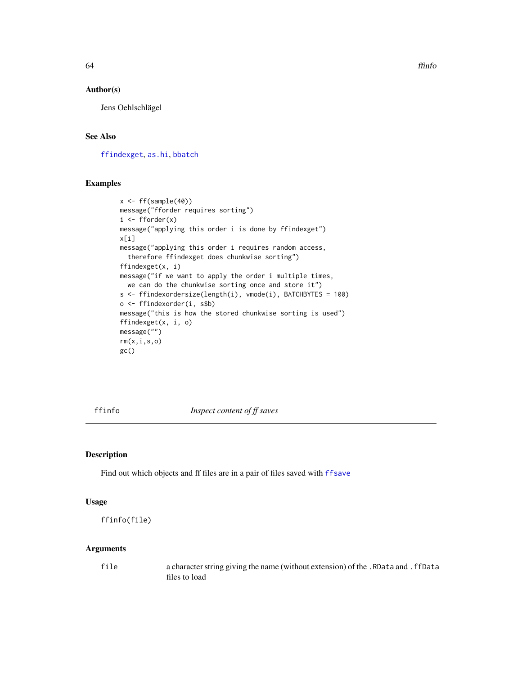## Author(s)

Jens Oehlschlägel

# See Also

[ffindexget](#page-60-0), [as.hi](#page-11-0), [bbatch](#page-0-0)

# Examples

```
x \leftarrow ff(sample(40))message("fforder requires sorting")
i \leftarrow fborder(x)message("applying this order i is done by ffindexget")
x[i]
message("applying this order i requires random access,
  therefore ffindexget does chunkwise sorting")
ffindexget(x, i)
message("if we want to apply the order i multiple times,
  we can do the chunkwise sorting once and store it")
s <- ffindexordersize(length(i), vmode(i), BATCHBYTES = 100)
o <- ffindexorder(i, s$b)
message("this is how the stored chunkwise sorting is used")
ffindexget(x, i, o)
message("")
rm(x,i,s,o)
gc()
```
<span id="page-63-0"></span>ffinfo *Inspect content of ff saves*

# Description

Find out which objects and ff files are in a pair of files saved with [ffsave](#page-68-0)

#### Usage

```
ffinfo(file)
```
# Arguments

file a character string giving the name (without extension) of the .RData and .ffData files to load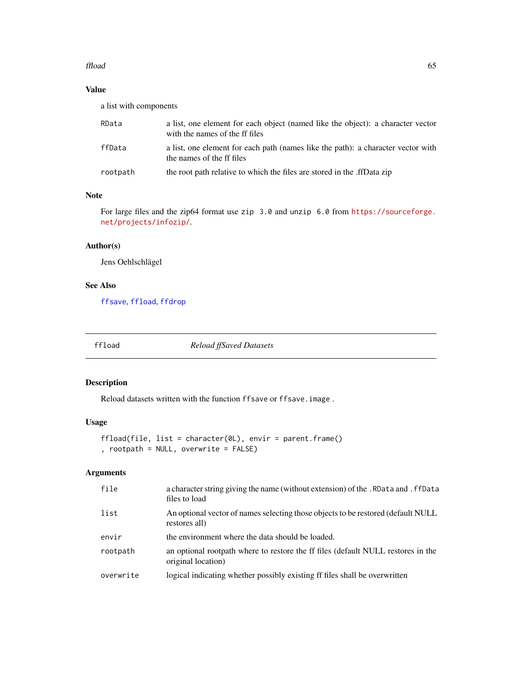#### ffload 65

# Value

a list with components

| RData    | a list, one element for each object (named like the object): a character vector<br>with the names of the ff files |
|----------|-------------------------------------------------------------------------------------------------------------------|
| ffData   | a list, one element for each path (names like the path): a character vector with<br>the names of the ff files     |
| rootpath | the root path relative to which the files are stored in the .ffData zip                                           |

# Note

For large files and the zip64 format use zip 3.0 and unzip 6.0 from [https://sourceforge.](https://sourceforge.net/projects/infozip/) [net/projects/infozip/](https://sourceforge.net/projects/infozip/).

# Author(s)

Jens Oehlschlägel

# See Also

[ffsave](#page-68-0), [ffload](#page-64-0), [ffdrop](#page-60-2)

<span id="page-64-0"></span>

ffload *Reload ffSaved Datasets*

# Description

Reload datasets written with the function ffsave or ffsave.image .

# Usage

```
ffload(file, list = character(0L), envir = parent.frame()
, rootpath = NULL, overwrite = FALSE)
```
# Arguments

| file      | a character string giving the name (without extension) of the . RData and . ffData<br>files to load    |
|-----------|--------------------------------------------------------------------------------------------------------|
| list      | An optional vector of names selecting those objects to be restored (default NULL<br>restores all)      |
| envir     | the environment where the data should be loaded.                                                       |
| rootpath  | an optional rootpath where to restore the ff files (default NULL restores in the<br>original location) |
| overwrite | logical indicating whether possibly existing ff files shall be overwritten                             |
|           |                                                                                                        |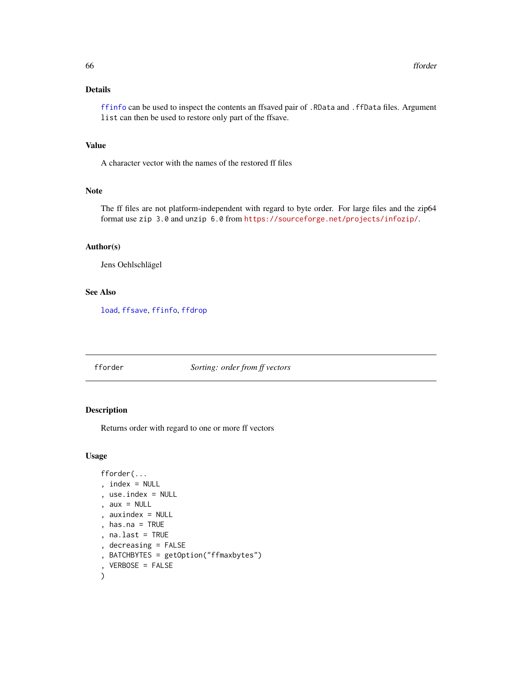# Details

[ffinfo](#page-63-0) can be used to inspect the contents an ffsaved pair of .RData and .ffData files. Argument list can then be used to restore only part of the ffsave.

# Value

A character vector with the names of the restored ff files

## Note

The ff files are not platform-independent with regard to byte order. For large files and the zip64 format use zip 3.0 and unzip 6.0 from <https://sourceforge.net/projects/infozip/>.

#### Author(s)

Jens Oehlschlägel

# See Also

[load](#page-0-0), [ffsave](#page-68-0), [ffinfo](#page-63-0), [ffdrop](#page-60-2)

<span id="page-65-0"></span>fforder *Sorting: order from ff vectors*

# Description

Returns order with regard to one or more ff vectors

# Usage

```
fforder(...
, index = NULL, use.index = NULL
, aux = NULL, auxindex = NULL
, has.na = TRUE
, na.last = TRUE
, decreasing = FALSE
, BATCHBYTES = getOption("ffmaxbytes")
, VERBOSE = FALSE
)
```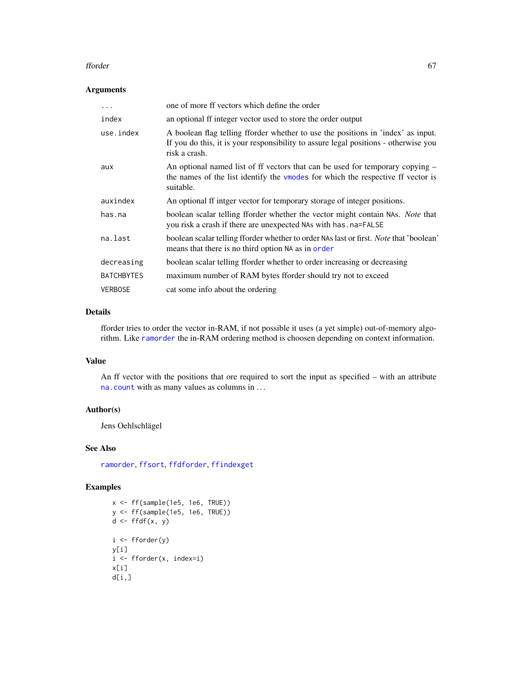#### fforder 67

# Arguments

| .                 | one of more ff vectors which define the order                                                                                                                                            |
|-------------------|------------------------------------------------------------------------------------------------------------------------------------------------------------------------------------------|
| index             | an optional ff integer vector used to store the order output                                                                                                                             |
| use.index         | A boolean flag telling fforder whether to use the positions in 'index' as input.<br>If you do this, it is your responsibility to assure legal positions - otherwise you<br>risk a crash. |
| aux               | An optional named list of ff vectors that can be used for temporary copying $-$<br>the names of the list identify the vmodes for which the respective ff vector is<br>suitable.          |
| auxindex          | An optional ff intger vector for temporary storage of integer positions.                                                                                                                 |
| has.na            | boolean scalar telling fforder whether the vector might contain NAs. Note that<br>you risk a crash if there are unexpected NAs with has . na=FALSE                                       |
| na.last           | boolean scalar telling fforder whether to order NAs last or first. Note that 'boolean'<br>means that there is no third option NA as in order                                             |
| decreasing        | boolean scalar telling fforder whether to order increasing or decreasing                                                                                                                 |
| <b>BATCHBYTES</b> | maximum number of RAM bytes fforder should try not to exceed                                                                                                                             |
| <b>VERBOSE</b>    | cat some info about the ordering                                                                                                                                                         |

# Details

fforder tries to order the vector in-RAM, if not possible it uses (a yet simple) out-of-memory algorithm. Like [ramorder](#page-0-0) the in-RAM ordering method is choosen depending on context information.

# Value

An ff vector with the positions that ore required to sort the input as specified – with an attribute [na.count](#page-104-0) with as many values as columns in . . .

#### Author(s)

Jens Oehlschlägel

# See Also

[ramorder](#page-0-0), [ffsort](#page-70-0), [ffdforder](#page-58-0), [ffindexget](#page-60-0)

```
x <- ff(sample(1e5, 1e6, TRUE))
y <- ff(sample(1e5, 1e6, TRUE))
d \leftarrow \text{ffdf}(x, y)i <- fforder(y)
y[i]
i <- fforder(x, index=i)
x[i]
d[i,]
```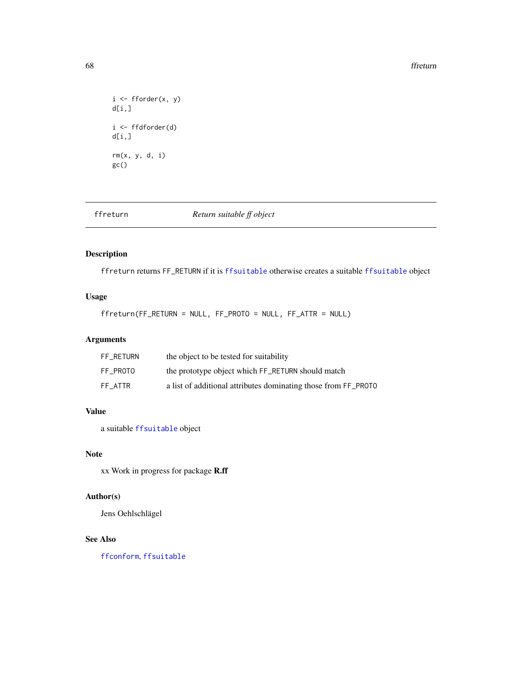#### 68 ffreturn by the control of the control of the control of the control of the control of the control of the control of the control of the control of the control of the control of the control of the control of the control

```
i \leftarrow fforder(x, y)
d[i,]i <- ffdforder(d)
d[i,]rm(x, y, d, i)
gc()
```
ffreturn *Return suitable ff object*

# Description

ffreturn returns FF\_RETURN if it is [ffsuitable](#page-72-0) otherwise creates a suitable [ffsuitable](#page-72-0) object

# Usage

ffreturn(FF\_RETURN = NULL, FF\_PROTO = NULL, FF\_ATTR = NULL)

# Arguments

| FF RETURN | the object to be tested for suitability                        |
|-----------|----------------------------------------------------------------|
| FF PROTO  | the prototype object which FF_RETURN should match              |
| FF ATTR   | a list of additional attributes dominating those from FF_PROTO |

# Value

a suitable [ffsuitable](#page-72-0) object

## Note

xx Work in progress for package R.ff

# Author(s)

Jens Oehlschlägel

# See Also

[ffconform](#page-52-0), [ffsuitable](#page-72-0)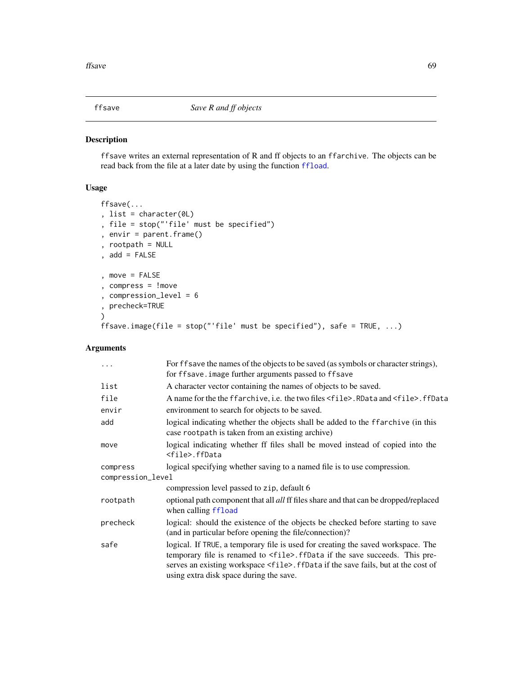<span id="page-68-0"></span>

# Description

ffsave writes an external representation of R and ff objects to an ffarchive. The objects can be read back from the file at a later date by using the function [ffload](#page-64-0).

# Usage

```
ffsave(...
, list = character(0L)
, file = stop("'file' must be specified")
, envir = parent.frame()
, rootpath = NULL
, add = FALSE
, move = FALSE
, compress = !move
, compression_level = 6
, precheck=TRUE
\lambdaffsave.image(file = stop("'file' must be specified"), safe = TRUE, ...)
```
# Arguments

| .                 | For ffsave the names of the objects to be saved (as symbols or character strings),<br>for ffsave. image further arguments passed to ffsave                                                                                                                                                                      |  |
|-------------------|-----------------------------------------------------------------------------------------------------------------------------------------------------------------------------------------------------------------------------------------------------------------------------------------------------------------|--|
| list              | A character vector containing the names of objects to be saved.                                                                                                                                                                                                                                                 |  |
| file              | A name for the the ffarchive, i.e. the two files <file>. RData and <file>. ffData</file></file>                                                                                                                                                                                                                 |  |
| envir             | environment to search for objects to be saved.                                                                                                                                                                                                                                                                  |  |
| add               | logical indicating whether the objects shall be added to the ffarchive (in this<br>case rootpath is taken from an existing archive)                                                                                                                                                                             |  |
| move              | logical indicating whether ff files shall be moved instead of copied into the<br><file>.ffData</file>                                                                                                                                                                                                           |  |
| compress          | logical specifying whether saving to a named file is to use compression.                                                                                                                                                                                                                                        |  |
| compression_level |                                                                                                                                                                                                                                                                                                                 |  |
|                   | compression level passed to zip, default 6                                                                                                                                                                                                                                                                      |  |
| rootpath          | optional path component that all <i>all</i> ff files share and that can be dropped/replaced<br>when calling ffload                                                                                                                                                                                              |  |
| precheck          | logical: should the existence of the objects be checked before starting to save<br>(and in particular before opening the file/connection)?                                                                                                                                                                      |  |
| safe              | logical. If TRUE, a temporary file is used for creating the saved workspace. The<br>temporary file is renamed to <file>. ffData if the save succeeds. This pre-<br/>serves an existing workspace <file>. ffData if the save fails, but at the cost of<br/>using extra disk space during the save.</file></file> |  |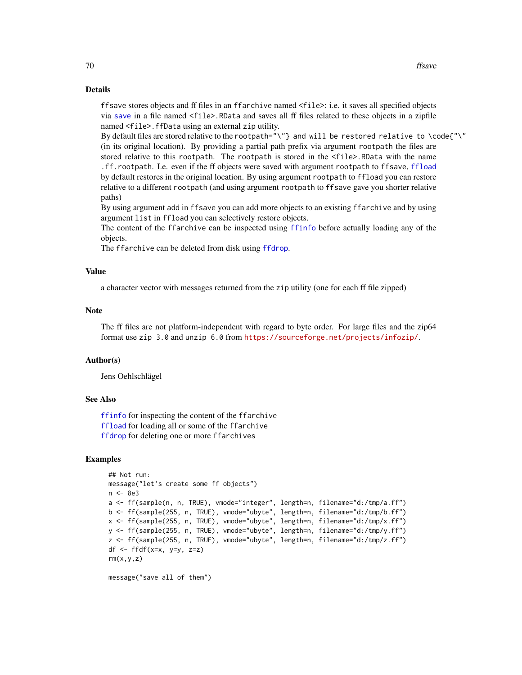# Details

ffsave stores objects and ff files in an ffarchive named <file>: i.e. it saves all specified objects via [save](#page-0-0) in a file named <file>.RData and saves all ff files related to these objects in a zipfile named <file>.ffData using an external zip utility.

By default files are stored relative to the rootpath="\"} and will be restored relative to \code{"\" (in its original location). By providing a partial path prefix via argument rootpath the files are stored relative to this rootpath. The rootpath is stored in the <file>.RData with the name .ff.rootpath. I.e. even if the ff objects were saved with argument rootpath to ffsave, [ffload](#page-64-0)

by default restores in the original location. By using argument rootpath to ffload you can restore relative to a different rootpath (and using argument rootpath to ffsave gave you shorter relative paths)

By using argument add in ffsave you can add more objects to an existing ffarchive and by using argument list in ffload you can selectively restore objects.

The content of the ffarchive can be inspected using [ffinfo](#page-63-0) before actually loading any of the objects.

The ffarchive can be deleted from disk using [ffdrop](#page-60-2).

#### Value

a character vector with messages returned from the zip utility (one for each ff file zipped)

#### **Note**

The ff files are not platform-independent with regard to byte order. For large files and the zip64 format use zip 3.0 and unzip 6.0 from <https://sourceforge.net/projects/infozip/>.

## Author(s)

Jens Oehlschlägel

# See Also

[ffinfo](#page-63-0) for inspecting the content of the ffarchive [ffload](#page-64-0) for loading all or some of the ffarchive [ffdrop](#page-60-2) for deleting one or more ffarchives

#### Examples

```
## Not run:
message("let's create some ff objects")
n <- 8e3
a <- ff(sample(n, n, TRUE), vmode="integer", length=n, filename="d:/tmp/a.ff")
b <- ff(sample(255, n, TRUE), vmode="ubyte", length=n, filename="d:/tmp/b.ff")
x <- ff(sample(255, n, TRUE), vmode="ubyte", length=n, filename="d:/tmp/x.ff")
y <- ff(sample(255, n, TRUE), vmode="ubyte", length=n, filename="d:/tmp/y.ff")
z <- ff(sample(255, n, TRUE), vmode="ubyte", length=n, filename="d:/tmp/z.ff")
df \leftarrow ffdf(x=x, y=y, z=z)rm(x,y,z)
```
message("save all of them")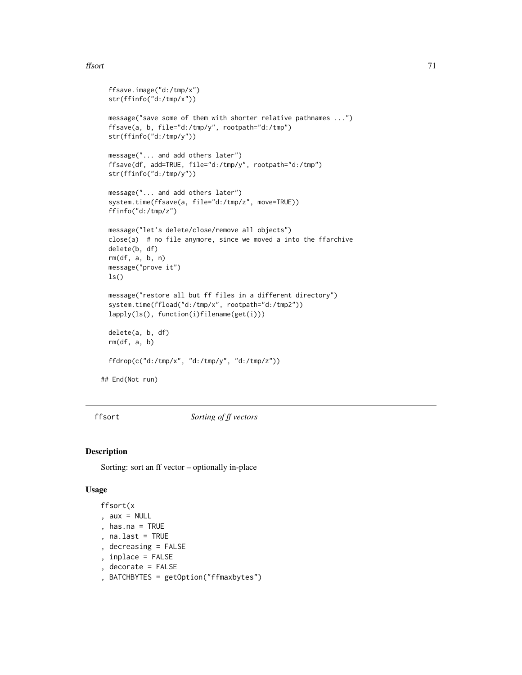#### ffsort 71

```
ffsave.image("d:/tmp/x")
 str(ffinfo("d:/tmp/x"))
 message("save some of them with shorter relative pathnames ...")
 ffsave(a, b, file="d:/tmp/y", rootpath="d:/tmp")
 str(ffinfo("d:/tmp/y"))
 message("... and add others later")
 ffsave(df, add=TRUE, file="d:/tmp/y", rootpath="d:/tmp")
 str(ffinfo("d:/tmp/y"))
 message("... and add others later")
 system.time(ffsave(a, file="d:/tmp/z", move=TRUE))
 ffinfo("d:/tmp/z")
 message("let's delete/close/remove all objects")
 close(a) # no file anymore, since we moved a into the ffarchive
 delete(b, df)
 rm(df, a, b, n)
 message("prove it")
 ls()
 message("restore all but ff files in a different directory")
 system.time(ffload("d:/tmp/x", rootpath="d:/tmp2"))
 lapply(ls(), function(i)filename(get(i)))
 delete(a, b, df)
 rm(df, a, b)
 ffdrop(c("d:/tmp/x", "d:/tmp/y", "d:/tmp/z"))
## End(Not run)
```
<span id="page-70-0"></span>ffsort *Sorting of ff vectors*

#### Description

Sorting: sort an ff vector – optionally in-place

## Usage

```
ffsort(x
, aux = NULL, has.na = TRUE
```
- , na.last = TRUE
- , decreasing = FALSE
- , inplace = FALSE
- , decorate = FALSE
- , BATCHBYTES = getOption("ffmaxbytes")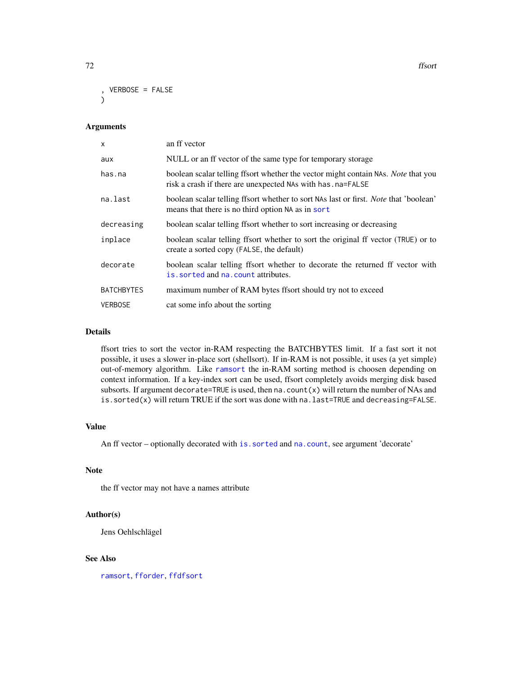The state of the state of the state of the state of the state of the state of the state of the state of the state of the state of the state of the state of the state of the state of the state of the state of the state of t

```
, VERBOSE = FALSE
\lambda
```
## Arguments

| $\mathsf{x}$      | an ff vector                                                                                                                                      |
|-------------------|---------------------------------------------------------------------------------------------------------------------------------------------------|
| aux               | NULL or an ff vector of the same type for temporary storage                                                                                       |
| has.na            | boolean scalar telling ffsort whether the vector might contain NAs. Note that you<br>risk a crash if there are unexpected NAs with has . na=FALSE |
| na.last           | boolean scalar telling ffsort whether to sort NAs last or first. <i>Note</i> that 'boolean'<br>means that there is no third option NA as in sort  |
| decreasing        | boolean scalar telling ffsort whether to sort increasing or decreasing                                                                            |
| inplace           | boolean scalar telling ffsort whether to sort the original ff vector (TRUE) or to<br>create a sorted copy (FALSE, the default)                    |
| decorate          | boolean scalar telling ffsort whether to decorate the returned ff vector with<br>is sorted and na. count attributes.                              |
| <b>BATCHBYTES</b> | maximum number of RAM bytes ffsort should try not to exceed                                                                                       |
| <b>VERBOSE</b>    | cat some info about the sorting                                                                                                                   |

## Details

ffsort tries to sort the vector in-RAM respecting the BATCHBYTES limit. If a fast sort it not possible, it uses a slower in-place sort (shellsort). If in-RAM is not possible, it uses (a yet simple) out-of-memory algorithm. Like [ramsort](#page-0-0) the in-RAM sorting method is choosen depending on context information. If a key-index sort can be used, ffsort completely avoids merging disk based subsorts. If argument decorate=TRUE is used, then na. count $(x)$  will return the number of NAs and is.sorted(x) will return TRUE if the sort was done with na.last=TRUE and decreasing=FALSE.

## Value

An ff vector – optionally decorated with [is.sorted](#page-90-0) and [na.count](#page-104-0), see argument 'decorate'

## Note

the ff vector may not have a names attribute

## Author(s)

Jens Oehlschlägel

# See Also

[ramsort](#page-0-0), [fforder](#page-65-0), [ffdfsort](#page-58-1)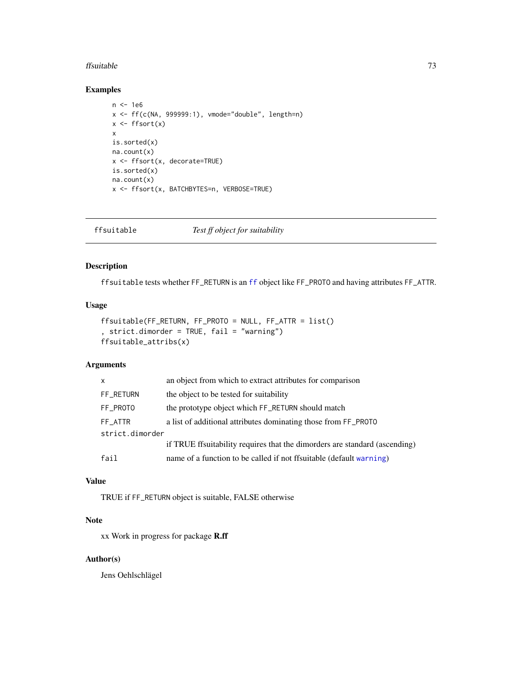#### ffsuitable 73

## Examples

```
n <- 1e6
x \leftarrow ff(c(NA, 999999:1), vmode='double', length=n)x \leftarrow ffsort(x)x
is.sorted(x)
na.count(x)
x <- ffsort(x, decorate=TRUE)
is.sorted(x)
na.count(x)
x <- ffsort(x, BATCHBYTES=n, VERBOSE=TRUE)
```
ffsuitable *Test ff object for suitability*

# Description

ffsuitable tests whether FF\_RETURN is an [ff](#page-40-0) object like FF\_PROTO and having attributes FF\_ATTR.

# Usage

```
ffsuitable(FF_RETURN, FF_PROTO = NULL, FF_ATTR = list()
, strict.dimorder = TRUE, fail = "warning")
ffsuitable_attribs(x)
```
# Arguments

| $\mathsf{x}$    | an object from which to extract attributes for comparison                  |  |
|-----------------|----------------------------------------------------------------------------|--|
| FF_RETURN       | the object to be tested for suitability                                    |  |
| FF_PROTO        | the prototype object which FF_RETURN should match                          |  |
| FF ATTR         | a list of additional attributes dominating those from FF_PROTO             |  |
| strict.dimorder |                                                                            |  |
|                 | if TRUE ffsuitability requires that the dimorders are standard (ascending) |  |
| fail            | name of a function to be called if not ffsuitable (default warning)        |  |
|                 |                                                                            |  |

## Value

TRUE if FF\_RETURN object is suitable, FALSE otherwise

# Note

xx Work in progress for package R.ff

#### Author(s)

Jens Oehlschlägel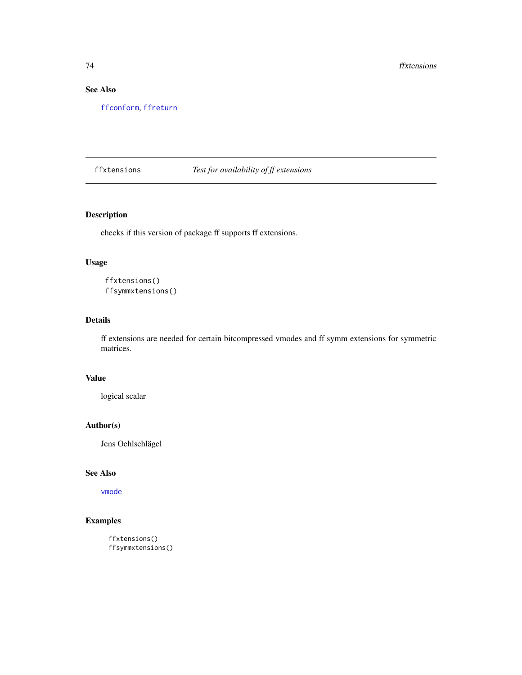# See Also

[ffconform](#page-52-0), [ffreturn](#page-67-0)

# ffxtensions *Test for availability of ff extensions*

# Description

checks if this version of package ff supports ff extensions.

# Usage

ffxtensions() ffsymmxtensions()

# Details

ff extensions are needed for certain bitcompressed vmodes and ff symm extensions for symmetric matrices.

#### Value

logical scalar

# Author(s)

Jens Oehlschlägel

# See Also

[vmode](#page-150-0)

# Examples

ffxtensions() ffsymmxtensions()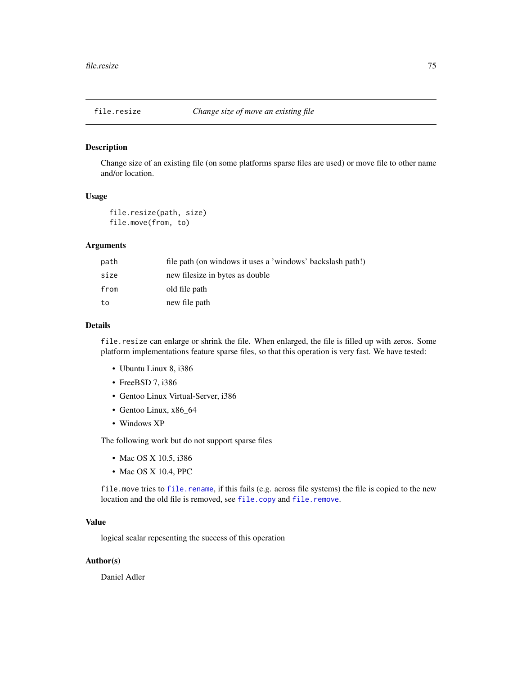<span id="page-74-1"></span><span id="page-74-0"></span>Change size of an existing file (on some platforms sparse files are used) or move file to other name and/or location.

## Usage

file.resize(path, size) file.move(from, to)

#### Arguments

| path | file path (on windows it uses a 'windows' backslash path!) |
|------|------------------------------------------------------------|
| size | new filesize in bytes as double                            |
| from | old file path                                              |
| to   | new file path                                              |

## Details

file.resize can enlarge or shrink the file. When enlarged, the file is filled up with zeros. Some platform implementations feature sparse files, so that this operation is very fast. We have tested:

- Ubuntu Linux 8, i386
- FreeBSD 7, i386
- Gentoo Linux Virtual-Server, i386
- Gentoo Linux, x86\_64
- Windows XP

The following work but do not support sparse files

- Mac OS X 10.5, i386
- Mac OS X 10.4, PPC

file.move tries to [file.rename](#page-0-0), if this fails (e.g. across file systems) the file is copied to the new location and the old file is removed, see [file.copy](#page-0-0) and [file.remove](#page-0-0).

#### Value

logical scalar repesenting the success of this operation

## Author(s)

Daniel Adler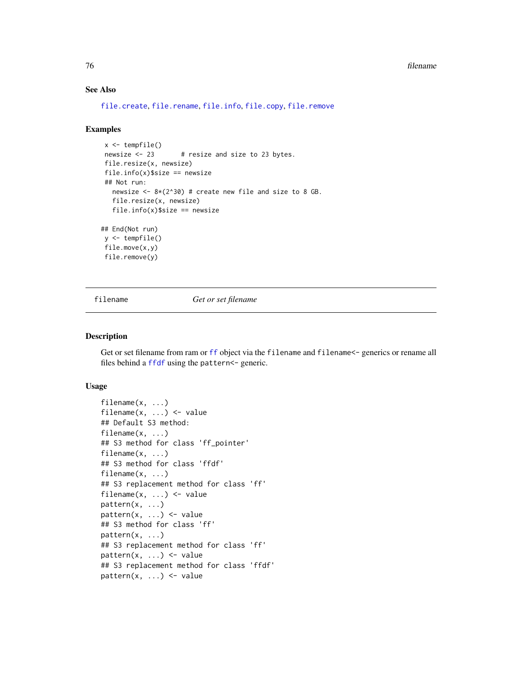# See Also

```
file.create, file.rename, file.info, file.copy, file.remove
```
#### Examples

```
x <- tempfile()
newsize <- 23 # resize and size to 23 bytes.
file.resize(x, newsize)
file.info(x)$size == newsize
## Not run:
  newsize \leq -8*(2^{\wedge}30) # create new file and size to 8 GB.
  file.resize(x, newsize)
  file.info(x)$size == newsize
## End(Not run)
```
y <- tempfile() file.move(x,y) file.remove(y)

filename *Get or set filename*

#### Description

Get or set filename from ram or [ff](#page-40-0) object via the filename and filename <- generics or rename all files behind a [ffdf](#page-54-0) using the pattern<- generic.

## Usage

```
filename(x, \ldots)filename(x, \ldots) <- value
## Default S3 method:
filename(x, ...)
## S3 method for class 'ff_pointer'
filename(x, ...)
## S3 method for class 'ffdf'
filename(x, ...)
## S3 replacement method for class 'ff'
filename(x, \ldots) <- value
pattern(x, ...)
pattern(x, ...) \leftarrow value## S3 method for class 'ff'
pattern(x, ...)
## S3 replacement method for class 'ff'
pattern(x, \ldots) \leq value## S3 replacement method for class 'ffdf'
pattern(x, ...) <- value
```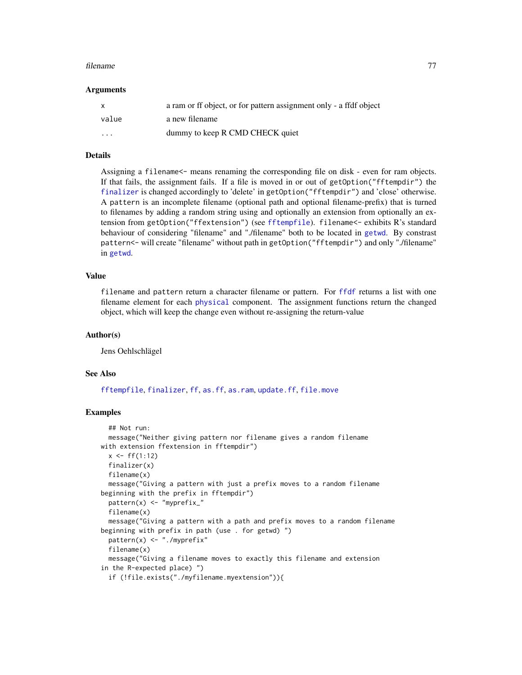#### filename 77

#### Arguments

| X                       | a ram or ff object, or for pattern assignment only - a ffdf object |
|-------------------------|--------------------------------------------------------------------|
| value                   | a new filename                                                     |
| $\cdot$ $\cdot$ $\cdot$ | dummy to keep R CMD CHECK quiet                                    |

#### Details

Assigning a filename<- means renaming the corresponding file on disk - even for ram objects. If that fails, the assignment fails. If a file is moved in or out of getOption("fftempdir") the [finalizer](#page-78-0) is changed accordingly to 'delete' in getOption("fftempdir") and 'close' otherwise. A pattern is an incomplete filename (optional path and optional filename-prefix) that is turned to filenames by adding a random string using and optionally an extension from optionally an extension from getOption("ffextension") (see [fftempfile](#page-135-0)). filename<- exhibits R's standard behaviour of considering "filename" and "./filename" both to be located in [getwd](#page-0-0). By constrast pattern<- will create "filename" without path in getOption("fftempdir") and only "./filename" in [getwd](#page-0-0).

## Value

filename and pattern return a character filename or pattern. For [ffdf](#page-54-0) returns a list with one filename element for each [physical](#page-110-0) component. The assignment functions return the changed object, which will keep the change even without re-assigning the return-value

#### Author(s)

Jens Oehlschlägel

#### See Also

[fftempfile](#page-135-0), [finalizer](#page-78-0), [ff](#page-40-0), [as.ff](#page-7-0), [as.ram](#page-7-1), [update.ff](#page-144-0), [file.move](#page-74-0)

## Examples

```
## Not run:
 message("Neither giving pattern nor filename gives a random filename
with extension ffextension in fftempdir")
 x \leq-ff(1:12)finalizer(x)
 filename(x)
 message("Giving a pattern with just a prefix moves to a random filename
beginning with the prefix in fftempdir")
 pattern(x) <- "myprefix_"
 filename(x)
 message("Giving a pattern with a path and prefix moves to a random filename
beginning with prefix in path (use . for getwd) ")
 pattern(x) <- "./myprefix"
 filename(x)
 message("Giving a filename moves to exactly this filename and extension
in the R-expected place) ")
 if (!file.exists("./myfilename.myextension")){
```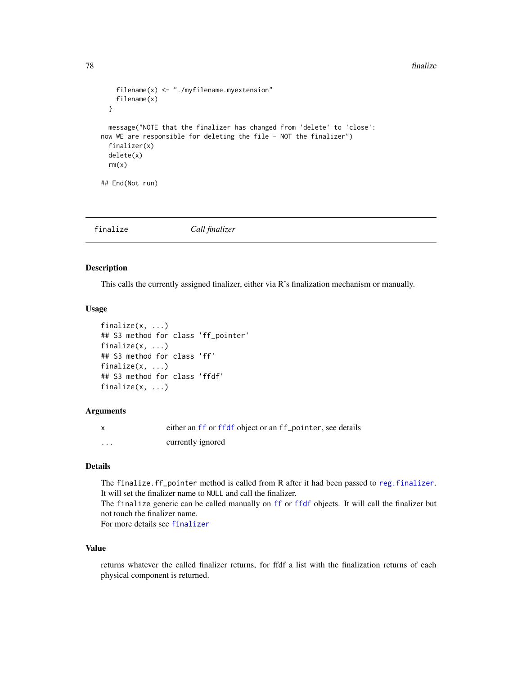```
filename(x) <- "./myfilename.myextension"
    filename(x)
 }
 message("NOTE that the finalizer has changed from 'delete' to 'close':
now WE are responsible for deleting the file - NOT the finalizer")
 finalizer(x)
 delete(x)
 rm(x)## End(Not run)
```
<span id="page-77-1"></span>finalize *Call finalizer*

#### <span id="page-77-0"></span>Description

This calls the currently assigned finalizer, either via R's finalization mechanism or manually.

# Usage

```
finalize(x, ...)
## S3 method for class 'ff_pointer'
finalize(x, ...)
## S3 method for class 'ff'
finalize(x, ...)
## S3 method for class 'ffdf'
finalize(x, ...)
```
#### **Arguments**

|   | either an ff or ffdf object or an ff_pointer, see details |
|---|-----------------------------------------------------------|
| . | currently ignored                                         |

## Details

The finalize.ff\_pointer method is called from R after it had been passed to [reg.finalizer](#page-0-0). It will set the finalizer name to NULL and call the finalizer. The finalize generic can be called manually on [ff](#page-40-0) or [ffdf](#page-54-0) objects. It will call the finalizer but not touch the finalizer name.

For more details see [finalizer](#page-78-0)

# Value

returns whatever the called finalizer returns, for ffdf a list with the finalization returns of each physical component is returned.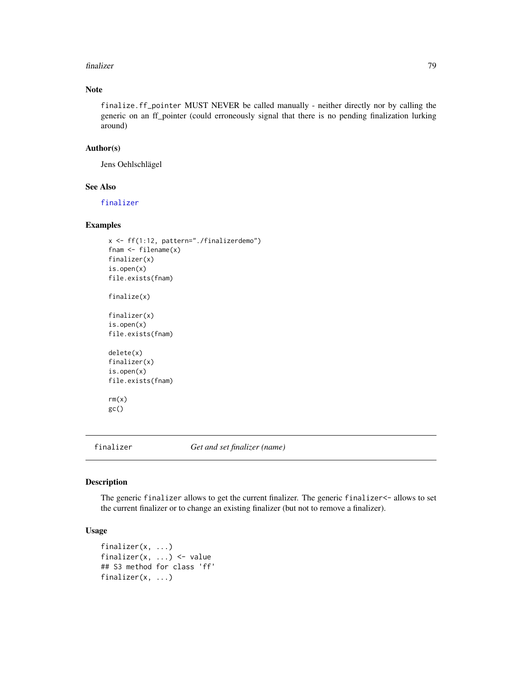#### finalizer 79

# Note

finalize.ff\_pointer MUST NEVER be called manually - neither directly nor by calling the generic on an ff\_pointer (could erroneously signal that there is no pending finalization lurking around)

#### Author(s)

Jens Oehlschlägel

## See Also

[finalizer](#page-78-0)

# Examples

```
x <- ff(1:12, pattern="./finalizerdemo")
fnam <- filename(x)
finalizer(x)
is.open(x)
file.exists(fnam)
finalize(x)
finalizer(x)
is.open(x)
file.exists(fnam)
delete(x)
finalizer(x)
is.open(x)
file.exists(fnam)
rm(x)
gc()
```
<span id="page-78-0"></span>

finalizer *Get and set finalizer (name)*

#### Description

The generic finalizer allows to get the current finalizer. The generic finalizer<- allows to set the current finalizer or to change an existing finalizer (but not to remove a finalizer).

## Usage

```
finalizer(x, ...)
finalizer(x, ...) <- value
## S3 method for class 'ff'
finalizer(x, ...)
```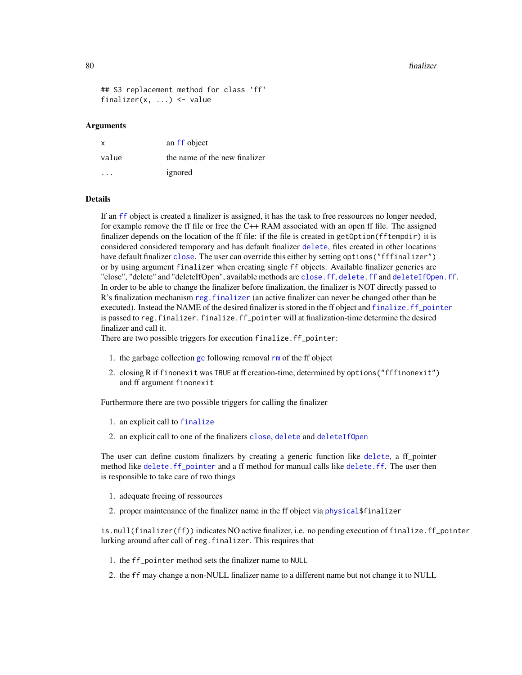#### 80 finalizer

```
## S3 replacement method for class 'ff'
finalizer(x, ...) <- value
```
#### Arguments

| x     | an ff object                  |
|-------|-------------------------------|
| value | the name of the new finalizer |
| .     | ignored                       |

#### Details

If an [ff](#page-40-0) object is created a finalizer is assigned, it has the task to free ressources no longer needed, for example remove the ff file or free the C++ RAM associated with an open ff file. The assigned finalizer depends on the location of the ff file: if the file is created in getOption(fftempdir) it is considered considered temporary and has default finalizer [delete](#page-27-0), files created in other locations have default finalizer [close](#page-0-0). The user can override this either by setting options("fffinalizer") or by using argument finalizer when creating single ff objects. Available finalizer generics are "close", "delete" and "deleteIfOpen", available methods are [close.ff](#page-26-0), [delete.ff](#page-27-1) and [deleteIfOpen.ff](#page-27-1). In order to be able to change the finalizer before finalization, the finalizer is NOT directly passed to R's finalization mechanism [reg.finalizer](#page-0-0) (an active finalizer can never be changed other than be executed). Instead the NAME of the desired finalizer is stored in the ff object and [finalize.ff\\_pointer](#page-77-0) is passed to reg.finalizer.finalize.ff\_pointer will at finalization-time determine the desired finalizer and call it.

There are two possible triggers for execution finalize.ff\_pointer:

- 1. the garbage collection  $gc$  following removal  $rm$  of the ff object
- 2. closing R if finonexit was TRUE at ff creation-time, determined by options("fffinonexit") and ff argument finonexit

Furthermore there are two possible triggers for calling the finalizer

- 1. an explicit call to [finalize](#page-77-1)
- 2. an explicit call to one of the finalizers [close](#page-0-0), [delete](#page-27-0) and [deleteIfOpen](#page-27-1)

The user can define custom finalizers by creating a generic function like [delete](#page-27-0), a ff pointer method like [delete.ff\\_pointer](#page-27-1) and a ff method for manual calls like [delete.ff](#page-27-1). The user then is responsible to take care of two things

- 1. adequate freeing of ressources
- 2. proper maintenance of the finalizer name in the ff object via physical \$finalizer

is.null(finalizer(ff)) indicates NO active finalizer, i.e. no pending execution of finalize.ff\_pointer lurking around after call of reg.finalizer. This requires that

- 1. the ff\_pointer method sets the finalizer name to NULL
- 2. the ff may change a non-NULL finalizer name to a different name but not change it to NULL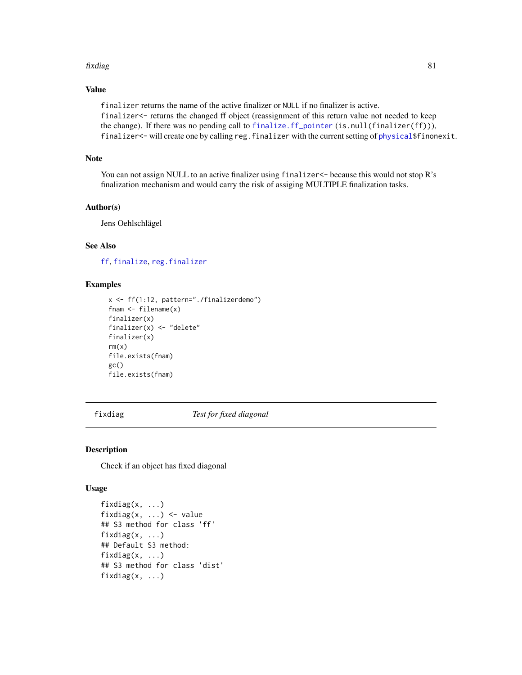#### fixdiag 81

# Value

finalizer returns the name of the active finalizer or NULL if no finalizer is active. finalizer<- returns the changed ff object (reassignment of this return value not needed to keep the change). If there was no pending call to [finalize.ff\\_pointer](#page-77-0) (is.null(finalizer(ff))), finalizer<- will create one by calling reg.finalizer with the current setting of [physical\\$](#page-109-0)finonexit.

## Note

You can not assign NULL to an active finalizer using finalizer  $\le$  because this would not stop R's finalization mechanism and would carry the risk of assiging MULTIPLE finalization tasks.

# Author(s)

Jens Oehlschlägel

#### See Also

[ff](#page-40-0), [finalize](#page-77-1), [reg.finalizer](#page-0-0)

## Examples

```
x <- ff(1:12, pattern="./finalizerdemo")
fnam <- filename(x)
finalizer(x)
finalizer(x) <- "delete"
finalizer(x)
rm(x)file.exists(fnam)
gc()
file.exists(fnam)
```
<span id="page-80-0"></span>fixdiag *Test for fixed diagonal*

#### Description

Check if an object has fixed diagonal

#### Usage

```
fixdiag(x, ...)
fixdiag(x, \ldots) <- value
## S3 method for class 'ff'
fixdiag(x, ...)
## Default S3 method:
fixdiag(x, \ldots)## S3 method for class 'dist'
fixdiag(x, \ldots)
```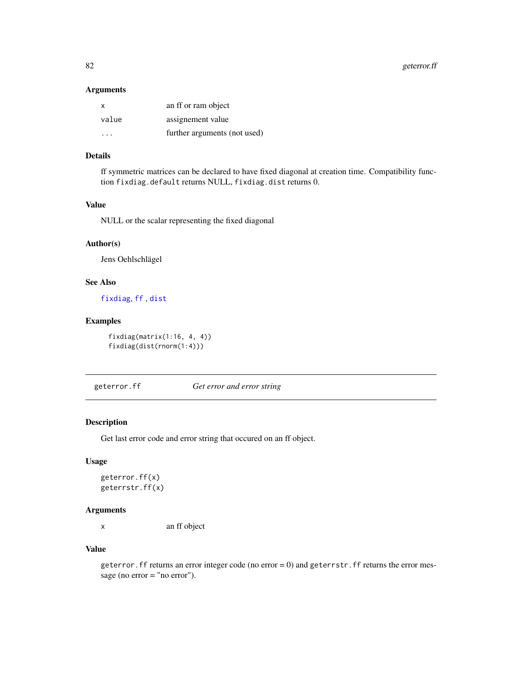82 geterror.ff

#### Arguments

| $\mathsf{x}$ | an ff or ram object          |
|--------------|------------------------------|
| value        | assignement value            |
| .            | further arguments (not used) |

## Details

ff symmetric matrices can be declared to have fixed diagonal at creation time. Compatibility function fixdiag.default returns NULL, fixdiag.dist returns 0.

## Value

NULL or the scalar representing the fixed diagonal

# Author(s)

Jens Oehlschlägel

## See Also

[fixdiag](#page-80-0), [ff](#page-40-0) , [dist](#page-0-0)

# Examples

fixdiag(matrix(1:16, 4, 4)) fixdiag(dist(rnorm(1:4)))

geterror.ff *Get error and error string*

#### Description

Get last error code and error string that occured on an ff object.

#### Usage

```
geterror.ff(x)
geterrstr.ff(x)
```
## Arguments

x an ff object

# Value

geterror. ff returns an error integer code (no error  $= 0$ ) and geterrstr. ff returns the error message (no error = "no error").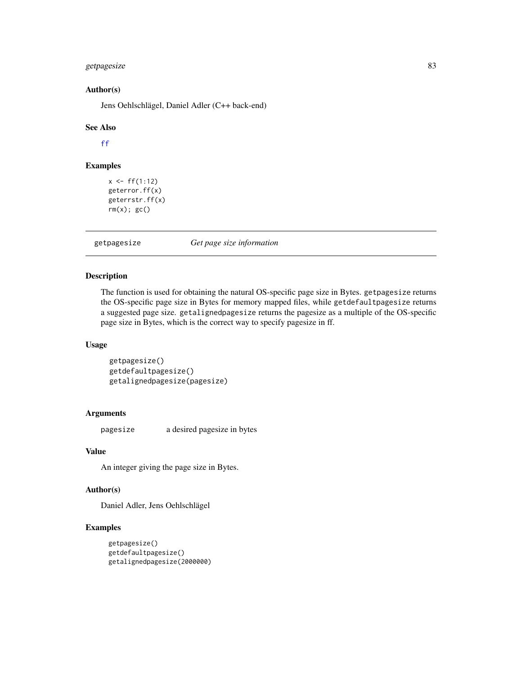# getpagesize 83

#### Author(s)

Jens Oehlschlägel, Daniel Adler (C++ back-end)

#### See Also

[ff](#page-40-0)

# Examples

```
x < - f f(1:12)geterror.ff(x)
geterrstr.ff(x)
rm(x); gc()
```
getpagesize *Get page size information*

# <span id="page-82-0"></span>Description

The function is used for obtaining the natural OS-specific page size in Bytes. getpagesize returns the OS-specific page size in Bytes for memory mapped files, while getdefaultpagesize returns a suggested page size. getalignedpagesize returns the pagesize as a multiple of the OS-specific page size in Bytes, which is the correct way to specify pagesize in ff.

## Usage

```
getpagesize()
getdefaultpagesize()
getalignedpagesize(pagesize)
```
## Arguments

pagesize a desired pagesize in bytes

#### Value

An integer giving the page size in Bytes.

# Author(s)

Daniel Adler, Jens Oehlschlägel

# Examples

```
getpagesize()
getdefaultpagesize()
getalignedpagesize(2000000)
```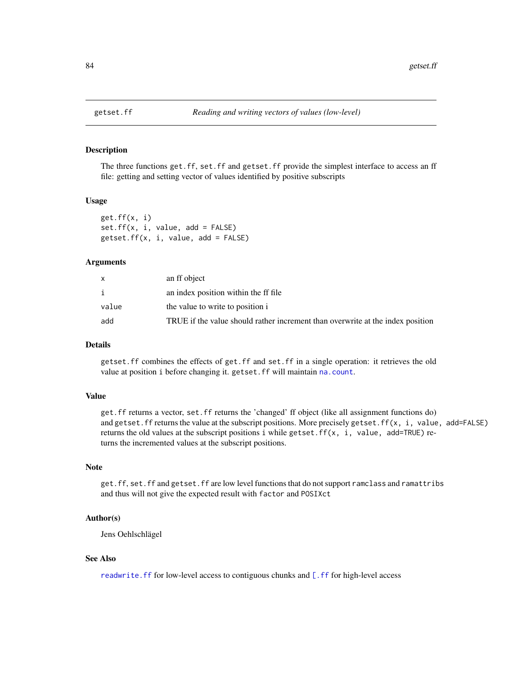<span id="page-83-1"></span><span id="page-83-0"></span>

The three functions get.ff, set.ff and getset.ff provide the simplest interface to access an ff file: getting and setting vector of values identified by positive subscripts

#### Usage

get.ff(x, i)  $set.ff(x, i, value, add = FALSE)$  $gets.ff(x, i, value, add = FALSE)$ 

## Arguments

|       | an ff object                                                                   |
|-------|--------------------------------------------------------------------------------|
|       | an index position within the ff file.                                          |
| value | the value to write to position i                                               |
| add   | TRUE if the value should rather increment than overwrite at the index position |

# **Details**

getset.ff combines the effects of get.ff and set.ff in a single operation: it retrieves the old value at position i before changing it. getset.ff will maintain [na.count](#page-104-0).

#### Value

get.ff returns a vector, set.ff returns the 'changed' ff object (like all assignment functions do) and getset.ff returns the value at the subscript positions. More precisely getset.ff(x, i, value, add=FALSE) returns the old values at the subscript positions i while getset.ff(x, i, value, add=TRUE) returns the incremented values at the subscript positions.

#### Note

get.ff, set.ff and getset.ff are low level functions that do not support ramclass and ramattribs and thus will not give the expected result with factor and POSIXct

## Author(s)

Jens Oehlschlägel

## See Also

[readwrite.ff](#page-125-0) for low-level access to contiguous chunks and [\[.ff](#page-35-0) for high-level access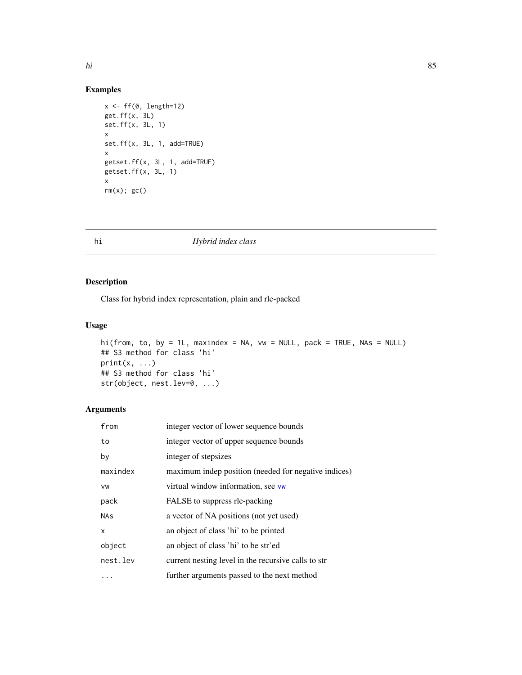# Examples

```
x <- ff(0, length=12)
get.ff(x, 3L)
set.ff(x, 3L, 1)
x
set.ff(x, 3L, 1, add=TRUE)
x
getset.ff(x, 3L, 1, add=TRUE)
getset.ff(x, 3L, 1)
x
rm(x); gc()
```
# <span id="page-84-0"></span>hi *Hybrid index class*

## Description

Class for hybrid index representation, plain and rle-packed

# Usage

```
hi(from, to, by = 1L, maxindex = NA, vw = NULL, pack = TRUE, NAs = NULL)
## S3 method for class 'hi'
print(x, \ldots)## S3 method for class 'hi'
str(object, nest.lev=0, ...)
```
# Arguments

| from                      | integer vector of lower sequence bounds              |
|---------------------------|------------------------------------------------------|
| to                        | integer vector of upper sequence bounds              |
| by                        | integer of stepsizes                                 |
| maxindex                  | maximum indep position (needed for negative indices) |
| VW                        | virtual window information, see vw                   |
| pack                      | FALSE to suppress rle-packing                        |
| <b>NAs</b>                | a vector of NA positions (not yet used)              |
| $\boldsymbol{\mathsf{x}}$ | an object of class 'hi' to be printed                |
| object                    | an object of class 'hi' to be str'ed                 |
| nest.lev                  | current nesting level in the recursive calls to str  |
|                           | further arguments passed to the next method          |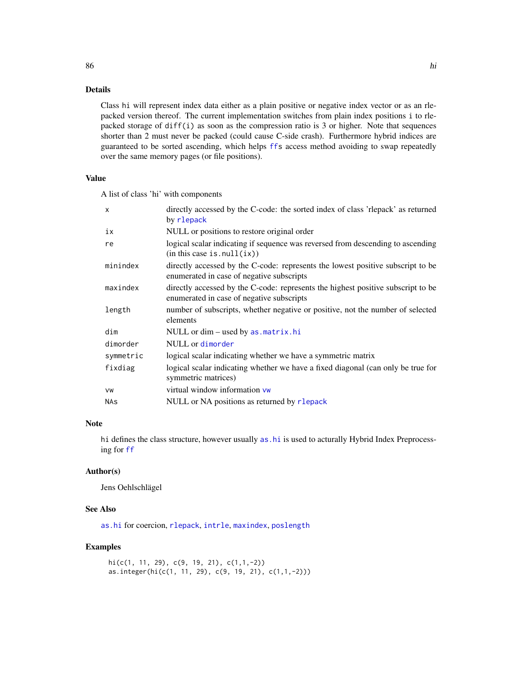## Details

Class hi will represent index data either as a plain positive or negative index vector or as an rlepacked version thereof. The current implementation switches from plain index positions i to rlepacked storage of diff(i) as soon as the compression ratio is 3 or higher. Note that sequences shorter than 2 must never be packed (could cause C-side crash). Furthermore hybrid indices are guaranteed to be sorted ascending, which helps [ffs](#page-40-0) access method avoiding to swap repeatedly over the same memory pages (or file positions).

## Value

A list of class 'hi' with components

| $\boldsymbol{\mathsf{x}}$ | directly accessed by the C-code: the sorted index of class 'rlepack' as returned<br>by rlepack                                |
|---------------------------|-------------------------------------------------------------------------------------------------------------------------------|
| ix                        | NULL or positions to restore original order                                                                                   |
| re                        | logical scalar indicating if sequence was reversed from descending to ascending<br>(in this case is null(ix))                 |
| minindex                  | directly accessed by the C-code: represents the lowest positive subscript to be<br>enumerated in case of negative subscripts  |
| maxindex                  | directly accessed by the C-code: represents the highest positive subscript to be<br>enumerated in case of negative subscripts |
| length                    | number of subscripts, whether negative or positive, not the number of selected<br>elements                                    |
| dim                       | NULL or dim – used by as matrix.hi                                                                                            |
| dimorder                  | NULL or dimorder                                                                                                              |
| symmetric                 | logical scalar indicating whether we have a symmetric matrix                                                                  |
| fixdiag                   | logical scalar indicating whether we have a fixed diagonal (can only be true for<br>symmetric matrices)                       |
| VW                        | virtual window information vw                                                                                                 |
| <b>NAs</b>                | NULL or NA positions as returned by rlepack                                                                                   |

## Note

hi defines the class structure, however usually [as.hi](#page-11-0) is used to acturally Hybrid Index Preprocessing for [ff](#page-40-0)

#### Author(s)

Jens Oehlschlägel

# See Also

[as.hi](#page-11-0) for coercion, [rlepack](#page-0-0), [intrle](#page-0-0), [maxindex](#page-93-0), [poslength](#page-93-0)

## Examples

```
hi(c(1, 11, 29), c(9, 19, 21), c(1,1,-2))
as.integer(hi(c(1, 11, 29), c(9, 19, 21), c(1,1,-2)))
```
86 historic control of the control of the control of the control of the control of the control of the control of the control of the control of the control of the control of the control of the control of the control of the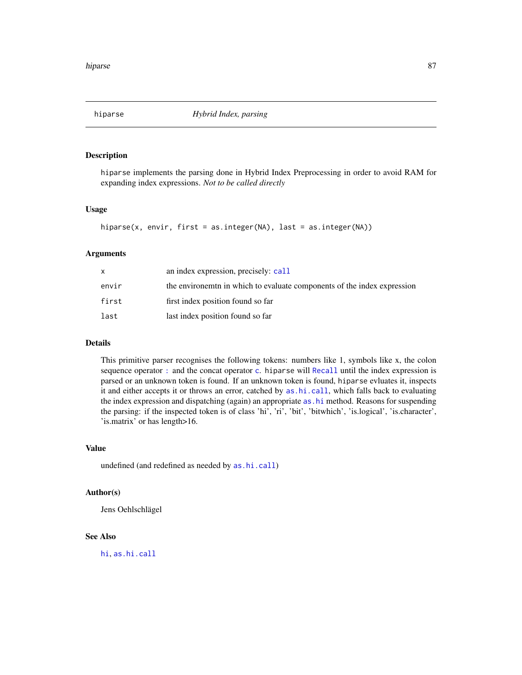<span id="page-86-0"></span>

hiparse implements the parsing done in Hybrid Index Preprocessing in order to avoid RAM for expanding index expressions. *Not to be called directly*

#### Usage

```
hiparse(x, envir, first = as.integer(NA), last = as.integer(NA))
```
#### Arguments

|       | an index expression, precisely: call                                    |
|-------|-------------------------------------------------------------------------|
| envir | the environment in which to evaluate components of the index expression |
| first | first index position found so far                                       |
| last  | last index position found so far                                        |

# Details

This primitive parser recognises the following tokens: numbers like 1, symbols like x, the colon sequence operator [:](#page-0-0) and the [c](#page-0-0)oncat operator c. hiparse will [Recall](#page-0-0) until the index expression is parsed or an unknown token is found. If an unknown token is found, hiparse evluates it, inspects it and either accepts it or throws an error, catched by [as.hi.call](#page-11-1), which falls back to evaluating the index expression and dispatching (again) an appropriate [as.hi](#page-11-0) method. Reasons for suspending the parsing: if the inspected token is of class 'hi', 'ri', 'bit', 'bitwhich', 'is.logical', 'is.character', 'is.matrix' or has length>16.

#### Value

undefined (and redefined as needed by [as.hi.call](#page-11-1))

# Author(s)

Jens Oehlschlägel

#### See Also

[hi](#page-84-0), [as.hi.call](#page-11-1)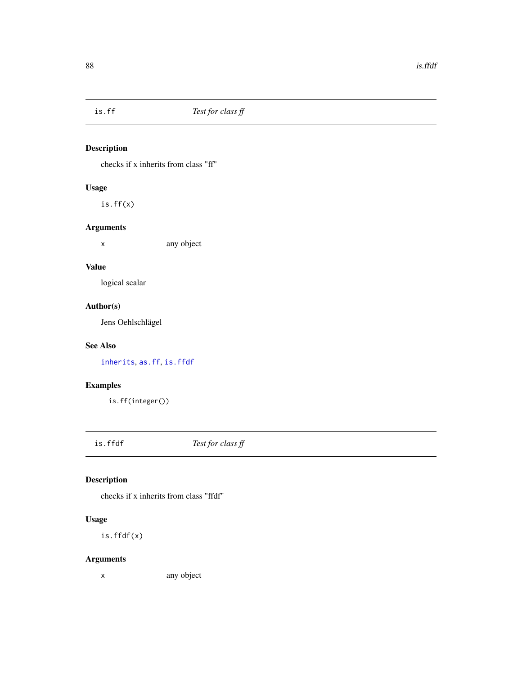<span id="page-87-1"></span>

checks if x inherits from class "ff"

# Usage

is.ff(x)

# Arguments

x any object

# Value

logical scalar

# Author(s)

Jens Oehlschlägel

# See Also

[inherits](#page-0-0), [as.ff](#page-7-0), [is.ffdf](#page-87-0)

# Examples

is.ff(integer())

<span id="page-87-0"></span>is.ffdf *Test for class ff*

# Description

checks if x inherits from class "ffdf"

# Usage

is.ffdf(x)

# Arguments

x any object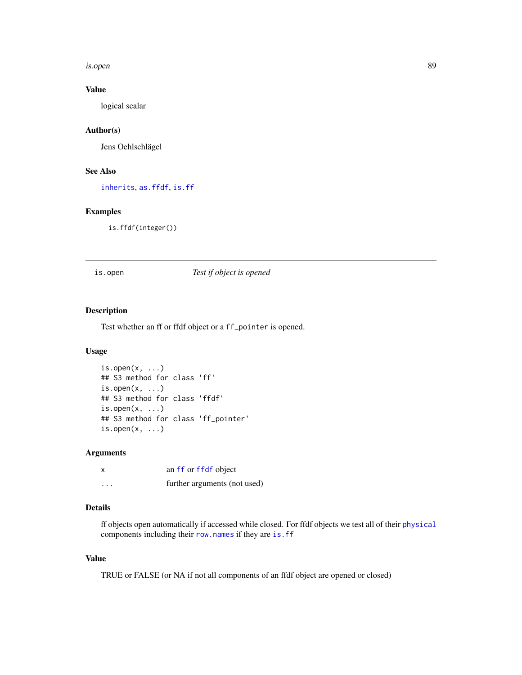#### is.open 89 and 2012 and 2012 and 2012 and 2012 and 2012 and 2012 and 2012 and 2012 and 2012 and 2012 and 2012

# Value

logical scalar

## Author(s)

Jens Oehlschlägel

#### See Also

[inherits](#page-0-0), [as.ffdf](#page-10-0), [is.ff](#page-87-1)

# Examples

is.ffdf(integer())

is.open *Test if object is opened*

# Description

Test whether an ff or ffdf object or a ff\_pointer is opened.

# Usage

```
is.open(x, \ldots)## S3 method for class 'ff'
is.open(x, \ldots)## S3 method for class 'ffdf'
is.open(x, \ldots)## S3 method for class 'ff_pointer'
is.open(x, \ldots)
```
#### Arguments

|   | an ff or ffdf object         |
|---|------------------------------|
| . | further arguments (not used) |

## Details

ff objects open automatically if accessed while closed. For ffdf objects we test all of their [physical](#page-110-0) components including their [row.names](#page-31-0) if they are [is.ff](#page-87-1)

# Value

TRUE or FALSE (or NA if not all components of an ffdf object are opened or closed)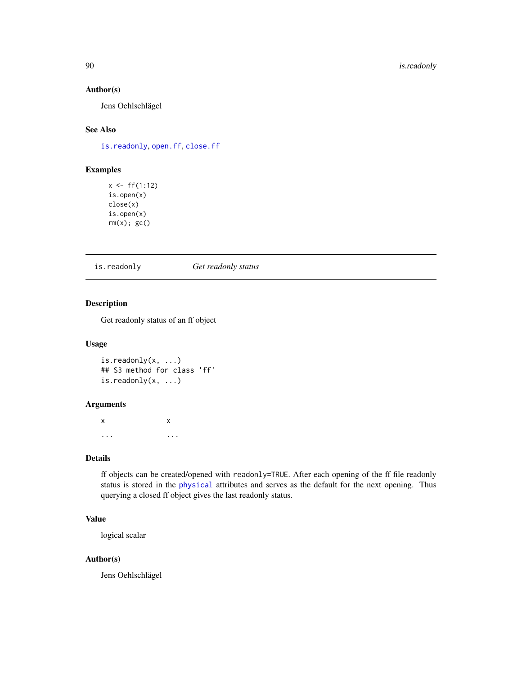## Author(s)

Jens Oehlschlägel

# See Also

[is.readonly](#page-89-0), [open.ff](#page-107-0), [close.ff](#page-26-0)

# Examples

```
x < - f f(1:12)is.open(x)
close(x)
is.open(x)
rm(x); gc()
```
<span id="page-89-0"></span>is.readonly *Get readonly status*

#### Description

Get readonly status of an ff object

## Usage

```
is.readonly(x, ...)
## S3 method for class 'ff'
is.readonly(x, ...)
```
## Arguments

x x ... ...

# Details

ff objects can be created/opened with readonly=TRUE. After each opening of the ff file readonly status is stored in the [physical](#page-109-0) attributes and serves as the default for the next opening. Thus querying a closed ff object gives the last readonly status.

# Value

logical scalar

#### Author(s)

Jens Oehlschlägel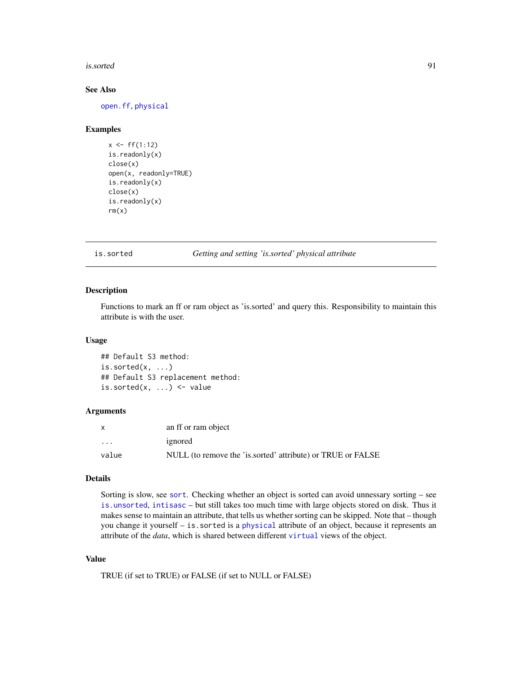#### is.sorted 91

## See Also

[open.ff](#page-107-0), [physical](#page-109-0)

#### Examples

```
x < - f f(1:12)is.readonly(x)
close(x)
open(x, readonly=TRUE)
is.readonly(x)
close(x)
is.readonly(x)
rm(x)
```
<span id="page-90-0"></span>is.sorted *Getting and setting 'is.sorted' physical attribute*

# Description

Functions to mark an ff or ram object as 'is.sorted' and query this. Responsibility to maintain this attribute is with the user.

#### Usage

## Default S3 method:  $is.sorted(x, \ldots)$ ## Default S3 replacement method: is.sorted $(x, \ldots)$   $\leq$  value

#### Arguments

|          | an ff or ram object                                         |
|----------|-------------------------------------------------------------|
| $\ddots$ | ignored                                                     |
| value    | NULL (to remove the 'is sorted' attribute) or TRUE or FALSE |

#### Details

Sorting is slow, see [sort](#page-0-0). Checking whether an object is sorted can avoid unnessary sorting – see [is.unsorted](#page-0-0), [intisasc](#page-0-0) – but still takes too much time with large objects stored on disk. Thus it makes sense to maintain an attribute, that tells us whether sorting can be skipped. Note that – though you change it yourself – is.sorted is a [physical](#page-109-0) attribute of an object, because it represents an attribute of the *data*, which is shared between different [virtual](#page-109-0) views of the object.

## Value

TRUE (if set to TRUE) or FALSE (if set to NULL or FALSE)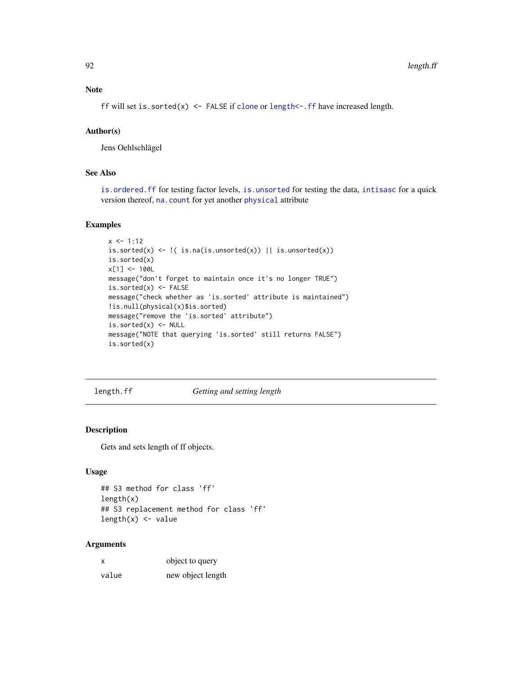ff will set is.sorted(x) <- FALSE if [clone](#page-23-0) or length <- .ff have increased length.

## Author(s)

Jens Oehlschlägel

# See Also

[is.ordered.ff](#page-95-0) for testing factor levels, [is.unsorted](#page-0-0) for testing the data, [intisasc](#page-0-0) for a quick version thereof, [na.count](#page-104-0) for yet another [physical](#page-109-0) attribute

## Examples

```
x \le -1:12is.sorted(x) <- \mid( is.na(is.unsorted(x)) || is.unsorted(x))
is.sorted(x)
x[1] <- 100L
message("don't forget to maintain once it's no longer TRUE")
is.sorted(x) <- FALSE
message("check whether as 'is.sorted' attribute is maintained")
!is.null(physical(x)$is.sorted)
message("remove the 'is.sorted' attribute")
is.sorted(x) <- NULL
message("NOTE that querying 'is.sorted' still returns FALSE")
is.sorted(x)
```
<span id="page-91-1"></span>length.ff *Getting and setting length*

#### <span id="page-91-0"></span>Description

Gets and sets length of ff objects.

#### Usage

```
## S3 method for class 'ff'
length(x)
## S3 replacement method for class 'ff'
length(x) <- value
```
# Arguments

| x     | object to query   |
|-------|-------------------|
| value | new object length |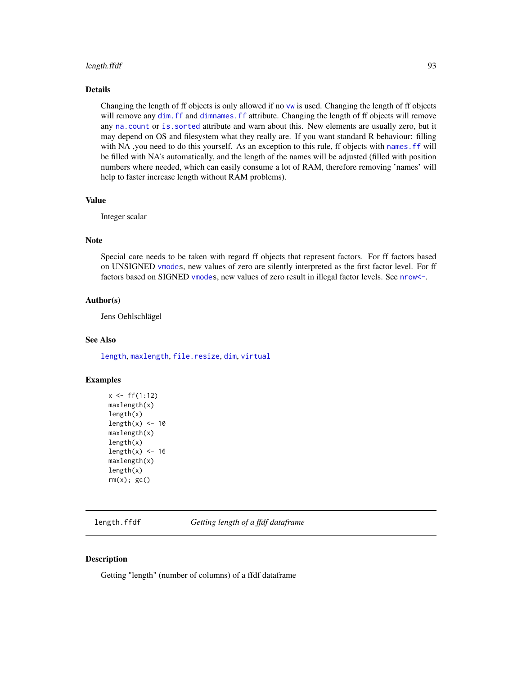#### length.ffdf 93

## Details

Changing the length of ff objects is only allowed if no [vw](#page-154-0) is used. Changing the length of ff objects will remove any dim. ff and dimnames. ff attribute. Changing the length of ff objects will remove any [na.count](#page-104-0) or [is.sorted](#page-90-0) attribute and warn about this. New elements are usually zero, but it may depend on OS and filesystem what they really are. If you want standard R behaviour: filling with NA ,you need to do this yourself. As an exception to this rule, ff objects with [names.ff](#page-105-0) will be filled with NA's automatically, and the length of the names will be adjusted (filled with position numbers where needed, which can easily consume a lot of RAM, therefore removing 'names' will help to faster increase length without RAM problems).

#### Value

Integer scalar

## Note

Special care needs to be taken with regard ff objects that represent factors. For ff factors based on UNSIGNED [vmodes](#page-150-0), new values of zero are silently interpreted as the first factor level. For ff factors based on SIGNED [vmodes](#page-150-0), new values of zero result in illegal factor levels. See [nrow<-](#page-106-0).

## Author(s)

Jens Oehlschlägel

#### See Also

[length](#page-0-0), [maxlength](#page-102-0), [file.resize](#page-74-1), [dim](#page-0-0), [virtual](#page-109-0)

## Examples

```
x \leq-ff(1:12)maxlength(x)
length(x)
length(x) <- 10
maxlength(x)
length(x)
length(x) < -16maxlength(x)
length(x)
rm(x); gc()
```
length.ffdf *Getting length of a ffdf dataframe*

#### **Description**

Getting "length" (number of columns) of a ffdf dataframe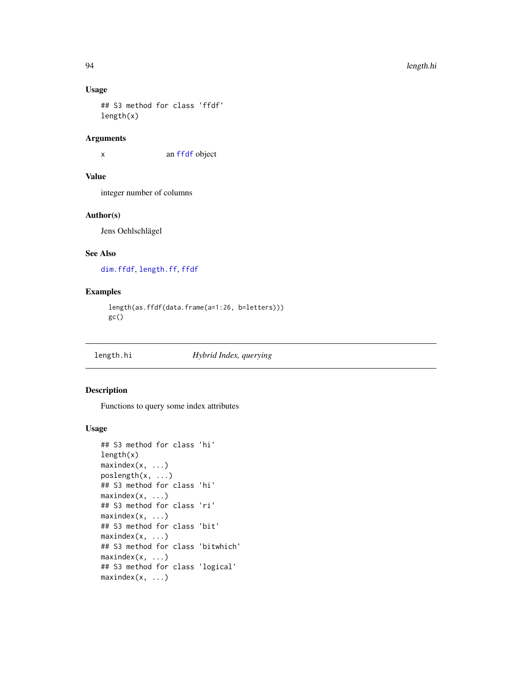## Usage

```
## S3 method for class 'ffdf'
length(x)
```
## Arguments

x an [ffdf](#page-54-0) object

# Value

integer number of columns

## Author(s)

Jens Oehlschlägel

#### See Also

[dim.ffdf](#page-29-0), [length.ff](#page-91-1), [ffdf](#page-54-0)

# Examples

```
length(as.ffdf(data.frame(a=1:26, b=letters)))
gc()
```
length.hi *Hybrid Index, querying*

## <span id="page-93-0"></span>Description

Functions to query some index attributes

#### Usage

```
## S3 method for class 'hi'
length(x)
maxindex(x, ...)poslength(x, ...)
## S3 method for class 'hi'
maxindex(x, ...)
## S3 method for class 'ri'
maxindex(x, ...)
## S3 method for class 'bit'
maxindex(x, ...)
## S3 method for class 'bitwhich'
maxindex(x, ...)
## S3 method for class 'logical'
maxindex(x, ...)
```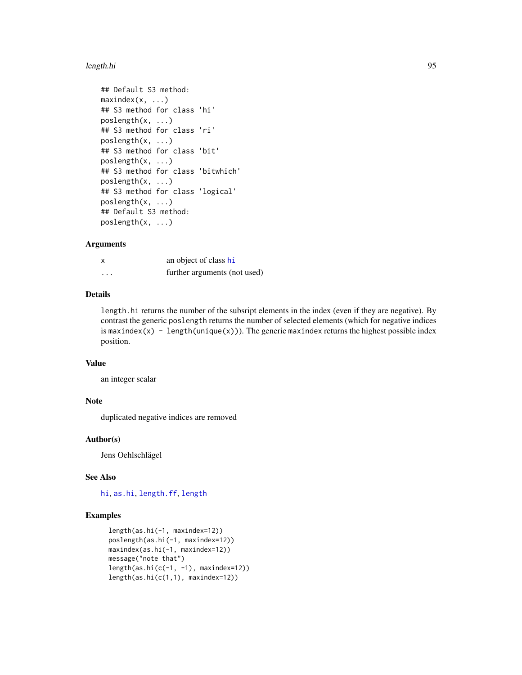#### length.hi 95

```
## Default S3 method:
maxindex(x, ...)## S3 method for class 'hi'
poslength(x, ...)
## S3 method for class 'ri'
poslength(x, ...)
## S3 method for class 'bit'
poslength(x, ...)
## S3 method for class 'bitwhich'
poslength(x, ...)
## S3 method for class 'logical'
poslength(x, ...)
## Default S3 method:
poslength(x, ...)
```
# Arguments

| x        | an object of class hi        |
|----------|------------------------------|
| $\cdots$ | further arguments (not used) |

# Details

length.hi returns the number of the subsript elements in the index (even if they are negative). By contrast the generic poslength returns the number of selected elements (which for negative indices is maxindex(x) - length(unique(x))). The generic maxindex returns the highest possible index position.

## Value

an integer scalar

## Note

duplicated negative indices are removed

#### Author(s)

Jens Oehlschlägel

## See Also

[hi](#page-84-0), [as.hi](#page-11-0), [length.ff](#page-91-1), [length](#page-0-0)

## Examples

```
length(as.hi(-1, maxindex=12))
poslength(as.hi(-1, maxindex=12))
maxindex(as.hi(-1, maxindex=12))
message("note that")
length(as.hi(c(-1, -1), maxindex=12))
length(as.hi(c(1,1), maxindex=12))
```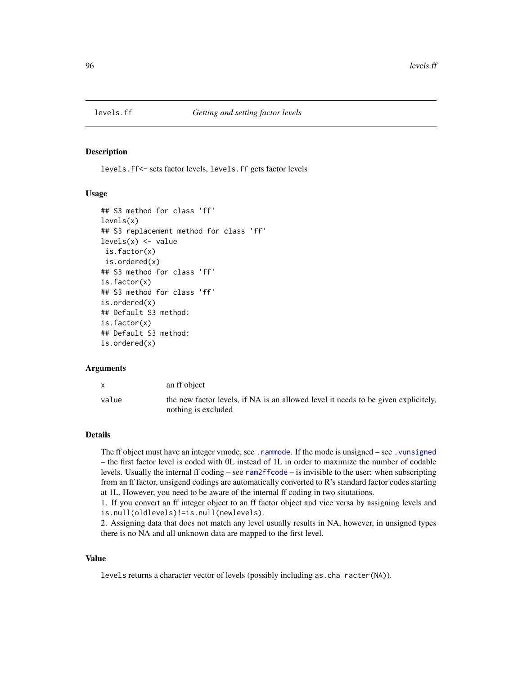<span id="page-95-0"></span>

levels.ff<- sets factor levels, levels.ff gets factor levels

#### Usage

```
## S3 method for class 'ff'
levels(x)
## S3 replacement method for class 'ff'
levels(x) \leftarrow valueis.factor(x)
is.ordered(x)
## S3 method for class 'ff'
is.factor(x)
## S3 method for class 'ff'
is.ordered(x)
## Default S3 method:
is.factor(x)
## Default S3 method:
is.ordered(x)
```
#### Arguments

|       | an ff object                                                                                              |
|-------|-----------------------------------------------------------------------------------------------------------|
| value | the new factor levels, if NA is an allowed level it needs to be given explicitely,<br>nothing is excluded |

## Details

The ff object must have an integer vmode, see . rammode. If the mode is unsigned – see . vunsigned – the first factor level is coded with 0L instead of 1L in order to maximize the number of codable levels. Usually the internal ff coding – see [ram2ffcode](#page-113-0) – is invisible to the user: when subscripting from an ff factor, unsigend codings are automatically converted to R's standard factor codes starting at 1L. However, you need to be aware of the internal ff coding in two situtations.

1. If you convert an ff integer object to an ff factor object and vice versa by assigning levels and is.null(oldlevels)!=is.null(newlevels).

2. Assigning data that does not match any level usually results in NA, however, in unsigned types there is no NA and all unknown data are mapped to the first level.

## Value

levels returns a character vector of levels (possibly including as.cha racter(NA)).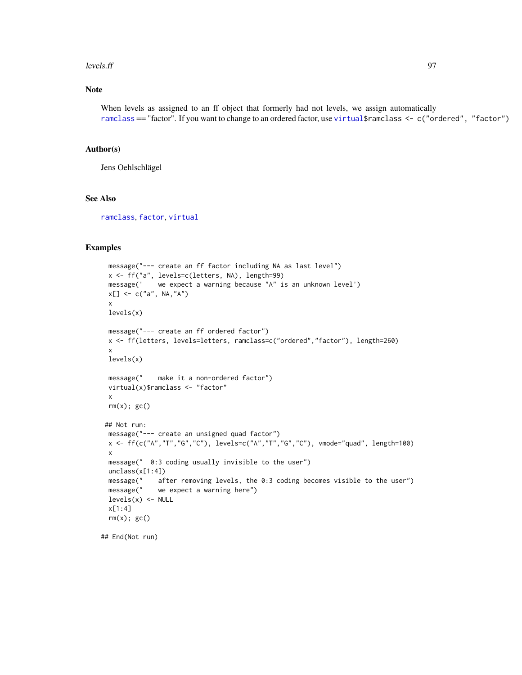#### $\mu$  levels.ff  $\sim$  97

## Note

When levels as assigned to an ff object that formerly had not levels, we assign automatically [ramclass](#page-114-0) == "factor". If you want to change to an ordered factor, use [virtual\\$](#page-109-1)ramclass <- c("ordered", "factor")

## Author(s)

Jens Oehlschlägel

## See Also

[ramclass](#page-114-0), [factor](#page-0-0), [virtual](#page-109-0)

## Examples

```
message("--- create an ff factor including NA as last level")
x <- ff("a", levels=c(letters, NA), length=99)
message(' we expect a warning because "A" is an unknown level')
x[] \leq C("a", NA, "A")x
levels(x)
message("--- create an ff ordered factor")
x <- ff(letters, levels=letters, ramclass=c("ordered","factor"), length=260)
x
levels(x)
message(" make it a non-ordered factor")
virtual(x)$ramclass <- "factor"
x
rm(x); gc()## Not run:
message("--- create an unsigned quad factor")
x \leq-f(f(c("A", "T", "G", "C"), levels=c("A", "T", "G", "C"), rmode="quad", leneft)x
message(" 0:3 coding usually invisible to the user")
unclass(x[1:4])
message(" after removing levels, the 0:3 coding becomes visible to the user")
message(" we expect a warning here")
levels(x) <- NULL
x[1:4]
rm(x); gc()
```
## End(Not run)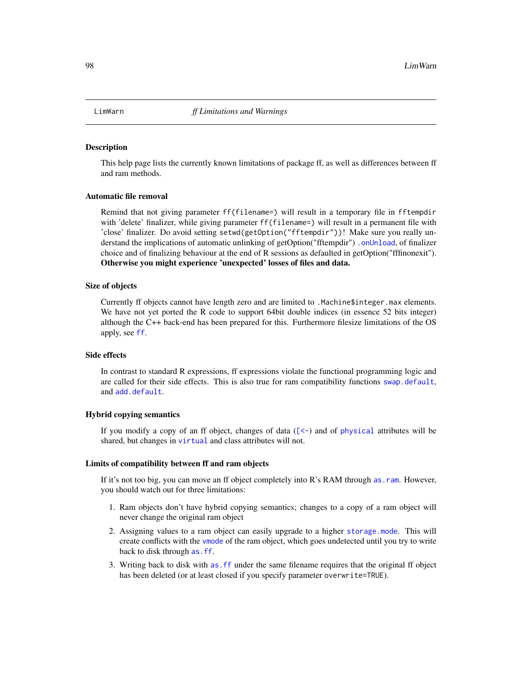This help page lists the currently known limitations of package ff, as well as differences between ff and ram methods.

### Automatic file removal

Remind that not giving parameter ff(filename=) will result in a temporary file in fftempdir with 'delete' finalizer, while giving parameter ff(filename=) will result in a permanent file with 'close' finalizer. Do avoid setting setwd(getOption("fftempdir"))! Make sure you really understand the implications of automatic unlinking of getOption("fftempdir") [.onUnload](#page-0-0), of finalizer choice and of finalizing behaviour at the end of R sessions as defaulted in getOption("fffinonexit"). Otherwise you might experience 'unexpected' losses of files and data.

#### Size of objects

Currently ff objects cannot have length zero and are limited to .Machine\$integer.max elements. We have not yet ported the R code to support 64bit double indices (in essence 52 bits integer) although the C++ back-end has been prepared for this. Furthermore filesize limitations of the OS apply, see [ff](#page-40-0).

#### Side effects

In contrast to standard R expressions, ff expressions violate the functional programming logic and are called for their side effects. This is also true for ram compatibility functions [swap.default](#page-138-0), and [add.default](#page-4-0).

#### Hybrid copying semantics

If you modify a copy of an ff object, changes of data  $($ [\[<-](#page-0-0)) and of [physical](#page-109-0) attributes will be shared, but changes in [virtual](#page-109-0) and class attributes will not.

#### Limits of compatibility between ff and ram objects

If it's not too big, you can move an ff object completely into R's RAM through [as.ram](#page-7-1). However, you should watch out for three limitations:

- 1. Ram objects don't have hybrid copying semantics; changes to a copy of a ram object will never change the original ram object
- 2. Assigning values to a ram object can easily upgrade to a higher [storage.mode](#page-0-0). This will create conflicts with the [vmode](#page-150-0) of the ram object, which goes undetected until you try to write back to disk through [as.ff](#page-7-0).
- 3. Writing back to disk with [as.ff](#page-7-0) under the same filename requires that the original ff object has been deleted (or at least closed if you specify parameter overwrite=TRUE).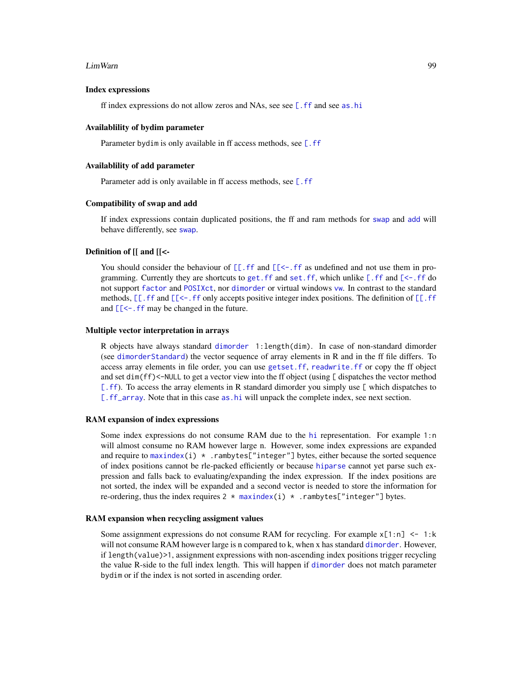#### LimWarn 99

#### Index expressions

ff index expressions do not allow zeros and NAs, see see  $\lceil \cdot \rceil$  and see [as.hi](#page-11-0)

#### Availablility of bydim parameter

Parameter bydim is only available in ff access methods, see [\[.ff](#page-35-0)]

#### Availablility of add parameter

Parameter add is only available in ff access methods, see [\[.ff](#page-35-0)

#### Compatibility of swap and add

If index expressions contain duplicated positions, the ff and ram methods for [swap](#page-138-1) and [add](#page-4-1) will behave differently, see [swap](#page-138-1).

#### Definition of [[ and [[<-

You should consider the behaviour of  $[[.f]$  and  $[[\leq -$ . if as undefined and not use them in programming. Currently they are shortcuts to get. ff and set. ff, which unlike  $[$ . ff and  $[$ <-. ff do not support [factor](#page-0-0) and [POSIXct](#page-0-0), nor [dimorder](#page-29-0) or virtual windows [vw](#page-154-0). In contrast to the standard methods,  $[\lceil$ . ff and  $[\lceil$ <-. ff only accepts positive integer index positions. The definition of  $[\lceil$ . ff and  $[\lfloor \lt$  - . ff may be changed in the future.

#### Multiple vector interpretation in arrays

R objects have always standard [dimorder](#page-29-0) 1:length(dim). In case of non-standard dimorder (see [dimorderStandard](#page-33-0)) the vector sequence of array elements in R and in the ff file differs. To access array elements in file order, you can use [getset.ff](#page-83-1), [readwrite.ff](#page-125-0) or copy the ff object and set dim(ff)<-NULL to get a vector view into the ff object (using [ dispatches the vector method [\[.ff](#page-35-0)). To access the array elements in R standard dimorder you simply use [ which dispatches to [\[.ff\\_array](#page-35-0). Note that in this case [as.hi](#page-11-0) will unpack the complete index, see next section.

#### RAM expansion of index expressions

Some index expressions do not consume RAM due to the [hi](#page-84-0) representation. For example 1:n will almost consume no RAM however large n. However, some index expressions are expanded and require to [maxindex\(](#page-93-0)i)  $\star$  . rambytes["integer"] bytes, either because the sorted sequence of index positions cannot be rle-packed efficiently or because [hiparse](#page-86-0) cannot yet parse such expression and falls back to evaluating/expanding the index expression. If the index positions are not sorted, the index will be expanded and a second vector is needed to store the information for re-ordering, thus the index requires  $2 * maxindex(i) *$  $2 * maxindex(i) *$  $2 * maxindex(i) *$ . rambytes["integer"] bytes.

#### RAM expansion when recycling assigment values

Some assignment expressions do not consume RAM for recycling. For example  $x[1:n] \le -1:k$ will not consume RAM however large is n compared to k, when x has standard [dimorder](#page-29-0). However, if length(value)>1, assignment expressions with non-ascending index positions trigger recycling the value R-side to the full index length. This will happen if [dimorder](#page-29-0) does not match parameter bydim or if the index is not sorted in ascending order.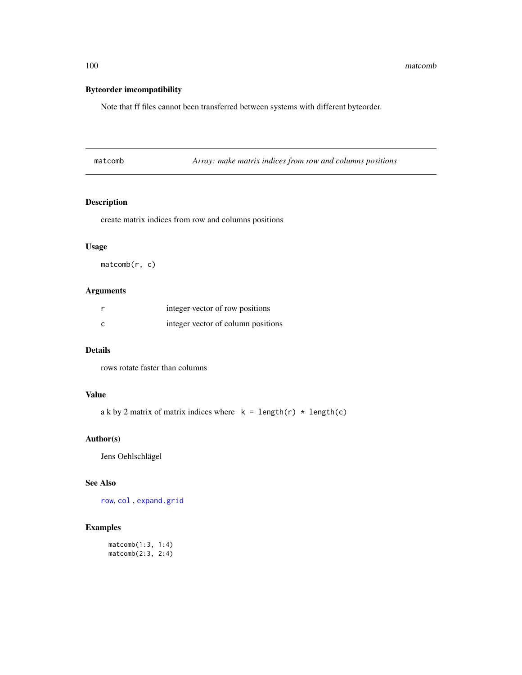# Byteorder imcompatibility

Note that ff files cannot been transferred between systems with different byteorder.

| matcomb |  |
|---------|--|
|         |  |

Array: make matrix indices from row and columns positions

# Description

create matrix indices from row and columns positions

## Usage

matcomb(r, c)

## Arguments

| integer vector of row positions    |
|------------------------------------|
| integer vector of column positions |

## Details

rows rotate faster than columns

# Value

```
a k by 2 matrix of matrix indices where k = length(r) * length(c)
```
#### Author(s)

Jens Oehlschlägel

# See Also

[row](#page-0-0), [col](#page-0-0) , [expand.grid](#page-0-0)

# Examples

matcomb(1:3, 1:4) matcomb(2:3, 2:4)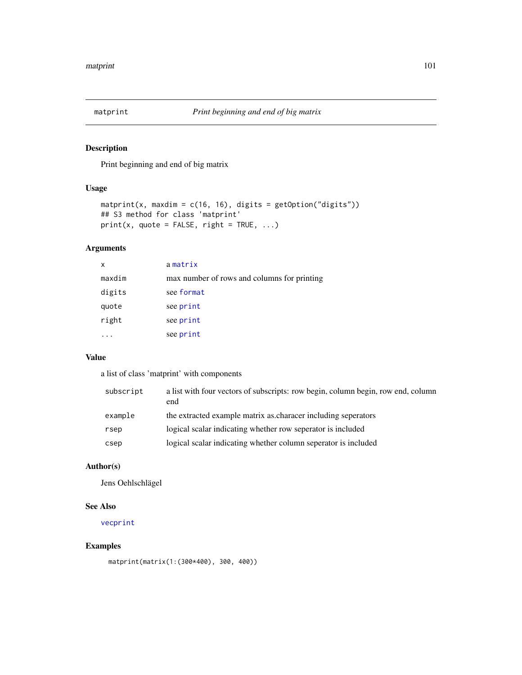Print beginning and end of big matrix

# Usage

```
matprint(x, maxdim = c(16, 16), digits = getOption("digits"))
## S3 method for class 'matprint'
print(x, quote = FALSE, right = TRUE, ...)
```
# Arguments

| x      | amatrix                                     |
|--------|---------------------------------------------|
| maxdim | max number of rows and columns for printing |
| digits | see format                                  |
| quote  | see print                                   |
| right  | see print                                   |
|        | see print                                   |

# Value

a list of class 'matprint' with components

| the extracted example matrix as characer including seperators<br>example |
|--------------------------------------------------------------------------|
|                                                                          |
| logical scalar indicating whether row seperator is included<br>rsep      |
| logical scalar indicating whether column seperator is included<br>csep   |

# Author(s)

Jens Oehlschlägel

## See Also

[vecprint](#page-146-0)

# Examples

matprint(matrix(1:(300\*400), 300, 400))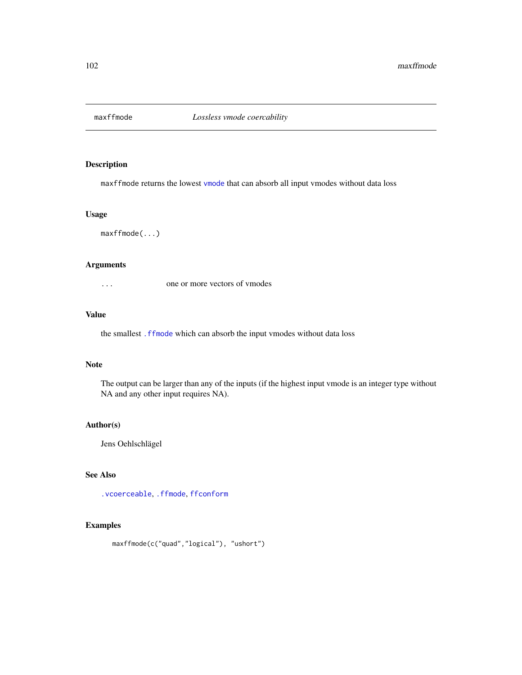maxffmode returns the lowest [vmode](#page-150-0) that can absorb all input vmodes without data loss

# Usage

maxffmode(...)

#### Arguments

... one or more vectors of vmodes

# Value

the smallest [.ffmode](#page-150-1) which can absorb the input vmodes without data loss

#### Note

The output can be larger than any of the inputs (if the highest input vmode is an integer type without NA and any other input requires NA).

#### Author(s)

Jens Oehlschlägel

## See Also

[.vcoerceable](#page-150-1), [.ffmode](#page-150-1), [ffconform](#page-52-0)

# Examples

```
maxffmode(c("quad","logical"), "ushort")
```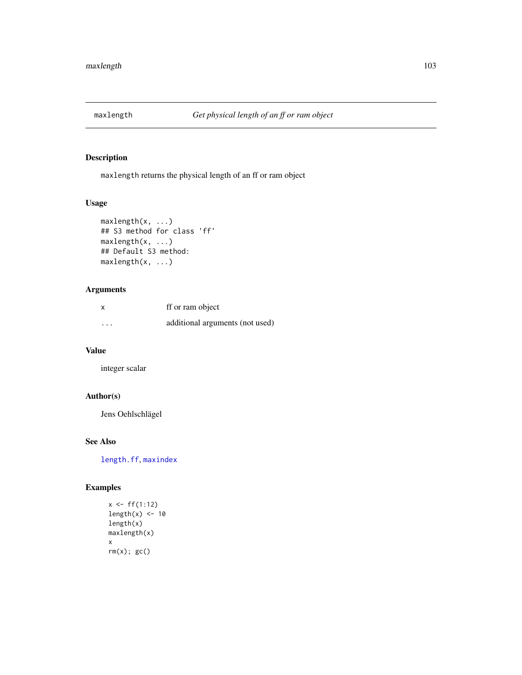<span id="page-102-0"></span>

maxlength returns the physical length of an ff or ram object

# Usage

```
maxlength(x, ...)
## S3 method for class 'ff'
maxlength(x, ...)
## Default S3 method:
maxlength(x, ...)
```
# Arguments

| x                       | ff or ram object                |
|-------------------------|---------------------------------|
| $\cdot$ $\cdot$ $\cdot$ | additional arguments (not used) |

#### Value

integer scalar

# Author(s)

Jens Oehlschlägel

# See Also

[length.ff](#page-91-1), [maxindex](#page-93-0)

# Examples

```
x \leftarrow ff(1:12)length(x) < -10length(x)
maxlength(x)
x
rm(x); gc()
```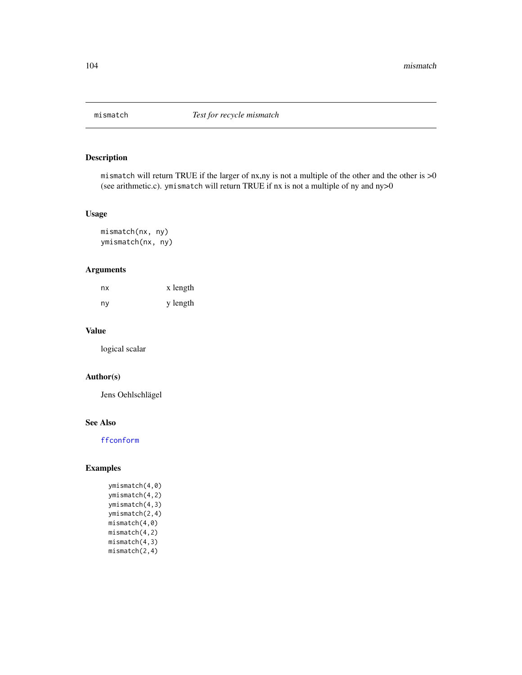mismatch will return TRUE if the larger of nx,ny is not a multiple of the other and the other is >0 (see arithmetic.c). ymismatch will return TRUE if nx is not a multiple of ny and ny>0

# Usage

mismatch(nx, ny) ymismatch(nx, ny)

# Arguments

| nx | x length |
|----|----------|
| ny | y length |

## Value

logical scalar

# Author(s)

Jens Oehlschlägel

# See Also

[ffconform](#page-52-0)

# Examples

ymismatch(4,0) ymismatch(4,2) ymismatch(4,3) ymismatch(2,4) mismatch(4,0) mismatch(4,2) mismatch(4,3) mismatch(2,4)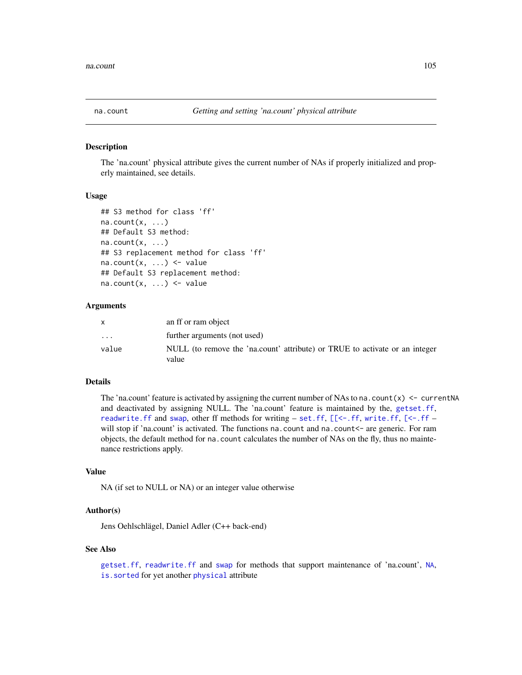<span id="page-104-0"></span>

The 'na.count' physical attribute gives the current number of NAs if properly initialized and properly maintained, see details.

## Usage

```
## S3 method for class 'ff'
na.count(x, \ldots)## Default S3 method:
na.count(x, \ldots)## S3 replacement method for class 'ff'
na.count(x, ...) \leftarrow value## Default S3 replacement method:
na.count(x, ...) \leq value
```
#### Arguments

|                         | an ff or ram object                                                                  |
|-------------------------|--------------------------------------------------------------------------------------|
| $\cdot$ $\cdot$ $\cdot$ | further arguments (not used)                                                         |
| value                   | NULL (to remove the 'na.count' attribute) or TRUE to activate or an integer<br>value |

## Details

The 'na.count' feature is activated by assigning the current number of NAs to na.count(x)  $\le$  - currentNA and deactivated by assigning NULL. The 'na.count' feature is maintained by the, [getset.ff](#page-83-1), [readwrite.ff](#page-125-0) and [swap](#page-138-1), other ff methods for writing – [set.ff](#page-83-0),  $[\leq -$ .ff, [write.ff](#page-125-1),  $[\leq -$ .ff – will stop if 'na.count' is activated. The functions na.count and na.count <- are generic. For ram objects, the default method for na.count calculates the number of NAs on the fly, thus no maintenance restrictions apply.

#### Value

NA (if set to NULL or NA) or an integer value otherwise

# Author(s)

Jens Oehlschlägel, Daniel Adler (C++ back-end)

#### See Also

[getset.ff](#page-83-1), [readwrite.ff](#page-125-0) and [swap](#page-138-1) for methods that support maintenance of 'na.count', [NA](#page-0-0), [is.sorted](#page-90-0) for yet another [physical](#page-109-0) attribute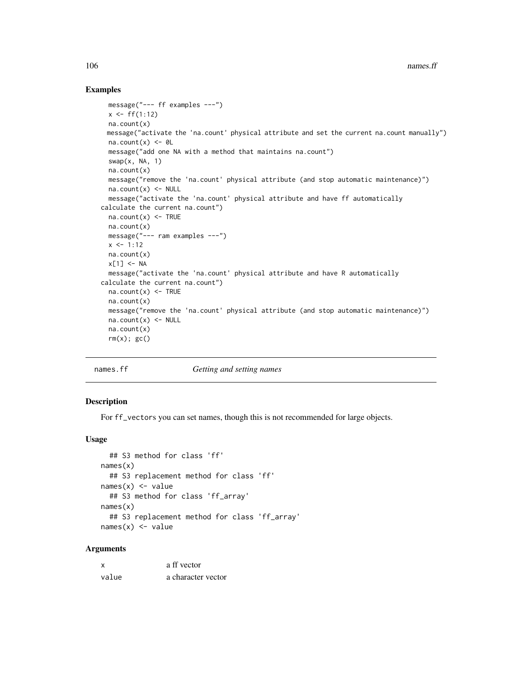#### Examples

```
message("--- ff examples ---")
 x \leq-ff(1:12)na.count(x)
 message("activate the 'na.count' physical attribute and set the current na.count manually")
 na.count(x) < -0L
 message("add one NA with a method that maintains na.count")
 swap(x, NA, 1)
 na.count(x)
 message("remove the 'na.count' physical attribute (and stop automatic maintenance)")
 na.count(x) < - NULLmessage("activate the 'na.count' physical attribute and have ff automatically
calculate the current na.count")
 na.count(x) < - TRUE
 na.count(x)
 message("--- ram examples ---")
 x < -1:12na.count(x)
 x[1] <- NA
 message("activate the 'na.count' physical attribute and have R automatically
calculate the current na.count")
 na.count(x) <- TRUE
 na.count(x)
 message("remove the 'na.count' physical attribute (and stop automatic maintenance)")
 na.count(x) < - NULLna.count(x)
 rm(x); gc()
```
<span id="page-105-0"></span>

#### names.ff *Getting and setting names*

#### Description

For ff\_vectors you can set names, though this is not recommended for large objects.

#### Usage

```
## S3 method for class 'ff'
names(x)
  ## S3 replacement method for class 'ff'
names(x) <- value
  ## S3 method for class 'ff_array'
names(x)
  ## S3 replacement method for class 'ff_array'
names(x) <- value
```
## Arguments

| x     | a ff vector        |
|-------|--------------------|
| value | a character vector |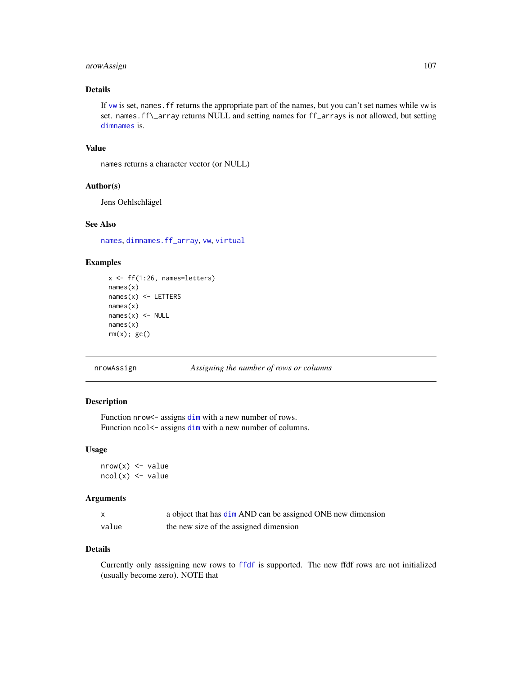# nrowAssign 107

## Details

If [vw](#page-154-0) is set, names.ff returns the appropriate part of the names, but you can't set names while vw is set. names.ff\\_array returns NULL and setting names for ff\_arrays is not allowed, but setting [dimnames](#page-0-0) is.

#### Value

names returns a character vector (or NULL)

#### Author(s)

Jens Oehlschlägel

## See Also

[names](#page-0-0), [dimnames.ff\\_array](#page-32-1), [vw](#page-154-0), [virtual](#page-109-0)

# Examples

```
x \leftarrow ff(1:26, \text{ names=letters})names(x)
names(x) <- LETTERS
names(x)
names(x) <- NULL
names(x)
rm(x); gc()
```
nrowAssign *Assigning the number of rows or columns*

## <span id="page-106-0"></span>Description

Function nrow <- assigns [dim](#page-0-0) with a new number of rows. Function ncol <- assigns [dim](#page-0-0) with a new number of columns.

## Usage

```
nrow(x) < -valuencol(x) <- value
```
#### Arguments

|       | a object that has dim AND can be assigned ONE new dimension |
|-------|-------------------------------------------------------------|
| value | the new size of the assigned dimension                      |

#### Details

Currently only asssigning new rows to [ffdf](#page-54-0) is supported. The new ffdf rows are not initialized (usually become zero). NOTE that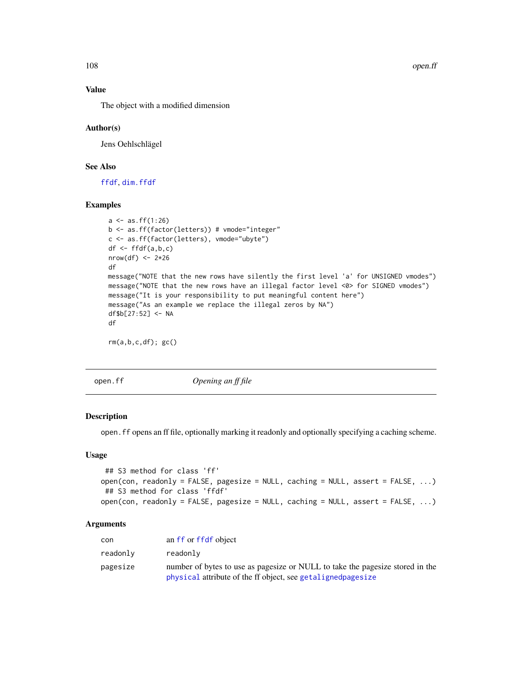108 open.ff

## Value

The object with a modified dimension

#### Author(s)

Jens Oehlschlägel

## See Also

[ffdf](#page-54-0), [dim.ffdf](#page-29-0)

#### Examples

```
a \leftarrow as.ff(1:26)b <- as.ff(factor(letters)) # vmode="integer"
c <- as.ff(factor(letters), vmode="ubyte")
df <- ffdf(a,b,c)
nrow(df) <- 2*26
df
message("NOTE that the new rows have silently the first level 'a' for UNSIGNED vmodes")
message("NOTE that the new rows have an illegal factor level <0> for SIGNED vmodes")
message("It is your responsibility to put meaningful content here")
message("As an example we replace the illegal zeros by NA")
df$b[27:52] <- NA
df
rm(a,b,c,df); gc()
```
<span id="page-107-0"></span>

open.ff *Opening an ff file*

## Description

open.ff opens an ff file, optionally marking it readonly and optionally specifying a caching scheme.

## Usage

```
## S3 method for class 'ff'
open(con, readonly = FALSE, pagesize = NULL, caching = NULL, assert = FALSE, ...)
## S3 method for class 'ffdf'
open(con, readonly = FALSE, pagesize = NULL, caching = NULL, assert = FALSE, ...)
```
## Arguments

| con      | an ff or ffdf object                                                                                                                           |
|----------|------------------------------------------------------------------------------------------------------------------------------------------------|
| readonly | readonly                                                                                                                                       |
| pagesize | number of bytes to use as pagesize or NULL to take the pagesize stored in the<br>physical attribute of the ff object, see getaligned pages ize |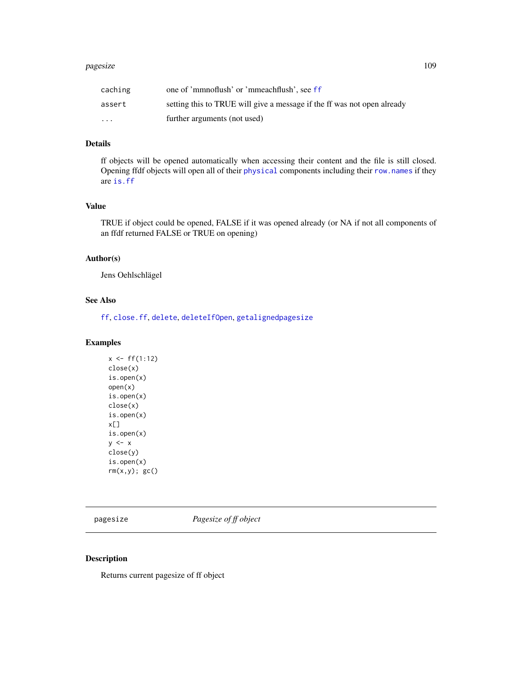#### pagesize the contract of the contract of the contract of the contract of the contract of the contract of the contract of the contract of the contract of the contract of the contract of the contract of the contract of the c

| caching  | one of 'mmnoflush' or 'mmeachflush', see ff                             |
|----------|-------------------------------------------------------------------------|
| assert   | setting this to TRUE will give a message if the ff was not open already |
| $\cdots$ | further arguments (not used)                                            |

# Details

ff objects will be opened automatically when accessing their content and the file is still closed. Opening ffdf objects will open all of their [physical](#page-110-0) components including their [row.names](#page-31-0) if they are [is.ff](#page-87-0)

# Value

TRUE if object could be opened, FALSE if it was opened already (or NA if not all components of an ffdf returned FALSE or TRUE on opening)

## Author(s)

Jens Oehlschlägel

# See Also

[ff](#page-40-0), [close.ff](#page-26-0), [delete](#page-27-0), [deleteIfOpen](#page-27-1), [getalignedpagesize](#page-82-0)

# Examples

 $x < - f f(1:12)$ close(x) is.open(x) open(x) is.open(x) close(x) is.open(x) x[] is.open(x)  $y \leq -x$ close(y) is.open(x)  $rm(x,y);$   $gc()$ 

pagesize *Pagesize of ff object*

## Description

Returns current pagesize of ff object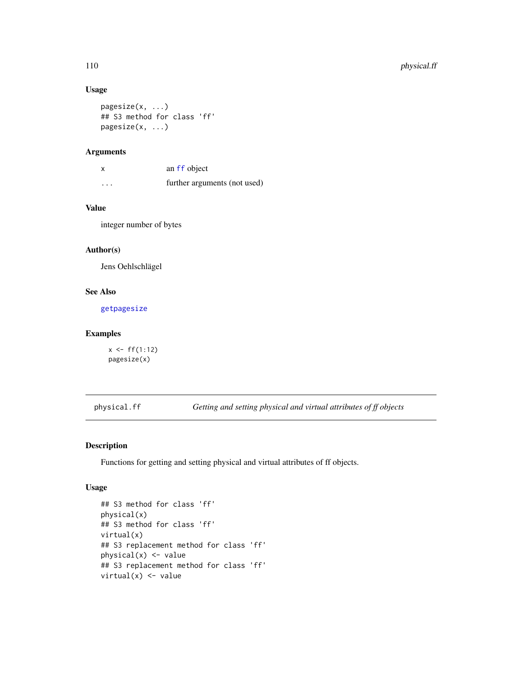## Usage

```
pagesize(x, ...)
## S3 method for class 'ff'
pagesize(x, ...)
```
## Arguments

| x       | an ff object                 |
|---------|------------------------------|
| $\cdot$ | further arguments (not used) |

# Value

integer number of bytes

# Author(s)

Jens Oehlschlägel

# See Also

[getpagesize](#page-82-1)

## Examples

```
x \leftarrow ff(1:12)pagesize(x)
```
<span id="page-109-0"></span>physical.ff *Getting and setting physical and virtual attributes of ff objects*

## <span id="page-109-1"></span>Description

Functions for getting and setting physical and virtual attributes of ff objects.

## Usage

```
## S3 method for class 'ff'
physical(x)
## S3 method for class 'ff'
virtual(x)
## S3 replacement method for class 'ff'
physical(x) <- value
## S3 replacement method for class 'ff'
virtual(x) <- value
```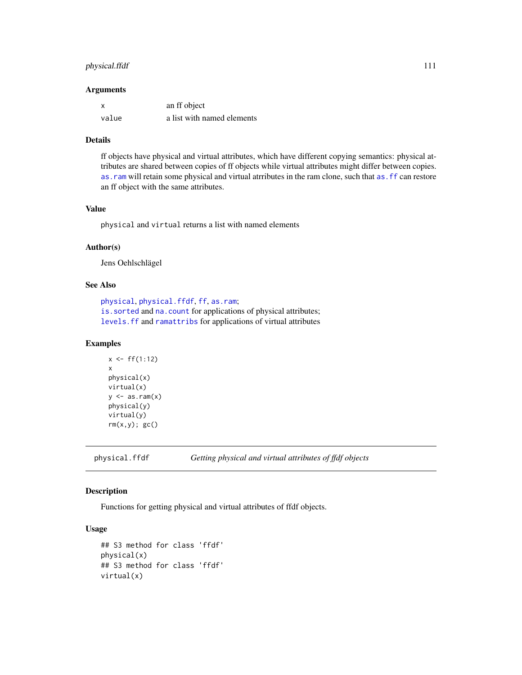# physical.ffdf 111

#### **Arguments**

| X     | an ff object               |
|-------|----------------------------|
| value | a list with named elements |

## Details

ff objects have physical and virtual attributes, which have different copying semantics: physical attributes are shared between copies of ff objects while virtual attributes might differ between copies. as. ram will retain some physical and virtual atrributes in the ram clone, such that as. ff can restore an ff object with the same attributes.

#### Value

physical and virtual returns a list with named elements

## Author(s)

Jens Oehlschlägel

#### See Also

```
physical, physical.ffdf, ff, as.ram;
is.sorted and na.count for applications of physical attributes;
levels.ff and ramattribs for applications of virtual attributes
```
#### Examples

```
x < - f f(1:12)x
physical(x)
virtual(x)
y \leftarrow as.ram(x)physical(y)
virtual(y)
rm(x,y); gc()
```
<span id="page-110-0"></span>physical.ffdf *Getting physical and virtual attributes of ffdf objects*

#### <span id="page-110-1"></span>Description

Functions for getting physical and virtual attributes of ffdf objects.

## Usage

```
## S3 method for class 'ffdf'
physical(x)
## S3 method for class 'ffdf'
virtual(x)
```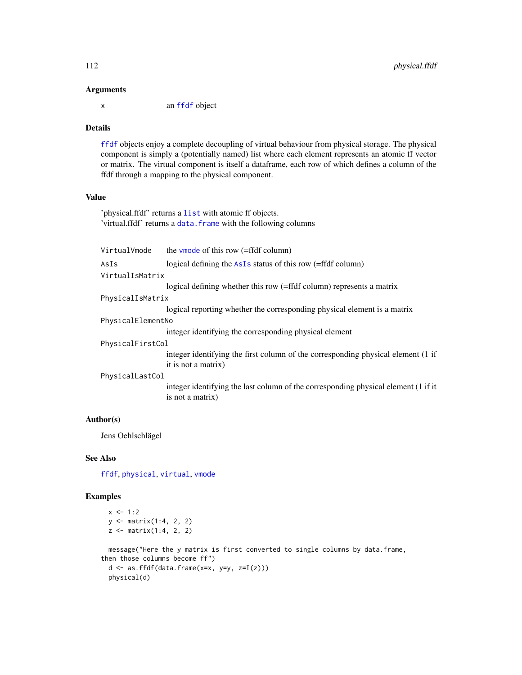#### Arguments

x an [ffdf](#page-54-0) object

# Details

[ffdf](#page-54-0) objects enjoy a complete decoupling of virtual behaviour from physical storage. The physical component is simply a (potentially named) list where each element represents an atomic ff vector or matrix. The virtual component is itself a dataframe, each row of which defines a column of the ffdf through a mapping to the physical component.

# Value

'physical.ffdf' returns a [list](#page-0-0) with atomic ff objects. 'virtual.ffdf' returns a [data.frame](#page-0-0) with the following columns

| VirtualVmode      | the vmode of this row $($ =ffdf column $)$                                                             |  |
|-------------------|--------------------------------------------------------------------------------------------------------|--|
| AsIs              | logical defining the $AsIs$ status of this row (=ffdf column)                                          |  |
| VirtualIsMatrix   |                                                                                                        |  |
|                   | logical defining whether this row (=ffdf column) represents a matrix                                   |  |
| PhysicalIsMatrix  |                                                                                                        |  |
|                   | logical reporting whether the corresponding physical element is a matrix                               |  |
| PhysicalElementNo |                                                                                                        |  |
|                   | integer identifying the corresponding physical element                                                 |  |
| PhysicalFirstCol  |                                                                                                        |  |
|                   | integer identifying the first column of the corresponding physical element (1 if                       |  |
|                   | it is not a matrix)                                                                                    |  |
| PhysicalLastCol   |                                                                                                        |  |
|                   | integer identifying the last column of the corresponding physical element (1 if it<br>is not a matrix) |  |

# Author(s)

Jens Oehlschlägel

# See Also

[ffdf](#page-54-0), [physical](#page-109-0), [virtual](#page-109-1), [vmode](#page-152-0)

```
x \le -1:2y <- matrix(1:4, 2, 2)
 z <- matrix(1:4, 2, 2)
 message("Here the y matrix is first converted to single columns by data.frame,
then those columns become ff")
 d \leq -as. ffdf(data.frame(x=x, y=y, z=I(z)))
 physical(d)
```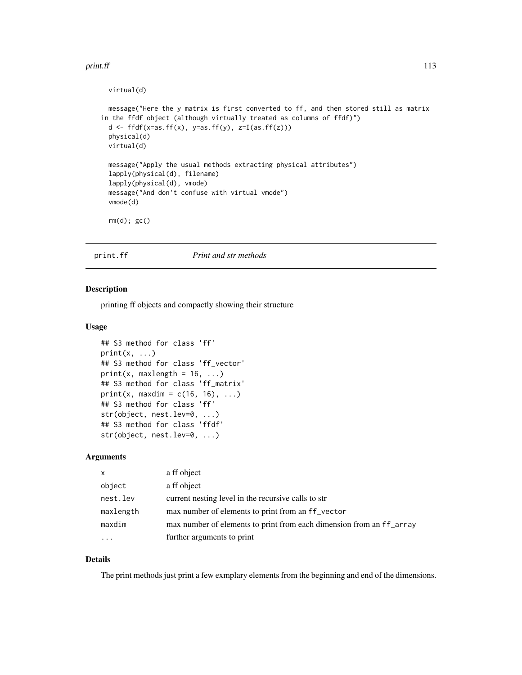#### print.ff 113

```
virtual(d)
 message("Here the y matrix is first converted to ff, and then stored still as matrix
in the ffdf object (although virtually treated as columns of ffdf)")
 d <- ffdf(x=as.ff(x), y=as.ff(y), z=I(as.ff(z)))physical(d)
 virtual(d)
 message("Apply the usual methods extracting physical attributes")
 lapply(physical(d), filename)
 lapply(physical(d), vmode)
 message("And don't confuse with virtual vmode")
 vmode(d)
 rm(d); gc()
```
# print.ff *Print and str methods*

#### Description

printing ff objects and compactly showing their structure

#### Usage

```
## S3 method for class 'ff'
print(x, \ldots)## S3 method for class 'ff_vector'
print(x, mark) = 16, ...)## S3 method for class 'ff_matrix'
print(x, maxdim = c(16, 16), ...)
## S3 method for class 'ff'
str(object, nest.lev=0, ...)
## S3 method for class 'ffdf'
str(object, nest.lev=0, ...)
```
#### Arguments

| $\times$  | a ff object                                                          |
|-----------|----------------------------------------------------------------------|
| object    | a ff object                                                          |
| nest.lev  | current nesting level in the recursive calls to str                  |
| maxlength | max number of elements to print from an ff_vector                    |
| maxdim    | max number of elements to print from each dimension from an ff_array |
| $\cdots$  | further arguments to print                                           |

## Details

The print methods just print a few exmplary elements from the beginning and end of the dimensions.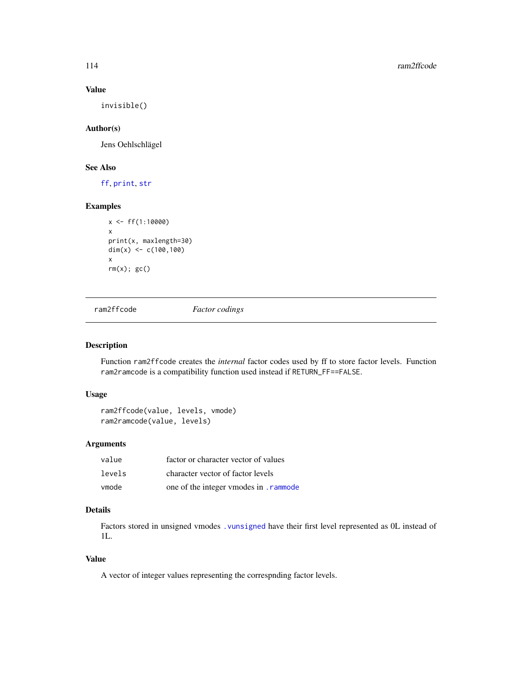# Value

invisible()

## Author(s)

Jens Oehlschlägel

# See Also

[ff](#page-40-0), [print](#page-0-0), [str](#page-0-0)

## Examples

```
x < - f f(1:10000)x
print(x, maxlength=30)
dim(x) <- c(100, 100)x
rm(x); gc()
```
ram2ffcode *Factor codings*

# Description

Function ram2ffcode creates the *internal* factor codes used by ff to store factor levels. Function ram2ramcode is a compatibility function used instead if RETURN\_FF==FALSE.

## Usage

```
ram2ffcode(value, levels, vmode)
ram2ramcode(value, levels)
```
## Arguments

| value  | factor or character vector of values   |
|--------|----------------------------------------|
| levels | character vector of factor levels      |
| vmode  | one of the integer vmodes in . rammode |

# Details

Factors stored in unsigned vmodes [.vunsigned](#page-150-1) have their first level represented as 0L instead of 1L.

# Value

A vector of integer values representing the correspnding factor levels.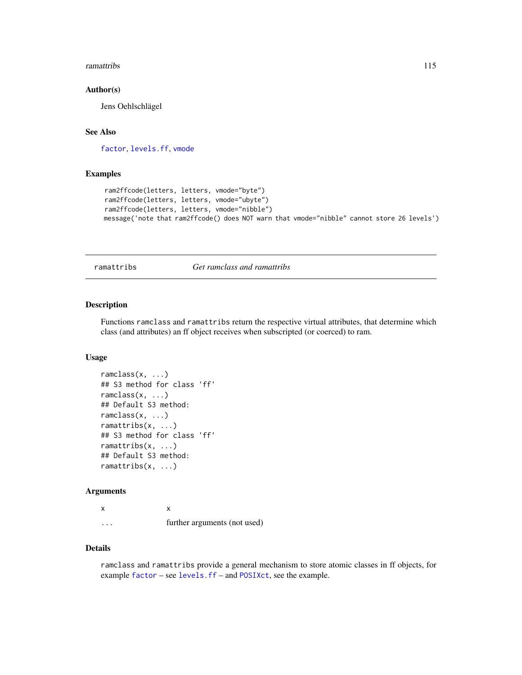#### ramattribs 115

#### Author(s)

Jens Oehlschlägel

# See Also

[factor](#page-0-0), [levels.ff](#page-95-0), [vmode](#page-150-0)

# Examples

```
ram2ffcode(letters, letters, vmode="byte")
ram2ffcode(letters, letters, vmode="ubyte")
ram2ffcode(letters, letters, vmode="nibble")
message('note that ram2ffcode() does NOT warn that vmode="nibble" cannot store 26 levels')
```
<span id="page-114-0"></span>ramattribs *Get ramclass and ramattribs*

# Description

Functions ramclass and ramattribs return the respective virtual attributes, that determine which class (and attributes) an ff object receives when subscripted (or coerced) to ram.

## Usage

```
ramclass(x, ...)
## S3 method for class 'ff'
ramclass(x, ...)
## Default S3 method:
ramclass(x, ...)
ramattribs(x, ...)
## S3 method for class 'ff'
ramattribs(x, ...)
## Default S3 method:
ramattribs(x, ...)
```
## Arguments

x x ... further arguments (not used)

# Details

ramclass and ramattribs provide a general mechanism to store atomic classes in ff objects, for example [factor](#page-0-0) – see [levels.ff](#page-95-0) – and [POSIXct](#page-0-0), see the example.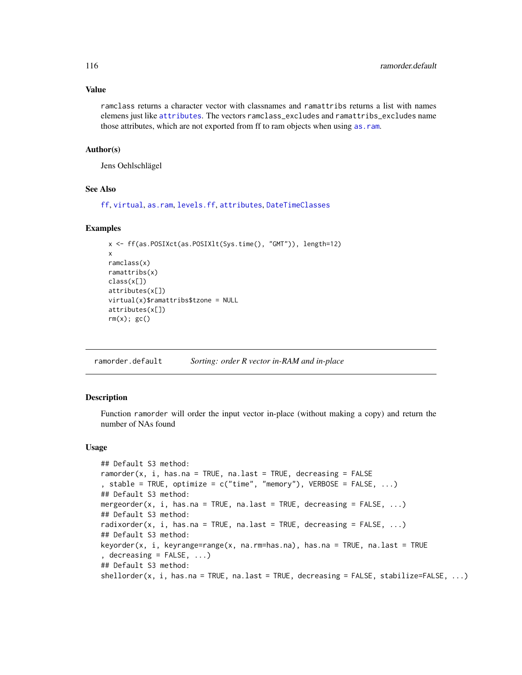## Value

ramclass returns a character vector with classnames and ramattribs returns a list with names elemens just like [attributes](#page-0-0). The vectors ramclass\_excludes and ramattribs\_excludes name those attributes, which are not exported from ff to ram objects when using [as.ram](#page-7-0).

# Author(s)

Jens Oehlschlägel

#### See Also

[ff](#page-40-0), [virtual](#page-109-0), [as.ram](#page-7-0), [levels.ff](#page-95-0), [attributes](#page-0-0), [DateTimeClasses](#page-0-0)

#### Examples

```
x <- ff(as.POSIXct(as.POSIXlt(Sys.time(), "GMT")), length=12)
x
ramclass(x)
ramattribs(x)
class(x[])
attributes(x[])
virtual(x)$ramattribs$tzone = NULL
attributes(x[])
rm(x); gc()
```
ramorder.default *Sorting: order R vector in-RAM and in-place*

#### Description

Function ramorder will order the input vector in-place (without making a copy) and return the number of NAs found

#### Usage

```
## Default S3 method:
ramorder(x, i, has.na = TRUE, na.last = TRUE, decreasing = FALSE
, stable = TRUE, optimize = c("time", "memory"), VERBOSE = FALSE, ...)
## Default S3 method:
mergeorder(x, i, has.na = TRUE, na.last = TRUE, decreasing = FALSE, ...)
## Default S3 method:
radixorder(x, i, has.na = TRUE, na.last = TRUE, decreasing = FALSE, \dots)
## Default S3 method:
keyorder(x, i, keyrange=range(x, na.rm=has.na), has.na = TRUE, na.last = TRUE
, decreasing = FALSE, \ldots)## Default S3 method:
shellorder(x, i, has.na = TRUE, na.last = TRUE, decreasing = FALSE, stabilize=FALSE, ...)
```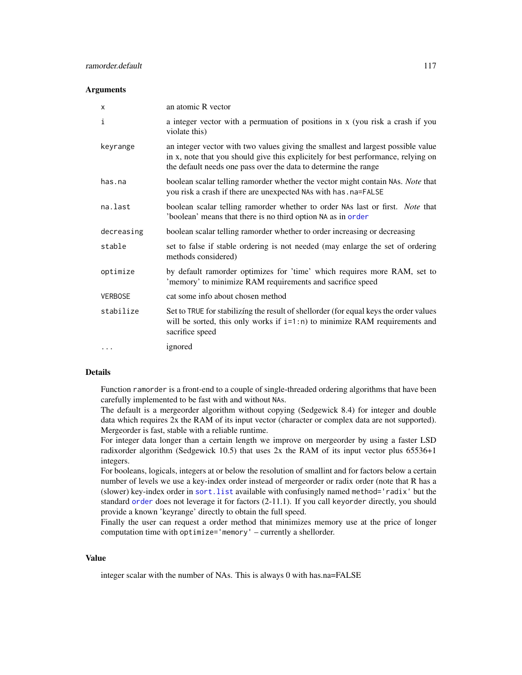#### **Arguments**

| X              | an atomic R vector                                                                                                                                                                                                                       |
|----------------|------------------------------------------------------------------------------------------------------------------------------------------------------------------------------------------------------------------------------------------|
| i              | a integer vector with a permuation of positions in x (you risk a crash if you<br>violate this)                                                                                                                                           |
| keyrange       | an integer vector with two values giving the smallest and largest possible value<br>in x, note that you should give this explicitely for best performance, relying on<br>the default needs one pass over the data to determine the range |
| has.na         | boolean scalar telling ramorder whether the vector might contain NAs. Note that<br>you risk a crash if there are unexpected NAs with has . na=FALSE                                                                                      |
| na.last        | boolean scalar telling ramorder whether to order NAs last or first. Note that<br>'boolean' means that there is no third option NA as in order                                                                                            |
| decreasing     | boolean scalar telling ramorder whether to order increasing or decreasing                                                                                                                                                                |
| stable         | set to false if stable ordering is not needed (may enlarge the set of ordering<br>methods considered)                                                                                                                                    |
| optimize       | by default ramorder optimizes for 'time' which requires more RAM, set to<br>'memory' to minimize RAM requirements and sacrifice speed                                                                                                    |
| <b>VERBOSE</b> | cat some info about chosen method                                                                                                                                                                                                        |
| stabilize      | Set to TRUE for stabilizing the result of shellorder (for equal keys the order values<br>will be sorted, this only works if $i=1:n$ to minimize RAM requirements and<br>sacrifice speed                                                  |
| $\cdots$       | ignored                                                                                                                                                                                                                                  |

#### Details

Function ramorder is a front-end to a couple of single-threaded ordering algorithms that have been carefully implemented to be fast with and without NAs.

The default is a mergeorder algorithm without copying (Sedgewick 8.4) for integer and double data which requires 2x the RAM of its input vector (character or complex data are not supported). Mergeorder is fast, stable with a reliable runtime.

For integer data longer than a certain length we improve on mergeorder by using a faster LSD radixorder algorithm (Sedgewick 10.5) that uses 2x the RAM of its input vector plus 65536+1 integers.

For booleans, logicals, integers at or below the resolution of smallint and for factors below a certain number of levels we use a key-index order instead of mergeorder or radix order (note that R has a (slower) key-index order in [sort.list](#page-0-0) available with confusingly named method='radix' but the standard [order](#page-0-0) does not leverage it for factors (2-11.1). If you call keyorder directly, you should provide a known 'keyrange' directly to obtain the full speed.

Finally the user can request a order method that minimizes memory use at the price of longer computation time with optimize='memory' – currently a shellorder.

# Value

integer scalar with the number of NAs. This is always 0 with has.na=FALSE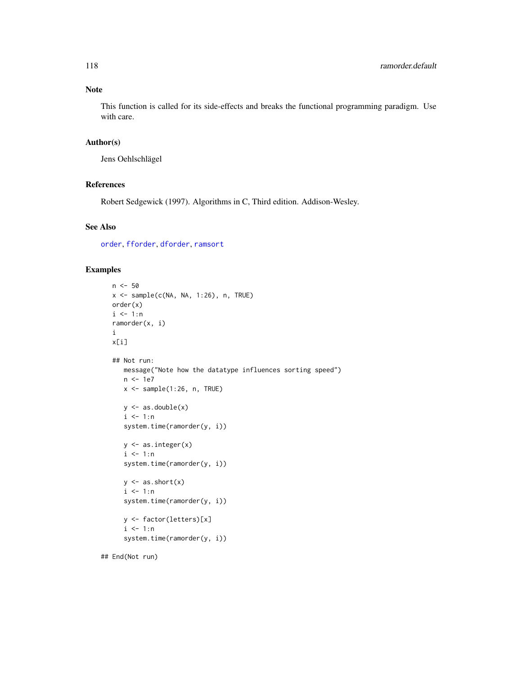# Note

This function is called for its side-effects and breaks the functional programming paradigm. Use with care.

## Author(s)

Jens Oehlschlägel

## References

Robert Sedgewick (1997). Algorithms in C, Third edition. Addison-Wesley.

#### See Also

[order](#page-0-0), [fforder](#page-65-0), [dforder](#page-58-0), [ramsort](#page-0-0)

#### Examples

```
n <- 50
x <- sample(c(NA, NA, 1:26), n, TRUE)
order(x)
i \leq 1:nramorder(x, i)
i
x[i]
## Not run:
   message("Note how the datatype influences sorting speed")
   n <- 1e7
   x \leq - sample(1:26, n, TRUE)
   y \leftarrow as.double(x)i \leq 1:nsystem.time(ramorder(y, i))
   y <- as.integer(x)
   i \leq 1:nsystem.time(ramorder(y, i))
   y \leftarrow as.short(x)i \leq 1:nsystem.time(ramorder(y, i))
   y <- factor(letters)[x]
   i \leq 1:nsystem.time(ramorder(y, i))
```
## End(Not run)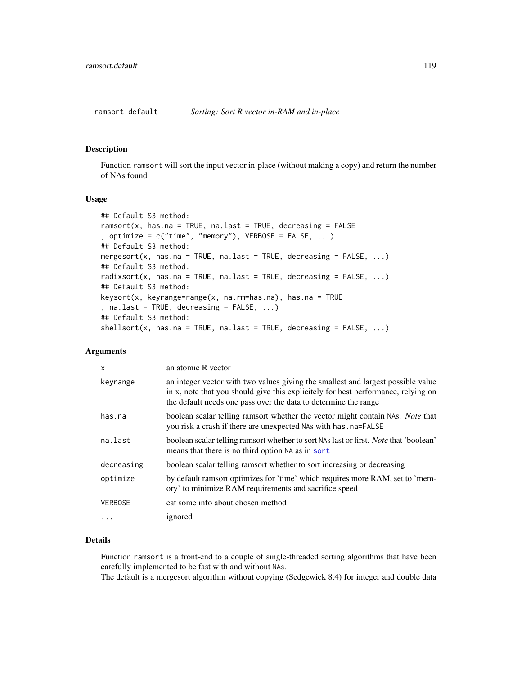ramsort.default *Sorting: Sort R vector in-RAM and in-place*

#### Description

Function ramsort will sort the input vector in-place (without making a copy) and return the number of NAs found

#### Usage

```
## Default S3 method:
ramsort(x, has.na = TRUE, na.last = TRUE, decreasing = FALSE, optimize = c("time", "memory"), VERBOSE = FALSE, ...)## Default S3 method:
mergesort(x, has.na = TRUE, na.last = TRUE, decreasing = FALSE, ...)
## Default S3 method:
radixsort(x, has.na = TRUE, na.last = TRUE, decreasing = FALSE, ...)
## Default S3 method:
keysort(x, keyrange=range(x, na.rm=has.na), has.na = TRUE
, na.last = TRUE, decreasing = FALSE, ...)
## Default S3 method:
shellsort(x, has.na = TRUE, na last = TRUE, decreasing = FALSE, ...)
```
# Arguments

| X              | an atomic R vector                                                                                                                                                                                                                       |
|----------------|------------------------------------------------------------------------------------------------------------------------------------------------------------------------------------------------------------------------------------------|
| keyrange       | an integer vector with two values giving the smallest and largest possible value<br>in x, note that you should give this explicitely for best performance, relying on<br>the default needs one pass over the data to determine the range |
| has.na         | boolean scalar telling ramsort whether the vector might contain NAs. Note that<br>you risk a crash if there are unexpected NAs with has . na=FALSE                                                                                       |
| na.last        | boolean scalar telling ramsort whether to sort NAs last or first. <i>Note</i> that 'boolean'<br>means that there is no third option NA as in sort                                                                                        |
| decreasing     | boolean scalar telling ramsort whether to sort increasing or decreasing                                                                                                                                                                  |
| optimize       | by default ramsort optimizes for 'time' which requires more RAM, set to 'mem-<br>ory' to minimize RAM requirements and sacrifice speed                                                                                                   |
| <b>VERBOSE</b> | cat some info about chosen method                                                                                                                                                                                                        |
| .              | ignored                                                                                                                                                                                                                                  |

# Details

Function ramsort is a front-end to a couple of single-threaded sorting algorithms that have been carefully implemented to be fast with and without NAs.

The default is a mergesort algorithm without copying (Sedgewick 8.4) for integer and double data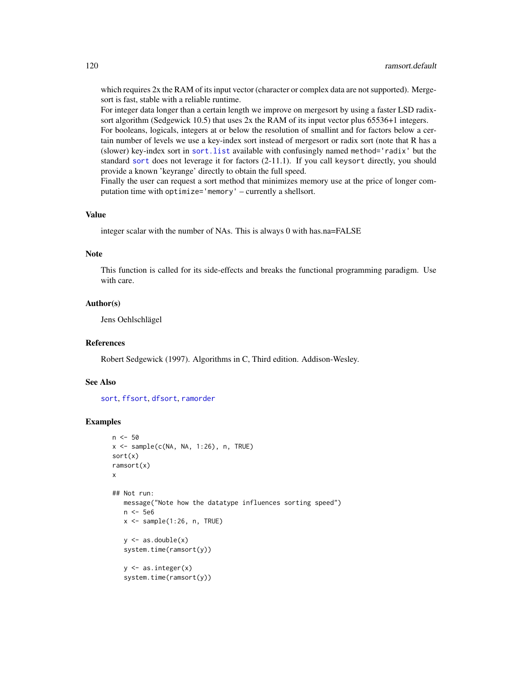which requires 2x the RAM of its input vector (character or complex data are not supported). Mergesort is fast, stable with a reliable runtime.

For integer data longer than a certain length we improve on mergesort by using a faster LSD radixsort algorithm (Sedgewick 10.5) that uses 2x the RAM of its input vector plus 65536+1 integers.

For booleans, logicals, integers at or below the resolution of smallint and for factors below a certain number of levels we use a key-index sort instead of mergesort or radix sort (note that R has a (slower) key-index sort in [sort.list](#page-0-0) available with confusingly named method='radix' but the standard [sort](#page-0-0) does not leverage it for factors (2-11.1). If you call keysort directly, you should provide a known 'keyrange' directly to obtain the full speed.

Finally the user can request a sort method that minimizes memory use at the price of longer computation time with optimize='memory' – currently a shellsort.

#### Value

integer scalar with the number of NAs. This is always 0 with has.na=FALSE

#### Note

This function is called for its side-effects and breaks the functional programming paradigm. Use with care.

#### Author(s)

Jens Oehlschlägel

# References

Robert Sedgewick (1997). Algorithms in C, Third edition. Addison-Wesley.

#### See Also

[sort](#page-0-0), [ffsort](#page-70-0), [dfsort](#page-58-0), [ramorder](#page-0-0)

```
n < -50x \leq - sample(c(NA, NA, 1:26), n, TRUE)
sort(x)
ramsort(x)
x
## Not run:
   message("Note how the datatype influences sorting speed")
   n <- 5e6
   x \leftarrow sample(1:26, n, TRUE)
   y \leftarrow as.double(x)system.time(ramsort(y))
   y \leftarrow as.integer(x)system.time(ramsort(y))
```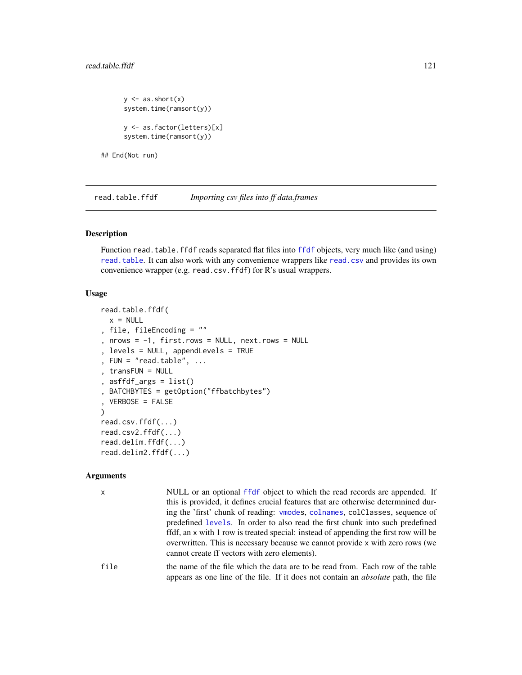## read.table.ffdf 121

```
y \leftarrow as.short(x)system.time(ramsort(y))
y <- as.factor(letters)[x]
system.time(ramsort(y))
```
## End(Not run)

<span id="page-120-0"></span>read.table.ffdf *Importing csv files into ff data.frames*

#### Description

Function read.table.[ffdf](#page-54-0) reads separated flat files into ffdf objects, very much like (and using) [read.table](#page-0-0). It can also work with any convenience wrappers like [read.csv](#page-0-0) and provides its own convenience wrapper (e.g. read.csv.ffdf) for R's usual wrappers.

# Usage

```
read.table.ffdf(
  x = NULL, file, fileEncoding = ""
, nrows = -1, first rows = NULL, next rows = NULL, levels = NULL, appendLevels = TRUE
, FUN = "read_table", ..., transFUN = NULL
 asffdf_{args} = list(), BATCHBYTES = getOption("ffbatchbytes")
, VERBOSE = FALSE
\lambdaread.csv.ffdf(...)
read.csv2.ffdf(...)
read.delim.ffdf(...)
read.delim2.ffdf(...)
```
#### Arguments

x NULL or an optional [ffdf](#page-54-0) object to which the read records are appended. If this is provided, it defines crucial features that are otherwise determnined during the 'first' chunk of reading: [vmodes](#page-152-0), [colnames](#page-31-1), colClasses, sequence of predefined [levels](#page-95-0). In order to also read the first chunk into such predefined ffdf, an x with 1 row is treated special: instead of appending the first row will be overwritten. This is necessary because we cannot provide x with zero rows (we cannot create ff vectors with zero elements).

file the name of the file which the data are to be read from. Each row of the table appears as one line of the file. If it does not contain an *absolute* path, the file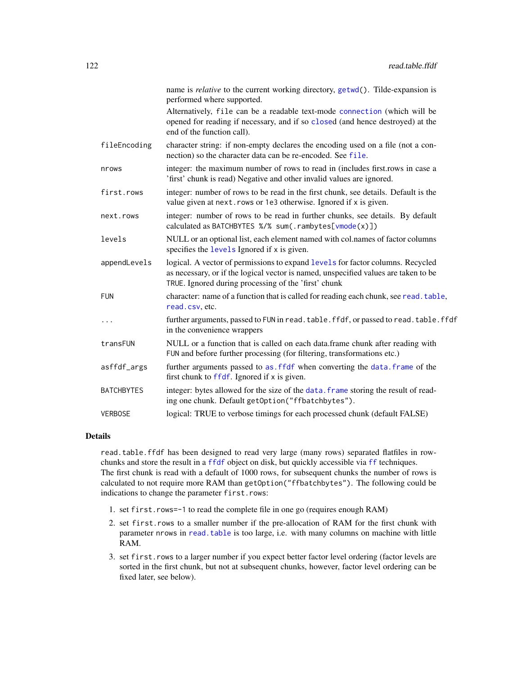|                   | name is <i>relative</i> to the current working directory, <i>getwd</i> (). Tilde-expansion is<br>performed where supported.                                                                                                   |
|-------------------|-------------------------------------------------------------------------------------------------------------------------------------------------------------------------------------------------------------------------------|
|                   | Alternatively, file can be a readable text-mode connection (which will be<br>opened for reading if necessary, and if so closed (and hence destroyed) at the<br>end of the function call).                                     |
| fileEncoding      | character string: if non-empty declares the encoding used on a file (not a con-<br>nection) so the character data can be re-encoded. See file.                                                                                |
| nrows             | integer: the maximum number of rows to read in (includes first rows in case a<br>'first' chunk is read) Negative and other invalid values are ignored.                                                                        |
| first.rows        | integer: number of rows to be read in the first chunk, see details. Default is the<br>value given at next. rows or 1e3 otherwise. Ignored if x is given.                                                                      |
| next.rows         | integer: number of rows to be read in further chunks, see details. By default<br>calculated as BATCHBYTES %/% sum(.rambytes[vmode(x)])                                                                                        |
| levels            | NULL or an optional list, each element named with col.names of factor columns<br>specifies the levels Ignored if x is given.                                                                                                  |
| appendLevels      | logical. A vector of permissions to expand levels for factor columns. Recycled<br>as necessary, or if the logical vector is named, unspecified values are taken to be<br>TRUE. Ignored during processing of the 'first' chunk |
| <b>FUN</b>        | character: name of a function that is called for reading each chunk, see read. table,<br>read.csv.etc.                                                                                                                        |
| .                 | further arguments, passed to FUN in read. table. ffdf, or passed to read. table. ffdf<br>in the convenience wrappers                                                                                                          |
| transFUN          | NULL or a function that is called on each data.frame chunk after reading with<br>FUN and before further processing (for filtering, transformations etc.)                                                                      |
| asffdf_args       | further arguments passed to as. ffdf when converting the data. frame of the<br>first chunk to ffdf. Ignored if x is given.                                                                                                    |
| <b>BATCHBYTES</b> | integer: bytes allowed for the size of the data. frame storing the result of read-<br>ing one chunk. Default getOption("ffbatchbytes").                                                                                       |
| <b>VERBOSE</b>    | logical: TRUE to verbose timings for each processed chunk (default FALSE)                                                                                                                                                     |

## Details

read.table.ffdf has been designed to read very large (many rows) separated flatfiles in rowchunks and store the result in a [ffdf](#page-54-0) object on disk, but quickly accessible via [ff](#page-40-0) techniques. The first chunk is read with a default of 1000 rows, for subsequent chunks the number of rows is calculated to not require more RAM than getOption("ffbatchbytes"). The following could be indications to change the parameter first.rows:

- 1. set first.rows=-1 to read the complete file in one go (requires enough RAM)
- 2. set first.rows to a smaller number if the pre-allocation of RAM for the first chunk with parameter nrows in [read.table](#page-0-0) is too large, i.e. with many columns on machine with little RAM.
- 3. set first.rows to a larger number if you expect better factor level ordering (factor levels are sorted in the first chunk, but not at subsequent chunks, however, factor level ordering can be fixed later, see below).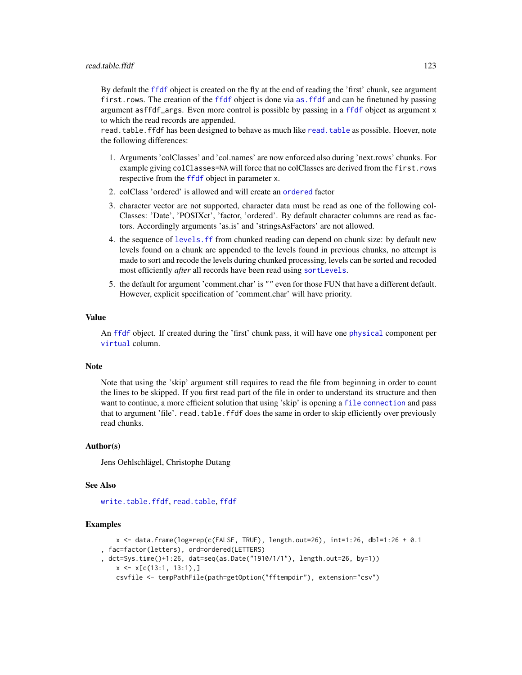#### read.table.ffdf 123

By default the [ffdf](#page-54-0) object is created on the fly at the end of reading the 'first' chunk, see argument first.rows. The creation of the [ffdf](#page-54-0) object is done via [as.ffdf](#page-10-0) and can be finetuned by passing argument asffdf\_args. Even more control is possible by passing in a [ffdf](#page-54-0) object as argument x to which the read records are appended.

read.table.ffdf has been designed to behave as much like [read.table](#page-0-0) as possible. Hoever, note the following differences:

- 1. Arguments 'colClasses' and 'col.names' are now enforced also during 'next.rows' chunks. For example giving colClasses=NA will force that no colClasses are derived from the first.rows respective from the [ffdf](#page-54-0) object in parameter x.
- 2. colClass 'ordered' is allowed and will create an [ordered](#page-0-0) factor
- 3. character vector are not supported, character data must be read as one of the following col-Classes: 'Date', 'POSIXct', 'factor, 'ordered'. By default character columns are read as factors. Accordingly arguments 'as.is' and 'stringsAsFactors' are not allowed.
- 4. the sequence of [levels.ff](#page-95-0) from chunked reading can depend on chunk size: by default new levels found on a chunk are appended to the levels found in previous chunks, no attempt is made to sort and recode the levels during chunked processing, levels can be sorted and recoded most efficiently *after* all records have been read using [sortLevels](#page-133-0).
- 5. the default for argument 'comment.char' is "" even for those FUN that have a different default. However, explicit specification of 'comment.char' will have priority.

#### Value

An [ffdf](#page-54-0) object. If created during the 'first' chunk pass, it will have one [physical](#page-110-0) component per [virtual](#page-110-1) column.

#### Note

Note that using the 'skip' argument still requires to read the file from beginning in order to count the lines to be skipped. If you first read part of the file in order to understand its structure and then want to continue, a more efficient solution that using 'skip' is opening a [file](#page-0-0) [connection](#page-0-0) and pass that to argument 'file'. read.table.ffdf does the same in order to skip efficiently over previously read chunks.

#### Author(s)

Jens Oehlschlägel, Christophe Dutang

#### See Also

[write.table.ffdf](#page-156-0), [read.table](#page-0-0), [ffdf](#page-54-0)

```
x \le - data.frame(log=rep(c(FALSE, TRUE), length.out=26), int=1:26, dbl=1:26 + 0.1
, fac=factor(letters), ord=ordered(LETTERS)
, dct=Sys.time()+1:26, dat=seq(as.Date("1910/1/1"), length.out=26, by=1))
   x \leq x[c(13:1, 13:1),]csvfile <- tempPathFile(path=getOption("fftempdir"), extension="csv")
```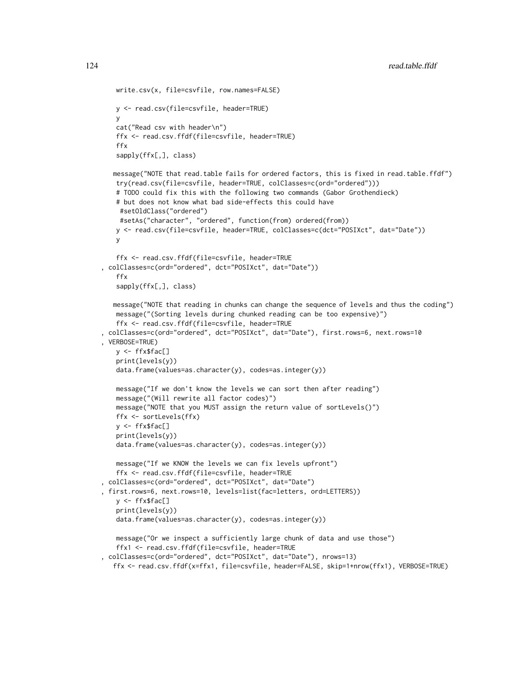```
write.csv(x, file=csvfile, row.names=FALSE)
   y <- read.csv(file=csvfile, header=TRUE)
   y
   cat("Read csv with header\n")
   ffx <- read.csv.ffdf(file=csvfile, header=TRUE)
   ffx
   sapply(ffx[,], class)
   message("NOTE that read.table fails for ordered factors, this is fixed in read.table.ffdf")
   try(read.csv(file=csvfile, header=TRUE, colClasses=c(ord="ordered")))
   # TODO could fix this with the following two commands (Gabor Grothendieck)
   # but does not know what bad side-effects this could have
    #setOldClass("ordered")
    #setAs("character", "ordered", function(from) ordered(from))
   y <- read.csv(file=csvfile, header=TRUE, colClasses=c(dct="POSIXct", dat="Date"))
   y
   ffx <- read.csv.ffdf(file=csvfile, header=TRUE
, colClasses=c(ord="ordered", dct="POSIXct", dat="Date"))
   ffx
   sapply(ffx[,], class)
   message("NOTE that reading in chunks can change the sequence of levels and thus the coding")
   message("(Sorting levels during chunked reading can be too expensive)")
   ffx <- read.csv.ffdf(file=csvfile, header=TRUE
, colClasses=c(ord="ordered", dct="POSIXct", dat="Date"), first.rows=6, next.rows=10
, VERBOSE=TRUE)
   y <- ffx$fac[]
   print(levels(y))
   data.frame(values=as.character(y), codes=as.integer(y))
   message("If we don't know the levels we can sort then after reading")
   message("(Will rewrite all factor codes)")
   message("NOTE that you MUST assign the return value of sortLevels()")
   ffx <- sortLevels(ffx)
   y <- ffx$fac[]
   print(levels(y))
   data.frame(values=as.character(y), codes=as.integer(y))
   message("If we KNOW the levels we can fix levels upfront")
   ffx <- read.csv.ffdf(file=csvfile, header=TRUE
, colClasses=c(ord="ordered", dct="POSIXct", dat="Date")
, first.rows=6, next.rows=10, levels=list(fac=letters, ord=LETTERS))
   y <- ffx$fac[]
   print(levels(y))
   data.frame(values=as.character(y), codes=as.integer(y))
   message("Or we inspect a sufficiently large chunk of data and use those")
   ffx1 <- read.csv.ffdf(file=csvfile, header=TRUE
, colClasses=c(ord="ordered", dct="POSIXct", dat="Date"), nrows=13)
```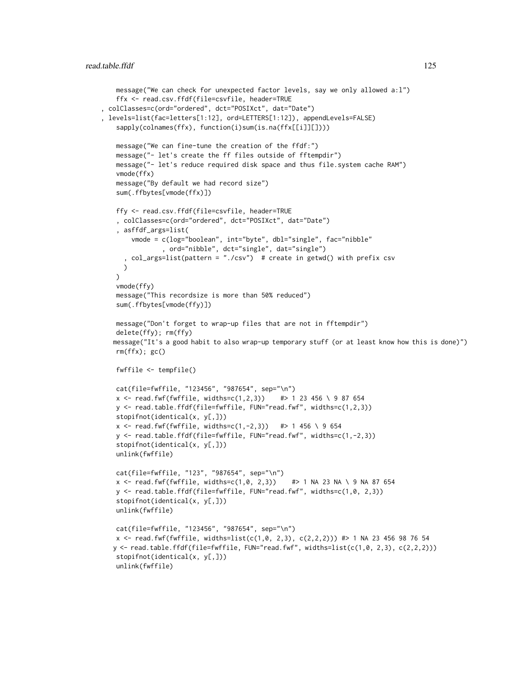```
message("We can check for unexpected factor levels, say we only allowed a:l")
   ffx <- read.csv.ffdf(file=csvfile, header=TRUE
, colClasses=c(ord="ordered", dct="POSIXct", dat="Date")
, levels=list(fac=letters[1:12], ord=LETTERS[1:12]), appendLevels=FALSE)
   sapply(colnames(ffx), function(i)sum(is.na(ffx[[i]][])))
   message("We can fine-tune the creation of the ffdf:")
   message("- let's create the ff files outside of fftempdir")
   message("- let's reduce required disk space and thus file.system cache RAM")
   vmode(ffx)
   message("By default we had record size")
   sum(.ffbytes[vmode(ffx)])
   ffy <- read.csv.ffdf(file=csvfile, header=TRUE
    , colClasses=c(ord="ordered", dct="POSIXct", dat="Date")
    , asffdf_args=list(
       vmode = c(log="boolean", int="byte", dbl="single", fac="nibble"
                , ord="nibble", dct="single", dat="single")
      , col_args=list(pattern = "./csv") # create in getwd() with prefix csv
     )
   )
   vmode(ffy)
   message("This recordsize is more than 50% reduced")
   sum(.ffbytes[vmode(ffy)])
   message("Don't forget to wrap-up files that are not in fftempdir")
   delete(ffy); rm(ffy)
   message("It's a good habit to also wrap-up temporary stuff (or at least know how this is done)")
   rm(ffx); gc()
   fwffile <- tempfile()
   cat(file=fwffile, "123456", "987654", sep="\n")
   x \le read.fwf(fwffile, widths=c(1,2,3)) #> 1 23 456 \ 9 87 654
   y <- read.table.ffdf(file=fwffile, FUN="read.fwf", widths=c(1,2,3))
   stopifnot(identical(x, y[,]))
   x \le read.fwf(fwffile, widths=c(1,-2,3)) #> 1 456 \ 9 654
   y <- read.table.ffdf(file=fwffile, FUN="read.fwf", widths=c(1,-2,3))
   stopifnot(identical(x, y[,]))
   unlink(fwffile)
   cat(file=fwffile, "123", "987654", sep="\n")
   x <- read.fwf(fwffile, widths=c(1,0, 2,3)) #> 1 NA 23 NA \ 9 NA 87 654
   y <- read.table.ffdf(file=fwffile, FUN="read.fwf", widths=c(1,0, 2,3))
   stopifnot(identical(x, y[,]))
   unlink(fwffile)
   cat(file=fwffile, "123456", "987654", sep="\n")
   x \le read.fwf(fwffile, widths=list(c(1,0, 2,3), c(2,2,2))) #> 1 NA 23 456 98 76 54
   y \leftarrow \text{read_table.ffdf(file=fwffile, FUN="read.fwf", width=list(c(1,0, 2,3), c(2,2,2)))stopifnot(identical(x, y[,]))
   unlink(fwffile)
```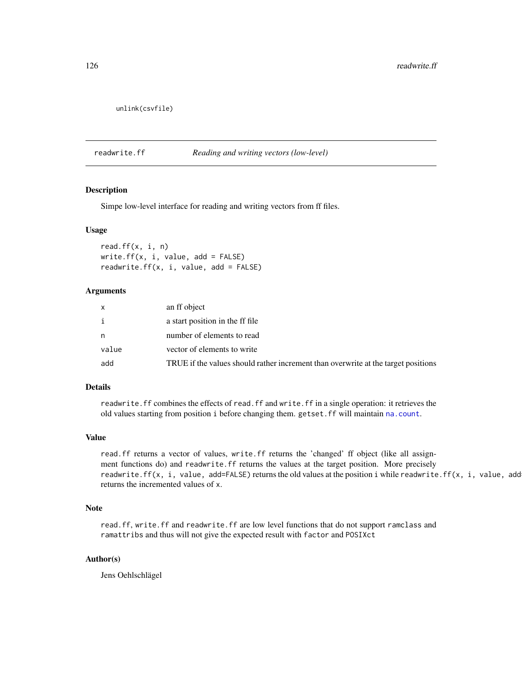```
unlink(csvfile)
```
#### <span id="page-125-0"></span>readwrite.ff *Reading and writing vectors (low-level)*

# Description

Simpe low-level interface for reading and writing vectors from ff files.

#### Usage

```
read.ff(x, i, n)
write.ff(x, i, value, add = FALSE)readwrite.ff(x, i, value, add = FALSE)
```
# Arguments

| x     | an ff object                                                                      |
|-------|-----------------------------------------------------------------------------------|
| i     | a start position in the ff file                                                   |
| n     | number of elements to read                                                        |
| value | vector of elements to write                                                       |
| add   | TRUE if the values should rather increment than overwrite at the target positions |

#### Details

readwrite.ff combines the effects of read.ff and write.ff in a single operation: it retrieves the old values starting from position i before changing them. getset.ff will maintain [na.count](#page-104-0).

## Value

read.ff returns a vector of values, write.ff returns the 'changed' ff object (like all assignment functions do) and readwrite.ff returns the values at the target position. More precisely readwrite.ff(x, i, value, add=FALSE) returns the old values at the position i while readwrite.ff(x, i, value, add returns the incremented values of x.

#### Note

read.ff, write.ff and readwrite.ff are low level functions that do not support ramclass and ramattribs and thus will not give the expected result with factor and POSIXct

#### Author(s)

Jens Oehlschlägel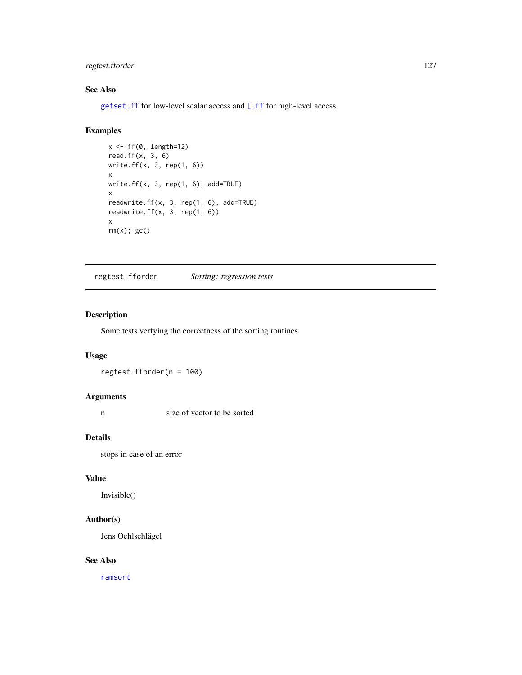# regtest.fforder 127

## See Also

[getset.ff](#page-83-0) for low-level scalar access and [\[.ff](#page-35-0) for high-level access

# Examples

```
x \leftarrow ff(\emptyset, length=12)read.ff(x, 3, 6)
write.ff(x, 3, rep(1, 6))
x
write.ff(x, 3, rep(1, 6), add=TRUE)
x
readwrite.ff(x, 3, rep(1, 6), add=TRUE)
readwrite.ff(x, 3, rep(1, 6))
x
rm(x); gc()
```
regtest.fforder *Sorting: regression tests*

# Description

Some tests verfying the correctness of the sorting routines

#### Usage

regtest.fforder(n = 100)

# Arguments

n size of vector to be sorted

# Details

stops in case of an error

#### Value

Invisible()

## Author(s)

Jens Oehlschlägel

## See Also

[ramsort](#page-0-0)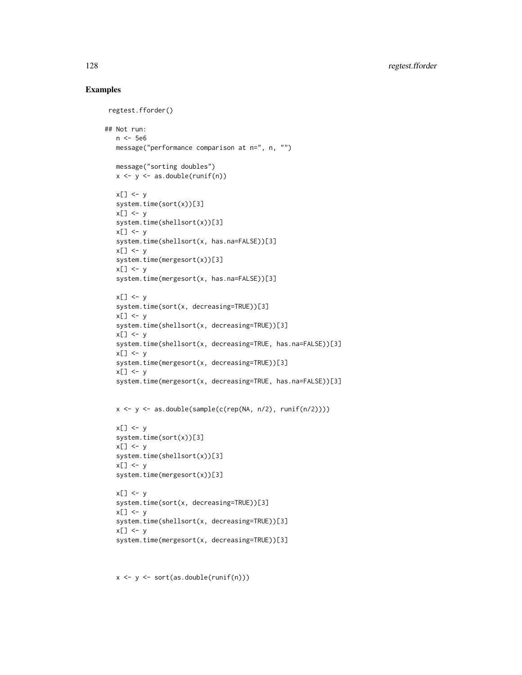## Examples

```
regtest.fforder()
## Not run:
   n <- 5e6
   message("performance comparison at n=", n, "")
   message("sorting doubles")
   x \leftarrow y \leftarrow as.double(runif(n))x[] <- y
   system.time(sort(x))[3]
   x[] <- y
   system.time(shellsort(x))[3]
   x[] \leftarrow ysystem.time(shellsort(x, has.na=FALSE))[3]
   x[] <- y
   system.time(mergesort(x))[3]
   x[] \leftarrow ysystem.time(mergesort(x, has.na=FALSE))[3]
   x[] \leftarrow ysystem.time(sort(x, decreasing=TRUE))[3]
   x[] <- y
   system.time(shellsort(x, decreasing=TRUE))[3]
   x[] <- y
   system.time(shellsort(x, decreasing=TRUE, has.na=FALSE))[3]
   x[] \leftarrow ysystem.time(mergesort(x, decreasing=TRUE))[3]
   x[] \leftarrow ysystem.time(mergesort(x, decreasing=TRUE, has.na=FALSE))[3]
   x <- y <- as.double(sample(c(rep(NA, n/2), runif(n/2))))
   x[] <- y
   system.time(sort(x))[3]
   x[] <- y
   system.time(shellsort(x))[3]
   x[] \leq -ysystem.time(mergesort(x))[3]
   x[] \leftarrow ysystem.time(sort(x, decreasing=TRUE))[3]
   x[] \leftarrow ysystem.time(shellsort(x, decreasing=TRUE))[3]
   x[] \leftarrow ysystem.time(mergesort(x, decreasing=TRUE))[3]
```
x <- y <- sort(as.double(runif(n)))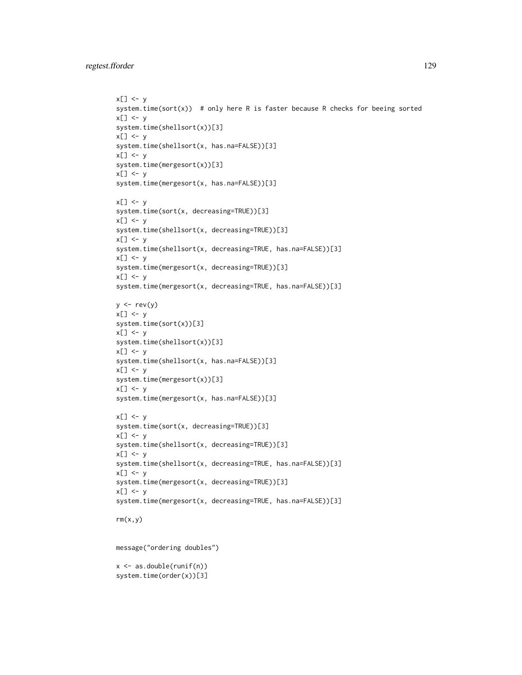```
x[] \leq -ysystem.time(sort(x)) # only here R is faster because R checks for beeing sorted
x[] \leftarrow ysystem.time(shellsort(x))[3]
x[] \leftarrow ysystem.time(shellsort(x, has.na=FALSE))[3]
x[] \leftarrow ysystem.time(mergesort(x))[3]
x[] \leftarrow ysystem.time(mergesort(x, has.na=FALSE))[3]
x[] \leftarrow ysystem.time(sort(x, decreasing=TRUE))[3]
x[] \leftarrow ysystem.time(shellsort(x, decreasing=TRUE))[3]
x[] <- y
system.time(shellsort(x, decreasing=TRUE, has.na=FALSE))[3]
x[] \leftarrow ysystem.time(mergesort(x, decreasing=TRUE))[3]
x[] \leftarrow ysystem.time(mergesort(x, decreasing=TRUE, has.na=FALSE))[3]
y \leftarrow rev(y)x[] <- y
system.time(sort(x))[3]
x[] \leftarrow ysystem.time(shellsort(x))[3]
x[] \leftarrow ysystem.time(shellsort(x, has.na=FALSE))[3]
x[] <- ysystem.time(mergesort(x))[3]
x[] \leftarrow ysystem.time(mergesort(x, has.na=FALSE))[3]
x[] \leftarrow ysystem.time(sort(x, decreasing=TRUE))[3]
x[] \leftarrow ysystem.time(shellsort(x, decreasing=TRUE))[3]
x[] \leftarrow ysystem.time(shellsort(x, decreasing=TRUE, has.na=FALSE))[3]
x[] <- y
system.time(mergesort(x, decreasing=TRUE))[3]
x[] <- y
system.time(mergesort(x, decreasing=TRUE, has.na=FALSE))[3]
rm(x,y)message("ordering doubles")
x <- as.double(runif(n))
system.time(order(x))[3]
```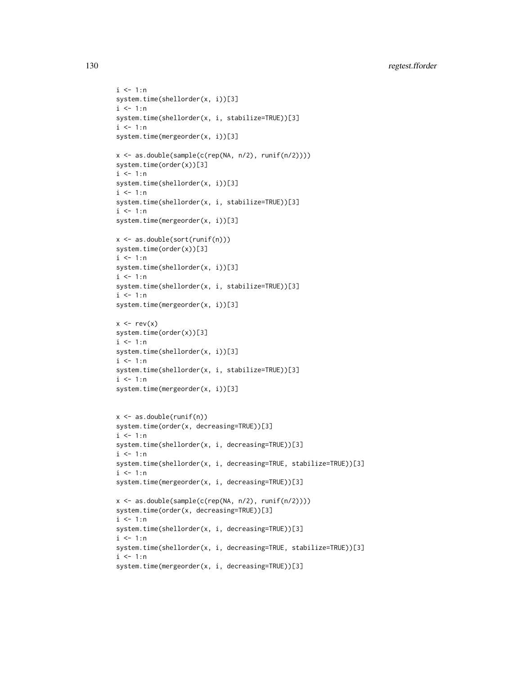130 regtest.fforder

```
i \leq 1:nsystem.time(shellorder(x, i))[3]
i \leq 1:nsystem.time(shellorder(x, i, stabilize=TRUE))[3]
i \leq 1:nsystem.time(mergeorder(x, i))[3]
x <- as.double(sample(c(rep(NA, n/2), runif(n/2))))
system.time(order(x))[3]
i <- 1:n
system.time(shellorder(x, i))[3]
i \leq 1:nsystem.time(shellorder(x, i, stabilize=TRUE))[3]
i \leq 1:nsystem.time(mergeorder(x, i))[3]
x <- as.double(sort(runif(n)))
system.time(order(x))[3]
i \le -1:nsystem.time(shellorder(x, i))[3]
i \le -1:nsystem.time(shellorder(x, i, stabilize=TRUE))[3]
i \leq 1:nsystem.time(mergeorder(x, i))[3]
x \leftarrow rev(x)system.time(order(x))[3]
i \le -1:nsystem.time(shellorder(x, i))[3]
i \leq -1:nsystem.time(shellorder(x, i, stabilize=TRUE))[3]
i \le -1:nsystem.time(mergeorder(x, i))[3]
x <- as.double(runif(n))
system.time(order(x, decreasing=TRUE))[3]
i \leq 1:nsystem.time(shellorder(x, i, decreasing=TRUE))[3]
i \leq 1:nsystem.time(shellorder(x, i, decreasing=TRUE, stabilize=TRUE))[3]
i \leq 1:nsystem.time(mergeorder(x, i, decreasing=TRUE))[3]
x <- as.double(sample(c(rep(NA, n/2), runif(n/2))))
system.time(order(x, decreasing=TRUE))[3]
i \leq 1:nsystem.time(shellorder(x, i, decreasing=TRUE))[3]
i \le -1:nsystem.time(shellorder(x, i, decreasing=TRUE, stabilize=TRUE))[3]
i \leq 1:nsystem.time(mergeorder(x, i, decreasing=TRUE))[3]
```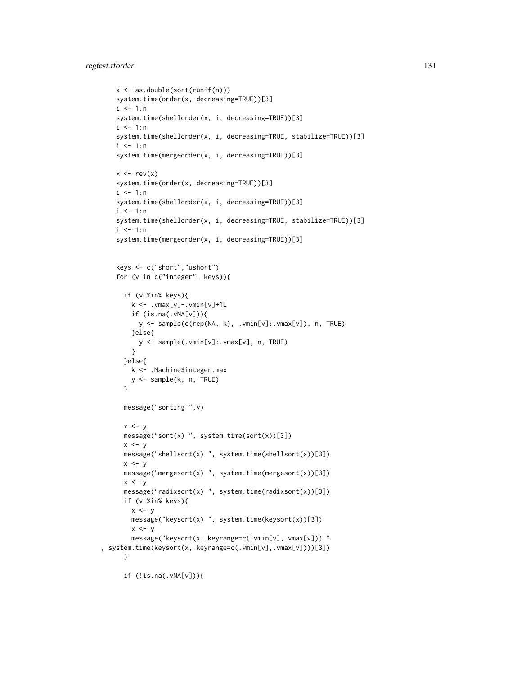## regtest.fforder 131

```
x <- as.double(sort(runif(n)))
   system.time(order(x, decreasing=TRUE))[3]
   i \le -1:nsystem.time(shellorder(x, i, decreasing=TRUE))[3]
   i \leq 1:nsystem.time(shellorder(x, i, decreasing=TRUE, stabilize=TRUE))[3]
   i \le -1:nsystem.time(mergeorder(x, i, decreasing=TRUE))[3]
   x \le -rev(x)
   system.time(order(x, decreasing=TRUE))[3]
   i \leq 1:nsystem.time(shellorder(x, i, decreasing=TRUE))[3]
   i \leq 1:nsystem.time(shellorder(x, i, decreasing=TRUE, stabilize=TRUE))[3]
   i \le -1:nsystem.time(mergeorder(x, i, decreasing=TRUE))[3]
   keys <- c("short","ushort")
   for (v in c("integer", keys)){
     if (v %in% keys){
       k \le - .vmax[v]-.vmin[v]+1L
       if (is.na(.vNA[v])){
         y <- sample(c(rep(NA, k), .vmin[v]:.vmax[v]), n, TRUE)
       }else{
         y <- sample(.vmin[v]:.vmax[v], n, TRUE)
       }
     }else{
       k <- .Machine$integer.max
       y <- sample(k, n, TRUE)
     }
     message("sorting ",v)
     x < -ymessage("sort(x) ", system.time(sort(x))[3])
     x < -ymessage("shellsort(x) ", system.time(shellsort(x))[3])
     x < -ymessage("mergesort(x) ", system.time(mergesort(x))[3])
     x \le -ymessage("radixsort(x) ", system.time(radixsort(x))[3])
     if (v %in% keys){
       x \le -ymessage("keysort(x) ", system.time(keysort(x))[3])
       x < -ymessage("keysort(x, keyrange=c(.vmin[v],.vmax[v])) "
, system.time(keysort(x, keyrange=c(.vmin[v],.vmax[v])))[3])
     }
     if (!is.na(.vNA[v])){
```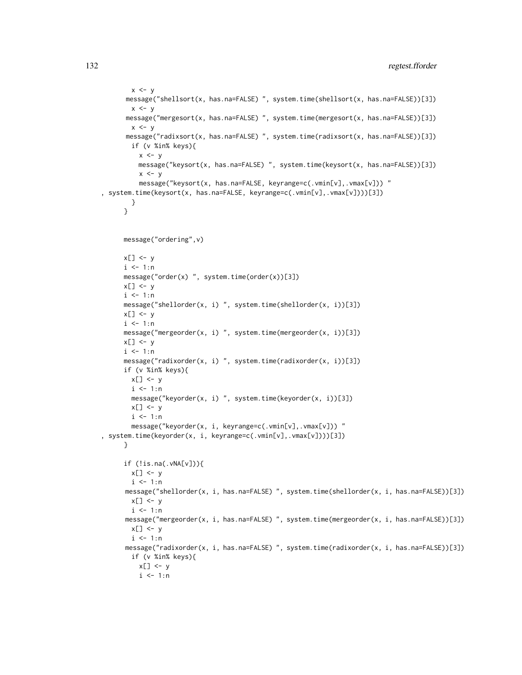```
x \leq -ymessage("shellsort(x, has.na=FALSE) ", system.time(shellsort(x, has.na=FALSE))[3])
       x \le -ymessage("mergesort(x, has.na=FALSE) ", system.time(mergesort(x, has.na=FALSE))[3])
        x \le -ymessage("radixsort(x, has.na=FALSE) ", system.time(radixsort(x, has.na=FALSE))[3])
        if (v %in% keys){
          x \le -ymessage("keysort(x, has.na=FALSE) ", system.time(keysort(x, has.na=FALSE))[3])
          x \le -ymessage("keysort(x, has.na=FALSE, keyrange=c(.vmin[v],.vmax[v])) "
, system.time(keysort(x, has.na=FALSE, keyrange=c(.vmin[v],.vmax[v])))[3])
        }
      }
      message("ordering",v)
      x[] \leftarrow yi \leq -1:nmessage("order(x) ", system.time(order(x))[3])
      x[] <- y
      i \leq 1:nmessage("shellorder(x, i) ", system.time(shellorder(x, i))[3])
      x[] \leftarrow yi \leq 1:nmessage("mergeorder(x, i) ", system.time(mergeorder(x, i))[3])
     x[] \leftarrow yi \leq 1:nmessage("radixorder(x, i) ", system.time(radixorder(x, i))[3])
      if (v %in% keys){
       x[] \leftarrow yi <- 1:n
        message("keyorder(x, i) ", system.time(keyorder(x, i))[3])
        x[] \leftarrow yi \leq 1:nmessage("keyorder(x, i, keyrange=c(.vmin[v],.vmax[v])) "
, system.time(keyorder(x, i, keyrange=c(.vmin[v],.vmax[v])))[3])
      }
      if (!is.na(.vNA[v])){
        x[] \leftarrow yi \leq 1:nmessage("shellorder(x, i, has.na=FALSE) ", system.time(shellorder(x, i, has.na=FALSE))[3])
        x[] \leftarrow yi \leq 1:nmessage("mergeorder(x, i, has.na=FALSE) ", system.time(mergeorder(x, i, has.na=FALSE))[3])
        x[] \leftarrow y
        i \leq 1:nmessage("radixorder(x, i, has.na=FALSE) ", system.time(radixorder(x, i, has.na=FALSE))[3])
        if (v %in% keys){
          x[] \leftarrow yi <- 1:n
```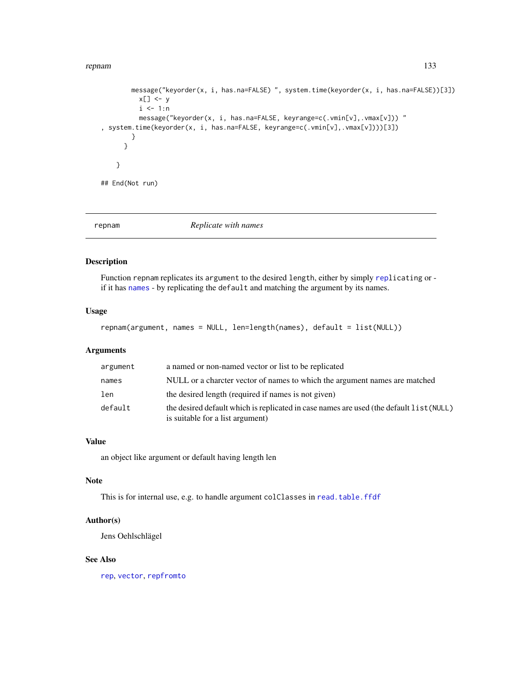#### repnam 133

```
message("keyorder(x, i, has.na=FALSE) ", system.time(keyorder(x, i, has.na=FALSE))[3])
          x[] \leftarrow yi \leq 1:nmessage("keyorder(x, i, has.na=FALSE, keyrange=c(.vmin[v],.vmax[v])) "
, system.time(keyorder(x, i, has.na=FALSE, keyrange=c(.vmin[v],.vmax[v])))[3])
        }
      }
    }
## End(Not run)
```
repnam *Replicate with names*

## Description

Function repnam replicates its argument to the desired length, either by simply [repl](#page-0-0)icating or if it has [names](#page-0-0) - by replicating the default and matching the argument by its names.

## Usage

```
repnam(argument, names = NULL, len=length(names), default = list(NULL))
```
# Arguments

| argument | a named or non-named vector or list to be replicated                                                                        |
|----------|-----------------------------------------------------------------------------------------------------------------------------|
| names    | NULL or a charcter vector of names to which the argument names are matched                                                  |
| len      | the desired length (required if names is not given)                                                                         |
| default  | the desired default which is replicated in case names are used (the default list (NULL)<br>is suitable for a list argument) |

## Value

an object like argument or default having length len

# Note

This is for internal use, e.g. to handle argument colClasses in [read.table.ffdf](#page-120-0)

# Author(s)

Jens Oehlschlägel

## See Also

[rep](#page-0-0), [vector](#page-0-0), [repfromto](#page-0-0)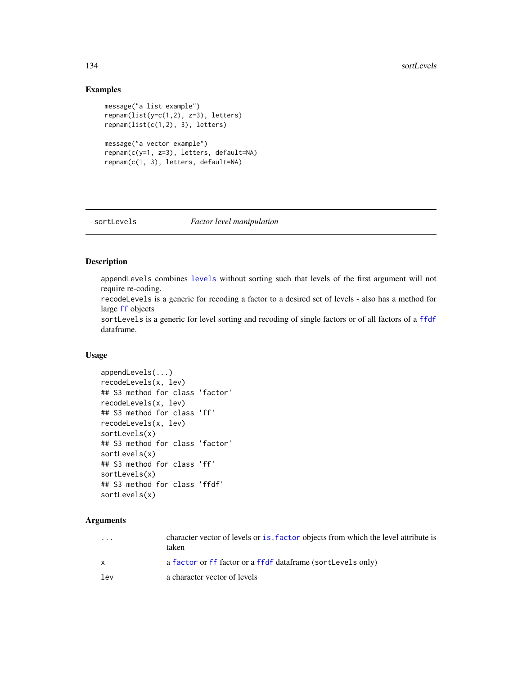#### 134 sortLevels

# Examples

```
message("a list example")
repnam(list(y=c(1,2), z=3), letters)
repnam(list(c(1,2), 3), letters)
message("a vector example")
```

```
repnam(c(y=1, z=3), letters, default=NA)
repnam(c(1, 3), letters, default=NA)
```
<span id="page-133-0"></span>

#### sortLevels *Factor level manipulation*

# Description

appendLevels combines [levels](#page-95-0) without sorting such that levels of the first argument will not require re-coding.

recodeLevels is a generic for recoding a factor to a desired set of levels - also has a method for large [ff](#page-40-0) objects

sortLevels is a generic for level sorting and recoding of single factors or of all factors of a [ffdf](#page-54-0) dataframe.

#### Usage

```
appendLevels(...)
recodeLevels(x, lev)
## S3 method for class 'factor'
recodeLevels(x, lev)
## S3 method for class 'ff'
recodeLevels(x, lev)
sortLevels(x)
## S3 method for class 'factor'
sortLevels(x)
## S3 method for class 'ff'
sortLevels(x)
## S3 method for class 'ffdf'
sortLevels(x)
```
# Arguments

| $\cdot$ $\cdot$ $\cdot$ | character vector of levels or is, factor objects from which the level attribute is<br>taken |
|-------------------------|---------------------------------------------------------------------------------------------|
| X                       | a factor or ff factor or a ffdf dataframe (sortLevels only)                                 |
| lev                     | a character vector of levels                                                                |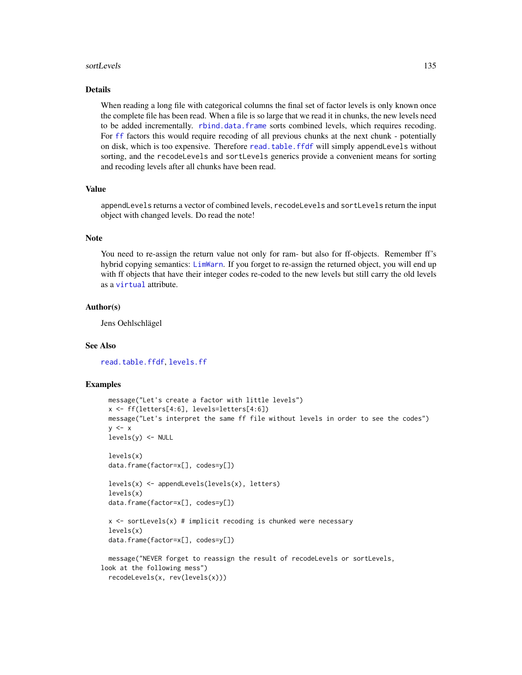#### sortLevels and the state of the state of the state of the state of the state of the state of the state of the state of the state of the state of the state of the state of the state of the state of the state of the state of

#### Details

When reading a long file with categorical columns the final set of factor levels is only known once the complete file has been read. When a file is so large that we read it in chunks, the new levels need to be added incrementally. [rbind.data.frame](#page-0-0) sorts combined levels, which requires recoding. For [ff](#page-40-0) factors this would require recoding of all previous chunks at the next chunk - potentially on disk, which is too expensive. Therefore [read.table.ffdf](#page-120-0) will simply appendLevels without sorting, and the recodeLevels and sortLevels generics provide a convenient means for sorting and recoding levels after all chunks have been read.

#### Value

appendLevels returns a vector of combined levels, recodeLevels and sortLevels return the input object with changed levels. Do read the note!

#### Note

You need to re-assign the return value not only for ram- but also for ff-objects. Remember ff's hybrid copying semantics: [LimWarn](#page-97-0). If you forget to re-assign the returned object, you will end up with ff objects that have their integer codes re-coded to the new levels but still carry the old levels as a [virtual](#page-109-1) attribute.

#### Author(s)

Jens Oehlschlägel

#### See Also

[read.table.ffdf](#page-120-0), [levels.ff](#page-95-0)

```
message("Let's create a factor with little levels")
 x <- ff(letters[4:6], levels=letters[4:6])
 message("Let's interpret the same ff file without levels in order to see the codes")
 y \leq -xlevels(y) <- NULL
 levels(x)
 data.frame(factor=x[], codes=y[])
 levels(x) <- appendLevels(levels(x), letters)
 levels(x)
 data.frame(factor=x[], codes=y[])
 x \le sortLevels(x) # implicit recoding is chunked were necessary
 levels(x)
 data.frame(factor=x[], codes=y[])
 message("NEVER forget to reassign the result of recodeLevels or sortLevels,
look at the following mess")
 recodeLevels(x, rev(levels(x)))
```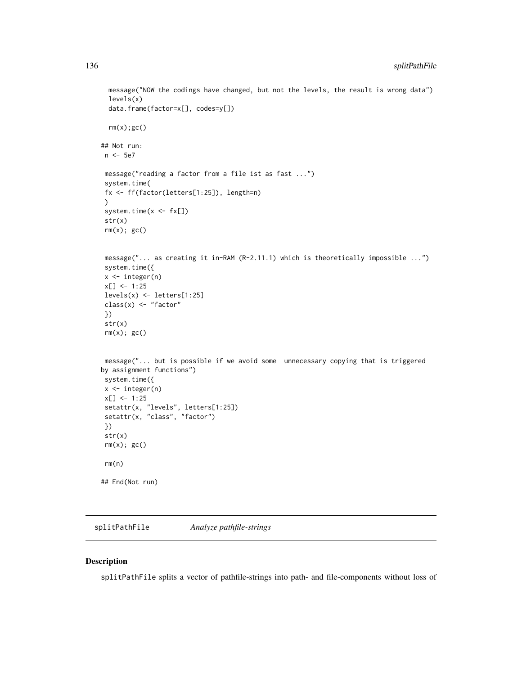```
message("NOW the codings have changed, but not the levels, the result is wrong data")
 levels(x)
 data.frame(factor=x[], codes=y[])
 rm(x);gc()## Not run:
n <- 5e7
message("reading a factor from a file ist as fast ...")
system.time(
fx <- ff(factor(letters[1:25]), length=n)
)
system.time(x < - f x[])str(x)
rm(x); gc()message("... as creating it in-RAM (R-2.11.1) which is theoretically impossible ...")
system.time({
x <- integer(n)
x[] \leftarrow 1:25levels(x) <- letters[1:25]
class(x) <- "factor"
})
str(x)
rm(x); gc()
message("... but is possible if we avoid some unnecessary copying that is triggered
by assignment functions")
system.time({
x \leftarrow integer(n)
x[] \leftarrow 1:25setattr(x, "levels", letters[1:25])
setattr(x, "class", "factor")
})
str(x)
rm(x); gc()rm(n)
## End(Not run)
```
splitPathFile *Analyze pathfile-strings*

## Description

splitPathFile splits a vector of pathfile-strings into path- and file-components without loss of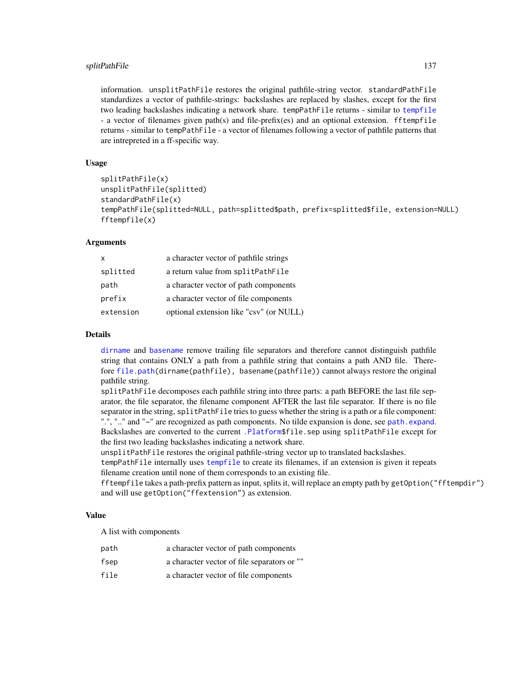information. unsplitPathFile restores the original pathfile-string vector. standardPathFile standardizes a vector of pathfile-strings: backslashes are replaced by slashes, except for the first two leading backslashes indicating a network share. tempPathFile returns - similar to [tempfile](#page-0-0) - a vector of filenames given path(s) and file-prefix(es) and an optional extension. fftempfile returns - similar to tempPathFile - a vector of filenames following a vector of pathfile patterns that are intrepreted in a ff-specific way.

#### Usage

```
splitPathFile(x)
unsplitPathFile(splitted)
standardPathFile(x)
tempPathFile(splitted=NULL, path=splitted$path, prefix=splitted$file, extension=NULL)
fftempfile(x)
```
#### Arguments

| X         | a character vector of pathfile strings  |
|-----------|-----------------------------------------|
| splitted  | a return value from splitPathFile       |
| path      | a character vector of path components   |
| prefix    | a character vector of file components   |
| extension | optional extension like "csv" (or NULL) |

#### Details

[dirname](#page-0-0) and [basename](#page-0-0) remove trailing file separators and therefore cannot distinguish pathfile string that contains ONLY a path from a pathfile string that contains a path AND file. Therefore [file.path\(](#page-0-0)dirname(pathfile), basename(pathfile)) cannot always restore the original pathfile string.

splitPathFile decomposes each pathfile string into three parts: a path BEFORE the last file separator, the file separator, the filename component AFTER the last file separator. If there is no file separator in the string, splitPathFile tries to guess whether the string is a path or a file component: ".", ".." and "~" are recognized as path components. No tilde expansion is done, see [path.expand](#page-0-0). Backslashes are converted to the current [.Platform\\$](#page-0-0)file.sep using splitPathFile except for the first two leading backslashes indicating a network share.

unsplitPathFile restores the original pathfile-string vector up to translated backslashes.

tempPathFile internally uses [tempfile](#page-0-0) to create its filenames, if an extension is given it repeats filename creation until none of them corresponds to an existing file.

fftempfile takes a path-prefix pattern as input, splits it, will replace an empty path by getOption("fftempdir") and will use getOption("ffextension") as extension.

#### Value

A list with components

| path          | a character vector of path components       |
|---------------|---------------------------------------------|
| fsep          | a character vector of file separators or "" |
| $f: 1 \wedge$ | a gharacter vector of file companents       |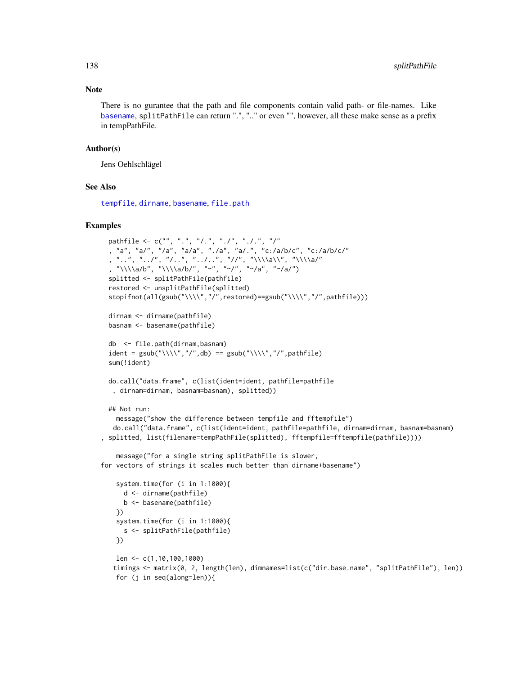## Note

There is no gurantee that the path and file components contain valid path- or file-names. Like [basename](#page-0-0), splitPathFile can return ".", ".." or even "", however, all these make sense as a prefix in tempPathFile.

#### Author(s)

Jens Oehlschlägel

# See Also

[tempfile](#page-0-0), [dirname](#page-0-0), [basename](#page-0-0), [file.path](#page-0-0)

```
pathfile <- c("", ".", "/.", "./", "./.", "/"
 , "a", "a/", "/a", "a/a", "./a", "a/.", "c:/a/b/c", "c:/a/b/c/"
  , "..", "../", "/..", "../..", "//", "\\\\a\\", "\\\\a/"
  , "\\\\a/b", "\\\\a/b/", "~", "~/", "~/a", "~/a/")
 splitted <- splitPathFile(pathfile)
 restored <- unsplitPathFile(splitted)
 stopifnot(all(gsub("\\\\","/",restored)==gsub("\\\\","/",pathfile)))
 dirnam <- dirname(pathfile)
 basnam <- basename(pathfile)
 db <- file.path(dirnam,basnam)
 ident = gsub("\\\\","/",db) == gsub("\\\\","/",pathfile)
 sum(!ident)
 do.call("data.frame", c(list(ident=ident, pathfile=pathfile
  , dirnam=dirnam, basnam=basnam), splitted))
 ## Not run:
   message("show the difference between tempfile and fftempfile")
   do.call("data.frame", c(list(ident=ident, pathfile=pathfile, dirnam=dirnam, basnam=basnam)
, splitted, list(filename=tempPathFile(splitted), fftempfile=fftempfile(pathfile))))
   message("for a single string splitPathFile is slower,
for vectors of strings it scales much better than dirname+basename")
   system.time(for (i in 1:1000){
     d <- dirname(pathfile)
     b <- basename(pathfile)
   })
   system.time(for (i in 1:1000){
     s <- splitPathFile(pathfile)
   })
   len <- c(1,10,100,1000)
   timings <- matrix(0, 2, length(len), dimnames=list(c("dir.base.name", "splitPathFile"), len))
   for (j in seq(along=len)){
```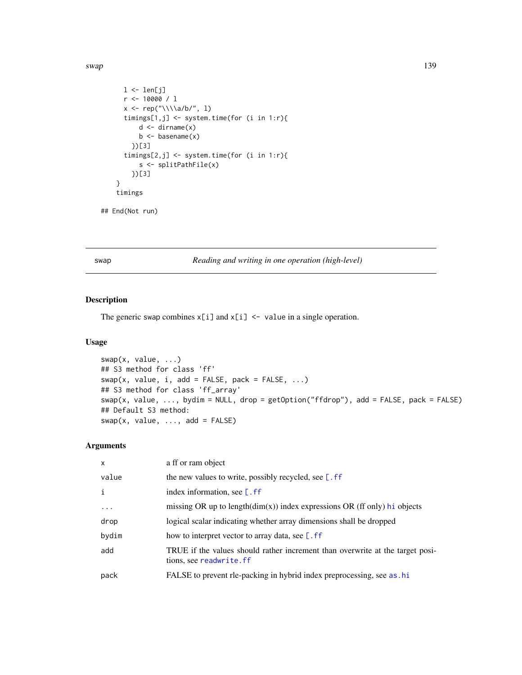#### swap 139

```
l \leftarrow len[j]r <- 10000 / l
  x <- rep("\\\\a/b/", l)
  timings[1,j] <- system.time(for (i in 1:r){
      d \leftarrow dirname(x)b \leftarrow basename(x)})[3]
  timings[2,j] <- system.time(for (i in 1:r){
      s <- splitPathFile(x)
    })[3]
}
timings
```
## End(Not run)

swap *Reading and writing in one operation (high-level)*

# Description

The generic swap combines  $x[i]$  and  $x[i]$  <- value in a single operation.

# Usage

```
swap(x, value, ...)## S3 method for class 'ff'
swap(x, value, i, add = FALSE, pack = FALSE, ...)## S3 method for class 'ff_array'
swap(x, value, \dots, bydim = NULL, drop = getOption("ffdrop"), add = FALSE, pack = FALSE)
## Default S3 method:
swap(x, value, ..., add = FALSE)
```
## Arguments

| $\mathsf{x}$ | a ff or ram object                                                                                       |
|--------------|----------------------------------------------------------------------------------------------------------|
| value        | the new values to write, possibly recycled, see $[$ . ff                                                 |
| i            | index information, see $[$ . ff                                                                          |
| $\cdot$      | missing OR up to length $(\dim(x))$ index expressions OR (ff only) hi objects                            |
| drop         | logical scalar indicating whether array dimensions shall be dropped                                      |
| bydim        | how to interpret vector to array data, see $\lceil$ . ff                                                 |
| add          | TRUE if the values should rather increment than overwrite at the target posi-<br>tions, see readwrite.ff |
| pack         | FALSE to prevent rle-packing in hybrid index preprocessing, see as .hi                                   |
|              |                                                                                                          |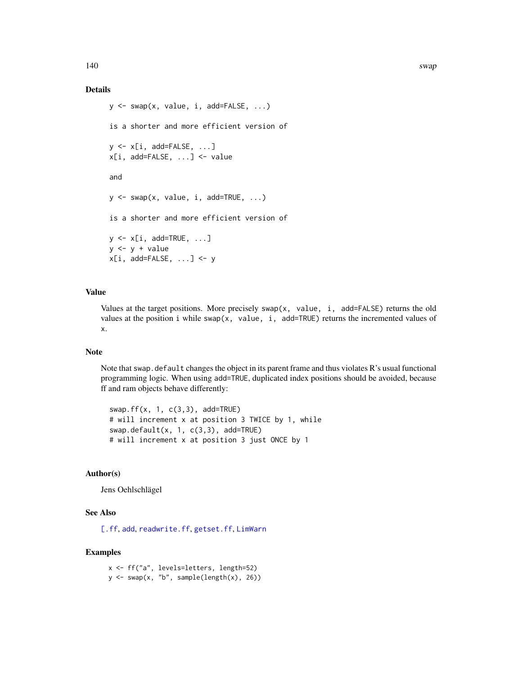## Details

```
y \le - swap(x, value, i, add=FALSE, ...)
is a shorter and more efficient version of
y \leq -x[i, add=FALSE, ...]x[i, add=FALSE, ...] <- value
and
y \le - swap(x, value, i, add=TRUE, ...)
is a shorter and more efficient version of
y <- x[i, add=TRUE, ...]
y \leftarrow y + valuex[i, add=False, ...] <- y
```
## Value

Values at the target positions. More precisely swap(x, value, i, add=FALSE) returns the old values at the position i while swap(x, value, i, add=TRUE) returns the incremented values of x.

#### Note

Note that swap.default changes the object in its parent frame and thus violates  $\mathbf{R}'s$  usual functional programming logic. When using add=TRUE, duplicated index positions should be avoided, because ff and ram objects behave differently:

swap.ff(x, 1, c(3,3), add=TRUE) # will increment x at position 3 TWICE by 1, while swap.default(x, 1, c(3,3), add=TRUE) # will increment x at position 3 just ONCE by 1

# Author(s)

Jens Oehlschlägel

#### See Also

[\[.ff](#page-35-0), [add](#page-4-0), [readwrite.ff](#page-125-0), [getset.ff](#page-83-0), [LimWarn](#page-97-0)

## Examples

x <- ff("a", levels=letters, length=52)  $y \leftarrow \text{swap}(x, "b", \text{sample}(\text{length}(x), 26))$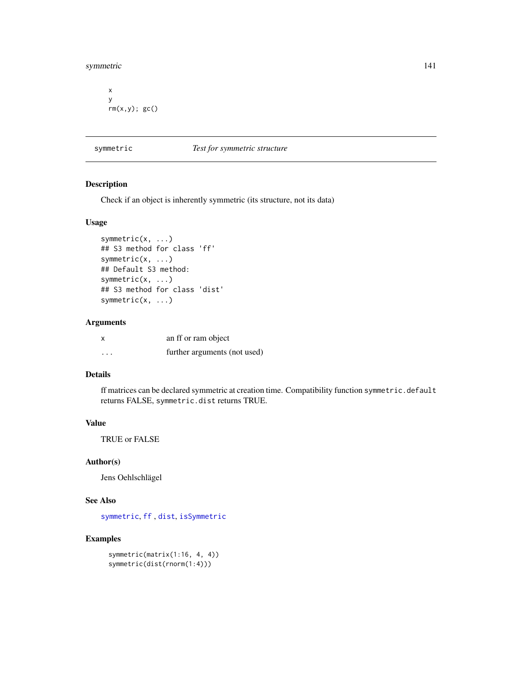symmetric 141

```
x
y
rm(x,y); gc()
```
#### <span id="page-140-0"></span>symmetric *Test for symmetric structure*

## Description

Check if an object is inherently symmetric (its structure, not its data)

#### Usage

```
symmetric(x, ...)
## S3 method for class 'ff'
symmetric(x, ...)
## Default S3 method:
symmetric(x, ...)
## S3 method for class 'dist'
symmetric(x, ...)
```
# Arguments

| X        | an ff or ram object          |
|----------|------------------------------|
| $\cdots$ | further arguments (not used) |

## Details

ff matrices can be declared symmetric at creation time. Compatibility function symmetric.default returns FALSE, symmetric.dist returns TRUE.

## Value

TRUE or FALSE

# Author(s)

Jens Oehlschlägel

# See Also

[symmetric](#page-140-0), [ff](#page-40-0) , [dist](#page-0-0), [isSymmetric](#page-0-0)

```
symmetric(matrix(1:16, 4, 4))
symmetric(dist(rnorm(1:4)))
```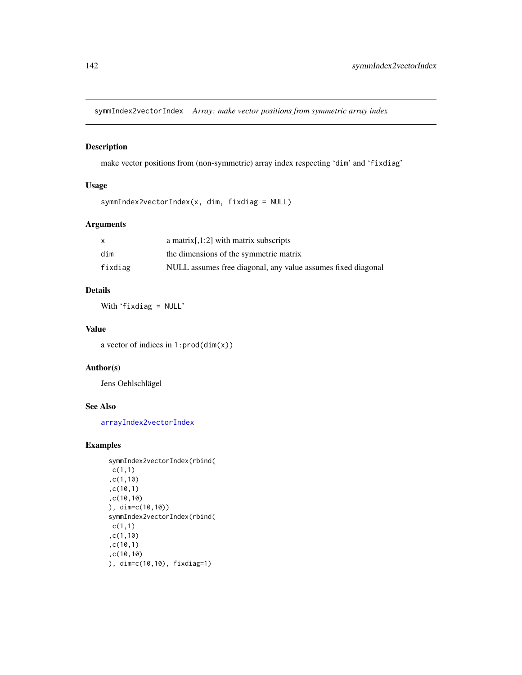symmIndex2vectorIndex *Array: make vector positions from symmetric array index*

# Description

make vector positions from (non-symmetric) array index respecting 'dim' and 'fixdiag'

# Usage

```
symmIndex2vectorIndex(x, dim, fixdiag = NULL)
```
# Arguments

|         | a matrix $[0.1:2]$ with matrix subscripts                    |
|---------|--------------------------------------------------------------|
| dim     | the dimensions of the symmetric matrix                       |
| fixdiag | NULL assumes free diagonal, any value assumes fixed diagonal |

## Details

With 'fixdiag = NULL'

## Value

a vector of indices in 1:prod(dim(x))

## Author(s)

Jens Oehlschlägel

## See Also

[arrayIndex2vectorIndex](#page-6-0)

```
symmIndex2vectorIndex(rbind(
c(1,1)
,c(1,10)
,c(10,1)
,c(10,10)
), dim=c(10,10))
symmIndex2vectorIndex(rbind(
c(1,1),c(1,10)
,c(10,1)
,c(10,10)
), dim=c(10,10), fixdiag=1)
```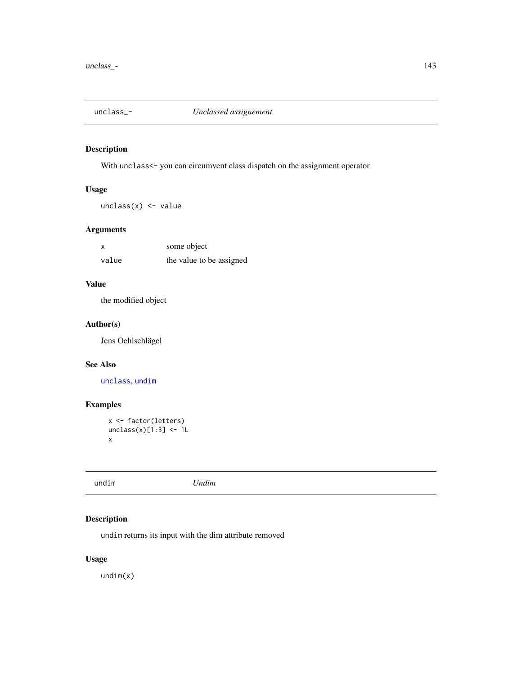# <span id="page-142-1"></span>Description

With unclass<- you can circumvent class dispatch on the assignment operator

# Usage

 $unclass(x)$  <- value

# Arguments

| x     | some object              |
|-------|--------------------------|
| value | the value to be assigned |

## Value

the modified object

## Author(s)

Jens Oehlschlägel

#### See Also

[unclass](#page-0-0), [undim](#page-142-0)

# Examples

```
x <- factor(letters)
unclass(x)[1:3] < -1Lx
```
<span id="page-142-0"></span>

| undim | Undim |
|-------|-------|
|-------|-------|

# Description

undim returns its input with the dim attribute removed

# Usage

undim(x)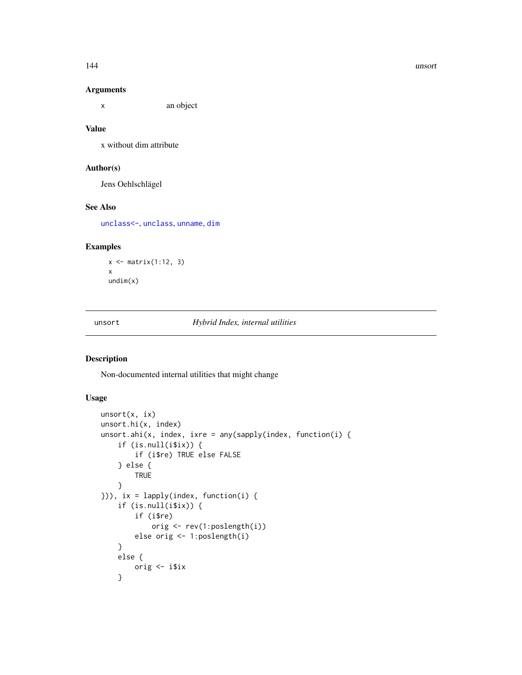## Arguments

x an object

## Value

x without dim attribute

# Author(s)

Jens Oehlschlägel

# See Also

[unclass<-](#page-142-1), [unclass](#page-0-0), [unname](#page-0-0), [dim](#page-0-0)

# Examples

x <- matrix(1:12, 3) x undim(x)

unsort *Hybrid Index, internal utilities*

# Description

Non-documented internal utilities that might change

# Usage

```
unsort(x, ix)
unsort.hi(x, index)
unsort.ahi(x, index, ixre = any(sapply(index, function(i) {
    if (is.null(i$ix)) {
        if (i$re) TRUE else FALSE
    } else {
        TRUE
    }
})), ix = lapply(index, function(i) {
   if (is.null(i$ix)) {
        if (i$re)
            orig <- rev(1:poslength(i))
        else orig <- 1:poslength(i)
    }
   else {
        orig <- i$ix
    }
```
144 unsort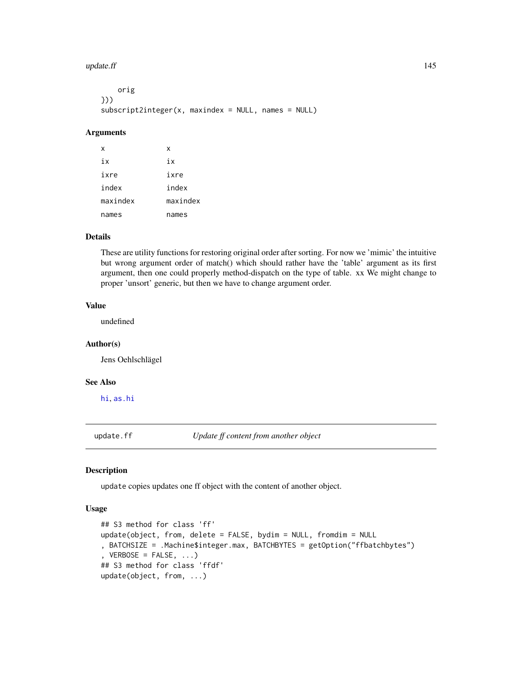#### <span id="page-144-0"></span>update.ff  $\qquad \qquad$  145

| orig                                                               |  |  |  |
|--------------------------------------------------------------------|--|--|--|
| }))                                                                |  |  |  |
| $subscript 2intercept 2interger(x, maxindex = NULL, names = NULL)$ |  |  |  |

### Arguments

| x        | x        |
|----------|----------|
| iх       | iх       |
| ixre     | ixre     |
| index    | index    |
| maxindex | maxindex |
| names    | names    |

# Details

These are utility functions for restoring original order after sorting. For now we 'mimic' the intuitive but wrong argument order of match() which should rather have the 'table' argument as its first argument, then one could properly method-dispatch on the type of table. xx We might change to proper 'unsort' generic, but then we have to change argument order.

# Value

undefined

#### Author(s)

Jens Oehlschlägel

# See Also

[hi](#page-84-0), [as.hi](#page-11-0)

update.ff *Update ff content from another object*

#### Description

update copies updates one ff object with the content of another object.

### Usage

```
## S3 method for class 'ff'
update(object, from, delete = FALSE, bydim = NULL, fromdim = NULL
, BATCHSIZE = .Machine$integer.max, BATCHBYTES = getOption("ffbatchbytes")
, VERBOSE = FALSE, ...## S3 method for class 'ffdf'
update(object, from, ...)
```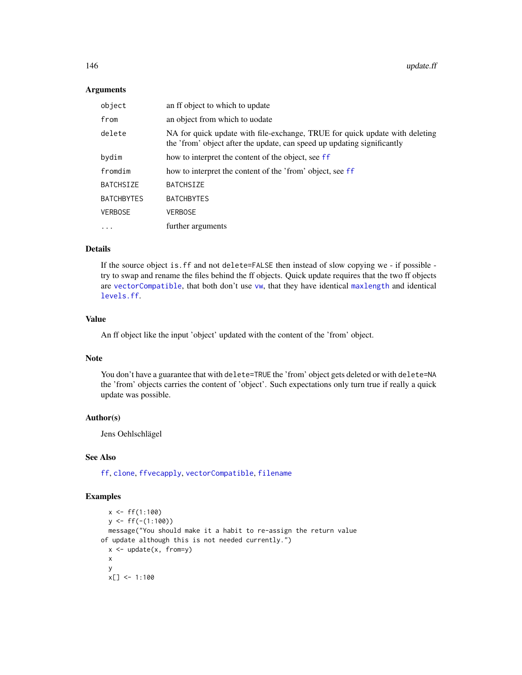#### <span id="page-145-0"></span>**Arguments**

| object            | an ff object to which to update                                                                                                                        |
|-------------------|--------------------------------------------------------------------------------------------------------------------------------------------------------|
| from              | an object from which to uodate                                                                                                                         |
| delete            | NA for quick update with file-exchange, TRUE for quick update with deleting<br>the 'from' object after the update, can speed up updating significantly |
| bydim             | how to interpret the content of the object, see ff                                                                                                     |
| fromdim           | how to interpret the content of the 'from' object, see ff                                                                                              |
| <b>BATCHSIZE</b>  | <b>BATCHSIZE</b>                                                                                                                                       |
| <b>BATCHBYTES</b> | <b>BATCHBYTES</b>                                                                                                                                      |
| <b>VERBOSE</b>    | <b>VERBOSE</b>                                                                                                                                         |
| $\ddots$          | further arguments                                                                                                                                      |

# Details

If the source object is.ff and not delete=FALSE then instead of slow copying we - if possible try to swap and rename the files behind the ff objects. Quick update requires that the two ff objects are [vectorCompatible](#page-33-0), that both don't use [vw](#page-154-0), that they have identical [maxlength](#page-102-0) and identical [levels.ff](#page-95-0).

### Value

An ff object like the input 'object' updated with the content of the 'from' object.

# Note

You don't have a guarantee that with delete=TRUE the 'from' object gets deleted or with delete=NA the 'from' objects carries the content of 'object'. Such expectations only turn true if really a quick update was possible.

#### Author(s)

Jens Oehlschlägel

## See Also

[ff](#page-40-0), [clone](#page-23-0), [ffvecapply](#page-48-0), [vectorCompatible](#page-33-0), [filename](#page-75-0)

# Examples

```
x < - f f(1:100)y \leftarrow ff(-(1:100))message("You should make it a habit to re-assign the return value
of update although this is not needed currently.")
  x \leftarrow update(x, from=y)
  x
  y
  x[] < -1:100
```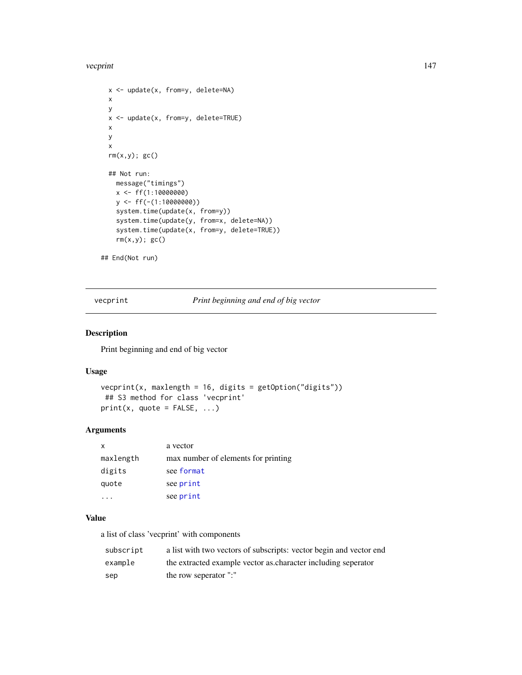#### <span id="page-146-0"></span>vecprint 147

```
x <- update(x, from=y, delete=NA)
 x
 y
 x <- update(x, from=y, delete=TRUE)
 x
 y
 x
 rm(x,y); gc()## Not run:
   message("timings")
   x <- ff(1:10000000)
   y <- ff(-(1:10000000))
   system.time(update(x, from=y))
   system.time(update(y, from=x, delete=NA))
   system.time(update(x, from=y, delete=TRUE))
   rm(x,y); gc()## End(Not run)
```
vecprint *Print beginning and end of big vector*

# Description

Print beginning and end of big vector

#### Usage

```
vecprint(x, maxlength = 16, digits = getOption("digits"))
## S3 method for class 'vecprint'
print(x, quote = FALSE, ...)
```
#### Arguments

| x         | a vector                            |
|-----------|-------------------------------------|
| maxlength | max number of elements for printing |
| digits    | see format                          |
| quote     | see print                           |
|           | see print                           |

#### Value

a list of class 'vecprint' with components

| subscript | a list with two vectors of subscripts: vector begin and vector end |
|-----------|--------------------------------------------------------------------|
| example   | the extracted example vector as character including seperator      |
| sep       | the row seperator ":"                                              |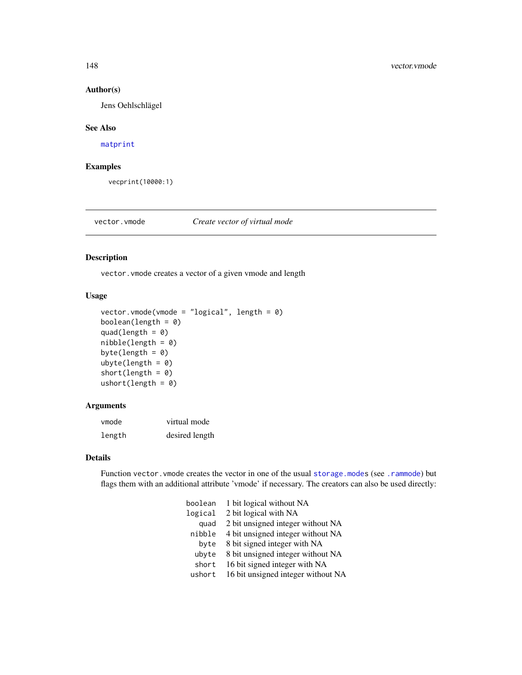## Author(s)

Jens Oehlschlägel

#### See Also

[matprint](#page-100-0)

# Examples

vecprint(10000:1)

# <span id="page-147-0"></span>vector.vmode *Create vector of virtual mode*

# <span id="page-147-1"></span>Description

vector. vmode creates a vector of a given vmode and length

# Usage

```
vector.vmode(vmode = "logical", length = 0)
boolean(length = 0)
quad(length = 0)
nibble(length = 0)byte(length = 0)
ubyte(length = 0)short(length = 0)
ushort(length = 0)
```
# Arguments

| vmode  | virtual mode   |
|--------|----------------|
| length | desired length |

#### Details

Function vector. vmode creates the vector in one of the usual storage. modes (see. rammode) but flags them with an additional attribute 'vmode' if necessary. The creators can also be used directly:

| boolean | 1 bit logical without NA           |
|---------|------------------------------------|
| logical | 2 bit logical with NA              |
| quad    | 2 bit unsigned integer without NA  |
| nibble  | 4 bit unsigned integer without NA  |
| byte    | 8 bit signed integer with NA       |
| ubyte   | 8 bit unsigned integer without NA  |
| short   | 16 bit signed integer with NA      |
| ushort  | 16 bit unsigned integer without NA |

<span id="page-147-2"></span>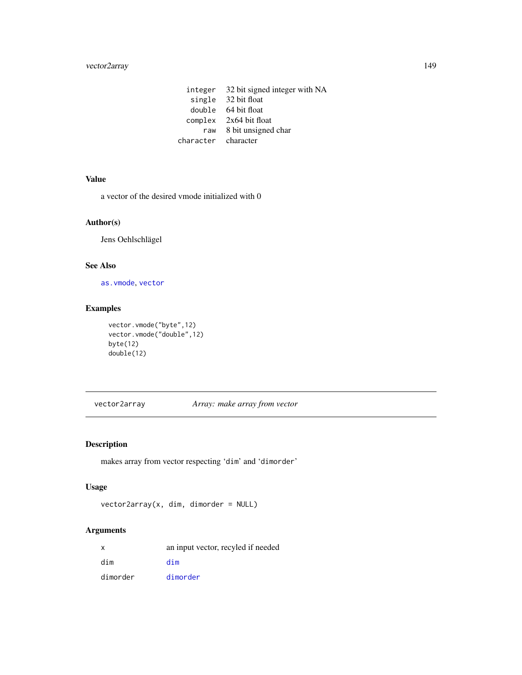# <span id="page-148-1"></span>vector2array 149

integer 32 bit signed integer with NA single 32 bit float double 64 bit float complex 2x64 bit float raw 8 bit unsigned char character character

# Value

a vector of the desired vmode initialized with 0

# Author(s)

Jens Oehlschlägel

# See Also

[as.vmode](#page-16-0), [vector](#page-0-0)

# Examples

vector.vmode("byte",12) vector.vmode("double",12) byte(12) double(12)

<span id="page-148-0"></span>vector2array *Array: make array from vector*

# Description

makes array from vector respecting 'dim' and 'dimorder'

# Usage

```
vector2array(x, dim, dimorder = NULL)
```
# Arguments

| x        | an input vector, recyled if needed |
|----------|------------------------------------|
| dim      | dim                                |
| dimorder | dimorder                           |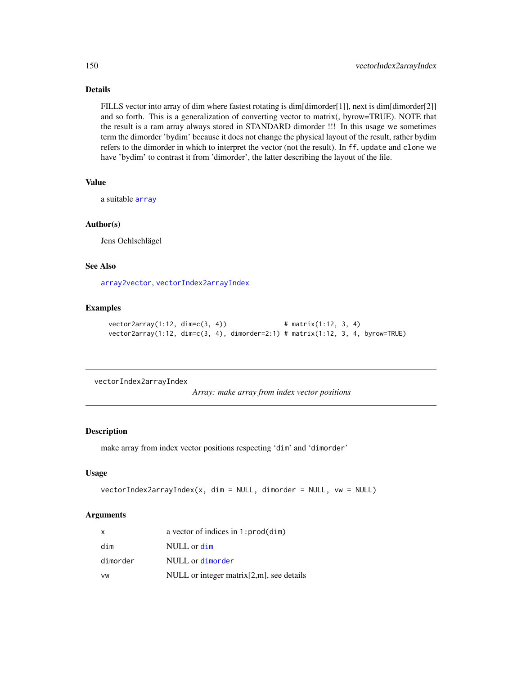# Details

FILLS vector into array of dim where fastest rotating is dim[dimorder[1]], next is dim[dimorder[2]] and so forth. This is a generalization of converting vector to matrix(, byrow=TRUE). NOTE that the result is a ram array always stored in STANDARD dimorder !!! In this usage we sometimes term the dimorder 'bydim' because it does not change the physical layout of the result, rather bydim refers to the dimorder in which to interpret the vector (not the result). In ff, update and clone we have 'bydim' to contrast it from 'dimorder', the latter describing the layout of the file.

# Value

a suitable [array](#page-0-0)

#### Author(s)

Jens Oehlschlägel

# See Also

[array2vector](#page-5-0), [vectorIndex2arrayIndex](#page-149-0)

### Examples

```
vector2array(1:12, dim=c(3, 4)) # matrix(1:12, 3, 4)
vector2array(1:12, dim=c(3, 4), dimorder=2:1) # matrix(1:12, 3, 4, byrow=TRUE)
```
<span id="page-149-0"></span>vectorIndex2arrayIndex

*Array: make array from index vector positions*

#### Description

make array from index vector positions respecting 'dim' and 'dimorder'

# Usage

```
vectorIndex2arrayIndex(x, dim = NULL, dimorder = NULL, vw = NULL)
```
#### Arguments

| X        | a vector of indices in $1:prod(dim)$         |
|----------|----------------------------------------------|
| dim      | NULL or dim                                  |
| dimorder | NULL or dimorder                             |
| VW       | NULL or integer matrix $[2,m]$ , see details |

<span id="page-149-1"></span>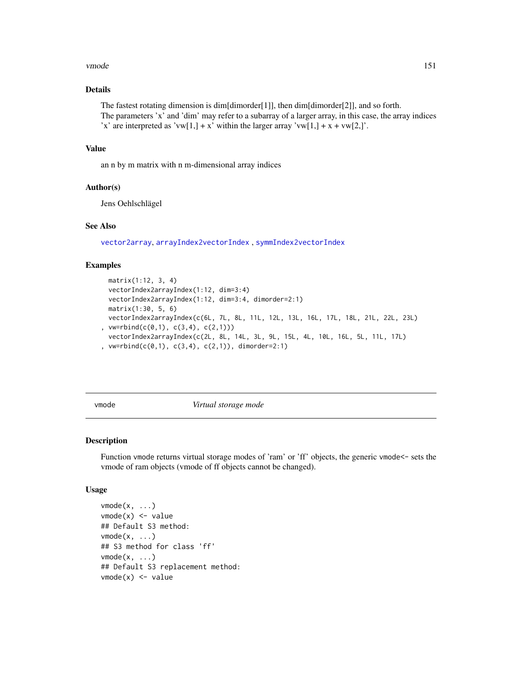#### <span id="page-150-2"></span>vmode the state of the state of the state of the state of the state of the state of the state of the state of the state of the state of the state of the state of the state of the state of the state of the state of the stat

# Details

The fastest rotating dimension is dim $\left[\text{dimorder}[1]\right]$ , then  $\text{dim}\left[\text{dimorder}[2]\right]$ , and so forth. The parameters 'x' and 'dim' may refer to a subarray of a larger array, in this case, the array indices 'x' are interpreted as 'vw[1,] + x' within the larger array 'vw[1,] + x + vw[2,]'.

#### Value

an n by m matrix with n m-dimensional array indices

# Author(s)

Jens Oehlschlägel

## See Also

[vector2array](#page-148-0), [arrayIndex2vectorIndex](#page-6-0) , [symmIndex2vectorIndex](#page-141-0)

#### Examples

```
matrix(1:12, 3, 4)
 vectorIndex2arrayIndex(1:12, dim=3:4)
 vectorIndex2arrayIndex(1:12, dim=3:4, dimorder=2:1)
 matrix(1:30, 5, 6)
 vectorIndex2arrayIndex(c(6L, 7L, 8L, 11L, 12L, 13L, 16L, 17L, 18L, 21L, 22L, 23L)
, vw=rbind(c(0,1), c(3,4), c(2,1)))
 vectorIndex2arrayIndex(c(2L, 8L, 14L, 3L, 9L, 15L, 4L, 10L, 16L, 5L, 11L, 17L)
, vw=rbind(c(0,1), c(3,4), c(2,1)), dimorder=2:1)
```
<span id="page-150-1"></span>

vmode *Virtual storage mode*

#### <span id="page-150-0"></span>Description

Function vmode returns virtual storage modes of 'ram' or 'ff' objects, the generic vmode<- sets the vmode of ram objects (vmode of ff objects cannot be changed).

#### Usage

```
vmode(x, \ldots)vmode(x) <- value
## Default S3 method:
vmode(x, \ldots)## S3 method for class 'ff'
vmode(x, \ldots)## Default S3 replacement method:
vmode(x) <- value
```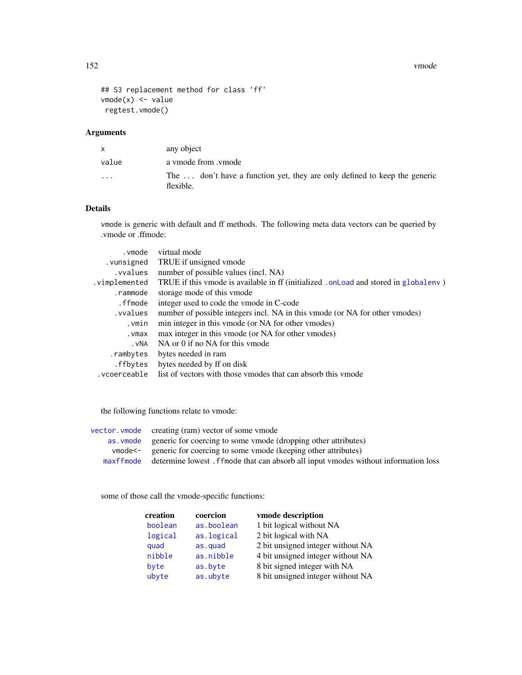```
## S3 replacement method for class 'ff'
vmode(x) <- value
regtest.vmode()
```
# Arguments

|                         | any object                                                                             |
|-------------------------|----------------------------------------------------------------------------------------|
| value                   | a vmode from .vmode                                                                    |
| $\cdot$ $\cdot$ $\cdot$ | The  don't have a function yet, they are only defined to keep the generic<br>flexible. |

# Details

vmode is generic with default and ff methods. The following meta data vectors can be queried by .vmode or .ffmode:

| .vmode        | virtual mode                                                                          |
|---------------|---------------------------------------------------------------------------------------|
| .vunsigned    | TRUE if unsigned vmode                                                                |
| .vvalues      | number of possible values (incl. NA)                                                  |
| .vimplemented | TRUE if this vmode is available in ff (initialized . on Load and stored in globaleny) |
| .rammode      | storage mode of this vmode                                                            |
| .ffmode       | integer used to code the vmode in C-code                                              |
| .vvalues      | number of possible integers incl. NA in this vmode (or NA for other vmodes)           |
| .vmin         | min integer in this vmode (or NA for other vmodes)                                    |
| .vmax         | max integer in this vmode (or NA for other vmodes)                                    |
| . vNA         | NA or 0 if no NA for this ymode                                                       |
| .rambytes     | bytes needed in ram                                                                   |
| .ffbytes      | bytes needed by ff on disk                                                            |
| .vcoerceable  | list of vectors with those ymodes that can absorb this ymode                          |
|               |                                                                                       |

the following functions relate to vmode:

| vector. vmode creating (ram) vector of some vmode                                                 |
|---------------------------------------------------------------------------------------------------|
| as vmode generic for coercing to some vmode (dropping other attributes)                           |
| vmode <sup><math>\leq</math>-</sup> generic for coercing to some vmode (keeping other attributes) |
| maxffmode determine lowest. ffmode that can absorb all input vmodes without information loss      |

some of those call the vmode-specific functions:

| creation | coercion   | vmode description                 |
|----------|------------|-----------------------------------|
| boolean  | as.boolean | 1 bit logical without NA          |
| logical  | as.logical | 2 bit logical with NA             |
| quad     | as.quad    | 2 bit unsigned integer without NA |
| nibble   | as.nibble  | 4 bit unsigned integer without NA |
| byte     | as.byte    | 8 bit signed integer with NA      |
| ubyte    | as.ubyte   | 8 bit unsigned integer without NA |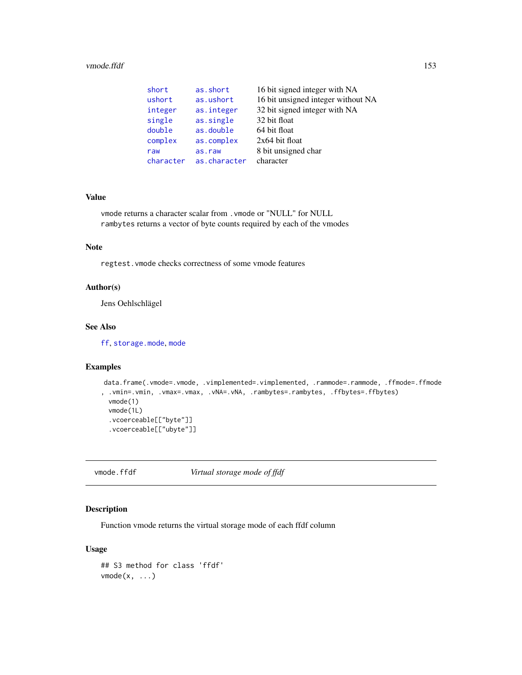#### <span id="page-152-0"></span>vmode.ffdf 153

| short     | as.short     | 16 bit signed integer with NA      |
|-----------|--------------|------------------------------------|
| ushort    | as.ushort    | 16 bit unsigned integer without NA |
| integer   | as.integer   | 32 bit signed integer with NA      |
| single    | as.single    | 32 bit float                       |
| double    | as.double    | 64 bit float                       |
| complex   | as.complex   | $2x64$ bit float                   |
| raw       | as.raw       | 8 bit unsigned char                |
| character | as.character | character                          |

#### Value

vmode returns a character scalar from .vmode or "NULL" for NULL rambytes returns a vector of byte counts required by each of the vmodes

#### Note

regtest.vmode checks correctness of some vmode features

# Author(s)

Jens Oehlschlägel

#### See Also

[ff](#page-40-0), [storage.mode](#page-0-0), [mode](#page-0-0)

# Examples

```
data.frame(.vmode=.vmode, .vimplemented=.vimplemented, .rammode=.rammode, .ffmode=.ffmode
, .vmin=.vmin, .vmax=.vmax, .vNA=.vNA, .rambytes=.rambytes, .ffbytes=.ffbytes)
 vmode(1)
 vmode(1L)
 .vcoerceable[["byte"]]
 .vcoerceable[["ubyte"]]
```
vmode.ffdf *Virtual storage mode of ffdf*

# Description

Function vmode returns the virtual storage mode of each ffdf column

# Usage

```
## S3 method for class 'ffdf'
vmode(x, \ldots)
```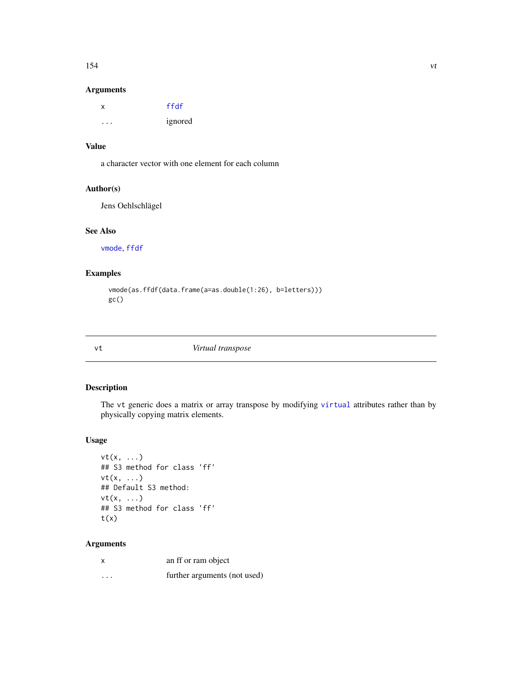# <span id="page-153-0"></span>Arguments

| x | ffdf    |
|---|---------|
| . | ignored |

# Value

a character vector with one element for each column

## Author(s)

Jens Oehlschlägel

# See Also

[vmode](#page-150-1), [ffdf](#page-54-0)

# Examples

```
vmode(as.ffdf(data.frame(a=as.double(1:26), b=letters)))
gc()
```

vt *Virtual transpose*

# Description

The vt generic does a matrix or array transpose by modifying [virtual](#page-109-0) attributes rather than by physically copying matrix elements.

# Usage

```
vt(x, \ldots)## S3 method for class 'ff'
vt(x, \ldots)## Default S3 method:
vt(x, \ldots)## S3 method for class 'ff'
t(x)
```
# Arguments

| $\boldsymbol{\mathsf{x}}$ | an ff or ram object          |
|---------------------------|------------------------------|
| $\cdots$                  | further arguments (not used) |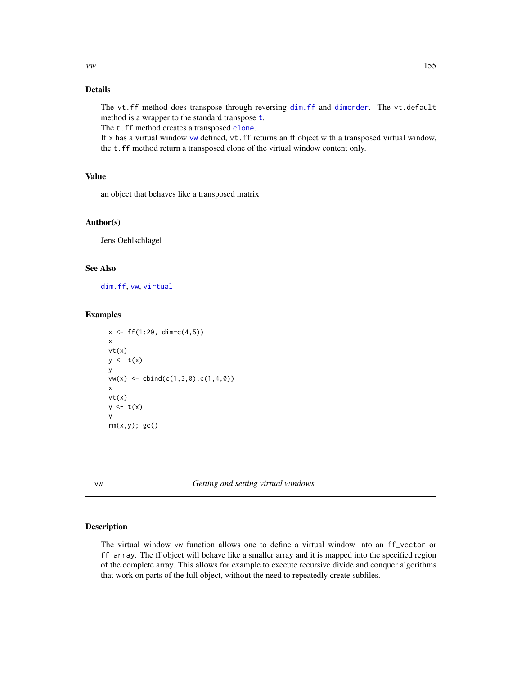# <span id="page-154-1"></span>Details

The vt.ff method does transpose through reversing [dim.ff](#page-29-1) and [dimorder](#page-29-0). The vt.default method is a wrapper to the standard transpose [t](#page-0-0).

The t.ff method creates a transposed [clone](#page-23-0).

If x has a virtual window [vw](#page-154-0) defined,  $vt$ . ff returns an ff object with a transposed virtual window, the t.ff method return a transposed clone of the virtual window content only.

# Value

an object that behaves like a transposed matrix

#### Author(s)

Jens Oehlschlägel

# See Also

[dim.ff](#page-29-1), [vw](#page-154-0), [virtual](#page-109-0)

# Examples

```
x \leftarrow ff(1:20, \dim=c(4,5))x
vt(x)y \leftarrow t(x)y
vw(x) \leq \text{cbind}(c(1,3,0),c(1,4,0))x
vt(x)
y \leftarrow t(x)y
rm(x,y); gcc()
```
<span id="page-154-0"></span>vw *Getting and setting virtual windows*

# Description

The virtual window vw function allows one to define a virtual window into an ff\_vector or ff\_array. The ff object will behave like a smaller array and it is mapped into the specified region of the complete array. This allows for example to execute recursive divide and conquer algorithms that work on parts of the full object, without the need to repeatedly create subfiles.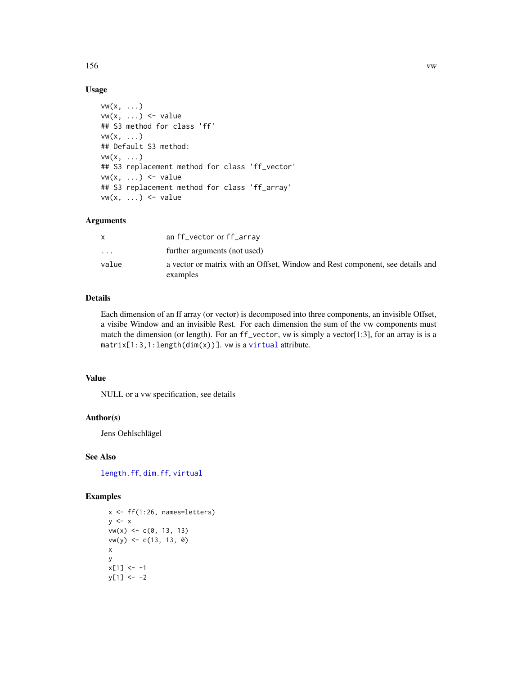# Usage

```
vw(x, \ldots)vw(x, \ldots) \leq value
## S3 method for class 'ff'
vw(x, \ldots)## Default S3 method:
vw(x, \ldots)## S3 replacement method for class 'ff_vector'
vw(x, \ldots) \leq value
## S3 replacement method for class 'ff_array'
vw(x, \ldots) \leq value
```
# Arguments

|                         | an ff_vector or ff_array                                                                  |
|-------------------------|-------------------------------------------------------------------------------------------|
| $\cdot$ $\cdot$ $\cdot$ | further arguments (not used)                                                              |
| value                   | a vector or matrix with an Offset, Window and Rest component, see details and<br>examples |

# Details

Each dimension of an ff array (or vector) is decomposed into three components, an invisible Offset, a visibe Window and an invisible Rest. For each dimension the sum of the vw components must match the dimension (or length). For an ff\_vector, vw is simply a vector[1:3], for an array is is a matrix[1:3,1:length(dim(x))]. vw is a [virtual](#page-109-1) attribute.

#### Value

NULL or a vw specification, see details

# Author(s)

Jens Oehlschlägel

#### See Also

[length.ff](#page-91-0), [dim.ff](#page-29-1), [virtual](#page-109-1)

# Examples

```
x \leftarrow ff(1:26, \text{ names=letters})y \leq -xvw(x) \le c(0, 13, 13)vw(y) <- c(13, 13, 0)
x
y
x[1] <- -1
y[1] < -2
```
<span id="page-155-0"></span>156 vw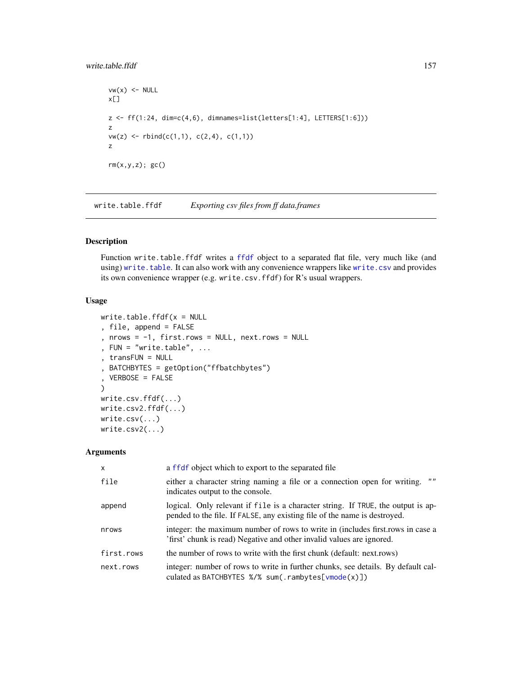## <span id="page-156-1"></span>write.table.ffdf 157

```
vw(x) <- NULL
x[]
z \leftarrow ff(1:24, \text{dim} = c(4, 6), \text{dim} = s = list(lefters[1:4], LETTER[1:6]))z
vw(z) \leftarrow rbind(c(1,1), c(2,4), c(1,1))z
rm(x,y,z); gc()
```
write.table.ffdf *Exporting csv files from ff data.frames*

# <span id="page-156-0"></span>Description

Function write.table.ffdf writes a [ffdf](#page-54-0) object to a separated flat file, very much like (and using) [write.table](#page-0-0). It can also work with any convenience wrappers like [write.csv](#page-156-0) and provides its own convenience wrapper (e.g. write.csv.ffdf) for R's usual wrappers.

#### Usage

```
write.table.ffdf(x = NULL, file, append = FALSE
, nrows = -1, first rows = NULL, next rows = NULL, FUN = "write.table", \dots, transFUN = NULL
, BATCHBYTES = getOption("ffbatchbytes")
, VERBOSE = FALSE
)
write.csv.ffdf(...)
write.csv2.ffdf(...)
write.csv(...)
write.csv2(...)
```
#### Arguments

| $\mathsf{x}$ | a ffdf object which to export to the separated file                                                                                                           |
|--------------|---------------------------------------------------------------------------------------------------------------------------------------------------------------|
| file         | $\overline{1111}$<br>either a character string naming a file or a connection open for writing.<br>indicates output to the console.                            |
| append       | logical. Only relevant if file is a character string. If TRUE, the output is ap-<br>pended to the file. If FALSE, any existing file of the name is destroyed. |
| nrows        | integer: the maximum number of rows to write in (includes first, rows in case a<br>'first' chunk is read) Negative and other invalid values are ignored.      |
| first.rows   | the number of rows to write with the first chunk (default: next.rows)                                                                                         |
| next.rows    | integer: number of rows to write in further chunks, see details. By default cal-<br>culated as BATCHBYTES %/% sum(.rambytes[vmode(x)])                        |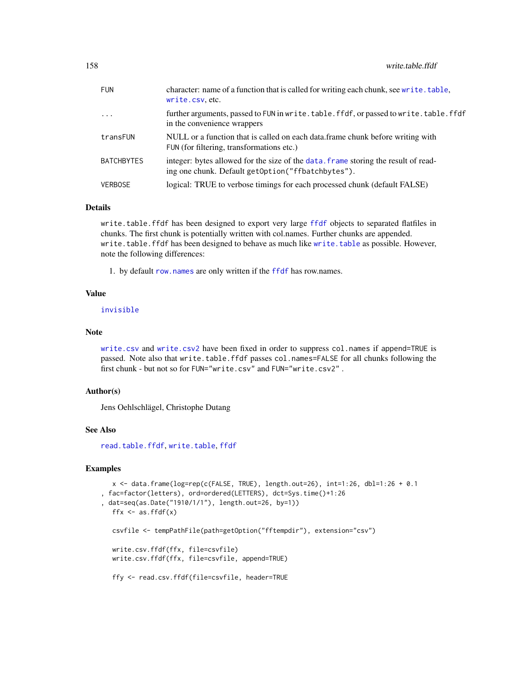<span id="page-157-0"></span>

| <b>FUN</b> | character: name of a function that is called for writing each chunk, see write.table,<br>write.csv.etc.                                  |
|------------|------------------------------------------------------------------------------------------------------------------------------------------|
| $\cdots$   | further arguments, passed to FUN in write.table.ffdf, or passed to write.table.ffdf<br>in the convenience wrappers                       |
| transFUN   | NULL or a function that is called on each data frame chunk before writing with<br>FUN (for filtering, transformations etc.)              |
| BATCHBYTES | integer: bytes allowed for the size of the data, frame storing the result of read-<br>ing one chunk. Default getOption ("ffbatchbytes"). |
| VERBOSE    | logical: TRUE to verbose timings for each processed chunk (default FALSE)                                                                |

#### Details

write.table.ffdf has been designed to export very large [ffdf](#page-54-0) objects to separated flatfiles in chunks. The first chunk is potentially written with col.names. Further chunks are appended. write.table.ffdf has been designed to behave as much like [write.table](#page-0-0) as possible. However, note the following differences:

1. by default [row.names](#page-31-0) are only written if the [ffdf](#page-54-0) has row.names.

#### Value

#### [invisible](#page-0-0)

#### Note

[write.csv](#page-156-0) and [write.csv2](#page-156-0) have been fixed in order to suppress col.names if append=TRUE is passed. Note also that write.table.ffdf passes col.names=FALSE for all chunks following the first chunk - but not so for FUN="write.csv" and FUN="write.csv2" .

#### Author(s)

Jens Oehlschlägel, Christophe Dutang

#### See Also

[read.table.ffdf](#page-120-0), [write.table](#page-0-0), [ffdf](#page-54-0)

# Examples

```
x \le - data.frame(log=rep(c(FALSE, TRUE), length.out=26), int=1:26, dbl=1:26 + 0.1
, fac=factor(letters), ord=ordered(LETTERS), dct=Sys.time()+1:26
, dat=seq(as.Date("1910/1/1"), length.out=26, by=1))
  ffx \leftarrow as.ffdf(x)csvfile <- tempPathFile(path=getOption("fftempdir"), extension="csv")
  write.csv.ffdf(ffx, file=csvfile)
  write.csv.ffdf(ffx, file=csvfile, append=TRUE)
  ffy <- read.csv.ffdf(file=csvfile, header=TRUE
```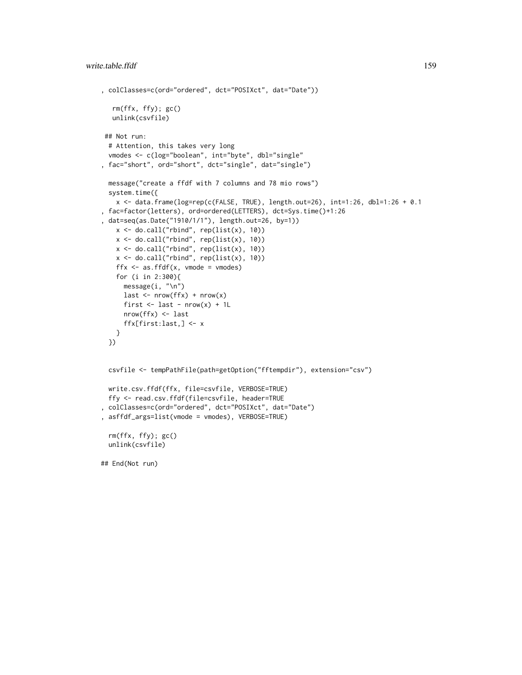```
, colClasses=c(ord="ordered", dct="POSIXct", dat="Date"))
  rm(ffx, ffy); gc()
  unlink(csvfile)
## Not run:
 # Attention, this takes very long
 vmodes <- c(log="boolean", int="byte", dbl="single"
, fac="short", ord="short", dct="single", dat="single")
 message("create a ffdf with 7 columns and 78 mio rows")
 system.time({
    x \le - data.frame(log=rep(c(FALSE, TRUE), length.out=26), int=1:26, dbl=1:26 + 0.1
, fac=factor(letters), ord=ordered(LETTERS), dct=Sys.time()+1:26
, dat=seq(as.Date("1910/1/1"), length.out=26, by=1))
   x \leftarrow do-call("rbind", rep(list(x), 10))x \leftarrow do-call("rbind", rep(list(x), 10))x \leftarrow do-call("rbind", rep(list(x), 10))x \leftarrow do-call("rbind", rep(list(x), 10))ffx \leq as.ffdf(x, vmode = vmodes)
    for (i in 2:300){
     message(i, "\n")
     last < - nrow(ffx) + nrow(x)
     first \le last - nrow(x) + 1L
     nrow(ffx) <- last
      ffx[first:last,] <- x
   }
 })
 csvfile <- tempPathFile(path=getOption("fftempdir"), extension="csv")
 write.csv.ffdf(ffx, file=csvfile, VERBOSE=TRUE)
 ffy <- read.csv.ffdf(file=csvfile, header=TRUE
, colClasses=c(ord="ordered", dct="POSIXct", dat="Date")
, asffdf_args=list(vmode = vmodes), VERBOSE=TRUE)
 rm(ffx, ffy); gc()
 unlink(csvfile)
## End(Not run)
```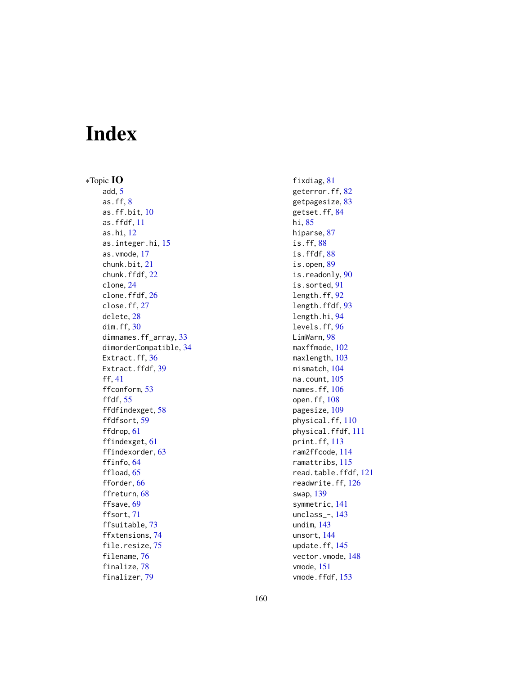# Index

∗Topic IO add, [5](#page-4-0) as.ff, [8](#page-7-0) as.ff.bit, [10](#page-9-0) as.ffdf, [11](#page-10-0) as.hi, [12](#page-11-1) as.integer.hi, [15](#page-14-0) as.vmode, [17](#page-16-2) chunk.bit, [21](#page-20-0) chunk.ffdf, [22](#page-21-0) clone, [24](#page-23-1) clone.ffdf, [26](#page-25-0) close.ff, [27](#page-26-0) delete, [28](#page-27-0) dim.ff, [30](#page-29-2) dimnames.ff\_array, [33](#page-32-0) dimorderCompatible, [34](#page-33-1) Extract.ff, [36](#page-35-0) Extract.ffdf, [39](#page-38-0) ff, [41](#page-40-1) ffconform, [53](#page-52-0) ffdf, [55](#page-54-1) ffdfindexget, [58](#page-57-0) ffdfsort, [59](#page-58-0) ffdrop, [61](#page-60-0) ffindexget, [61](#page-60-0) ffindexorder, [63](#page-62-0) ffinfo, [64](#page-63-0) ffload, [65](#page-64-0) fforder, [66](#page-65-0) ffreturn, [68](#page-67-0) ffsave, [69](#page-68-0) ffsort, [71](#page-70-0) ffsuitable, [73](#page-72-0) ffxtensions, [74](#page-73-0) file.resize, [75](#page-74-0) filename, [76](#page-75-1) finalize, [78](#page-77-0) finalizer, [79](#page-78-0)

fixdiag, [81](#page-80-0) geterror.ff, [82](#page-81-0) getpagesize, [83](#page-82-0) getset.ff, [84](#page-83-0) hi, [85](#page-84-1) hiparse, [87](#page-86-0) is.ff, [88](#page-87-0) is.ffdf, [88](#page-87-0) is.open, [89](#page-88-0) is.readonly, [90](#page-89-0) is.sorted, [91](#page-90-0) length.ff, [92](#page-91-1) length.ffdf, [93](#page-92-0) length.hi, [94](#page-93-0) levels.ff, [96](#page-95-1) LimWarn, [98](#page-97-0) maxffmode, [102](#page-101-1) maxlength, [103](#page-102-1) mismatch, [104](#page-103-0) na.count, [105](#page-104-0) names.ff, [106](#page-105-0) open.ff, [108](#page-107-0) pagesize, [109](#page-108-0) physical.ff, [110](#page-109-2) physical.ffdf, [111](#page-110-0) print.ff, [113](#page-112-0) ram2ffcode, [114](#page-113-0) ramattribs, [115](#page-114-0) read.table.ffdf, [121](#page-120-1) readwrite.ff, [126](#page-125-0) swap, [139](#page-138-0) symmetric, [141](#page-140-0) unclass\_-, [143](#page-142-0) undim, [143](#page-142-0) unsort, [144](#page-143-0) update.ff, [145](#page-144-0) vector.vmode, [148](#page-147-2) vmode, [151](#page-150-2) vmode.ffdf, [153](#page-152-0)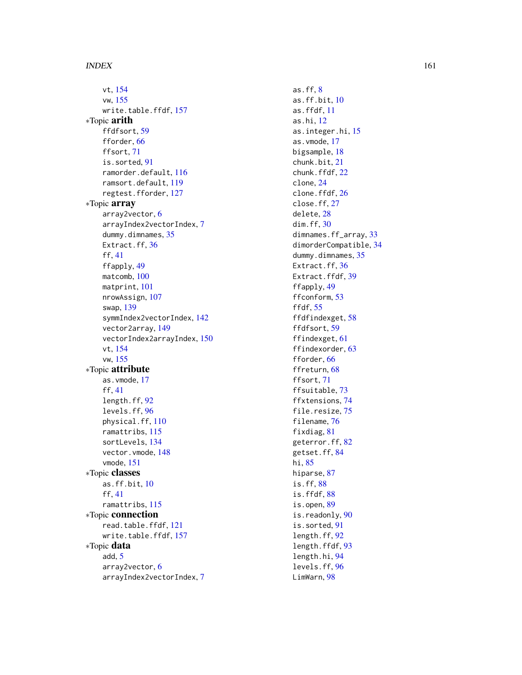vt , [154](#page-153-0) vw , [155](#page-154-1) write.table.ffdf, [157](#page-156-1) ∗Topic arith ffdfsort, [59](#page-58-0) fforder, [66](#page-65-0) ffsort , [71](#page-70-0) is.sorted , [91](#page-90-0) ramorder.default , [116](#page-115-0) ramsort.default , [119](#page-118-0) regtest.fforder , [127](#page-126-0) ∗Topic array array2vector , [6](#page-5-1) arrayIndex2vectorIndex , [7](#page-6-1) dummy.dimnames, [35](#page-34-0) Extract.ff, [36](#page-35-0) ff , [41](#page-40-1) ffapply , [49](#page-48-1) matcomb, [100](#page-99-0) matprint , [101](#page-100-1) nrowAssign , [107](#page-106-0) swap , [139](#page-138-0) symmIndex2vectorIndex , [142](#page-141-1) vector2array , [149](#page-148-1) vectorIndex2arrayIndex , [150](#page-149-1) vt , [154](#page-153-0) vw , [155](#page-154-1) ∗Topic attribute as.vmode , [17](#page-16-2) ff , [41](#page-40-1) length.ff , [92](#page-91-1) levels.ff , [96](#page-95-1) physical.ff , [110](#page-109-2) ramattribs , [115](#page-114-0) sortLevels , [134](#page-133-0) vector.vmode, [148](#page-147-2) vmode , [151](#page-150-2) ∗Topic classes as.ff.bit , [10](#page-9-0) ff , [41](#page-40-1) ramattribs , [115](#page-114-0) ∗Topic connection read.table.ffdf , [121](#page-120-1) write.table.ffdf , [157](#page-156-1) ∗Topic data add , [5](#page-4-0) array2vector , [6](#page-5-1) arrayIndex2vectorIndex , [7](#page-6-1)

as.ff,  $8$ as.ff.bit , [10](#page-9-0) as.ffdf , [11](#page-10-0) as.hi , [12](#page-11-1) as.integer.hi, <mark>[15](#page-14-0)</mark> as.vmode , [17](#page-16-2) bigsample, [18](#page-17-0) chunk.bit , [21](#page-20-0) chunk.ffdf, [22](#page-21-0) clone , [24](#page-23-1) clone.ffdf,[26](#page-25-0) close.ff, [27](#page-26-0) delete , [28](#page-27-0) dim.ff, [30](#page-29-2) dimnames.ff\_array , [33](#page-32-0) dimorderCompatible , [34](#page-33-1) dummy.dimnames, [35](#page-34-0) Extract.ff, [36](#page-35-0) Extract.ffdf, [39](#page-38-0) ffapply , [49](#page-48-1) ffconform , [53](#page-52-0) ffdf , [55](#page-54-1) ffdfindexget , [58](#page-57-0) ffdfsort , [59](#page-58-0) ffindexget , [61](#page-60-0) ffindexorder , [63](#page-62-0) fforder, [66](#page-65-0) ffreturn, [68](#page-67-0) ffsort , [71](#page-70-0) ffsuitable , [73](#page-72-0) ffxtensions , [74](#page-73-0) file.resize , [75](#page-74-0) filename, [76](#page-75-1) fixdiag, [81](#page-80-0) geterror.ff,  $82$ getset.ff, [84](#page-83-0) hi , [85](#page-84-1) hiparse, [87](#page-86-0) is.ff , [88](#page-87-0) is.ffdf, [88](#page-87-0) is.open, [89](#page-88-0) is.readonly, [90](#page-89-0) is.sorted , [91](#page-90-0) length.ff , [92](#page-91-1) length.ffdf, [93](#page-92-0) length.hi , [94](#page-93-0) levels.ff , [96](#page-95-1) LimWarn, [98](#page-97-0)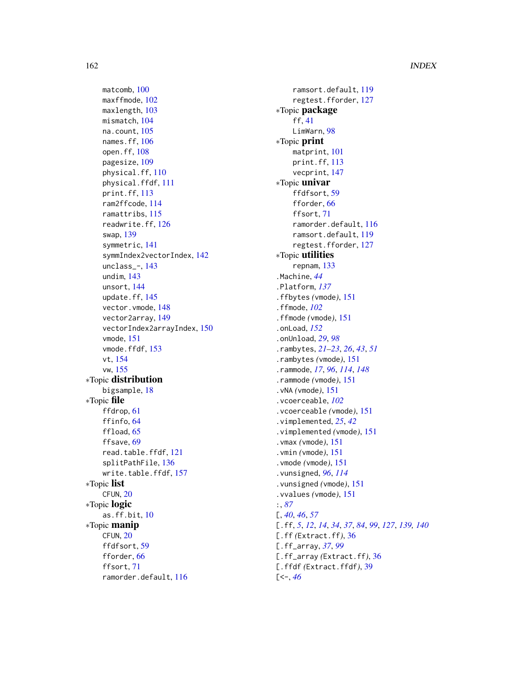# 162 INDEX

matcomb, [100](#page-99-0) maxffmode, [102](#page-101-1) maxlength, [103](#page-102-1) mismatch, [104](#page-103-0) na.count, [105](#page-104-0) names.ff, [106](#page-105-0) open.ff, [108](#page-107-0) pagesize, [109](#page-108-0) physical.ff, [110](#page-109-2) physical.ffdf, [111](#page-110-0) print.ff, [113](#page-112-0) ram2ffcode, [114](#page-113-0) ramattribs, [115](#page-114-0) readwrite.ff, [126](#page-125-0) swap, [139](#page-138-0) symmetric, [141](#page-140-0) symmIndex2vectorIndex, [142](#page-141-1) unclass\_-, [143](#page-142-0) undim, [143](#page-142-0) unsort, [144](#page-143-0) update.ff, [145](#page-144-0) vector.vmode, [148](#page-147-2) vector2array, [149](#page-148-1) vectorIndex2arrayIndex, [150](#page-149-1) vmode, [151](#page-150-2) vmode.ffdf, [153](#page-152-0) vt, [154](#page-153-0) vw, [155](#page-154-1) ∗Topic distribution bigsample, [18](#page-17-0) ∗Topic file ffdrop, [61](#page-60-0) ffinfo, [64](#page-63-0) ffload, [65](#page-64-0) ffsave, [69](#page-68-0) read.table.ffdf, [121](#page-120-1) splitPathFile, [136](#page-135-0) write.table.ffdf, [157](#page-156-1) ∗Topic list CFUN, [20](#page-19-0) ∗Topic logic as.ff.bit, [10](#page-9-0) ∗Topic manip CFUN, [20](#page-19-0) ffdfsort, [59](#page-58-0) fforder, [66](#page-65-0) ffsort, [71](#page-70-0) ramorder.default, [116](#page-115-0)

ramsort.default, [119](#page-118-0) regtest.fforder, [127](#page-126-0) ∗Topic package ff, [41](#page-40-1) LimWarn, [98](#page-97-0) ∗Topic print matprint, [101](#page-100-1) print.ff, [113](#page-112-0) vecprint, [147](#page-146-0) ∗Topic univar ffdfsort, [59](#page-58-0) fforder, [66](#page-65-0) ffsort, [71](#page-70-0) ramorder.default, [116](#page-115-0) ramsort.default, [119](#page-118-0) regtest.fforder, [127](#page-126-0) ∗Topic utilities repnam, [133](#page-132-0) .Machine, *[44](#page-43-0)* .Platform, *[137](#page-136-0)* .ffbytes *(*vmode*)*, [151](#page-150-2) .ffmode, *[102](#page-101-1)* .ffmode *(*vmode*)*, [151](#page-150-2) .onLoad, *[152](#page-151-0)* .onUnload, *[29](#page-28-0)*, *[98](#page-97-0)* .rambytes, *[21](#page-20-0)[–23](#page-22-0)*, *[26](#page-25-0)*, *[43](#page-42-0)*, *[51](#page-50-0)* .rambytes *(*vmode*)*, [151](#page-150-2) .rammode, *[17](#page-16-2)*, *[96](#page-95-1)*, *[114](#page-113-0)*, *[148](#page-147-2)* .rammode *(*vmode*)*, [151](#page-150-2) .vNA *(*vmode*)*, [151](#page-150-2) .vcoerceable, *[102](#page-101-1)* .vcoerceable *(*vmode*)*, [151](#page-150-2) .vimplemented, *[25](#page-24-0)*, *[42](#page-41-0)* .vimplemented *(*vmode*)*, [151](#page-150-2) .vmax *(*vmode*)*, [151](#page-150-2) .vmin *(*vmode*)*, [151](#page-150-2) .vmode *(*vmode*)*, [151](#page-150-2) .vunsigned, *[96](#page-95-1)*, *[114](#page-113-0)* .vunsigned *(*vmode*)*, [151](#page-150-2) .vvalues *(*vmode*)*, [151](#page-150-2) :, *[87](#page-86-0)* [, *[40](#page-39-0)*, *[46](#page-45-0)*, *[57](#page-56-0)* [.ff, *[5](#page-4-0)*, *[12](#page-11-1)*, *[14](#page-13-0)*, *[34](#page-33-1)*, *[37](#page-36-0)*, *[84](#page-83-0)*, *[99](#page-98-0)*, *[127](#page-126-0)*, *[139,](#page-138-0) [140](#page-139-0)* [.ff *(*Extract.ff*)*, [36](#page-35-0) [.ff\_array, *[37](#page-36-0)*, *[99](#page-98-0)* [.ff\_array *(*Extract.ff*)*, [36](#page-35-0) [.ffdf *(*Extract.ffdf*)*, [39](#page-38-0) [<-, *[46](#page-45-0)*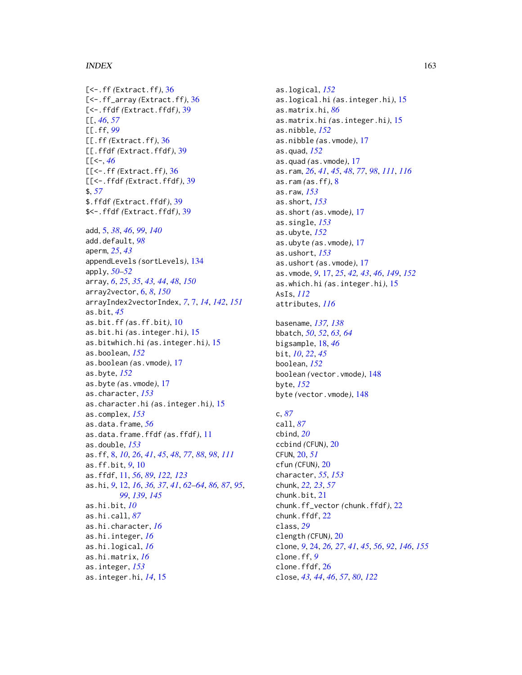#### $I\Lambda$  is a set of  $I\Lambda$  is a set of  $I\Lambda$  is a set of  $I\Lambda$  is a set of  $I\Lambda$  is a set of  $I\Lambda$

[<-.ff *(*Extract.ff*)*, [36](#page-35-0) [<-.ff\_array *(*Extract.ff*)*, [36](#page-35-0) [<-.ffdf *(*Extract.ffdf*)*, [39](#page-38-0) [[, *[46](#page-45-0)*, *[57](#page-56-0)* [[.ff, *[99](#page-98-0)* [[.ff *(*Extract.ff*)*, [36](#page-35-0) [[.ffdf *(*Extract.ffdf*)*, [39](#page-38-0)  $[$ [ $<$ -, [46](#page-45-0) [[<-.ff *(*Extract.ff*)*, [36](#page-35-0) [[<-.ffdf *(*Extract.ffdf*)*, [39](#page-38-0) \$, *[57](#page-56-0)* \$.ffdf *(*Extract.ffdf*)*, [39](#page-38-0) \$<-.ffdf *(*Extract.ffdf*)*, [39](#page-38-0) add, [5,](#page-4-0) *[38](#page-37-0)*, *[46](#page-45-0)*, *[99](#page-98-0)*, *[140](#page-139-0)* add.default, *[98](#page-97-0)* aperm, *[25](#page-24-0)*, *[43](#page-42-0)* appendLevels *(*sortLevels*)*, [134](#page-133-0) apply, *[50](#page-49-0)[–52](#page-51-0)* array, *[6](#page-5-1)*, *[25](#page-24-0)*, *[35](#page-34-0)*, *[43,](#page-42-0) [44](#page-43-0)*, *[48](#page-47-0)*, *[150](#page-149-1)* array2vector, [6,](#page-5-1) *[8](#page-7-0)*, *[150](#page-149-1)* arrayIndex2vectorIndex, *[7](#page-6-1)*, [7,](#page-6-1) *[14](#page-13-0)*, *[142](#page-141-1)*, *[151](#page-150-2)* as.bit, *[45](#page-44-0)* as.bit.ff *(*as.ff.bit*)*, [10](#page-9-0) as.bit.hi *(*as.integer.hi*)*, [15](#page-14-0) as.bitwhich.hi *(*as.integer.hi*)*, [15](#page-14-0) as.boolean, *[152](#page-151-0)* as.boolean *(*as.vmode*)*, [17](#page-16-2) as.byte, *[152](#page-151-0)* as.byte *(*as.vmode*)*, [17](#page-16-2) as.character, *[153](#page-152-0)* as.character.hi *(*as.integer.hi*)*, [15](#page-14-0) as.complex, *[153](#page-152-0)* as.data.frame, *[56](#page-55-0)* as.data.frame.ffdf *(*as.ffdf*)*, [11](#page-10-0) as.double, *[153](#page-152-0)* as.ff, [8,](#page-7-0) *[10](#page-9-0)*, *[26](#page-25-0)*, *[41](#page-40-1)*, *[45](#page-44-0)*, *[48](#page-47-0)*, *[77](#page-76-0)*, *[88](#page-87-0)*, *[98](#page-97-0)*, *[111](#page-110-0)* as.ff.bit, *[9](#page-8-0)*, [10](#page-9-0) as.ffdf, [11,](#page-10-0) *[56](#page-55-0)*, *[89](#page-88-0)*, *[122,](#page-121-0) [123](#page-122-0)* as.hi, *[9](#page-8-0)*, [12,](#page-11-1) *[16](#page-15-0)*, *[36,](#page-35-0) [37](#page-36-0)*, *[41](#page-40-1)*, *[62–](#page-61-0)[64](#page-63-0)*, *[86,](#page-85-0) [87](#page-86-0)*, *[95](#page-94-0)*, *[99](#page-98-0)*, *[139](#page-138-0)*, *[145](#page-144-0)* as.hi.bit, *[10](#page-9-0)* as.hi.call, *[87](#page-86-0)* as.hi.character, *[16](#page-15-0)* as.hi.integer, *[16](#page-15-0)* as.hi.logical, *[16](#page-15-0)* as.hi.matrix, *[16](#page-15-0)* as.integer, *[153](#page-152-0)* as.integer.hi, *[14](#page-13-0)*, [15](#page-14-0)

as.logical, *[152](#page-151-0)* as.logical.hi *(*as.integer.hi*)*, [15](#page-14-0) as.matrix.hi, *[86](#page-85-0)* as.matrix.hi *(*as.integer.hi*)*, [15](#page-14-0) as.nibble, *[152](#page-151-0)* as.nibble *(*as.vmode*)*, [17](#page-16-2) as.quad, *[152](#page-151-0)* as.quad *(*as.vmode*)*, [17](#page-16-2) as.ram, *[26](#page-25-0)*, *[41](#page-40-1)*, *[45](#page-44-0)*, *[48](#page-47-0)*, *[77](#page-76-0)*, *[98](#page-97-0)*, *[111](#page-110-0)*, *[116](#page-115-0)* as.ram *(*as.ff*)*, [8](#page-7-0) as.raw, *[153](#page-152-0)* as.short, *[153](#page-152-0)* as.short *(*as.vmode*)*, [17](#page-16-2) as.single, *[153](#page-152-0)* as.ubyte, *[152](#page-151-0)* as.ubyte *(*as.vmode*)*, [17](#page-16-2) as.ushort, *[153](#page-152-0)* as.ushort *(*as.vmode*)*, [17](#page-16-2) as.vmode, *[9](#page-8-0)*, [17,](#page-16-2) *[25](#page-24-0)*, *[42,](#page-41-0) [43](#page-42-0)*, *[46](#page-45-0)*, *[149](#page-148-1)*, *[152](#page-151-0)* as.which.hi *(*as.integer.hi*)*, [15](#page-14-0) AsIs, *[112](#page-111-0)* attributes, *[116](#page-115-0)*

basename, *[137,](#page-136-0) [138](#page-137-0)* bbatch, *[50](#page-49-0)*, *[52](#page-51-0)*, *[63,](#page-62-0) [64](#page-63-0)* bigsample, [18,](#page-17-0) *[46](#page-45-0)* bit, *[10](#page-9-0)*, *[22](#page-21-0)*, *[45](#page-44-0)* boolean, *[152](#page-151-0)* boolean *(*vector.vmode*)*, [148](#page-147-2) byte, *[152](#page-151-0)* byte *(*vector.vmode*)*, [148](#page-147-2)

#### c, *[87](#page-86-0)*

call, *[87](#page-86-0)* cbind, *[20](#page-19-0)* ccbind *(*CFUN*)*, [20](#page-19-0) CFUN, [20,](#page-19-0) *[51](#page-50-0)* cfun *(*CFUN*)*, [20](#page-19-0) character, *[55](#page-54-1)*, *[153](#page-152-0)* chunk, *[22,](#page-21-0) [23](#page-22-0)*, *[57](#page-56-0)* chunk.bit, [21](#page-20-0) chunk.ff\_vector *(*chunk.ffdf*)*, [22](#page-21-0) chunk.ffdf, [22](#page-21-0) class, *[29](#page-28-0)* clength *(*CFUN*)*, [20](#page-19-0) clone, *[9](#page-8-0)*, [24,](#page-23-1) *[26,](#page-25-0) [27](#page-26-0)*, *[41](#page-40-1)*, *[45](#page-44-0)*, *[56](#page-55-0)*, *[92](#page-91-1)*, *[146](#page-145-0)*, *[155](#page-154-1)* clone.ff, *[9](#page-8-0)* clone.ffdf, [26](#page-25-0) close, *[43,](#page-42-0) [44](#page-43-0)*, *[46](#page-45-0)*, *[57](#page-56-0)*, *[80](#page-79-0)*, *[122](#page-121-0)*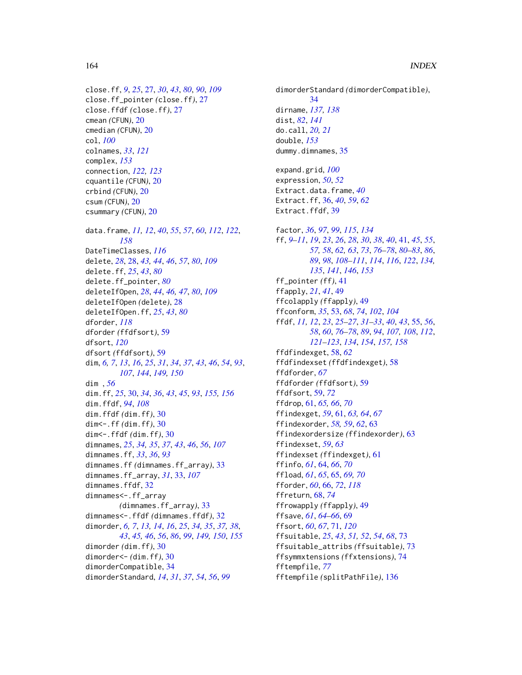```
close.ff, 9, 25, 27, 30, 43, 80, 90, 109
close.ff_pointer (close.ff), 27
close.ffdf (close.ff), 27
cmean (CFUN), 20
cmedian (CFUN), 20
col, 100
colnames, 33, 121
complex, 153
connection, 122, 123
cquantile (CFUN), 20
crbind (CFUN), 20
csum (CFUN), 20
csummary (CFUN), 20
data.frame, 11, 12, 40, 55, 57, 60, 112, 122,
         158
DateTimeClasses, 116
delete, 28, 28, 43, 44, 46, 57, 80, 109
delete.ff, 25, 43, 80
delete.ff_pointer, 80
deleteIfOpen, 28, 44, 46, 47, 80, 109
deleteIfOpen (delete), 28
deleteIfOpen.ff, 25, 43, 80
dforder, 118
dforder (ffdfsort), 59
dfsort, 120
dfsort (ffdfsort), 59
dim, 6, 7, 13, 16, 25, 31, 34, 37, 43, 46, 54, 93,
         107, 144, 149, 150
dim , 56
dim.ff, 25, 30, 34, 36, 43, 45, 93, 155, 156
dim.ffdf, 94, 108
dim.ffdf (dim.ff), 30
dim<-.ff (dim.ff), 30
dim<-.ffdf (dim.ff), 30
dimnames, 25, 34, 35, 37, 43, 46, 56, 107
dimnames.ff, 33, 36, 93
dimnames.ff (dimnames.ff_array), 33
dimnames.ff_array, 31, 33, 107
dimnames.ffdf, 32
dimnames<-.ff_array
         (dimnames.ff_array), 33
dimnames<-.ffdf (dimnames.ffdf), 32
dimorder, 6, 7, 13, 14, 16, 25, 34, 35, 37, 38,
         43, 45, 46, 56, 86, 99, 149, 150, 155
dimorder (dim.ff), 30
dimorder<- (dim.ff), 30
dimorderCompatible, 34
dimorderStandard, 14, 31, 37, 54, 56, 99
```
dimorderStandard *(*dimorderCompatible*)*, [34](#page-33-1) dirname, *[137,](#page-136-0) [138](#page-137-0)* dist, *[82](#page-81-0)*, *[141](#page-140-0)* do.call, *[20,](#page-19-0) [21](#page-20-0)* double, *[153](#page-152-0)* dummy.dimnames, [35](#page-34-0) expand.grid, *[100](#page-99-0)* expression, *[50](#page-49-0)*, *[52](#page-51-0)* Extract.data.frame, *[40](#page-39-0)* Extract.ff, [36,](#page-35-0) *[40](#page-39-0)*, *[59](#page-58-0)*, *[62](#page-61-0)* Extract.ffdf, [39](#page-38-0) factor, *[36](#page-35-0)*, *[97](#page-96-0)*, *[99](#page-98-0)*, *[115](#page-114-0)*, *[134](#page-133-0)* ff, *[9–](#page-8-0)[11](#page-10-0)*, *[19](#page-18-0)*, *[23](#page-22-0)*, *[26](#page-25-0)*, *[28](#page-27-0)*, *[30](#page-29-2)*, *[38](#page-37-0)*, *[40](#page-39-0)*, [41,](#page-40-1) *[45](#page-44-0)*, *[55](#page-54-1)*, *[57,](#page-56-0) [58](#page-57-0)*, *[62,](#page-61-0) [63](#page-62-0)*, *[73](#page-72-0)*, *[76](#page-75-1)[–78](#page-77-0)*, *[80](#page-79-0)[–83](#page-82-0)*, *[86](#page-85-0)*, *[89](#page-88-0)*, *[98](#page-97-0)*, *[108](#page-107-0)[–111](#page-110-0)*, *[114](#page-113-0)*, *[116](#page-115-0)*, *[122](#page-121-0)*, *[134,](#page-133-0) [135](#page-134-0)*, *[141](#page-140-0)*, *[146](#page-145-0)*, *[153](#page-152-0)* ff\_pointer *(*ff*)*, [41](#page-40-1) ffapply, *[21](#page-20-0)*, *[41](#page-40-1)*, [49](#page-48-1) ffcolapply *(*ffapply*)*, [49](#page-48-1) ffconform, *[35](#page-34-0)*, [53,](#page-52-0) *[68](#page-67-0)*, *[74](#page-73-0)*, *[102](#page-101-1)*, *[104](#page-103-0)* ffdf, *[11,](#page-10-0) [12](#page-11-1)*, *[23](#page-22-0)*, *[25](#page-24-0)[–27](#page-26-0)*, *[31](#page-30-0)[–33](#page-32-0)*, *[40](#page-39-0)*, *[43](#page-42-0)*, [55,](#page-54-1) *[56](#page-55-0)*, *[58](#page-57-0)*, *[60](#page-59-0)*, *[76](#page-75-1)[–78](#page-77-0)*, *[89](#page-88-0)*, *[94](#page-93-0)*, *[107,](#page-106-0) [108](#page-107-0)*, *[112](#page-111-0)*, *[121](#page-120-1)[–123](#page-122-0)*, *[134](#page-133-0)*, *[154](#page-153-0)*, *[157,](#page-156-1) [158](#page-157-0)* ffdfindexget, [58,](#page-57-0) *[62](#page-61-0)* ffdfindexset *(*ffdfindexget*)*, [58](#page-57-0) ffdforder, *[67](#page-66-0)* ffdforder *(*ffdfsort*)*, [59](#page-58-0) ffdfsort, [59,](#page-58-0) *[72](#page-71-0)* ffdrop, [61,](#page-60-0) *[65,](#page-64-0) [66](#page-65-0)*, *[70](#page-69-0)* ffindexget, *[59](#page-58-0)*, [61,](#page-60-0) *[63,](#page-62-0) [64](#page-63-0)*, *[67](#page-66-0)* ffindexorder, *[58,](#page-57-0) [59](#page-58-0)*, *[62](#page-61-0)*, [63](#page-62-0) ffindexordersize *(*ffindexorder*)*, [63](#page-62-0) ffindexset, *[59](#page-58-0)*, *[63](#page-62-0)* ffindexset *(*ffindexget*)*, [61](#page-60-0) ffinfo, *[61](#page-60-0)*, [64,](#page-63-0) *[66](#page-65-0)*, *[70](#page-69-0)* ffload, *[61](#page-60-0)*, *[65](#page-64-0)*, [65,](#page-64-0) *[69,](#page-68-0) [70](#page-69-0)* fforder, *[60](#page-59-0)*, [66,](#page-65-0) *[72](#page-71-0)*, *[118](#page-117-0)* ffreturn, [68,](#page-67-0) *[74](#page-73-0)* ffrowapply *(*ffapply*)*, [49](#page-48-1) ffsave, *[61](#page-60-0)*, *[64](#page-63-0)[–66](#page-65-0)*, [69](#page-68-0) ffsort, *[60](#page-59-0)*, *[67](#page-66-0)*, [71,](#page-70-0) *[120](#page-119-0)* ffsuitable, *[25](#page-24-0)*, *[43](#page-42-0)*, *[51,](#page-50-0) [52](#page-51-0)*, *[54](#page-53-0)*, *[68](#page-67-0)*, [73](#page-72-0) ffsuitable\_attribs *(*ffsuitable*)*, [73](#page-72-0) ffsymmxtensions *(*ffxtensions*)*, [74](#page-73-0) fftempfile, *[77](#page-76-0)* fftempfile *(*splitPathFile*)*, [136](#page-135-0)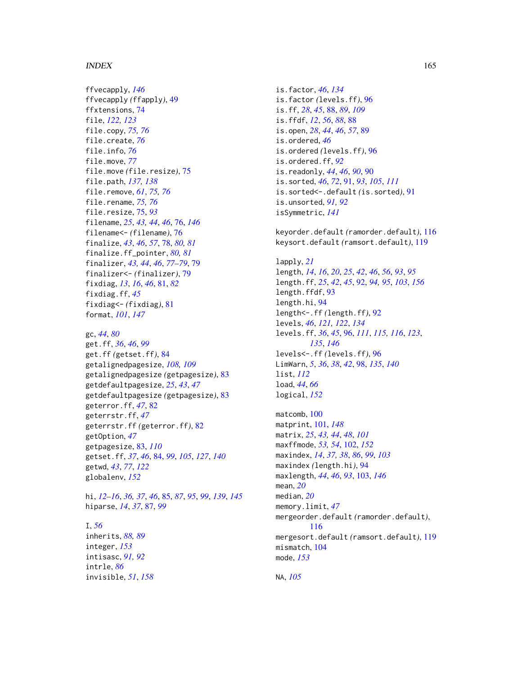#### $I\Lambda$  is a set of  $I\Lambda$  is a set of  $I\Lambda$  is a set of  $I\Lambda$  is a set of  $I\Lambda$  is a set of  $I\Lambda$

ffvecapply, *[146](#page-145-0)* ffvecapply *(*ffapply*)*, [49](#page-48-1) ffxtensions, [74](#page-73-0) file, *[122,](#page-121-0) [123](#page-122-0)* file.copy, *[75,](#page-74-0) [76](#page-75-1)* file.create, *[76](#page-75-1)* file.info, *[76](#page-75-1)* file.move, *[77](#page-76-0)* file.move *(*file.resize*)*, [75](#page-74-0) file.path, *[137,](#page-136-0) [138](#page-137-0)* file.remove, *[61](#page-60-0)*, *[75,](#page-74-0) [76](#page-75-1)* file.rename, *[75,](#page-74-0) [76](#page-75-1)* file.resize, [75,](#page-74-0) *[93](#page-92-0)* filename, *[25](#page-24-0)*, *[43,](#page-42-0) [44](#page-43-0)*, *[46](#page-45-0)*, [76,](#page-75-1) *[146](#page-145-0)* filename<- *(*filename*)*, [76](#page-75-1) finalize, *[43](#page-42-0)*, *[46](#page-45-0)*, *[57](#page-56-0)*, [78,](#page-77-0) *[80,](#page-79-0) [81](#page-80-0)* finalize.ff\_pointer, *[80,](#page-79-0) [81](#page-80-0)* finalizer, *[43,](#page-42-0) [44](#page-43-0)*, *[46](#page-45-0)*, *[77–](#page-76-0)[79](#page-78-0)*, [79](#page-78-0) finalizer<- *(*finalizer*)*, [79](#page-78-0) fixdiag, *[13](#page-12-0)*, *[16](#page-15-0)*, *[46](#page-45-0)*, [81,](#page-80-0) *[82](#page-81-0)* fixdiag.ff, *[45](#page-44-0)* fixdiag<- *(*fixdiag*)*, [81](#page-80-0) format, *[101](#page-100-1)*, *[147](#page-146-0)*

```
gc, 44, 80
get.ff, 36, 46, 99
get.ff (getset.ff), 84
getalignedpagesize, 108, 109
getalignedpagesize (getpagesize), 83
getdefaultpagesize, 25, 43, 47
getdefaultpagesize (getpagesize), 83
geterror.ff, 47, 82
geterrstr.ff, 47
geterrstr.ff (geterror.ff), 82
getOption, 47
getpagesize, 83, 110
getset.ff, 37, 46, 84, 99, 105, 127, 140
getwd, 43, 77, 122
globalenv, 152
```
hi, *[12](#page-11-1)[–16](#page-15-0)*, *[36,](#page-35-0) [37](#page-36-0)*, *[46](#page-45-0)*, [85,](#page-84-1) *[87](#page-86-0)*, *[95](#page-94-0)*, *[99](#page-98-0)*, *[139](#page-138-0)*, *[145](#page-144-0)* hiparse, *[14](#page-13-0)*, *[37](#page-36-0)*, [87,](#page-86-0) *[99](#page-98-0)*

# I, *[56](#page-55-0)* inherits, *[88,](#page-87-0) [89](#page-88-0)* integer, *[153](#page-152-0)* intisasc, *[91,](#page-90-0) [92](#page-91-1)* intrle, *[86](#page-85-0)*

invisible, *[51](#page-50-0)*, *[158](#page-157-0)*

is.factor, *[46](#page-45-0)*, *[134](#page-133-0)* is.factor *(*levels.ff*)*, [96](#page-95-1) is.ff, *[28](#page-27-0)*, *[45](#page-44-0)*, [88,](#page-87-0) *[89](#page-88-0)*, *[109](#page-108-0)* is.ffdf, *[12](#page-11-1)*, *[56](#page-55-0)*, *[88](#page-87-0)*, [88](#page-87-0) is.open, *[28](#page-27-0)*, *[44](#page-43-0)*, *[46](#page-45-0)*, *[57](#page-56-0)*, [89](#page-88-0) is.ordered, *[46](#page-45-0)* is.ordered *(*levels.ff*)*, [96](#page-95-1) is.ordered.ff, *[92](#page-91-1)* is.readonly, *[44](#page-43-0)*, *[46](#page-45-0)*, *[90](#page-89-0)*, [90](#page-89-0) is.sorted, *[46](#page-45-0)*, *[72](#page-71-0)*, [91,](#page-90-0) *[93](#page-92-0)*, *[105](#page-104-0)*, *[111](#page-110-0)* is.sorted<-.default *(*is.sorted*)*, [91](#page-90-0) is.unsorted, *[91,](#page-90-0) [92](#page-91-1)* isSymmetric, *[141](#page-140-0)*

keyorder.default *(*ramorder.default*)*, [116](#page-115-0) keysort.default *(*ramsort.default*)*, [119](#page-118-0)

lapply, *[21](#page-20-0)* length, *[14](#page-13-0)*, *[16](#page-15-0)*, *[20](#page-19-0)*, *[25](#page-24-0)*, *[42](#page-41-0)*, *[46](#page-45-0)*, *[56](#page-55-0)*, *[93](#page-92-0)*, *[95](#page-94-0)* length.ff, *[25](#page-24-0)*, *[42](#page-41-0)*, *[45](#page-44-0)*, [92,](#page-91-1) *[94,](#page-93-0) [95](#page-94-0)*, *[103](#page-102-1)*, *[156](#page-155-0)* length.ffdf, [93](#page-92-0) length.hi, [94](#page-93-0) length<-.ff *(*length.ff*)*, [92](#page-91-1) levels, *[46](#page-45-0)*, *[121,](#page-120-1) [122](#page-121-0)*, *[134](#page-133-0)* levels.ff, *[36](#page-35-0)*, *[45](#page-44-0)*, [96,](#page-95-1) *[111](#page-110-0)*, *[115,](#page-114-0) [116](#page-115-0)*, *[123](#page-122-0)*, *[135](#page-134-0)*, *[146](#page-145-0)* levels<-.ff *(*levels.ff*)*, [96](#page-95-1) LimWarn, *[5](#page-4-0)*, *[36](#page-35-0)*, *[38](#page-37-0)*, *[42](#page-41-0)*, [98,](#page-97-0) *[135](#page-134-0)*, *[140](#page-139-0)* list, *[112](#page-111-0)* load, *[44](#page-43-0)*, *[66](#page-65-0)* logical, *[152](#page-151-0)*

matcomb, [100](#page-99-0) matprint, [101,](#page-100-1) *[148](#page-147-2)* matrix, *[25](#page-24-0)*, *[43,](#page-42-0) [44](#page-43-0)*, *[48](#page-47-0)*, *[101](#page-100-1)* maxffmode, *[53,](#page-52-0) [54](#page-53-0)*, [102,](#page-101-1) *[152](#page-151-0)* maxindex, *[14](#page-13-0)*, *[37,](#page-36-0) [38](#page-37-0)*, *[86](#page-85-0)*, *[99](#page-98-0)*, *[103](#page-102-1)* maxindex *(*length.hi*)*, [94](#page-93-0) maxlength, *[44](#page-43-0)*, *[46](#page-45-0)*, *[93](#page-92-0)*, [103,](#page-102-1) *[146](#page-145-0)* mean, *[20](#page-19-0)* median, *[20](#page-19-0)* memory.limit, *[47](#page-46-0)* mergeorder.default *(*ramorder.default*)*, [116](#page-115-0) mergesort.default *(*ramsort.default*)*, [119](#page-118-0) mismatch, [104](#page-103-0) mode, *[153](#page-152-0)*

NA, *[105](#page-104-0)*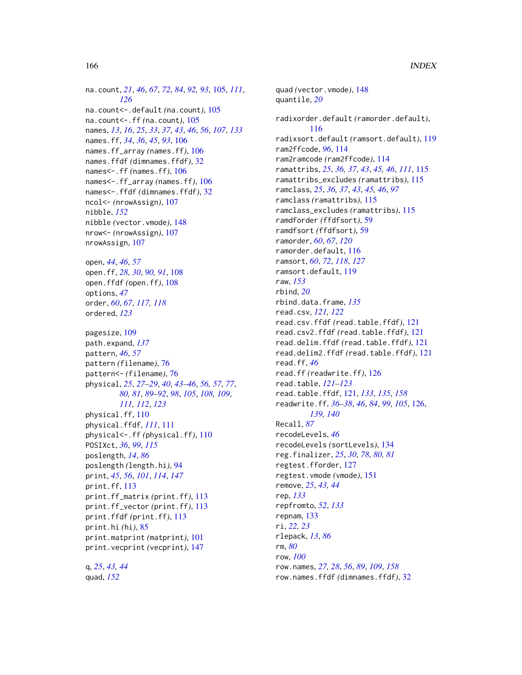na.count, *[21](#page-20-0)*, *[46](#page-45-0)*, *[67](#page-66-0)*, *[72](#page-71-0)*, *[84](#page-83-0)*, *[92,](#page-91-1) [93](#page-92-0)*, [105,](#page-104-0) *[111](#page-110-0)*, *[126](#page-125-0)* na.count<-.default *(*na.count*)*, [105](#page-104-0) na.count<-.ff *(*na.count*)*, [105](#page-104-0) names, *[13](#page-12-0)*, *[16](#page-15-0)*, *[25](#page-24-0)*, *[33](#page-32-0)*, *[37](#page-36-0)*, *[43](#page-42-0)*, *[46](#page-45-0)*, *[56](#page-55-0)*, *[107](#page-106-0)*, *[133](#page-132-0)* names.ff, *[34](#page-33-1)*, *[36](#page-35-0)*, *[45](#page-44-0)*, *[93](#page-92-0)*, [106](#page-105-0) names.ff\_array *(*names.ff*)*, [106](#page-105-0) names.ffdf *(*dimnames.ffdf*)*, [32](#page-31-1) names<-.ff *(*names.ff*)*, [106](#page-105-0) names<-.ff\_array *(*names.ff*)*, [106](#page-105-0) names<-.ffdf *(*dimnames.ffdf*)*, [32](#page-31-1) ncol<- *(*nrowAssign*)*, [107](#page-106-0) nibble, *[152](#page-151-0)* nibble *(*vector.vmode*)*, [148](#page-147-2) nrow<- *(*nrowAssign*)*, [107](#page-106-0) nrowAssign, [107](#page-106-0) open, *[44](#page-43-0)*, *[46](#page-45-0)*, *[57](#page-56-0)*

open.ff, *[28](#page-27-0)*, *[30](#page-29-2)*, *[90,](#page-89-0) [91](#page-90-0)*, [108](#page-107-0) open.ffdf *(*open.ff*)*, [108](#page-107-0) options, *[47](#page-46-0)* order, *[60](#page-59-0)*, *[67](#page-66-0)*, *[117,](#page-116-0) [118](#page-117-0)* ordered, *[123](#page-122-0)*

pagesize, [109](#page-108-0) path.expand, *[137](#page-136-0)* pattern, *[46](#page-45-0)*, *[57](#page-56-0)* pattern *(*filename*)*, [76](#page-75-1) pattern<- *(*filename*)*, [76](#page-75-1) physical, *[25](#page-24-0)*, *[27](#page-26-0)[–29](#page-28-0)*, *[40](#page-39-0)*, *[43–](#page-42-0)[46](#page-45-0)*, *[56,](#page-55-0) [57](#page-56-0)*, *[77](#page-76-0)*, *[80,](#page-79-0) [81](#page-80-0)*, *[89](#page-88-0)[–92](#page-91-1)*, *[98](#page-97-0)*, *[105](#page-104-0)*, *[108,](#page-107-0) [109](#page-108-0)*, *[111,](#page-110-0) [112](#page-111-0)*, *[123](#page-122-0)* physical.ff, [110](#page-109-2) physical.ffdf, *[111](#page-110-0)*, [111](#page-110-0) physical<-.ff *(*physical.ff*)*, [110](#page-109-2) POSIXct, *[36](#page-35-0)*, *[99](#page-98-0)*, *[115](#page-114-0)* poslength, *[14](#page-13-0)*, *[86](#page-85-0)* poslength *(*length.hi*)*, [94](#page-93-0) print, *[45](#page-44-0)*, *[56](#page-55-0)*, *[101](#page-100-1)*, *[114](#page-113-0)*, *[147](#page-146-0)* print.ff, [113](#page-112-0) print.ff\_matrix *(*print.ff*)*, [113](#page-112-0) print.ff\_vector *(*print.ff*)*, [113](#page-112-0) print.ffdf *(*print.ff*)*, [113](#page-112-0) print.hi *(*hi*)*, [85](#page-84-1) print.matprint *(*matprint*)*, [101](#page-100-1) print.vecprint *(*vecprint*)*, [147](#page-146-0)

q, *[25](#page-24-0)*, *[43,](#page-42-0) [44](#page-43-0)* quad, *[152](#page-151-0)*

quad *(*vector.vmode*)*, [148](#page-147-2) quantile, *[20](#page-19-0)* radixorder.default *(*ramorder.default*)*, [116](#page-115-0) radixsort.default *(*ramsort.default*)*, [119](#page-118-0) ram2ffcode, *[96](#page-95-1)*, [114](#page-113-0) ram2ramcode *(*ram2ffcode*)*, [114](#page-113-0) ramattribs, *[25](#page-24-0)*, *[36,](#page-35-0) [37](#page-36-0)*, *[43](#page-42-0)*, *[45,](#page-44-0) [46](#page-45-0)*, *[111](#page-110-0)*, [115](#page-114-0) ramattribs\_excludes *(*ramattribs*)*, [115](#page-114-0) ramclass, *[25](#page-24-0)*, *[36,](#page-35-0) [37](#page-36-0)*, *[43](#page-42-0)*, *[45,](#page-44-0) [46](#page-45-0)*, *[97](#page-96-0)* ramclass *(*ramattribs*)*, [115](#page-114-0) ramclass\_excludes *(*ramattribs*)*, [115](#page-114-0) ramdforder *(*ffdfsort*)*, [59](#page-58-0) ramdfsort *(*ffdfsort*)*, [59](#page-58-0) ramorder, *[60](#page-59-0)*, *[67](#page-66-0)*, *[120](#page-119-0)* ramorder.default, [116](#page-115-0) ramsort, *[60](#page-59-0)*, *[72](#page-71-0)*, *[118](#page-117-0)*, *[127](#page-126-0)* ramsort.default, [119](#page-118-0) raw, *[153](#page-152-0)* rbind, *[20](#page-19-0)* rbind.data.frame, *[135](#page-134-0)* read.csv, *[121,](#page-120-1) [122](#page-121-0)* read.csv.ffdf *(*read.table.ffdf*)*, [121](#page-120-1) read.csv2.ffdf *(*read.table.ffdf*)*, [121](#page-120-1) read.delim.ffdf *(*read.table.ffdf*)*, [121](#page-120-1) read.delim2.ffdf *(*read.table.ffdf*)*, [121](#page-120-1) read.ff, *[46](#page-45-0)* read.ff *(*readwrite.ff*)*, [126](#page-125-0) read.table, *[121](#page-120-1)[–123](#page-122-0)* read.table.ffdf, [121,](#page-120-1) *[133](#page-132-0)*, *[135](#page-134-0)*, *[158](#page-157-0)* readwrite.ff, *[36](#page-35-0)[–38](#page-37-0)*, *[46](#page-45-0)*, *[84](#page-83-0)*, *[99](#page-98-0)*, *[105](#page-104-0)*, [126,](#page-125-0) *[139,](#page-138-0) [140](#page-139-0)* Recall, *[87](#page-86-0)* recodeLevels, *[46](#page-45-0)* recodeLevels *(*sortLevels*)*, [134](#page-133-0) reg.finalizer, *[25](#page-24-0)*, *[30](#page-29-2)*, *[78](#page-77-0)*, *[80,](#page-79-0) [81](#page-80-0)* regtest.fforder, [127](#page-126-0) regtest.vmode *(*vmode*)*, [151](#page-150-2) remove, *[25](#page-24-0)*, *[43,](#page-42-0) [44](#page-43-0)* rep, *[133](#page-132-0)* repfromto, *[52](#page-51-0)*, *[133](#page-132-0)* repnam, [133](#page-132-0) ri, *[22,](#page-21-0) [23](#page-22-0)* rlepack, *[13](#page-12-0)*, *[86](#page-85-0)* rm, *[80](#page-79-0)* row, *[100](#page-99-0)* row.names, *[27,](#page-26-0) [28](#page-27-0)*, *[56](#page-55-0)*, *[89](#page-88-0)*, *[109](#page-108-0)*, *[158](#page-157-0)* row.names.ffdf *(*dimnames.ffdf*)*, [32](#page-31-1)